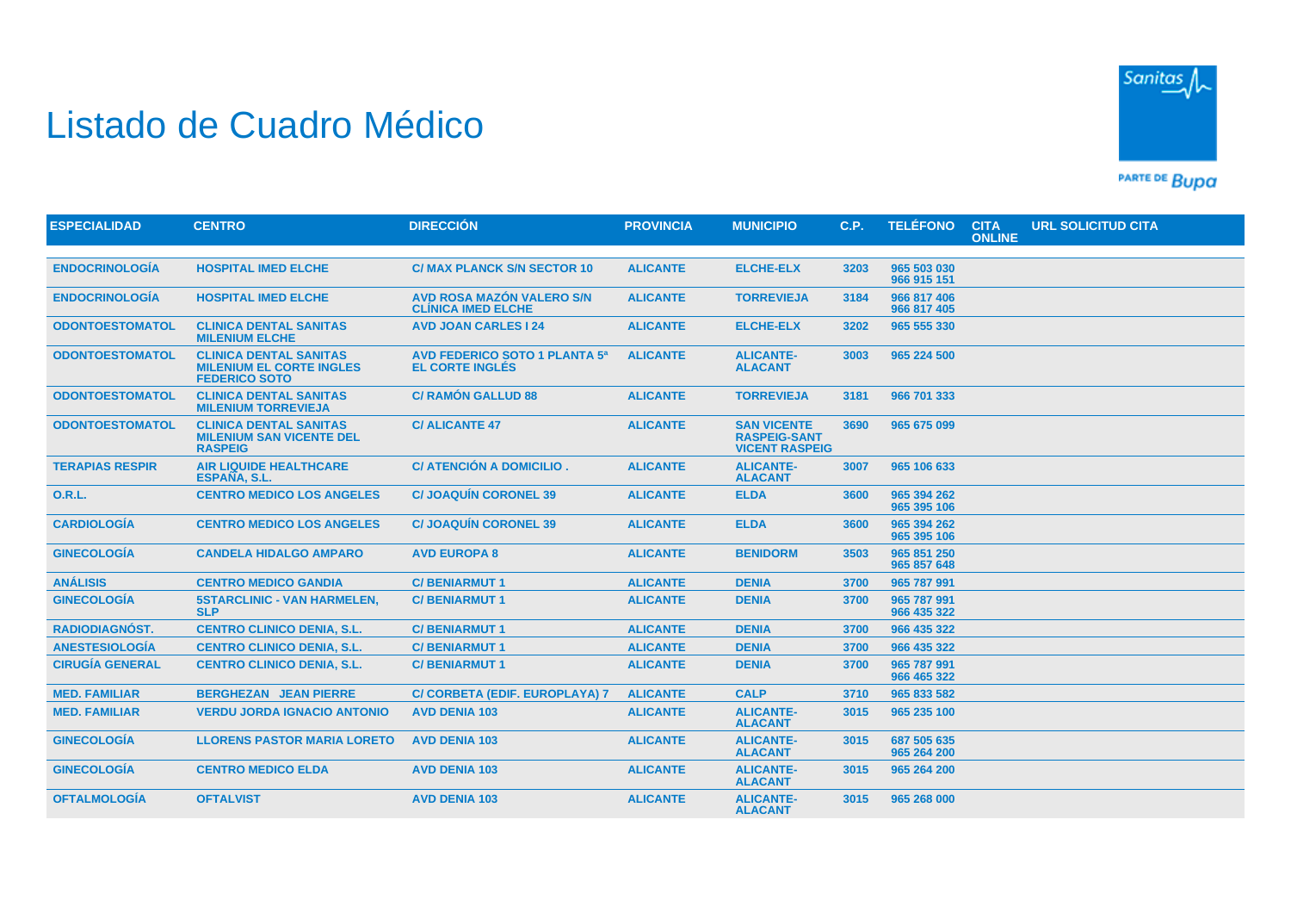## Listado de Cuadro Médico



PARTE DE BUDA

| <b>ESPECIALIDAD</b>    | <b>CENTRO</b>                                                                            | <b>DIRECCIÓN</b>                                               | <b>PROVINCIA</b> | <b>MUNICIPIO</b>                                                   | C.P. | <b>TELÉFONO</b>            | <b>CITA</b><br><b>ONLINE</b> | URL SOLICITUD CITA |
|------------------------|------------------------------------------------------------------------------------------|----------------------------------------------------------------|------------------|--------------------------------------------------------------------|------|----------------------------|------------------------------|--------------------|
|                        |                                                                                          |                                                                |                  |                                                                    |      |                            |                              |                    |
| <b>ENDOCRINOLOGÍA</b>  | <b>HOSPITAL IMED ELCHE</b>                                                               | <b>C/ MAX PLANCK S/N SECTOR 10</b>                             | <b>ALICANTE</b>  | <b>ELCHE-ELX</b>                                                   | 3203 | 965 503 030<br>966 915 151 |                              |                    |
| <b>ENDOCRINOLOGÍA</b>  | <b>HOSPITAL IMED ELCHE</b>                                                               | AVD ROSA MAZÓN VALERO S/N<br><b>CLÍNICA IMED ELCHE</b>         | <b>ALICANTE</b>  | <b>TORREVIEJA</b>                                                  | 3184 | 966 817 406<br>966 817 405 |                              |                    |
| <b>ODONTOESTOMATOL</b> | <b>CLINICA DENTAL SANITAS</b><br><b>MILENIUM ELCHE</b>                                   | <b>AVD JOAN CARLES 124</b>                                     | <b>ALICANTE</b>  | <b>ELCHE-ELX</b>                                                   | 3202 | 965 555 330                |                              |                    |
| <b>ODONTOESTOMATOL</b> | <b>CLINICA DENTAL SANITAS</b><br><b>MILENIUM EL CORTE INGLES</b><br><b>FEDERICO SOTO</b> | <b>AVD FEDERICO SOTO 1 PLANTA 5ª</b><br><b>EL CORTE INGLÉS</b> | <b>ALICANTE</b>  | <b>ALICANTE-</b><br><b>ALACANT</b>                                 | 3003 | 965 224 500                |                              |                    |
| <b>ODONTOESTOMATOL</b> | <b>CLINICA DENTAL SANITAS</b><br><b>MILENIUM TORREVIEJA</b>                              | <b>C/ RAMÓN GALLUD 88</b>                                      | <b>ALICANTE</b>  | <b>TORREVIEJA</b>                                                  | 3181 | 966 701 333                |                              |                    |
| <b>ODONTOESTOMATOL</b> | <b>CLINICA DENTAL SANITAS</b><br><b>MILENIUM SAN VICENTE DEL</b><br><b>RASPEIG</b>       | <b>C/ALICANTE 47</b>                                           | <b>ALICANTE</b>  | <b>SAN VICENTE</b><br><b>RASPEIG-SANT</b><br><b>VICENT RASPEIG</b> | 3690 | 965 675 099                |                              |                    |
| <b>TERAPIAS RESPIR</b> | <b>AIR LIQUIDE HEALTHCARE</b><br>ESPAÑA, S.L.                                            | C/ ATENCIÓN A DOMICILIO.                                       | <b>ALICANTE</b>  | <b>ALICANTE-</b><br><b>ALACANT</b>                                 | 3007 | 965 106 633                |                              |                    |
| <b>O.R.L.</b>          | <b>CENTRO MEDICO LOS ANGELES</b>                                                         | <b>C/JOAQUÍN CORONEL 39</b>                                    | <b>ALICANTE</b>  | <b>ELDA</b>                                                        | 3600 | 965 394 262<br>965 395 106 |                              |                    |
| <b>CARDIOLOGÍA</b>     | <b>CENTRO MEDICO LOS ANGELES</b>                                                         | <b>C/JOAQUÍN CORONEL 39</b>                                    | <b>ALICANTE</b>  | <b>ELDA</b>                                                        | 3600 | 965 394 262<br>965 395 106 |                              |                    |
| <b>GINECOLOGÍA</b>     | <b>CANDELA HIDALGO AMPARO</b>                                                            | <b>AVD EUROPA 8</b>                                            | <b>ALICANTE</b>  | <b>BENIDORM</b>                                                    | 3503 | 965 851 250<br>965 857 648 |                              |                    |
| <b>ANÁLISIS</b>        | <b>CENTRO MEDICO GANDIA</b>                                                              | <b>C/BENIARMUT1</b>                                            | <b>ALICANTE</b>  | <b>DENIA</b>                                                       | 3700 | 965 787 991                |                              |                    |
| <b>GINECOLOGÍA</b>     | <b>5STARCLINIC - VAN HARMELEN,</b><br><b>SLP</b>                                         | <b>C/BENIARMUT1</b>                                            | <b>ALICANTE</b>  | <b>DENIA</b>                                                       | 3700 | 965 787 991<br>966 435 322 |                              |                    |
| <b>RADIODIAGNÓST.</b>  | <b>CENTRO CLINICO DENIA, S.L.</b>                                                        | <b>C/BENIARMUT1</b>                                            | <b>ALICANTE</b>  | <b>DENIA</b>                                                       | 3700 | 966 435 322                |                              |                    |
| <b>ANESTESIOLOGÍA</b>  | <b>CENTRO CLINICO DENIA, S.L.</b>                                                        | <b>C/BENIARMUT1</b>                                            | <b>ALICANTE</b>  | <b>DENIA</b>                                                       | 3700 | 966 435 322                |                              |                    |
| <b>CIRUGÍA GENERAL</b> | <b>CENTRO CLINICO DENIA, S.L.</b>                                                        | <b>C/BENIARMUT1</b>                                            | <b>ALICANTE</b>  | <b>DENIA</b>                                                       | 3700 | 965 787 991<br>966 465 322 |                              |                    |
| <b>MED. FAMILIAR</b>   | <b>BERGHEZAN JEAN PIERRE</b>                                                             | C/ CORBETA (EDIF. EUROPLAYA) 7                                 | <b>ALICANTE</b>  | <b>CALP</b>                                                        | 3710 | 965 833 582                |                              |                    |
| <b>MED. FAMILIAR</b>   | <b>VERDU JORDA IGNACIO ANTONIO</b>                                                       | <b>AVD DENIA 103</b>                                           | <b>ALICANTE</b>  | <b>ALICANTE-</b><br><b>ALACANT</b>                                 | 3015 | 965 235 100                |                              |                    |
| <b>GINECOLOGÍA</b>     | <b>LLORENS PASTOR MARIA LORETO</b>                                                       | <b>AVD DENIA 103</b>                                           | <b>ALICANTE</b>  | <b>ALICANTE-</b><br><b>ALACANT</b>                                 | 3015 | 687 505 635<br>965 264 200 |                              |                    |
| <b>GINECOLOGÍA</b>     | <b>CENTRO MEDICO ELDA</b>                                                                | <b>AVD DENIA 103</b>                                           | <b>ALICANTE</b>  | <b>ALICANTE-</b><br><b>ALACANT</b>                                 | 3015 | 965 264 200                |                              |                    |
| <b>OFTALMOLOGÍA</b>    | <b>OFTALVIST</b>                                                                         | <b>AVD DENIA 103</b>                                           | <b>ALICANTE</b>  | <b>ALICANTE-</b><br><b>ALACANT</b>                                 | 3015 | 965 268 000                |                              |                    |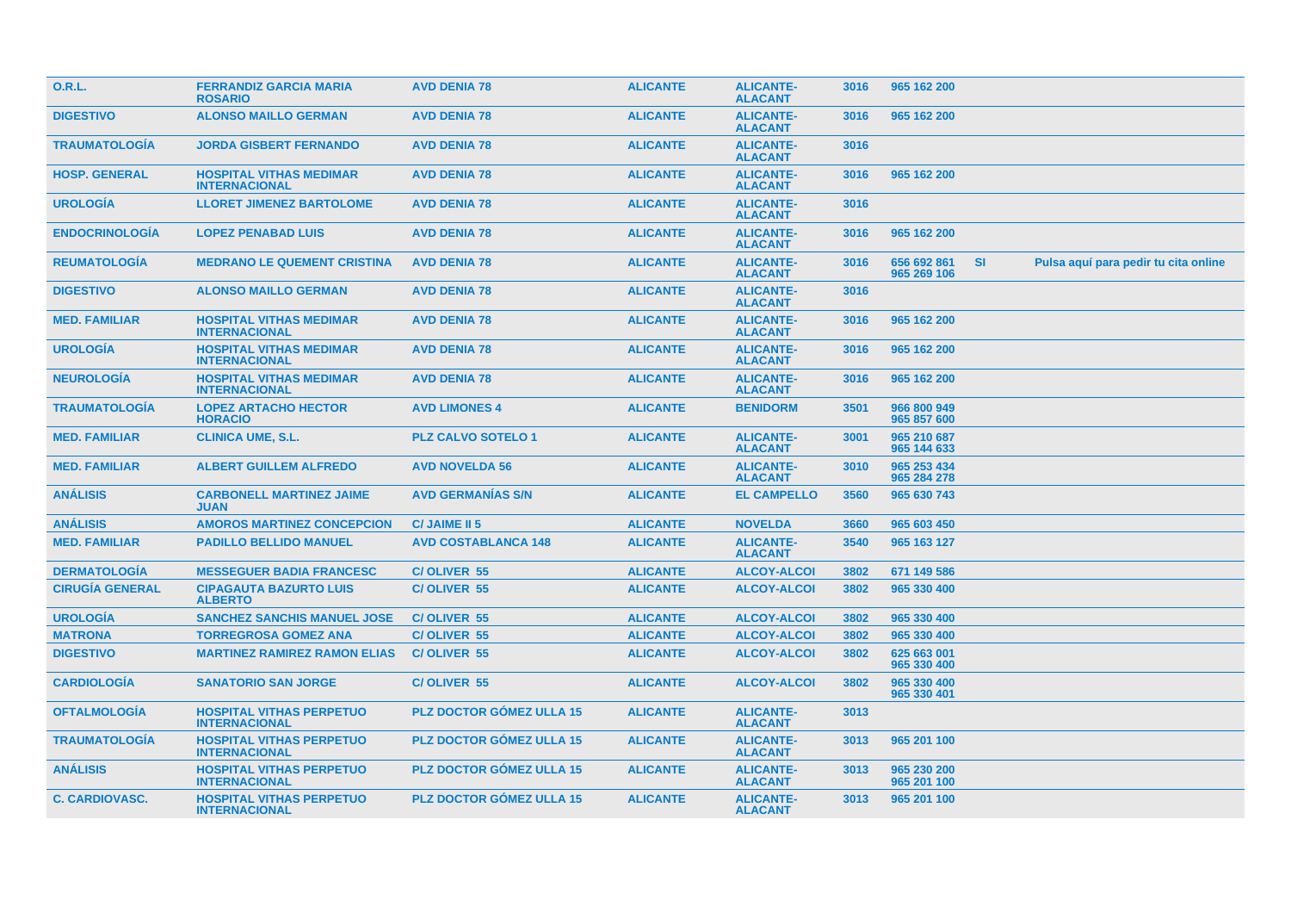| <b>O.R.L.</b>          | <b>FERRANDIZ GARCIA MARIA</b><br><b>ROSARIO</b>         | <b>AVD DENIA 78</b>             | <b>ALICANTE</b> | <b>ALICANTE-</b><br><b>ALACANT</b> | 3016 | 965 162 200                |           |                                      |  |
|------------------------|---------------------------------------------------------|---------------------------------|-----------------|------------------------------------|------|----------------------------|-----------|--------------------------------------|--|
| <b>DIGESTIVO</b>       | <b>ALONSO MAILLO GERMAN</b>                             | <b>AVD DENIA 78</b>             | <b>ALICANTE</b> | <b>ALICANTE-</b><br><b>ALACANT</b> | 3016 | 965 162 200                |           |                                      |  |
| <b>TRAUMATOLOGIA</b>   | <b>JORDA GISBERT FERNANDO</b>                           | <b>AVD DENIA 78</b>             | <b>ALICANTE</b> | <b>ALICANTE-</b><br><b>ALACANT</b> | 3016 |                            |           |                                      |  |
| <b>HOSP. GENERAL</b>   | <b>HOSPITAL VITHAS MEDIMAR</b><br><b>INTERNACIONAL</b>  | <b>AVD DENIA 78</b>             | <b>ALICANTE</b> | <b>ALICANTE-</b><br><b>ALACANT</b> | 3016 | 965 162 200                |           |                                      |  |
| <b>UROLOGÍA</b>        | <b>LLORET JIMENEZ BARTOLOME</b>                         | <b>AVD DENIA 78</b>             | <b>ALICANTE</b> | <b>ALICANTE-</b><br><b>ALACANT</b> | 3016 |                            |           |                                      |  |
| <b>ENDOCRINOLOGÍA</b>  | <b>LOPEZ PENABAD LUIS</b>                               | <b>AVD DENIA 78</b>             | <b>ALICANTE</b> | <b>ALICANTE-</b><br><b>ALACANT</b> | 3016 | 965 162 200                |           |                                      |  |
| <b>REUMATOLOGÍA</b>    | <b>MEDRANO LE QUEMENT CRISTINA</b>                      | <b>AVD DENIA 78</b>             | <b>ALICANTE</b> | <b>ALICANTE-</b><br><b>ALACANT</b> | 3016 | 656 692 861<br>965 269 106 | <b>SI</b> | Pulsa aquí para pedir tu cita online |  |
| <b>DIGESTIVO</b>       | <b>ALONSO MAILLO GERMAN</b>                             | <b>AVD DENIA 78</b>             | <b>ALICANTE</b> | <b>ALICANTE-</b><br><b>ALACANT</b> | 3016 |                            |           |                                      |  |
| <b>MED. FAMILIAR</b>   | <b>HOSPITAL VITHAS MEDIMAR</b><br><b>INTERNACIONAL</b>  | <b>AVD DENIA 78</b>             | <b>ALICANTE</b> | <b>ALICANTE-</b><br><b>ALACANT</b> | 3016 | 965 162 200                |           |                                      |  |
| <b>UROLOGÍA</b>        | <b>HOSPITAL VITHAS MEDIMAR</b><br><b>INTERNACIONAL</b>  | <b>AVD DENIA 78</b>             | <b>ALICANTE</b> | <b>ALICANTE-</b><br><b>ALACANT</b> | 3016 | 965 162 200                |           |                                      |  |
| <b>NEUROLOGÍA</b>      | <b>HOSPITAL VITHAS MEDIMAR</b><br><b>INTERNACIONAL</b>  | <b>AVD DENIA 78</b>             | <b>ALICANTE</b> | <b>ALICANTE-</b><br><b>ALACANT</b> | 3016 | 965 162 200                |           |                                      |  |
| <b>TRAUMATOLOGÍA</b>   | <b>LOPEZ ARTACHO HECTOR</b><br><b>HORACIO</b>           | <b>AVD LIMONES 4</b>            | <b>ALICANTE</b> | <b>BENIDORM</b>                    | 3501 | 966 800 949<br>965 857 600 |           |                                      |  |
| <b>MED. FAMILIAR</b>   | <b>CLINICA UME, S.L.</b>                                | <b>PLZ CALVO SOTELO 1</b>       | <b>ALICANTE</b> | <b>ALICANTE-</b><br><b>ALACANT</b> | 3001 | 965 210 687<br>965 144 633 |           |                                      |  |
| <b>MED. FAMILIAR</b>   | <b>ALBERT GUILLEM ALFREDO</b>                           | <b>AVD NOVELDA 56</b>           | <b>ALICANTE</b> | <b>ALICANTE-</b><br><b>ALACANT</b> | 3010 | 965 253 434<br>965 284 278 |           |                                      |  |
| <b>ANÁLISIS</b>        | <b>CARBONELL MARTINEZ JAIME</b><br><b>JUAN</b>          | <b>AVD GERMANIAS S/N</b>        | <b>ALICANTE</b> | <b>EL CAMPELLO</b>                 | 3560 | 965 630 743                |           |                                      |  |
| <b>ANÁLISIS</b>        | <b>AMOROS MARTINEZ CONCEPCION</b>                       | <b>C/JAIME II 5</b>             | <b>ALICANTE</b> | <b>NOVELDA</b>                     | 3660 | 965 603 450                |           |                                      |  |
| <b>MED. FAMILIAR</b>   | <b>PADILLO BELLIDO MANUEL</b>                           | <b>AVD COSTABLANCA 148</b>      | <b>ALICANTE</b> | <b>ALICANTE-</b><br><b>ALACANT</b> | 3540 | 965 163 127                |           |                                      |  |
| <b>DERMATOLOGÍA</b>    | <b>MESSEGUER BADIA FRANCESC</b>                         | C/OLIVER 55                     | <b>ALICANTE</b> | <b>ALCOY-ALCOI</b>                 | 3802 | 671 149 586                |           |                                      |  |
| <b>CIRUGÍA GENERAL</b> | <b>CIPAGAUTA BAZURTO LUIS</b><br><b>ALBERTO</b>         | C/OLIVER 55                     | <b>ALICANTE</b> | <b>ALCOY-ALCOI</b>                 | 3802 | 965 330 400                |           |                                      |  |
| <b>UROLOGÍA</b>        | <b>SANCHEZ SANCHIS MANUEL JOSE</b>                      | C/OLIVER 55                     | <b>ALICANTE</b> | <b>ALCOY-ALCOI</b>                 | 3802 | 965 330 400                |           |                                      |  |
| <b>MATRONA</b>         | <b>TORREGROSA GOMEZ ANA</b>                             | <b>C/OLIVER 55</b>              | <b>ALICANTE</b> | <b>ALCOY-ALCOI</b>                 | 3802 | 965 330 400                |           |                                      |  |
| <b>DIGESTIVO</b>       | <b>MARTINEZ RAMIREZ RAMON ELIAS</b>                     | <b>C/OLIVER 55</b>              | <b>ALICANTE</b> | <b>ALCOY-ALCOI</b>                 | 3802 | 625 663 001<br>965 330 400 |           |                                      |  |
| <b>CARDIOLOGÍA</b>     | <b>SANATORIO SAN JORGE</b>                              | <b>C/OLIVER 55</b>              | <b>ALICANTE</b> | <b>ALCOY-ALCOI</b>                 | 3802 | 965 330 400<br>965 330 401 |           |                                      |  |
| <b>OFTALMOLOGÍA</b>    | <b>HOSPITAL VITHAS PERPETUO</b><br><b>INTERNACIONAL</b> | <b>PLZ DOCTOR GÓMEZ ULLA 15</b> | <b>ALICANTE</b> | <b>ALICANTE-</b><br><b>ALACANT</b> | 3013 |                            |           |                                      |  |
| <b>TRAUMATOLOGÍA</b>   | <b>HOSPITAL VITHAS PERPETUO</b><br><b>INTERNACIONAL</b> | <b>PLZ DOCTOR GÓMEZ ULLA 15</b> | <b>ALICANTE</b> | <b>ALICANTE-</b><br><b>ALACANT</b> | 3013 | 965 201 100                |           |                                      |  |
| <b>ANÁLISIS</b>        | <b>HOSPITAL VITHAS PERPETUO</b><br><b>INTERNACIONAL</b> | <b>PLZ DOCTOR GÓMEZ ULLA 15</b> | <b>ALICANTE</b> | <b>ALICANTE-</b><br><b>ALACANT</b> | 3013 | 965 230 200<br>965 201 100 |           |                                      |  |
| <b>C. CARDIOVASC.</b>  | <b>HOSPITAL VITHAS PERPETUO</b><br><b>INTERNACIONAL</b> | <b>PLZ DOCTOR GÓMEZ ULLA 15</b> | <b>ALICANTE</b> | <b>ALICANTE-</b><br><b>ALACANT</b> | 3013 | 965 201 100                |           |                                      |  |
|                        |                                                         |                                 |                 |                                    |      |                            |           |                                      |  |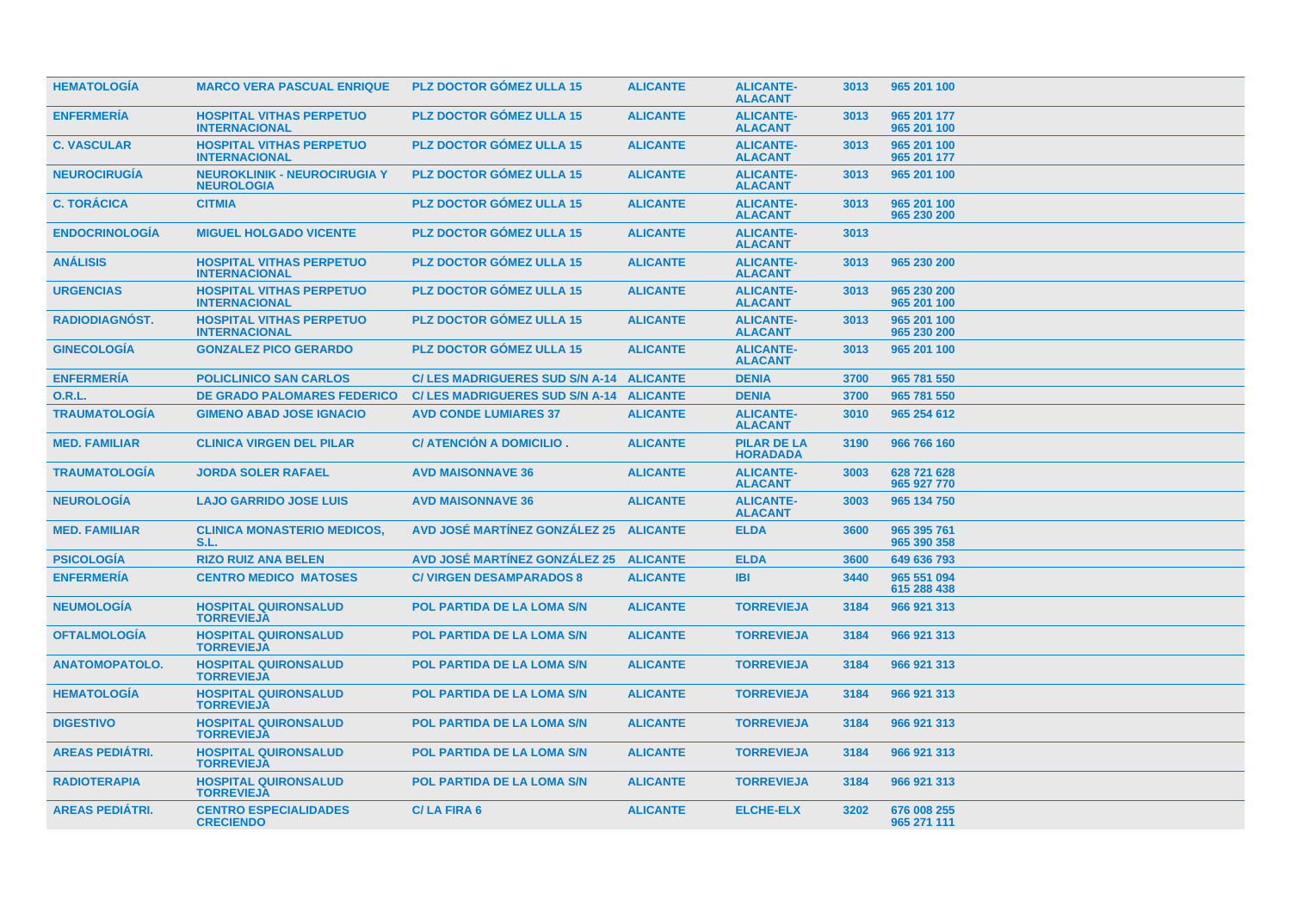| <b>HEMATOLOGIA</b>     | <b>MARCO VERA PASCUAL ENRIQUE</b>                        | <b>PLZ DOCTOR GÓMEZ ULLA 15</b>          | <b>ALICANTE</b> | <b>ALICANTE-</b><br><b>ALACANT</b>    | 3013 | 965 201 100                |
|------------------------|----------------------------------------------------------|------------------------------------------|-----------------|---------------------------------------|------|----------------------------|
| <b>ENFERMERÍA</b>      | <b>HOSPITAL VITHAS PERPETUO</b><br><b>INTERNACIONAL</b>  | <b>PLZ DOCTOR GÓMEZ ULLA 15</b>          | <b>ALICANTE</b> | <b>ALICANTE-</b><br><b>ALACANT</b>    | 3013 | 965 201 177<br>965 201 100 |
| <b>C. VASCULAR</b>     | <b>HOSPITAL VITHAS PERPETUO</b><br><b>INTERNACIONAL</b>  | <b>PLZ DOCTOR GÓMEZ ULLA 15</b>          | <b>ALICANTE</b> | <b>ALICANTE-</b><br><b>ALACANT</b>    | 3013 | 965 201 100<br>965 201 177 |
| <b>NEUROCIRUGÍA</b>    | <b>NEUROKLINIK - NEUROCIRUGIA Y</b><br><b>NEUROLOGIA</b> | <b>PLZ DOCTOR GÓMEZ ULLA 15</b>          | <b>ALICANTE</b> | <b>ALICANTE-</b><br><b>ALACANT</b>    | 3013 | 965 201 100                |
| <b>C. TORÁCICA</b>     | <b>CITMIA</b>                                            | <b>PLZ DOCTOR GOMEZ ULLA 15</b>          | <b>ALICANTE</b> | <b>ALICANTE-</b><br><b>ALACANT</b>    | 3013 | 965 201 100<br>965 230 200 |
| <b>ENDOCRINOLOGÍA</b>  | <b>MIGUEL HOLGADO VICENTE</b>                            | <b>PLZ DOCTOR GÓMEZ ULLA 15</b>          | <b>ALICANTE</b> | <b>ALICANTE-</b><br><b>ALACANT</b>    | 3013 |                            |
| <b>ANÁLISIS</b>        | <b>HOSPITAL VITHAS PERPETUO</b><br><b>INTERNACIONAL</b>  | <b>PLZ DOCTOR GÓMEZ ULLA 15</b>          | <b>ALICANTE</b> | <b>ALICANTE-</b><br><b>ALACANT</b>    | 3013 | 965 230 200                |
| <b>URGENCIAS</b>       | <b>HOSPITAL VITHAS PERPETUO</b><br><b>INTERNACIONAL</b>  | <b>PLZ DOCTOR GÓMEZ ULLA 15</b>          | <b>ALICANTE</b> | <b>ALICANTE-</b><br><b>ALACANT</b>    | 3013 | 965 230 200<br>965 201 100 |
| <b>RADIODIAGNOST.</b>  | <b>HOSPITAL VITHAS PERPETUO</b><br><b>INTERNACIONAL</b>  | <b>PLZ DOCTOR GÓMEZ ULLA 15</b>          | <b>ALICANTE</b> | <b>ALICANTE-</b><br><b>ALACANT</b>    | 3013 | 965 201 100<br>965 230 200 |
| <b>GINECOLOGIA</b>     | <b>GONZALEZ PICO GERARDO</b>                             | <b>PLZ DOCTOR GOMEZ ULLA 15</b>          | <b>ALICANTE</b> | <b>ALICANTE-</b><br><b>ALACANT</b>    | 3013 | 965 201 100                |
| <b>ENFERMERÍA</b>      | <b>POLICLINICO SAN CARLOS</b>                            | C/ LES MADRIGUERES SUD S/N A-14 ALICANTE |                 | <b>DENIA</b>                          | 3700 | 965 781 550                |
| <b>O.R.L.</b>          | <b>DE GRADO PALOMARES FEDERICO</b>                       | C/ LES MADRIGUERES SUD S/N A-14 ALICANTE |                 | <b>DENIA</b>                          | 3700 | 965 781 550                |
| <b>TRAUMATOLOGÍA</b>   | <b>GIMENO ABAD JOSE IGNACIO</b>                          | <b>AVD CONDE LUMIARES 37</b>             | <b>ALICANTE</b> | <b>ALICANTE-</b><br><b>ALACANT</b>    | 3010 | 965 254 612                |
| <b>MED. FAMILIAR</b>   | <b>CLINICA VIRGEN DEL PILAR</b>                          | C/ ATENCIÓN A DOMICILIO.                 | <b>ALICANTE</b> | <b>PILAR DE LA</b><br><b>HORADADA</b> | 3190 | 966 766 160                |
| <b>TRAUMATOLOGÍA</b>   | <b>JORDA SOLER RAFAEL</b>                                | <b>AVD MAISONNAVE 36</b>                 | <b>ALICANTE</b> | <b>ALICANTE-</b><br><b>ALACANT</b>    | 3003 | 628 721 628<br>965 927 770 |
| <b>NEUROLOGÍA</b>      | <b>LAJO GARRIDO JOSE LUIS</b>                            | <b>AVD MAISONNAVE 36</b>                 | <b>ALICANTE</b> | <b>ALICANTE-</b><br><b>ALACANT</b>    | 3003 | 965 134 750                |
| <b>MED. FAMILIAR</b>   | <b>CLINICA MONASTERIO MEDICOS,</b><br>S.L.               | AVD JOSÉ MARTINEZ GONZÁLEZ 25 ALICANTE   |                 | <b>ELDA</b>                           | 3600 | 965 395 761<br>965 390 358 |
| <b>PSICOLOGIA</b>      | <b>RIZO RUIZ ANA BELEN</b>                               | AVD JOSÉ MARTÍNEZ GONZÁLEZ 25 ALICANTE   |                 | <b>ELDA</b>                           | 3600 | 649 636 793                |
| <b>ENFERMERÍA</b>      | <b>CENTRO MEDICO MATOSES</b>                             | <b>C/ VIRGEN DESAMPARADOS 8</b>          | <b>ALICANTE</b> | <b>IBI</b>                            | 3440 | 965 551 094<br>615 288 438 |
| <b>NEUMOLOGÍA</b>      | <b>HOSPITAL QUIRONSALUD</b><br><b>TORREVIEJA</b>         | <b>POL PARTIDA DE LA LOMA S/N</b>        | <b>ALICANTE</b> | <b>TORREVIEJA</b>                     | 3184 | 966 921 313                |
| <b>OFTALMOLOGÍA</b>    | <b>HOSPITAL QUIRONSALUD</b><br><b>TORREVIEJA</b>         | <b>POL PARTIDA DE LA LOMA S/N</b>        | <b>ALICANTE</b> | <b>TORREVIEJA</b>                     | 3184 | 966 921 313                |
| <b>ANATOMOPATOLO.</b>  | <b>HOSPITAL QUIRONSALUD</b><br><b>TORREVIEJA</b>         | <b>POL PARTIDA DE LA LOMA S/N</b>        | <b>ALICANTE</b> | <b>TORREVIEJA</b>                     | 3184 | 966 921 313                |
| <b>HEMATOLOGÍA</b>     | <b>HOSPITAL QUIRONSALUD</b><br><b>TORREVIEJA</b>         | <b>POL PARTIDA DE LA LOMA S/N</b>        | <b>ALICANTE</b> | <b>TORREVIEJA</b>                     | 3184 | 966 921 313                |
| <b>DIGESTIVO</b>       | <b>HOSPITAL QUIRONSALUD</b><br><b>TORREVIEJA</b>         | <b>POL PARTIDA DE LA LOMA S/N</b>        | <b>ALICANTE</b> | <b>TORREVIEJA</b>                     | 3184 | 966 921 313                |
| <b>AREAS PEDIÁTRI.</b> | <b>HOSPITAL QUIRONSALUD</b><br><b>TORREVIEJA</b>         | <b>POL PARTIDA DE LA LOMA S/N</b>        | <b>ALICANTE</b> | <b>TORREVIEJA</b>                     | 3184 | 966 921 313                |
| <b>RADIOTERAPIA</b>    | <b>HOSPITAL QUIRONSALUD</b><br><b>TORREVIEJA</b>         | POL PARTIDA DE LA LOMA S/N               | <b>ALICANTE</b> | <b>TORREVIEJA</b>                     | 3184 | 966 921 313                |
| <b>AREAS PEDIÁTRI.</b> | <b>CENTRO ESPECIALIDADES</b><br><b>CRECIENDO</b>         | <b>C/LA FIRA 6</b>                       | <b>ALICANTE</b> | <b>ELCHE-ELX</b>                      | 3202 | 676 008 255<br>965 271 111 |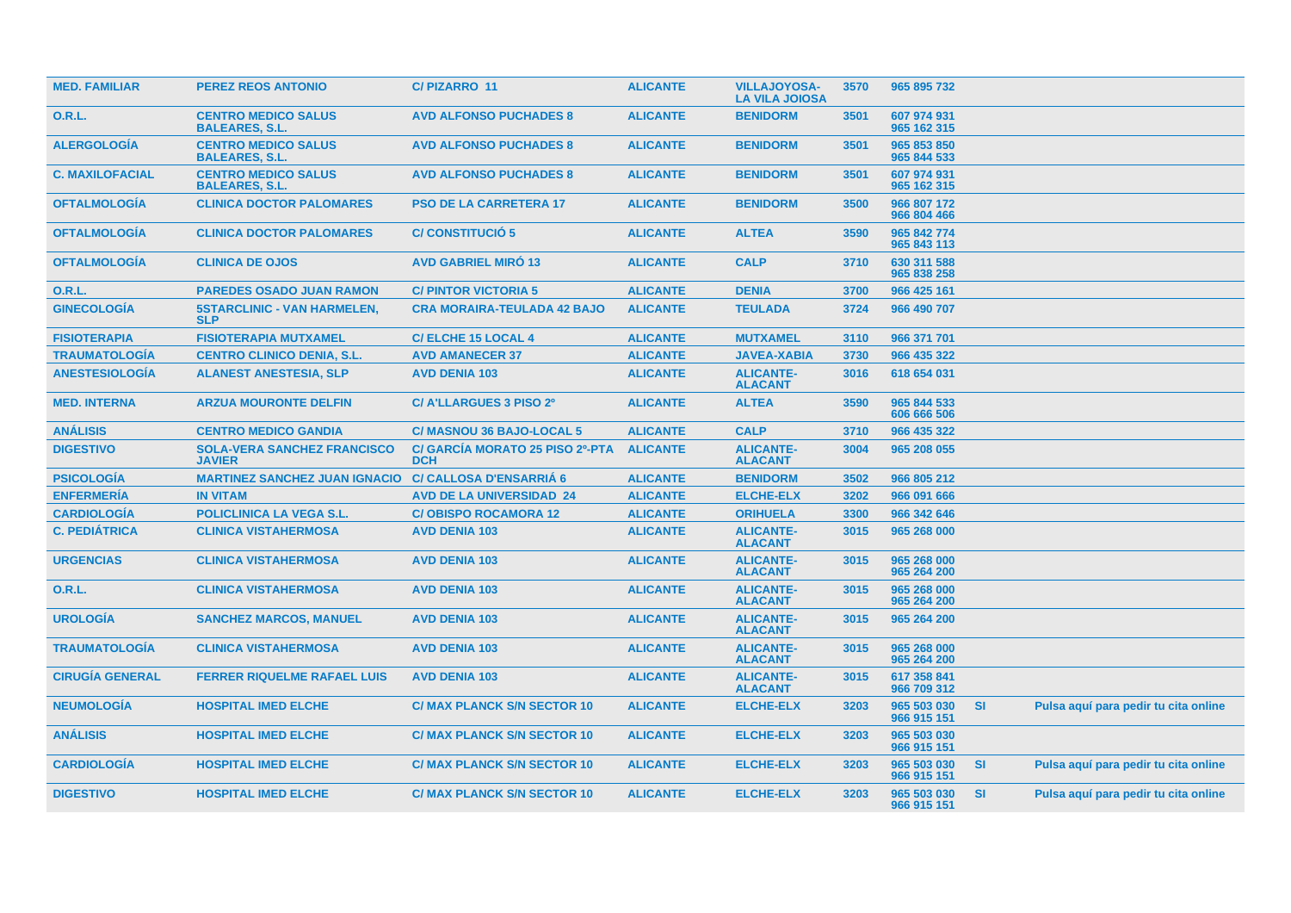| <b>MED. FAMILIAR</b>   | <b>PEREZ REOS ANTONIO</b>                                    | <b>C/PIZARRO 11</b>                           | <b>ALICANTE</b> | <b>VILLAJOYOSA-</b><br><b>LA VILA JOIOSA</b> | 3570 | 965 895 732                |           |                                      |  |
|------------------------|--------------------------------------------------------------|-----------------------------------------------|-----------------|----------------------------------------------|------|----------------------------|-----------|--------------------------------------|--|
| 0.R.L.                 | <b>CENTRO MEDICO SALUS</b><br><b>BALEARES, S.L.</b>          | <b>AVD ALFONSO PUCHADES 8</b>                 | <b>ALICANTE</b> | <b>BENIDORM</b>                              | 3501 | 607 974 931<br>965 162 315 |           |                                      |  |
| <b>ALERGOLOGIA</b>     | <b>CENTRO MEDICO SALUS</b><br><b>BALEARES, S.L.</b>          | <b>AVD ALFONSO PUCHADES 8</b>                 | <b>ALICANTE</b> | <b>BENIDORM</b>                              | 3501 | 965 853 850<br>965 844 533 |           |                                      |  |
| <b>C. MAXILOFACIAL</b> | <b>CENTRO MEDICO SALUS</b><br><b>BALEARES, S.L.</b>          | <b>AVD ALFONSO PUCHADES 8</b>                 | <b>ALICANTE</b> | <b>BENIDORM</b>                              | 3501 | 607 974 931<br>965 162 315 |           |                                      |  |
| <b>OFTALMOLOGIA</b>    | <b>CLINICA DOCTOR PALOMARES</b>                              | <b>PSO DE LA CARRETERA 17</b>                 | <b>ALICANTE</b> | <b>BENIDORM</b>                              | 3500 | 966 807 172<br>966 804 466 |           |                                      |  |
| <b>OFTALMOLOGÍA</b>    | <b>CLINICA DOCTOR PALOMARES</b>                              | <b>C/CONSTITUCIÓ 5</b>                        | <b>ALICANTE</b> | <b>ALTEA</b>                                 | 3590 | 965 842 774<br>965 843 113 |           |                                      |  |
| <b>OFTALMOLOGIA</b>    | <b>CLINICA DE OJOS</b>                                       | <b>AVD GABRIEL MIRO 13</b>                    | <b>ALICANTE</b> | <b>CALP</b>                                  | 3710 | 630 311 588<br>965 838 258 |           |                                      |  |
| 0.R.L.                 | <b>PAREDES OSADO JUAN RAMON</b>                              | <b>C/PINTOR VICTORIA 5</b>                    | <b>ALICANTE</b> | <b>DENIA</b>                                 | 3700 | 966 425 161                |           |                                      |  |
| <b>GINECOLOGÍA</b>     | <b>5STARCLINIC - VAN HARMELEN,</b><br><b>SLP</b>             | <b>CRA MORAIRA-TEULADA 42 BAJO</b>            | <b>ALICANTE</b> | <b>TEULADA</b>                               | 3724 | 966 490 707                |           |                                      |  |
| <b>FISIOTERAPIA</b>    | <b>FISIOTERAPIA MUTXAMEL</b>                                 | <b>C/ELCHE 15 LOCAL 4</b>                     | <b>ALICANTE</b> | <b>MUTXAMEL</b>                              | 3110 | 966 371 701                |           |                                      |  |
| <b>TRAUMATOLOGIA</b>   | <b>CENTRO CLINICO DENIA, S.L.</b>                            | <b>AVD AMANECER 37</b>                        | <b>ALICANTE</b> | <b>JAVEA-XABIA</b>                           | 3730 | 966 435 322                |           |                                      |  |
| <b>ANESTESIOLOGÍA</b>  | <b>ALANEST ANESTESIA, SLP</b>                                | <b>AVD DENIA 103</b>                          | <b>ALICANTE</b> | <b>ALICANTE-</b><br><b>ALACANT</b>           | 3016 | 618 654 031                |           |                                      |  |
| <b>MED. INTERNA</b>    | <b>ARZUA MOURONTE DELFIN</b>                                 | C/ A'LLARGUES 3 PISO 2º                       | <b>ALICANTE</b> | <b>ALTEA</b>                                 | 3590 | 965 844 533<br>606 666 506 |           |                                      |  |
| <b>ANÁLISIS</b>        | <b>CENTRO MEDICO GANDIA</b>                                  | <b>C/ MASNOU 36 BAJO-LOCAL 5</b>              | <b>ALICANTE</b> | <b>CALP</b>                                  | 3710 | 966 435 322                |           |                                      |  |
| <b>DIGESTIVO</b>       | <b>SOLA-VERA SANCHEZ FRANCISCO</b><br><b>JAVIER</b>          | C/ GARCIA MORATO 25 PISO 2º-PTA<br><b>DCH</b> | <b>ALICANTE</b> | <b>ALICANTE-</b><br><b>ALACANT</b>           | 3004 | 965 208 055                |           |                                      |  |
| <b>PSICOLOGIA</b>      | <b>MARTINEZ SANCHEZ JUAN IGNACIO C/ CALLOSA D'ENSARRIA 6</b> |                                               | <b>ALICANTE</b> | <b>BENIDORM</b>                              | 3502 | 966 805 212                |           |                                      |  |
| <b>ENFERMERIA</b>      | <b>IN VITAM</b>                                              | <b>AVD DE LA UNIVERSIDAD 24</b>               | <b>ALICANTE</b> | <b>ELCHE-ELX</b>                             | 3202 | 966 091 666                |           |                                      |  |
| <b>CARDIOLOGIA</b>     | POLICLINICA LA VEGA S.L.                                     | <b>C/OBISPO ROCAMORA 12</b>                   | <b>ALICANTE</b> | <b>ORIHUELA</b>                              | 3300 | 966 342 646                |           |                                      |  |
| <b>C. PEDIÁTRICA</b>   | <b>CLINICA VISTAHERMOSA</b>                                  | <b>AVD DENIA 103</b>                          | <b>ALICANTE</b> | <b>ALICANTE-</b><br><b>ALACANT</b>           | 3015 | 965 268 000                |           |                                      |  |
| <b>URGENCIAS</b>       | <b>CLINICA VISTAHERMOSA</b>                                  | <b>AVD DENIA 103</b>                          | <b>ALICANTE</b> | <b>ALICANTE-</b><br><b>ALACANT</b>           | 3015 | 965 268 000<br>965 264 200 |           |                                      |  |
| 0.R.L.                 | <b>CLINICA VISTAHERMOSA</b>                                  | <b>AVD DENIA 103</b>                          | <b>ALICANTE</b> | <b>ALICANTE-</b><br><b>ALACANT</b>           | 3015 | 965 268 000<br>965 264 200 |           |                                      |  |
| <b>UROLOGIA</b>        | <b>SANCHEZ MARCOS, MANUEL</b>                                | <b>AVD DENIA 103</b>                          | <b>ALICANTE</b> | <b>ALICANTE-</b><br><b>ALACANT</b>           | 3015 | 965 264 200                |           |                                      |  |
| <b>TRAUMATOLOGIA</b>   | <b>CLINICA VISTAHERMOSA</b>                                  | <b>AVD DENIA 103</b>                          | <b>ALICANTE</b> | <b>ALICANTE-</b><br><b>ALACANT</b>           | 3015 | 965 268 000<br>965 264 200 |           |                                      |  |
| <b>CIRUGÍA GENERAL</b> | <b>FERRER RIQUELME RAFAEL LUIS</b>                           | <b>AVD DENIA 103</b>                          | <b>ALICANTE</b> | <b>ALICANTE-</b><br><b>ALACANT</b>           | 3015 | 617 358 841<br>966 709 312 |           |                                      |  |
| <b>NEUMOLOGÍA</b>      | <b>HOSPITAL IMED ELCHE</b>                                   | <b>C/ MAX PLANCK S/N SECTOR 10</b>            | <b>ALICANTE</b> | <b>ELCHE-ELX</b>                             | 3203 | 965 503 030<br>966 915 151 | <b>SI</b> | Pulsa aquí para pedir tu cita online |  |
| <b>ANÁLISIS</b>        | <b>HOSPITAL IMED ELCHE</b>                                   | <b>C/ MAX PLANCK S/N SECTOR 10</b>            | <b>ALICANTE</b> | <b>ELCHE-ELX</b>                             | 3203 | 965 503 030<br>966 915 151 |           |                                      |  |
| <b>CARDIOLOGÍA</b>     | <b>HOSPITAL IMED ELCHE</b>                                   | <b>C/ MAX PLANCK S/N SECTOR 10</b>            | <b>ALICANTE</b> | <b>ELCHE-ELX</b>                             | 3203 | 965 503 030<br>966 915 151 | <b>SI</b> | Pulsa aquí para pedir tu cita online |  |
| <b>DIGESTIVO</b>       | <b>HOSPITAL IMED ELCHE</b>                                   | <b>C/ MAX PLANCK S/N SECTOR 10</b>            | <b>ALICANTE</b> | <b>ELCHE-ELX</b>                             | 3203 | 965 503 030<br>966 915 151 | <b>SI</b> | Pulsa aquí para pedir tu cita online |  |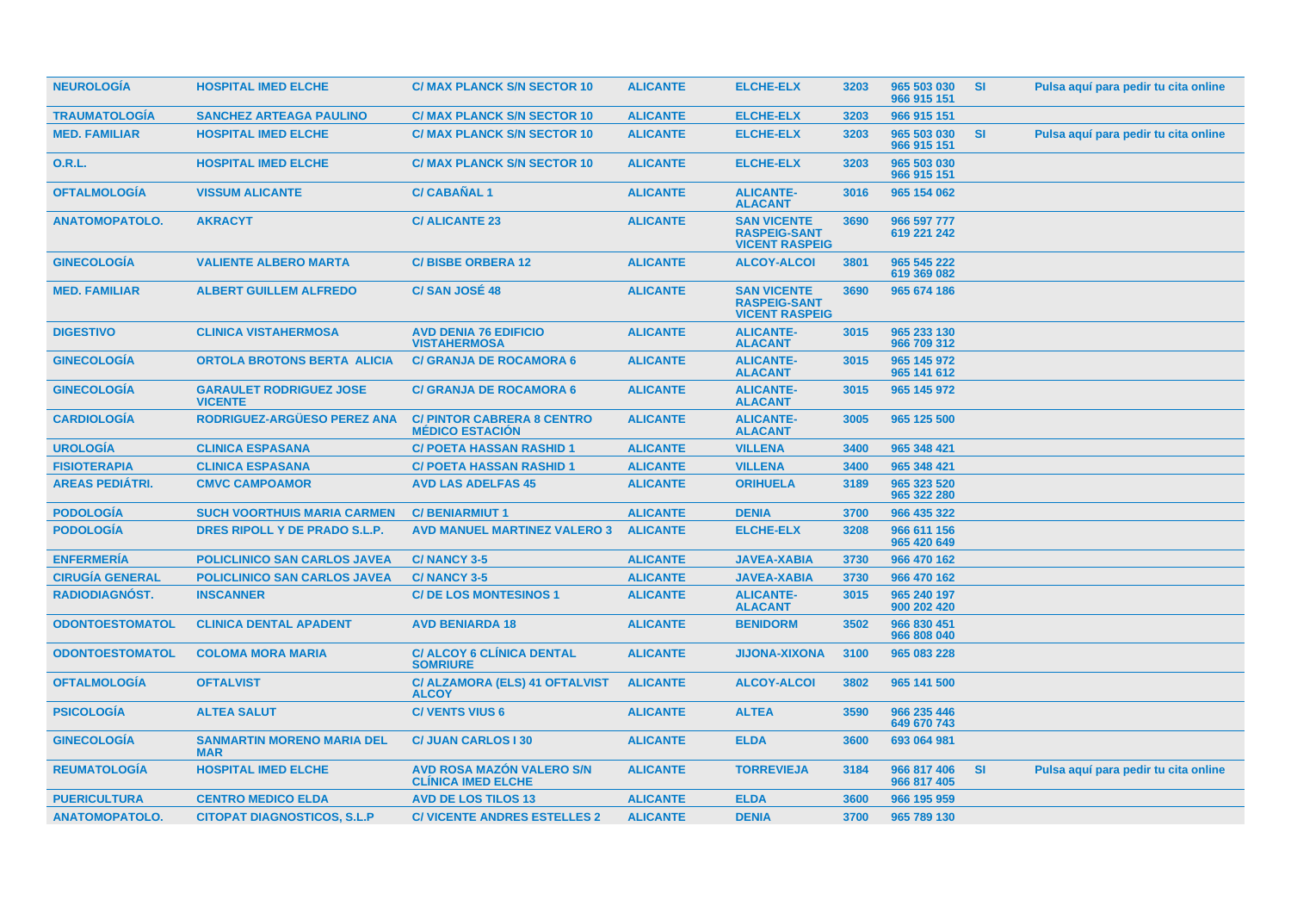| <b>NEUROLOGIA</b>      | <b>HOSPITAL IMED ELCHE</b>                       | <b>C/ MAX PLANCK S/N SECTOR 10</b>                            | <b>ALICANTE</b> | <b>ELCHE-ELX</b>                                                   | 3203 | 965 503 030<br>966 915 151 | <b>SI</b> | Pulsa aquí para pedir tu cita online |
|------------------------|--------------------------------------------------|---------------------------------------------------------------|-----------------|--------------------------------------------------------------------|------|----------------------------|-----------|--------------------------------------|
| <b>TRAUMATOLOGÍA</b>   | <b>SANCHEZ ARTEAGA PAULINO</b>                   | <b>C/ MAX PLANCK S/N SECTOR 10</b>                            | <b>ALICANTE</b> | <b>ELCHE-ELX</b>                                                   | 3203 | 966 915 151                |           |                                      |
| <b>MED. FAMILIAR</b>   | <b>HOSPITAL IMED ELCHE</b>                       | <b>C/ MAX PLANCK S/N SECTOR 10</b>                            | <b>ALICANTE</b> | <b>ELCHE-ELX</b>                                                   | 3203 | 965 503 030<br>966 915 151 | <b>SI</b> | Pulsa aquí para pedir tu cita online |
| <b>O.R.L.</b>          | <b>HOSPITAL IMED ELCHE</b>                       | <b>C/ MAX PLANCK S/N SECTOR 10</b>                            | <b>ALICANTE</b> | <b>ELCHE-ELX</b>                                                   | 3203 | 965 503 030<br>966 915 151 |           |                                      |
| <b>OFTALMOLOGÍA</b>    | <b>VISSUM ALICANTE</b>                           | <b>C/CABAÑAL1</b>                                             | <b>ALICANTE</b> | <b>ALICANTE-</b><br><b>ALACANT</b>                                 | 3016 | 965 154 062                |           |                                      |
| <b>ANATOMOPATOLO.</b>  | <b>AKRACYT</b>                                   | <b>C/ALICANTE 23</b>                                          | <b>ALICANTE</b> | <b>SAN VICENTE</b><br><b>RASPEIG-SANT</b><br><b>VICENT RASPEIG</b> | 3690 | 966 597 777<br>619 221 242 |           |                                      |
| <b>GINECOLOGÍA</b>     | <b>VALIENTE ALBERO MARTA</b>                     | <b>C/BISBE ORBERA 12</b>                                      | <b>ALICANTE</b> | <b>ALCOY-ALCOI</b>                                                 | 3801 | 965 545 222<br>619 369 082 |           |                                      |
| <b>MED. FAMILIAR</b>   | <b>ALBERT GUILLEM ALFREDO</b>                    | C/SAN JOSÉ 48                                                 | <b>ALICANTE</b> | <b>SAN VICENTE</b><br><b>RASPEIG-SANT</b><br><b>VICENT RASPEIG</b> | 3690 | 965 674 186                |           |                                      |
| <b>DIGESTIVO</b>       | <b>CLINICA VISTAHERMOSA</b>                      | <b>AVD DENIA 76 EDIFICIO</b><br><b>VISTAHERMOSA</b>           | <b>ALICANTE</b> | <b>ALICANTE-</b><br><b>ALACANT</b>                                 | 3015 | 965 233 130<br>966 709 312 |           |                                      |
| <b>GINECOLOGÍA</b>     | <b>ORTOLA BROTONS BERTA ALICIA</b>               | <b>C/ GRANJA DE ROCAMORA 6</b>                                | <b>ALICANTE</b> | <b>ALICANTE-</b><br><b>ALACANT</b>                                 | 3015 | 965 145 972<br>965 141 612 |           |                                      |
| <b>GINECOLOGIA</b>     | <b>GARAULET RODRIGUEZ JOSE</b><br><b>VICENTE</b> | <b>C/ GRANJA DE ROCAMORA 6</b>                                | <b>ALICANTE</b> | <b>ALICANTE-</b><br><b>ALACANT</b>                                 | 3015 | 965 145 972                |           |                                      |
| <b>CARDIOLOGIA</b>     | RODRIGUEZ-ARGÜESO PEREZ ANA                      | <b>C/PINTOR CABRERA 8 CENTRO</b><br><b>MEDICO ESTACION</b>    | <b>ALICANTE</b> | <b>ALICANTE-</b><br><b>ALACANT</b>                                 | 3005 | 965 125 500                |           |                                      |
| <b>UROLOGÍA</b>        | <b>CLINICA ESPASANA</b>                          | <b>C/ POETA HASSAN RASHID 1</b>                               | <b>ALICANTE</b> | <b>VILLENA</b>                                                     | 3400 | 965 348 421                |           |                                      |
| <b>FISIOTERAPIA</b>    | <b>CLINICA ESPASANA</b>                          | <b>C/ POETA HASSAN RASHID 1</b>                               | <b>ALICANTE</b> | <b>VILLENA</b>                                                     | 3400 | 965 348 421                |           |                                      |
| <b>AREAS PEDIÁTRI.</b> | <b>CMVC CAMPOAMOR</b>                            | <b>AVD LAS ADELFAS 45</b>                                     | <b>ALICANTE</b> | <b>ORIHUELA</b>                                                    | 3189 | 965 323 520<br>965 322 280 |           |                                      |
| <b>PODOLOGÍA</b>       | <b>SUCH VOORTHUIS MARIA CARMEN</b>               | <b>C/BENIARMIUT1</b>                                          | <b>ALICANTE</b> | <b>DENIA</b>                                                       | 3700 | 966 435 322                |           |                                      |
| <b>PODOLOGÍA</b>       | DRES RIPOLL Y DE PRADO S.L.P.                    | <b>AVD MANUEL MARTINEZ VALERO 3</b>                           | <b>ALICANTE</b> | <b>ELCHE-ELX</b>                                                   | 3208 | 966 611 156<br>965 420 649 |           |                                      |
| <b>ENFERMERÍA</b>      | <b>POLICLINICO SAN CARLOS JAVEA</b>              | <b>C/NANCY 3-5</b>                                            | <b>ALICANTE</b> | <b>JAVEA-XABIA</b>                                                 | 3730 | 966 470 162                |           |                                      |
| <b>CIRUGÍA GENERAL</b> | <b>POLICLINICO SAN CARLOS JAVEA</b>              | C/NANCY 3-5                                                   | <b>ALICANTE</b> | <b>JAVEA-XABIA</b>                                                 | 3730 | 966 470 162                |           |                                      |
| RADIODIAGNÓST.         | <b>INSCANNER</b>                                 | <b>C/DE LOS MONTESINOS 1</b>                                  | <b>ALICANTE</b> | <b>ALICANTE-</b><br><b>ALACANT</b>                                 | 3015 | 965 240 197<br>900 202 420 |           |                                      |
| <b>ODONTOESTOMATOL</b> | <b>CLINICA DENTAL APADENT</b>                    | <b>AVD BENIARDA 18</b>                                        | <b>ALICANTE</b> | <b>BENIDORM</b>                                                    | 3502 | 966 830 451<br>966 808 040 |           |                                      |
| <b>ODONTOESTOMATOL</b> | <b>COLOMA MORA MARIA</b>                         | <b>C/ ALCOY 6 CLINICA DENTAL</b><br><b>SOMRIURE</b>           | <b>ALICANTE</b> | <b>JIJONA-XIXONA</b>                                               | 3100 | 965 083 228                |           |                                      |
| <b>OFTALMOLOGÍA</b>    | <b>OFTALVIST</b>                                 | C/ ALZAMORA (ELS) 41 OFTALVIST<br><b>ALCOY</b>                | <b>ALICANTE</b> | <b>ALCOY-ALCOI</b>                                                 | 3802 | 965 141 500                |           |                                      |
| <b>PSICOLOGÍA</b>      | <b>ALTEA SALUT</b>                               | <b>C/ VENTS VIUS 6</b>                                        | <b>ALICANTE</b> | <b>ALTEA</b>                                                       | 3590 | 966 235 446<br>649 670 743 |           |                                      |
| <b>GINECOLOGIA</b>     | <b>SANMARTIN MORENO MARIA DEL</b><br><b>MAR</b>  | <b>C/ JUAN CARLOS I 30</b>                                    | <b>ALICANTE</b> | <b>ELDA</b>                                                        | 3600 | 693 064 981                |           |                                      |
| <b>REUMATOLOGÍA</b>    | <b>HOSPITAL IMED ELCHE</b>                       | <b>AVD ROSA MAZÓN VALERO S/N</b><br><b>CLINICA IMED ELCHE</b> | <b>ALICANTE</b> | <b>TORREVIEJA</b>                                                  | 3184 | 966 817 406<br>966 817 405 | <b>SI</b> | Pulsa aquí para pedir tu cita online |
| <b>PUERICULTURA</b>    | <b>CENTRO MEDICO ELDA</b>                        | <b>AVD DE LOS TILOS 13</b>                                    | <b>ALICANTE</b> | <b>ELDA</b>                                                        | 3600 | 966 195 959                |           |                                      |
| <b>ANATOMOPATOLO.</b>  | <b>CITOPAT DIAGNOSTICOS, S.L.P</b>               | <b>C/ VICENTE ANDRES ESTELLES 2</b>                           | <b>ALICANTE</b> | <b>DENIA</b>                                                       | 3700 | 965 789 130                |           |                                      |
|                        |                                                  |                                                               |                 |                                                                    |      |                            |           |                                      |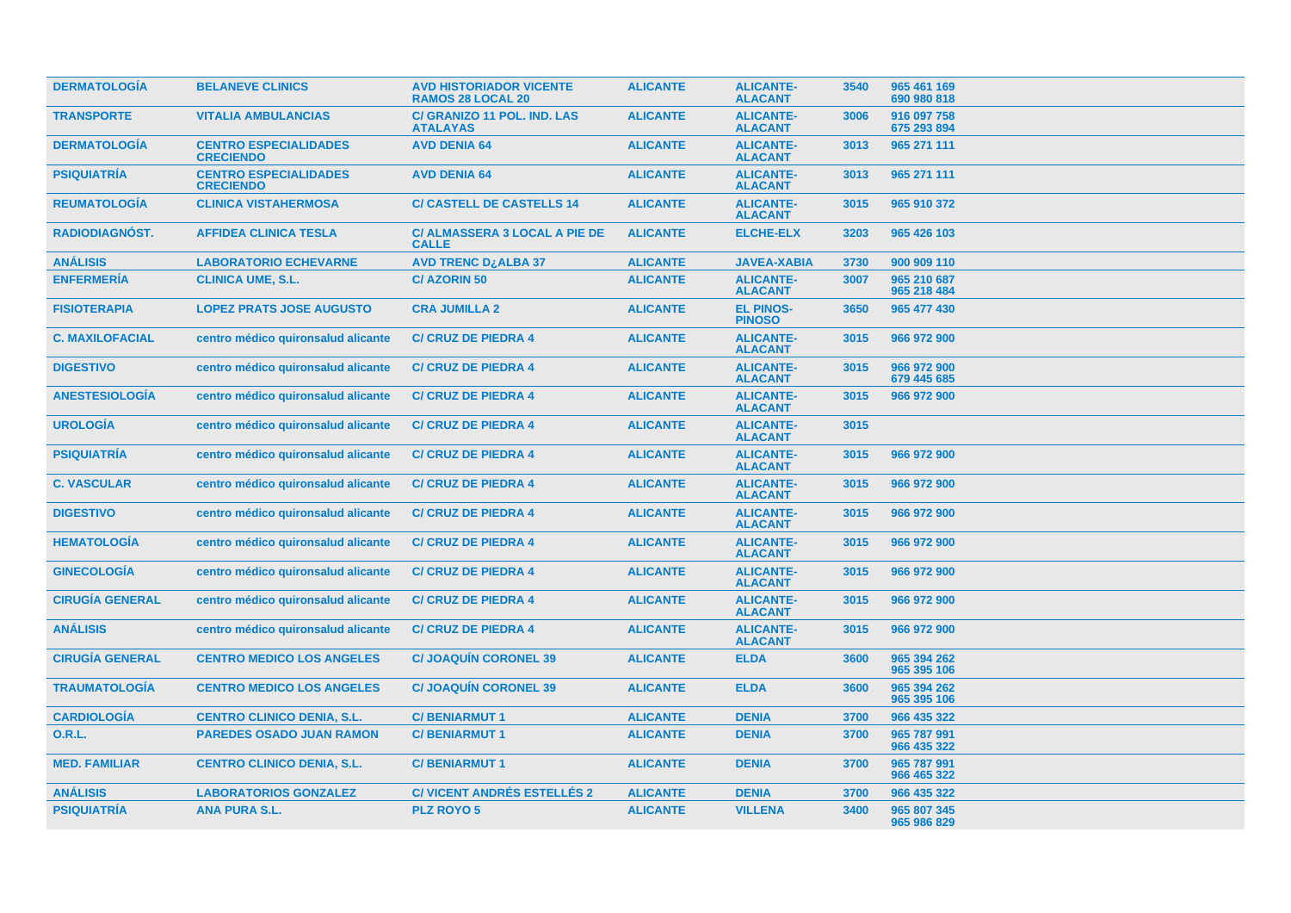| <b>DERMATOLOGÍA</b>    | <b>BELANEVE CLINICS</b>                          | <b>AVD HISTORIADOR VICENTE</b><br><b>RAMOS 28 LOCAL 20</b> | <b>ALICANTE</b> | <b>ALICANTE-</b><br><b>ALACANT</b> | 3540 | 965 461 169<br>690 980 818 |
|------------------------|--------------------------------------------------|------------------------------------------------------------|-----------------|------------------------------------|------|----------------------------|
| <b>TRANSPORTE</b>      | <b>VITALIA AMBULANCIAS</b>                       | C/ GRANIZO 11 POL. IND. LAS<br><b>ATALAYAS</b>             | <b>ALICANTE</b> | <b>ALICANTE-</b><br><b>ALACANT</b> | 3006 | 916 097 758<br>675 293 894 |
| <b>DERMATOLOGIA</b>    | <b>CENTRO ESPECIALIDADES</b><br><b>CRECIENDO</b> | <b>AVD DENIA 64</b>                                        | <b>ALICANTE</b> | <b>ALICANTE-</b><br><b>ALACANT</b> | 3013 | 965 271 111                |
| <b>PSIQUIATRÍA</b>     | <b>CENTRO ESPECIALIDADES</b><br><b>CRECIENDO</b> | <b>AVD DENIA 64</b>                                        | <b>ALICANTE</b> | <b>ALICANTE-</b><br><b>ALACANT</b> | 3013 | 965 271 111                |
| <b>REUMATOLOGÍA</b>    | <b>CLINICA VISTAHERMOSA</b>                      | <b>C/ CASTELL DE CASTELLS 14</b>                           | <b>ALICANTE</b> | <b>ALICANTE-</b><br><b>ALACANT</b> | 3015 | 965 910 372                |
| RADIODIAGNÓST.         | <b>AFFIDEA CLINICA TESLA</b>                     | <b>C/ ALMASSERA 3 LOCAL A PIE DE</b><br><b>CALLE</b>       | <b>ALICANTE</b> | <b>ELCHE-ELX</b>                   | 3203 | 965 426 103                |
| <b>ANÁLISIS</b>        | <b>LABORATORIO ECHEVARNE</b>                     | <b>AVD TRENC DzALBA 37</b>                                 | <b>ALICANTE</b> | <b>JAVEA-XABIA</b>                 | 3730 | 900 909 110                |
| <b>ENFERMERÍA</b>      | <b>CLINICA UME, S.L.</b>                         | <b>C/AZORIN50</b>                                          | <b>ALICANTE</b> | <b>ALICANTE-</b><br><b>ALACANT</b> | 3007 | 965 210 687<br>965 218 484 |
| <b>FISIOTERAPIA</b>    | <b>LOPEZ PRATS JOSE AUGUSTO</b>                  | <b>CRA JUMILLA 2</b>                                       | <b>ALICANTE</b> | <b>EL PINOS-</b><br><b>PINOSO</b>  | 3650 | 965 477 430                |
| <b>C. MAXILOFACIAL</b> | centro médico quironsalud alicante               | <b>C/ CRUZ DE PIEDRA 4</b>                                 | <b>ALICANTE</b> | <b>ALICANTE-</b><br><b>ALACANT</b> | 3015 | 966 972 900                |
| <b>DIGESTIVO</b>       | centro médico quironsalud alicante               | <b>C/ CRUZ DE PIEDRA 4</b>                                 | <b>ALICANTE</b> | <b>ALICANTE-</b><br><b>ALACANT</b> | 3015 | 966 972 900<br>679 445 685 |
| <b>ANESTESIOLOGÍA</b>  | centro médico quironsalud alicante               | <b>C/ CRUZ DE PIEDRA 4</b>                                 | <b>ALICANTE</b> | <b>ALICANTE-</b><br><b>ALACANT</b> | 3015 | 966 972 900                |
| <b>UROLOGÍA</b>        | centro médico quironsalud alicante               | <b>C/ CRUZ DE PIEDRA 4</b>                                 | <b>ALICANTE</b> | <b>ALICANTE-</b><br><b>ALACANT</b> | 3015 |                            |
| <b>PSIQUIATRIA</b>     | centro médico quironsalud alicante               | <b>C/ CRUZ DE PIEDRA 4</b>                                 | <b>ALICANTE</b> | <b>ALICANTE-</b><br><b>ALACANT</b> | 3015 | 966 972 900                |
| <b>C. VASCULAR</b>     | centro médico quironsalud alicante               | <b>C/ CRUZ DE PIEDRA 4</b>                                 | <b>ALICANTE</b> | <b>ALICANTE-</b><br><b>ALACANT</b> | 3015 | 966 972 900                |
| <b>DIGESTIVO</b>       | centro médico quironsalud alicante               | <b>C/ CRUZ DE PIEDRA 4</b>                                 | <b>ALICANTE</b> | <b>ALICANTE-</b><br><b>ALACANT</b> | 3015 | 966 972 900                |
| <b>HEMATOLOGÍA</b>     | centro médico quironsalud alicante               | <b>C/ CRUZ DE PIEDRA 4</b>                                 | <b>ALICANTE</b> | <b>ALICANTE-</b><br><b>ALACANT</b> | 3015 | 966 972 900                |
| <b>GINECOLOGÍA</b>     | centro médico quironsalud alicante               | <b>C/ CRUZ DE PIEDRA 4</b>                                 | <b>ALICANTE</b> | <b>ALICANTE-</b><br><b>ALACANT</b> | 3015 | 966 972 900                |
| <b>CIRUGÍA GENERAL</b> | centro médico quironsalud alicante               | <b>C/ CRUZ DE PIEDRA 4</b>                                 | <b>ALICANTE</b> | <b>ALICANTE-</b><br><b>ALACANT</b> | 3015 | 966 972 900                |
| <b>ANÁLISIS</b>        | centro médico quironsalud alicante               | <b>C/ CRUZ DE PIEDRA 4</b>                                 | <b>ALICANTE</b> | <b>ALICANTE-</b><br><b>ALACANT</b> | 3015 | 966 972 900                |
| <b>CIRUGÍA GENERAL</b> | <b>CENTRO MEDICO LOS ANGELES</b>                 | <b>C/JOAQUIN CORONEL 39</b>                                | <b>ALICANTE</b> | <b>ELDA</b>                        | 3600 | 965 394 262<br>965 395 106 |
| <b>TRAUMATOLOGÍA</b>   | <b>CENTRO MEDICO LOS ANGELES</b>                 | <b>C/JOAQUIN CORONEL 39</b>                                | <b>ALICANTE</b> | <b>ELDA</b>                        | 3600 | 965 394 262<br>965 395 106 |
| <b>CARDIOLOGÍA</b>     | <b>CENTRO CLINICO DENIA, S.L.</b>                | <b>C/BENIARMUT1</b>                                        | <b>ALICANTE</b> | <b>DENIA</b>                       | 3700 | 966 435 322                |
| 0.R.L.                 | <b>PAREDES OSADO JUAN RAMON</b>                  | <b>C/BENIARMUT1</b>                                        | <b>ALICANTE</b> | <b>DENIA</b>                       | 3700 | 965 787 991<br>966 435 322 |
| <b>MED. FAMILIAR</b>   | <b>CENTRO CLINICO DENIA, S.L.</b>                | <b>C/BENIARMUT1</b>                                        | <b>ALICANTE</b> | <b>DENIA</b>                       | 3700 | 965 787 991<br>966 465 322 |
| <b>ANÁLISIS</b>        | <b>LABORATORIOS GONZALEZ</b>                     | <b>C/ VICENT ANDRÉS ESTELLÉS 2</b>                         | <b>ALICANTE</b> | <b>DENIA</b>                       | 3700 | 966 435 322                |
| <b>PSIQUIATRÍA</b>     | <b>ANA PURA S.L.</b>                             | <b>PLZ ROYO 5</b>                                          | <b>ALICANTE</b> | <b>VILLENA</b>                     | 3400 | 965 807 345<br>965 986 829 |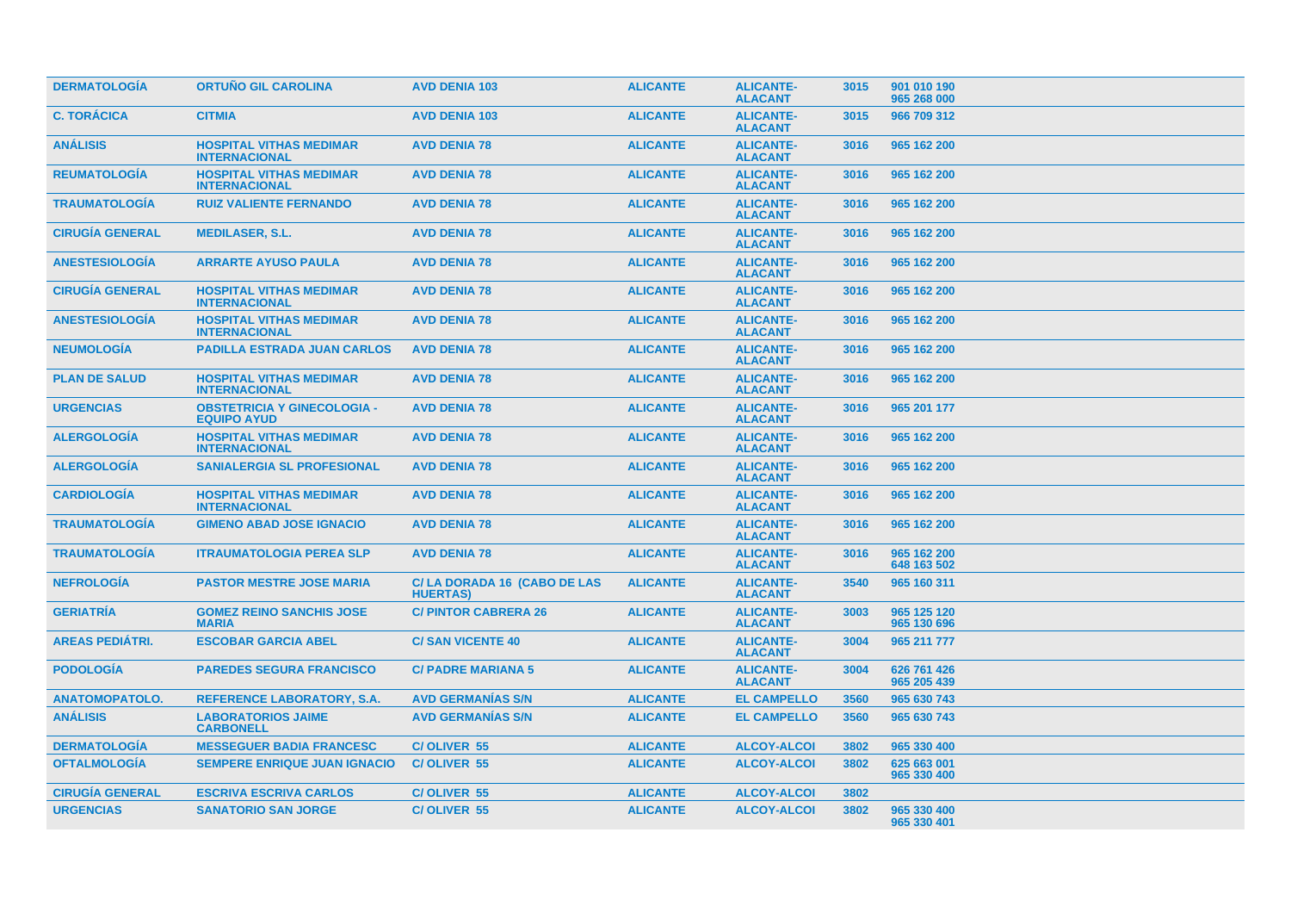| <b>DERMATOLOGIA</b>    | <b>ORTUÑO GIL CAROLINA</b>                               | <b>AVD DENIA 103</b>                           | <b>ALICANTE</b> | <b>ALICANTE-</b><br><b>ALACANT</b> | 3015 | 901 010 190<br>965 268 000 |
|------------------------|----------------------------------------------------------|------------------------------------------------|-----------------|------------------------------------|------|----------------------------|
| <b>C. TORÁCICA</b>     | <b>CITMIA</b>                                            | <b>AVD DENIA 103</b>                           | <b>ALICANTE</b> | <b>ALICANTE-</b><br><b>ALACANT</b> | 3015 | 966 709 312                |
| <b>ANÁLISIS</b>        | <b>HOSPITAL VITHAS MEDIMAR</b><br><b>INTERNACIONAL</b>   | <b>AVD DENIA 78</b>                            | <b>ALICANTE</b> | <b>ALICANTE-</b><br><b>ALACANT</b> | 3016 | 965 162 200                |
| <b>REUMATOLOGÍA</b>    | <b>HOSPITAL VITHAS MEDIMAR</b><br><b>INTERNACIONAL</b>   | <b>AVD DENIA 78</b>                            | <b>ALICANTE</b> | <b>ALICANTE-</b><br><b>ALACANT</b> | 3016 | 965 162 200                |
| <b>TRAUMATOLOGIA</b>   | <b>RUIZ VALIENTE FERNANDO</b>                            | <b>AVD DENIA 78</b>                            | <b>ALICANTE</b> | <b>ALICANTE-</b><br><b>ALACANT</b> | 3016 | 965 162 200                |
| <b>CIRUGÍA GENERAL</b> | <b>MEDILASER, S.L.</b>                                   | <b>AVD DENIA 78</b>                            | <b>ALICANTE</b> | <b>ALICANTE-</b><br><b>ALACANT</b> | 3016 | 965 162 200                |
| <b>ANESTESIOLOGÍA</b>  | <b>ARRARTE AYUSO PAULA</b>                               | <b>AVD DENIA 78</b>                            | <b>ALICANTE</b> | <b>ALICANTE-</b><br><b>ALACANT</b> | 3016 | 965 162 200                |
| <b>CIRUGÍA GENERAL</b> | <b>HOSPITAL VITHAS MEDIMAR</b><br><b>INTERNACIONAL</b>   | <b>AVD DENIA 78</b>                            | <b>ALICANTE</b> | <b>ALICANTE-</b><br><b>ALACANT</b> | 3016 | 965 162 200                |
| <b>ANESTESIOLOGÍA</b>  | <b>HOSPITAL VITHAS MEDIMAR</b><br><b>INTERNACIONAL</b>   | <b>AVD DENIA 78</b>                            | <b>ALICANTE</b> | <b>ALICANTE-</b><br><b>ALACANT</b> | 3016 | 965 162 200                |
| <b>NEUMOLOGIA</b>      | <b>PADILLA ESTRADA JUAN CARLOS</b>                       | <b>AVD DENIA 78</b>                            | <b>ALICANTE</b> | <b>ALICANTE-</b><br><b>ALACANT</b> | 3016 | 965 162 200                |
| <b>PLAN DE SALUD</b>   | <b>HOSPITAL VITHAS MEDIMAR</b><br><b>INTERNACIONAL</b>   | <b>AVD DENIA 78</b>                            | <b>ALICANTE</b> | <b>ALICANTE-</b><br><b>ALACANT</b> | 3016 | 965 162 200                |
| <b>URGENCIAS</b>       | <b>OBSTETRICIA Y GINECOLOGIA -</b><br><b>EQUIPO AYUD</b> | <b>AVD DENIA 78</b>                            | <b>ALICANTE</b> | <b>ALICANTE-</b><br><b>ALACANT</b> | 3016 | 965 201 177                |
| <b>ALERGOLOGIA</b>     | <b>HOSPITAL VITHAS MEDIMAR</b><br><b>INTERNACIONAL</b>   | <b>AVD DENIA 78</b>                            | <b>ALICANTE</b> | <b>ALICANTE-</b><br><b>ALACANT</b> | 3016 | 965 162 200                |
| <b>ALERGOLOGIA</b>     | <b>SANIALERGIA SL PROFESIONAL</b>                        | <b>AVD DENIA 78</b>                            | <b>ALICANTE</b> | <b>ALICANTE-</b><br><b>ALACANT</b> | 3016 | 965 162 200                |
| <b>CARDIOLOGÍA</b>     | <b>HOSPITAL VITHAS MEDIMAR</b><br><b>INTERNACIONAL</b>   | <b>AVD DENIA 78</b>                            | <b>ALICANTE</b> | <b>ALICANTE-</b><br><b>ALACANT</b> | 3016 | 965 162 200                |
| <b>TRAUMATOLOGIA</b>   | <b>GIMENO ABAD JOSE IGNACIO</b>                          | <b>AVD DENIA 78</b>                            | <b>ALICANTE</b> | <b>ALICANTE-</b><br><b>ALACANT</b> | 3016 | 965 162 200                |
| <b>TRAUMATOLOGÍA</b>   | <b>ITRAUMATOLOGIA PEREA SLP</b>                          | <b>AVD DENIA 78</b>                            | <b>ALICANTE</b> | <b>ALICANTE-</b><br><b>ALACANT</b> | 3016 | 965 162 200<br>648 163 502 |
| <b>NEFROLOGÍA</b>      | <b>PASTOR MESTRE JOSE MARIA</b>                          | C/LA DORADA 16 (CABO DE LAS<br><b>HUERTAS)</b> | <b>ALICANTE</b> | <b>ALICANTE-</b><br><b>ALACANT</b> | 3540 | 965 160 311                |
| <b>GERIATRÍA</b>       | <b>GOMEZ REINO SANCHIS JOSE</b><br><b>MARIA</b>          | <b>C/PINTOR CABRERA 26</b>                     | <b>ALICANTE</b> | <b>ALICANTE-</b><br><b>ALACANT</b> | 3003 | 965 125 120<br>965 130 696 |
| <b>AREAS PEDIÁTRI.</b> | <b>ESCOBAR GARCIA ABEL</b>                               | <b>C/SAN VICENTE 40</b>                        | <b>ALICANTE</b> | <b>ALICANTE-</b><br><b>ALACANT</b> | 3004 | 965 211 777                |
| <b>PODOLOGÍA</b>       | <b>PAREDES SEGURA FRANCISCO</b>                          | <b>C/ PADRE MARIANA 5</b>                      | <b>ALICANTE</b> | <b>ALICANTE-</b><br><b>ALACANT</b> | 3004 | 626 761 426<br>965 205 439 |
| <b>ANATOMOPATOLO.</b>  | <b>REFERENCE LABORATORY, S.A.</b>                        | <b>AVD GERMANIAS S/N</b>                       | <b>ALICANTE</b> | <b>EL CAMPELLO</b>                 | 3560 | 965 630 743                |
| <b>ANÁLISIS</b>        | <b>LABORATORIOS JAIME</b><br><b>CARBONELL</b>            | <b>AVD GERMANIAS S/N</b>                       | <b>ALICANTE</b> | <b>EL CAMPELLO</b>                 | 3560 | 965 630 743                |
| <b>DERMATOLOGIA</b>    | <b>MESSEGUER BADIA FRANCESC</b>                          | C/OLIVER 55                                    | <b>ALICANTE</b> | <b>ALCOY-ALCOI</b>                 | 3802 | 965 330 400                |
| <b>OFTALMOLOGÍA</b>    | <b>SEMPERE ENRIQUE JUAN IGNACIO</b>                      | C/OLIVER 55                                    | <b>ALICANTE</b> | <b>ALCOY-ALCOI</b>                 | 3802 | 625 663 001<br>965 330 400 |
| <b>CIRUGÍA GENERAL</b> | <b>ESCRIVA ESCRIVA CARLOS</b>                            | C/OLIVER 55                                    | <b>ALICANTE</b> | <b>ALCOY-ALCOI</b>                 | 3802 |                            |
| <b>URGENCIAS</b>       | <b>SANATORIO SAN JORGE</b>                               | C/OLIVER 55                                    | <b>ALICANTE</b> | <b>ALCOY-ALCOI</b>                 | 3802 | 965 330 400<br>965 330 401 |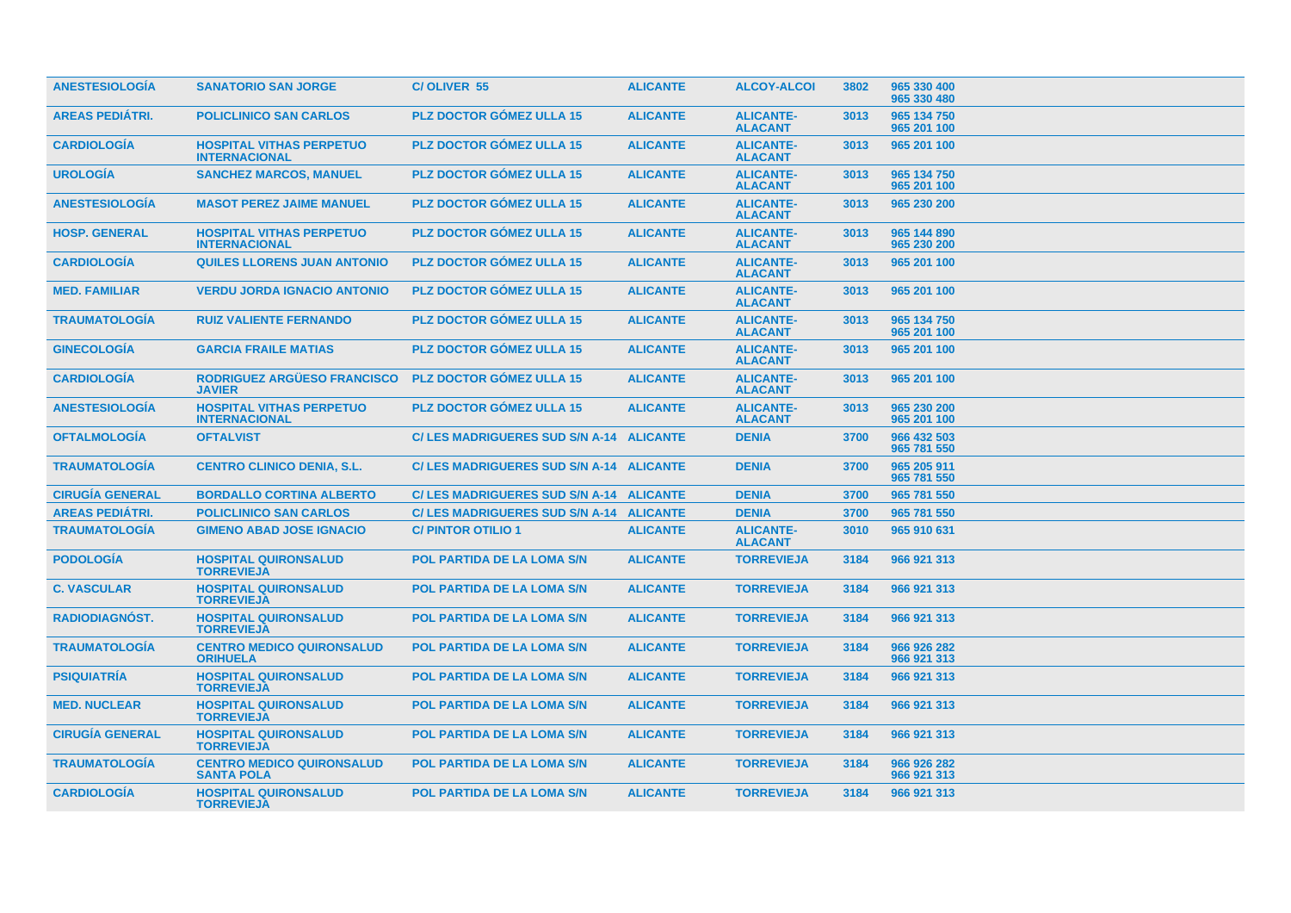| <b>ANESTESIOLOGÍA</b>  | <b>SANATORIO SAN JORGE</b>                              | <b>C/OLIVER 55</b>                       | <b>ALICANTE</b> | <b>ALCOY-ALCOI</b>                 | 3802 | 965 330 400<br>965 330 480 |
|------------------------|---------------------------------------------------------|------------------------------------------|-----------------|------------------------------------|------|----------------------------|
| <b>AREAS PEDIÁTRI.</b> | <b>POLICLINICO SAN CARLOS</b>                           | <b>PLZ DOCTOR GÓMEZ ULLA 15</b>          | <b>ALICANTE</b> | <b>ALICANTE-</b><br><b>ALACANT</b> | 3013 | 965 134 750<br>965 201 100 |
| <b>CARDIOLOGIA</b>     | <b>HOSPITAL VITHAS PERPETUO</b><br><b>INTERNACIONAL</b> | <b>PLZ DOCTOR GOMEZ ULLA 15</b>          | <b>ALICANTE</b> | <b>ALICANTE-</b><br><b>ALACANT</b> | 3013 | 965 201 100                |
| <b>UROLOGIA</b>        | <b>SANCHEZ MARCOS, MANUEL</b>                           | <b>PLZ DOCTOR GOMEZ ULLA 15</b>          | <b>ALICANTE</b> | <b>ALICANTE-</b><br><b>ALACANT</b> | 3013 | 965 134 750<br>965 201 100 |
| <b>ANESTESIOLOGIA</b>  | <b>MASOT PEREZ JAIME MANUEL</b>                         | <b>PLZ DOCTOR GOMEZ ULLA 15</b>          | <b>ALICANTE</b> | <b>ALICANTE-</b><br><b>ALACANT</b> | 3013 | 965 230 200                |
| <b>HOSP. GENERAL</b>   | <b>HOSPITAL VITHAS PERPETUO</b><br><b>INTERNACIONAL</b> | <b>PLZ DOCTOR GÓMEZ ULLA 15</b>          | <b>ALICANTE</b> | <b>ALICANTE-</b><br><b>ALACANT</b> | 3013 | 965 144 890<br>965 230 200 |
| <b>CARDIOLOGIA</b>     | <b>QUILES LLORENS JUAN ANTONIO</b>                      | <b>PLZ DOCTOR GOMEZ ULLA 15</b>          | <b>ALICANTE</b> | <b>ALICANTE-</b><br><b>ALACANT</b> | 3013 | 965 201 100                |
| <b>MED. FAMILIAR</b>   | <b>VERDU JORDA IGNACIO ANTONIO</b>                      | <b>PLZ DOCTOR GOMEZ ULLA 15</b>          | <b>ALICANTE</b> | <b>ALICANTE-</b><br><b>ALACANT</b> | 3013 | 965 201 100                |
| <b>TRAUMATOLOGIA</b>   | <b>RUIZ VALIENTE FERNANDO</b>                           | <b>PLZ DOCTOR GOMEZ ULLA 15</b>          | <b>ALICANTE</b> | <b>ALICANTE-</b><br><b>ALACANT</b> | 3013 | 965 134 750<br>965 201 100 |
| <b>GINECOLOGIA</b>     | <b>GARCIA FRAILE MATIAS</b>                             | <b>PLZ DOCTOR GOMEZ ULLA 15</b>          | <b>ALICANTE</b> | <b>ALICANTE-</b><br><b>ALACANT</b> | 3013 | 965 201 100                |
| <b>CARDIOLOGIA</b>     | RODRIGUEZ ARGÜESO FRANCISCO<br><b>JAVIER</b>            | <b>PLZ DOCTOR GÓMEZ ULLA 15</b>          | <b>ALICANTE</b> | <b>ALICANTE-</b><br><b>ALACANT</b> | 3013 | 965 201 100                |
| <b>ANESTESIOLOGIA</b>  | <b>HOSPITAL VITHAS PERPETUO</b><br><b>INTERNACIONAL</b> | PLZ DOCTOR GÓMEZ ULLA 15                 | <b>ALICANTE</b> | <b>ALICANTE-</b><br><b>ALACANT</b> | 3013 | 965 230 200<br>965 201 100 |
| <b>OFTALMOLOGIA</b>    | <b>OFTALVIST</b>                                        | C/ LES MADRIGUERES SUD S/N A-14 ALICANTE |                 | <b>DENIA</b>                       | 3700 | 966 432 503<br>965 781 550 |
| <b>TRAUMATOLOGIA</b>   | <b>CENTRO CLINICO DENIA, S.L.</b>                       | C/ LES MADRIGUERES SUD S/N A-14 ALICANTE |                 | <b>DENIA</b>                       | 3700 | 965 205 911<br>965 781 550 |
| <b>CIRUGÍA GENERAL</b> | <b>BORDALLO CORTINA ALBERTO</b>                         | C/ LES MADRIGUERES SUD S/N A-14 ALICANTE |                 | <b>DENIA</b>                       | 3700 | 965 781 550                |
| <b>AREAS PEDIÁTRI.</b> | <b>POLICLINICO SAN CARLOS</b>                           | C/ LES MADRIGUERES SUD S/N A-14 ALICANTE |                 | <b>DENIA</b>                       | 3700 | 965 781 550                |
| <b>TRAUMATOLOGÍA</b>   | <b>GIMENO ABAD JOSE IGNACIO</b>                         | <b>C/PINTOR OTILIO 1</b>                 | <b>ALICANTE</b> | <b>ALICANTE-</b><br><b>ALACANT</b> | 3010 | 965 910 631                |
| <b>PODOLOGÍA</b>       | <b>HOSPITAL QUIRONSALUD</b><br><b>TORREVIEJA</b>        | <b>POL PARTIDA DE LA LOMA S/N</b>        | <b>ALICANTE</b> | <b>TORREVIEJA</b>                  | 3184 | 966 921 313                |
| <b>C. VASCULAR</b>     | <b>HOSPITAL QUIRONSALUD</b><br><b>TORREVIEJA</b>        | <b>POL PARTIDA DE LA LOMA S/N</b>        | <b>ALICANTE</b> | <b>TORREVIEJA</b>                  | 3184 | 966 921 313                |
| <b>RADIODIAGNÓST.</b>  | <b>HOSPITAL QUIRONSALUD</b><br><b>TORREVIEJA</b>        | <b>POL PARTIDA DE LA LOMA S/N</b>        | <b>ALICANTE</b> | <b>TORREVIEJA</b>                  | 3184 | 966 921 313                |
| <b>TRAUMATOLOGIA</b>   | <b>CENTRO MEDICO QUIRONSALUD</b><br><b>ORIHUELA</b>     | <b>POL PARTIDA DE LA LOMA S/N</b>        | <b>ALICANTE</b> | <b>TORREVIEJA</b>                  | 3184 | 966 926 282<br>966 921 313 |
| <b>PSIQUIATRÍA</b>     | <b>HOSPITAL QUIRONSALUD</b><br><b>TORREVIEJA</b>        | <b>POL PARTIDA DE LA LOMA S/N</b>        | <b>ALICANTE</b> | <b>TORREVIEJA</b>                  | 3184 | 966 921 313                |
| <b>MED. NUCLEAR</b>    | <b>HOSPITAL QUIRONSALUD</b><br><b>TORREVIEJA</b>        | <b>POL PARTIDA DE LA LOMA S/N</b>        | <b>ALICANTE</b> | <b>TORREVIEJA</b>                  | 3184 | 966 921 313                |
| <b>CIRUGÍA GENERAL</b> | <b>HOSPITAL QUIRONSALUD</b><br><b>TORREVIEJA</b>        | <b>POL PARTIDA DE LA LOMA S/N</b>        | <b>ALICANTE</b> | <b>TORREVIEJA</b>                  | 3184 | 966 921 313                |
| <b>TRAUMATOLOGÍA</b>   | <b>CENTRO MEDICO QUIRONSALUD</b><br><b>SANTA POLA</b>   | <b>POL PARTIDA DE LA LOMA S/N</b>        | <b>ALICANTE</b> | <b>TORREVIEJA</b>                  | 3184 | 966 926 282<br>966 921 313 |
| <b>CARDIOLOGÍA</b>     | <b>HOSPITAL QUIRONSALUD</b><br><b>TORREVIEJA</b>        | <b>POL PARTIDA DE LA LOMA S/N</b>        | <b>ALICANTE</b> | <b>TORREVIEJA</b>                  | 3184 | 966 921 313                |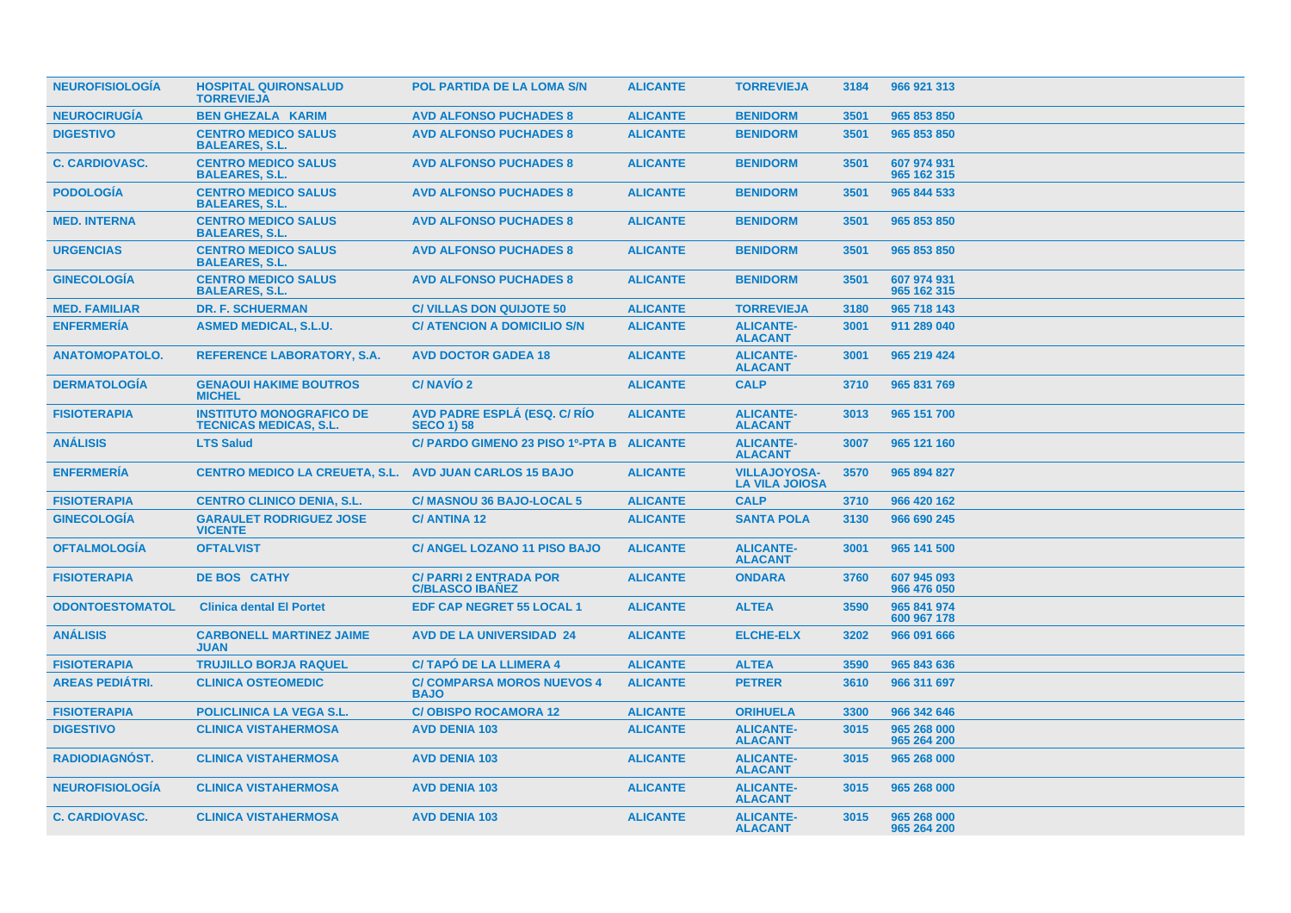| <b>NEUROFISIOLOGIA</b> | <b>HOSPITAL QUIRONSALUD</b><br><b>TORREVIEJA</b>                 | POL PARTIDA DE LA LOMA S/N                              | <b>ALICANTE</b> | <b>TORREVIEJA</b>                            | 3184 | 966 921 313                |
|------------------------|------------------------------------------------------------------|---------------------------------------------------------|-----------------|----------------------------------------------|------|----------------------------|
| <b>NEUROCIRUGÍA</b>    | <b>BEN GHEZALA KARIM</b>                                         | <b>AVD ALFONSO PUCHADES 8</b>                           | <b>ALICANTE</b> | <b>BENIDORM</b>                              | 3501 | 965 853 850                |
| <b>DIGESTIVO</b>       | <b>CENTRO MEDICO SALUS</b><br><b>BALEARES, S.L.</b>              | <b>AVD ALFONSO PUCHADES 8</b>                           | <b>ALICANTE</b> | <b>BENIDORM</b>                              | 3501 | 965 853 850                |
| <b>C. CARDIOVASC.</b>  | <b>CENTRO MEDICO SALUS</b><br><b>BALEARES, S.L.</b>              | <b>AVD ALFONSO PUCHADES 8</b>                           | <b>ALICANTE</b> | <b>BENIDORM</b>                              | 3501 | 607 974 931<br>965 162 315 |
| <b>PODOLOGIA</b>       | <b>CENTRO MEDICO SALUS</b><br><b>BALEARES, S.L.</b>              | <b>AVD ALFONSO PUCHADES 8</b>                           | <b>ALICANTE</b> | <b>BENIDORM</b>                              | 3501 | 965 844 533                |
| <b>MED. INTERNA</b>    | <b>CENTRO MEDICO SALUS</b><br><b>BALEARES, S.L.</b>              | <b>AVD ALFONSO PUCHADES 8</b>                           | <b>ALICANTE</b> | <b>BENIDORM</b>                              | 3501 | 965 853 850                |
| <b>URGENCIAS</b>       | <b>CENTRO MEDICO SALUS</b><br><b>BALEARES, S.L.</b>              | <b>AVD ALFONSO PUCHADES 8</b>                           | <b>ALICANTE</b> | <b>BENIDORM</b>                              | 3501 | 965 853 850                |
| <b>GINECOLOGIA</b>     | <b>CENTRO MEDICO SALUS</b><br><b>BALEARES, S.L.</b>              | <b>AVD ALFONSO PUCHADES 8</b>                           | <b>ALICANTE</b> | <b>BENIDORM</b>                              | 3501 | 607 974 931<br>965 162 315 |
| <b>MED. FAMILIAR</b>   | <b>DR. F. SCHUERMAN</b>                                          | <b>C/ VILLAS DON QUIJOTE 50</b>                         | <b>ALICANTE</b> | <b>TORREVIEJA</b>                            | 3180 | 965 718 143                |
| <b>ENFERMERÍA</b>      | <b>ASMED MEDICAL, S.L.U.</b>                                     | C/ ATENCION A DOMICILIO S/N                             | <b>ALICANTE</b> | <b>ALICANTE-</b><br><b>ALACANT</b>           | 3001 | 911 289 040                |
| <b>ANATOMOPATOLO.</b>  | <b>REFERENCE LABORATORY, S.A.</b>                                | <b>AVD DOCTOR GADEA 18</b>                              | <b>ALICANTE</b> | <b>ALICANTE-</b><br><b>ALACANT</b>           | 3001 | 965 219 424                |
| <b>DERMATOLOGIA</b>    | <b>GENAOUI HAKIME BOUTROS</b><br><b>MICHEL</b>                   | C/NAVÍO 2                                               | <b>ALICANTE</b> | <b>CALP</b>                                  | 3710 | 965 831 769                |
| <b>FISIOTERAPIA</b>    | <b>INSTITUTO MONOGRAFICO DE</b><br><b>TECNICAS MEDICAS, S.L.</b> | AVD PADRE ESPLÁ (ESQ. C/ RÍO<br><b>SECO 1) 58</b>       | <b>ALICANTE</b> | <b>ALICANTE-</b><br><b>ALACANT</b>           | 3013 | 965 151 700                |
| <b>ANÁLISIS</b>        | <b>LTS Salud</b>                                                 | C/ PARDO GIMENO 23 PISO 1º-PTA B ALICANTE               |                 | <b>ALICANTE-</b><br><b>ALACANT</b>           | 3007 | 965 121 160                |
| <b>ENFERMERÍA</b>      | <b>CENTRO MEDICO LA CREUETA, S.L.</b>                            | <b>AVD JUAN CARLOS 15 BAJO</b>                          | <b>ALICANTE</b> | <b>VILLAJOYOSA-</b><br><b>LA VILA JOIOSA</b> | 3570 | 965 894 827                |
| <b>FISIOTERAPIA</b>    | <b>CENTRO CLINICO DENIA, S.L.</b>                                | C/ MASNOU 36 BAJO-LOCAL 5                               | <b>ALICANTE</b> | <b>CALP</b>                                  | 3710 | 966 420 162                |
| <b>GINECOLOGÍA</b>     | <b>GARAULET RODRIGUEZ JOSE</b><br><b>VICENTE</b>                 | <b>C/ANTINA 12</b>                                      | <b>ALICANTE</b> | <b>SANTA POLA</b>                            | 3130 | 966 690 245                |
| <b>OFTALMOLOGÍA</b>    | <b>OFTALVIST</b>                                                 | <b>C/ ANGEL LOZANO 11 PISO BAJO</b>                     | <b>ALICANTE</b> | <b>ALICANTE-</b><br><b>ALACANT</b>           | 3001 | 965 141 500                |
| <b>FISIOTERAPIA</b>    | <b>DE BOS CATHY</b>                                              | <b>C/ PARRI 2 ENTRADA POR</b><br><b>C/BLASCO IBAÑEZ</b> | <b>ALICANTE</b> | <b>ONDARA</b>                                | 3760 | 607 945 093<br>966 476 050 |
| <b>ODONTOESTOMATOL</b> | <b>Clinica dental El Portet</b>                                  | <b>EDF CAP NEGRET 55 LOCAL 1</b>                        | <b>ALICANTE</b> | <b>ALTEA</b>                                 | 3590 | 965 841 974<br>600 967 178 |
| <b>ANÁLISIS</b>        | <b>CARBONELL MARTINEZ JAIME</b><br><b>JUAN</b>                   | <b>AVD DE LA UNIVERSIDAD 24</b>                         | <b>ALICANTE</b> | <b>ELCHE-ELX</b>                             | 3202 | 966 091 666                |
| <b>FISIOTERAPIA</b>    | <b>TRUJILLO BORJA RAQUEL</b>                                     | <b>C/TAPO DE LA LLIMERA 4</b>                           | <b>ALICANTE</b> | <b>ALTEA</b>                                 | 3590 | 965 843 636                |
| <b>AREAS PEDIÁTRI.</b> | <b>CLINICA OSTEOMEDIC</b>                                        | <b>C/ COMPARSA MOROS NUEVOS 4</b><br><b>BAJO</b>        | <b>ALICANTE</b> | <b>PETRER</b>                                | 3610 | 966 311 697                |
| <b>FISIOTERAPIA</b>    | <b>POLICLINICA LA VEGA S.L.</b>                                  | <b>C/OBISPO ROCAMORA 12</b>                             | <b>ALICANTE</b> | <b>ORIHUELA</b>                              | 3300 | 966 342 646                |
| <b>DIGESTIVO</b>       | <b>CLINICA VISTAHERMOSA</b>                                      | <b>AVD DENIA 103</b>                                    | <b>ALICANTE</b> | <b>ALICANTE-</b><br><b>ALACANT</b>           | 3015 | 965 268 000<br>965 264 200 |
| RADIODIAGNÓST.         | <b>CLINICA VISTAHERMOSA</b>                                      | <b>AVD DENIA 103</b>                                    | <b>ALICANTE</b> | <b>ALICANTE-</b><br><b>ALACANT</b>           | 3015 | 965 268 000                |
| <b>NEUROFISIOLOGÍA</b> | <b>CLINICA VISTAHERMOSA</b>                                      | <b>AVD DENIA 103</b>                                    | <b>ALICANTE</b> | <b>ALICANTE-</b><br><b>ALACANT</b>           | 3015 | 965 268 000                |
| <b>C. CARDIOVASC.</b>  | <b>CLINICA VISTAHERMOSA</b>                                      | <b>AVD DENIA 103</b>                                    | <b>ALICANTE</b> | <b>ALICANTE-</b><br><b>ALACANT</b>           | 3015 | 965 268 000<br>965 264 200 |
|                        |                                                                  |                                                         |                 |                                              |      |                            |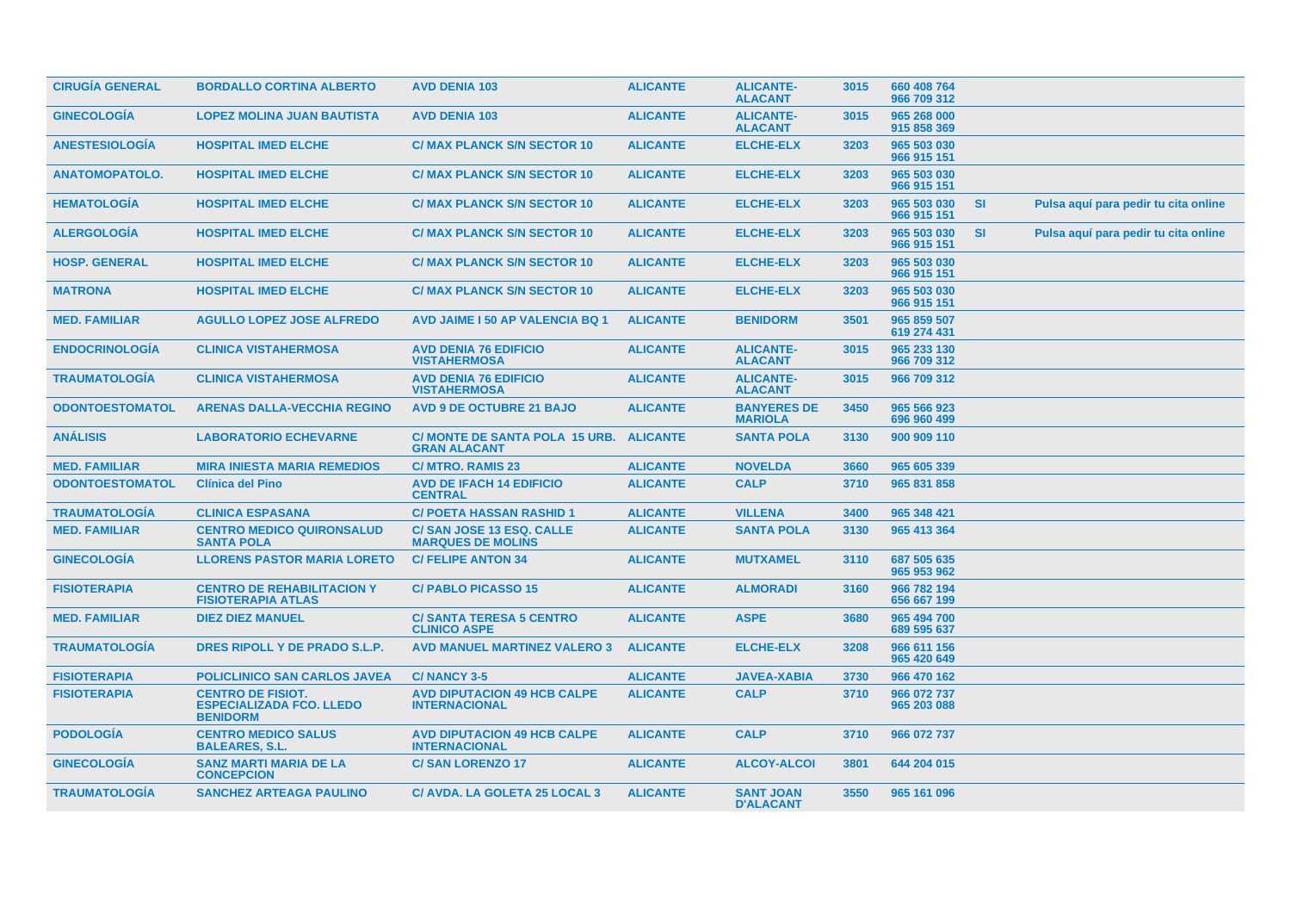| <b>CIRUGÍA GENERAL</b> | <b>BORDALLO CORTINA ALBERTO</b>                                                | <b>AVD DENIA 103</b>                                           | <b>ALICANTE</b> | <b>ALICANTE-</b><br><b>ALACANT</b>   | 3015 | 660 408 764<br>966 709 312 |           |                                      |  |
|------------------------|--------------------------------------------------------------------------------|----------------------------------------------------------------|-----------------|--------------------------------------|------|----------------------------|-----------|--------------------------------------|--|
| <b>GINECOLOGIA</b>     | <b>LOPEZ MOLINA JUAN BAUTISTA</b>                                              | <b>AVD DENIA 103</b>                                           | <b>ALICANTE</b> | <b>ALICANTE-</b><br><b>ALACANT</b>   | 3015 | 965 268 000<br>915 858 369 |           |                                      |  |
| <b>ANESTESIOLOGIA</b>  | <b>HOSPITAL IMED ELCHE</b>                                                     | <b>C/ MAX PLANCK S/N SECTOR 10</b>                             | <b>ALICANTE</b> | <b>ELCHE-ELX</b>                     | 3203 | 965 503 030<br>966 915 151 |           |                                      |  |
| <b>ANATOMOPATOLO.</b>  | <b>HOSPITAL IMED ELCHE</b>                                                     | <b>C/ MAX PLANCK S/N SECTOR 10</b>                             | <b>ALICANTE</b> | <b>ELCHE-ELX</b>                     | 3203 | 965 503 030<br>966 915 151 |           |                                      |  |
| <b>HEMATOLOGIA</b>     | <b>HOSPITAL IMED ELCHE</b>                                                     | <b>C/ MAX PLANCK S/N SECTOR 10</b>                             | <b>ALICANTE</b> | <b>ELCHE-ELX</b>                     | 3203 | 965 503 030<br>966 915 151 | <b>SI</b> | Pulsa aquí para pedir tu cita online |  |
| <b>ALERGOLOGIA</b>     | <b>HOSPITAL IMED ELCHE</b>                                                     | <b>C/ MAX PLANCK S/N SECTOR 10</b>                             | <b>ALICANTE</b> | <b>ELCHE-ELX</b>                     | 3203 | 965 503 030<br>966 915 151 | <b>SI</b> | Pulsa aquí para pedir tu cita online |  |
| <b>HOSP. GENERAL</b>   | <b>HOSPITAL IMED ELCHE</b>                                                     | <b>C/ MAX PLANCK S/N SECTOR 10</b>                             | <b>ALICANTE</b> | <b>ELCHE-ELX</b>                     | 3203 | 965 503 030<br>966 915 151 |           |                                      |  |
| <b>MATRONA</b>         | <b>HOSPITAL IMED ELCHE</b>                                                     | <b>C/ MAX PLANCK S/N SECTOR 10</b>                             | <b>ALICANTE</b> | <b>ELCHE-ELX</b>                     | 3203 | 965 503 030<br>966 915 151 |           |                                      |  |
| <b>MED. FAMILIAR</b>   | <b>AGULLO LOPEZ JOSE ALFREDO</b>                                               | <b>AVD JAIME I 50 AP VALENCIA BQ 1</b>                         | <b>ALICANTE</b> | <b>BENIDORM</b>                      | 3501 | 965 859 507<br>619 274 431 |           |                                      |  |
| <b>ENDOCRINOLOGIA</b>  | <b>CLINICA VISTAHERMOSA</b>                                                    | <b>AVD DENIA 76 EDIFICIO</b><br><b>VISTAHERMOSA</b>            | <b>ALICANTE</b> | <b>ALICANTE-</b><br><b>ALACANT</b>   | 3015 | 965 233 130<br>966 709 312 |           |                                      |  |
| <b>TRAUMATOLOGIA</b>   | <b>CLINICA VISTAHERMOSA</b>                                                    | <b>AVD DENIA 76 EDIFICIO</b><br><b>VISTAHERMOSA</b>            | <b>ALICANTE</b> | <b>ALICANTE-</b><br><b>ALACANT</b>   | 3015 | 966 709 312                |           |                                      |  |
| <b>ODONTOESTOMATOL</b> | <b>ARENAS DALLA-VECCHIA REGINO</b>                                             | <b>AVD 9 DE OCTUBRE 21 BAJO</b>                                | <b>ALICANTE</b> | <b>BANYERES DE</b><br><b>MARIOLA</b> | 3450 | 965 566 923<br>696 960 499 |           |                                      |  |
| <b>ANÁLISIS</b>        | <b>LABORATORIO ECHEVARNE</b>                                                   | C/ MONTE DE SANTA POLA 15 URB. ALICANTE<br><b>GRAN ALACANT</b> |                 | <b>SANTA POLA</b>                    | 3130 | 900 909 110                |           |                                      |  |
| <b>MED. FAMILIAR</b>   | <b>MIRA INIESTA MARIA REMEDIOS</b>                                             | <b>C/ MTRO. RAMIS 23</b>                                       | <b>ALICANTE</b> | <b>NOVELDA</b>                       | 3660 | 965 605 339                |           |                                      |  |
| <b>ODONTOESTOMATOL</b> | <b>Clínica del Pino</b>                                                        | <b>AVD DE IFACH 14 EDIFICIO</b><br><b>CENTRAL</b>              | <b>ALICANTE</b> | <b>CALP</b>                          | 3710 | 965 831 858                |           |                                      |  |
| <b>TRAUMATOLOGIA</b>   | <b>CLINICA ESPASANA</b>                                                        | <b>C/ POETA HASSAN RASHID 1</b>                                | <b>ALICANTE</b> | <b>VILLENA</b>                       | 3400 | 965 348 421                |           |                                      |  |
| <b>MED. FAMILIAR</b>   | <b>CENTRO MEDICO QUIRONSALUD</b><br><b>SANTA POLA</b>                          | <b>C/SAN JOSE 13 ESQ. CALLE</b><br><b>MARQUES DE MOLINS</b>    | <b>ALICANTE</b> | <b>SANTA POLA</b>                    | 3130 | 965 413 364                |           |                                      |  |
| <b>GINECOLOGIA</b>     | <b>LLORENS PASTOR MARIA LORETO</b>                                             | <b>C/FELIPE ANTON 34</b>                                       | <b>ALICANTE</b> | <b>MUTXAMEL</b>                      | 3110 | 687 505 635<br>965 953 962 |           |                                      |  |
| <b>FISIOTERAPIA</b>    | <b>CENTRO DE REHABILITACION Y</b><br><b>FISIOTERAPIA ATLAS</b>                 | <b>C/PABLO PICASSO 15</b>                                      | <b>ALICANTE</b> | <b>ALMORADI</b>                      | 3160 | 966 782 194<br>656 667 199 |           |                                      |  |
| <b>MED. FAMILIAR</b>   | <b>DIEZ DIEZ MANUEL</b>                                                        | <b>C/ SANTA TERESA 5 CENTRO</b><br><b>CLINICO ASPE</b>         | <b>ALICANTE</b> | <b>ASPE</b>                          | 3680 | 965 494 700<br>689 595 637 |           |                                      |  |
| <b>TRAUMATOLOGIA</b>   | DRES RIPOLL Y DE PRADO S.L.P.                                                  | <b>AVD MANUEL MARTINEZ VALERO 3</b>                            | <b>ALICANTE</b> | <b>ELCHE-ELX</b>                     | 3208 | 966 611 156<br>965 420 649 |           |                                      |  |
| <b>FISIOTERAPIA</b>    | <b>POLICLINICO SAN CARLOS JAVEA</b>                                            | <b>C/NANCY 3-5</b>                                             | <b>ALICANTE</b> | <b>JAVEA-XABIA</b>                   | 3730 | 966 470 162                |           |                                      |  |
| <b>FISIOTERAPIA</b>    | <b>CENTRO DE FISIOT.</b><br><b>ESPECIALIZADA FCO. LLEDO</b><br><b>BENIDORM</b> | <b>AVD DIPUTACION 49 HCB CALPE</b><br><b>INTERNACIONAL</b>     | <b>ALICANTE</b> | <b>CALP</b>                          | 3710 | 966 072 737<br>965 203 088 |           |                                      |  |
| <b>PODOLOGIA</b>       | <b>CENTRO MEDICO SALUS</b><br><b>BALEARES, S.L.</b>                            | <b>AVD DIPUTACION 49 HCB CALPE</b><br><b>INTERNACIONAL</b>     | <b>ALICANTE</b> | <b>CALP</b>                          | 3710 | 966 072 737                |           |                                      |  |
| <b>GINECOLOGIA</b>     | <b>SANZ MARTI MARIA DE LA</b><br><b>CONCEPCION</b>                             | <b>C/SAN LORENZO 17</b>                                        | <b>ALICANTE</b> | <b>ALCOY-ALCOI</b>                   | 3801 | 644 204 015                |           |                                      |  |
| <b>TRAUMATOLOGÍA</b>   | <b>SANCHEZ ARTEAGA PAULINO</b>                                                 | C/ AVDA. LA GOLETA 25 LOCAL 3                                  | <b>ALICANTE</b> | <b>SANT JOAN</b><br><b>D'ALACANT</b> | 3550 | 965 161 096                |           |                                      |  |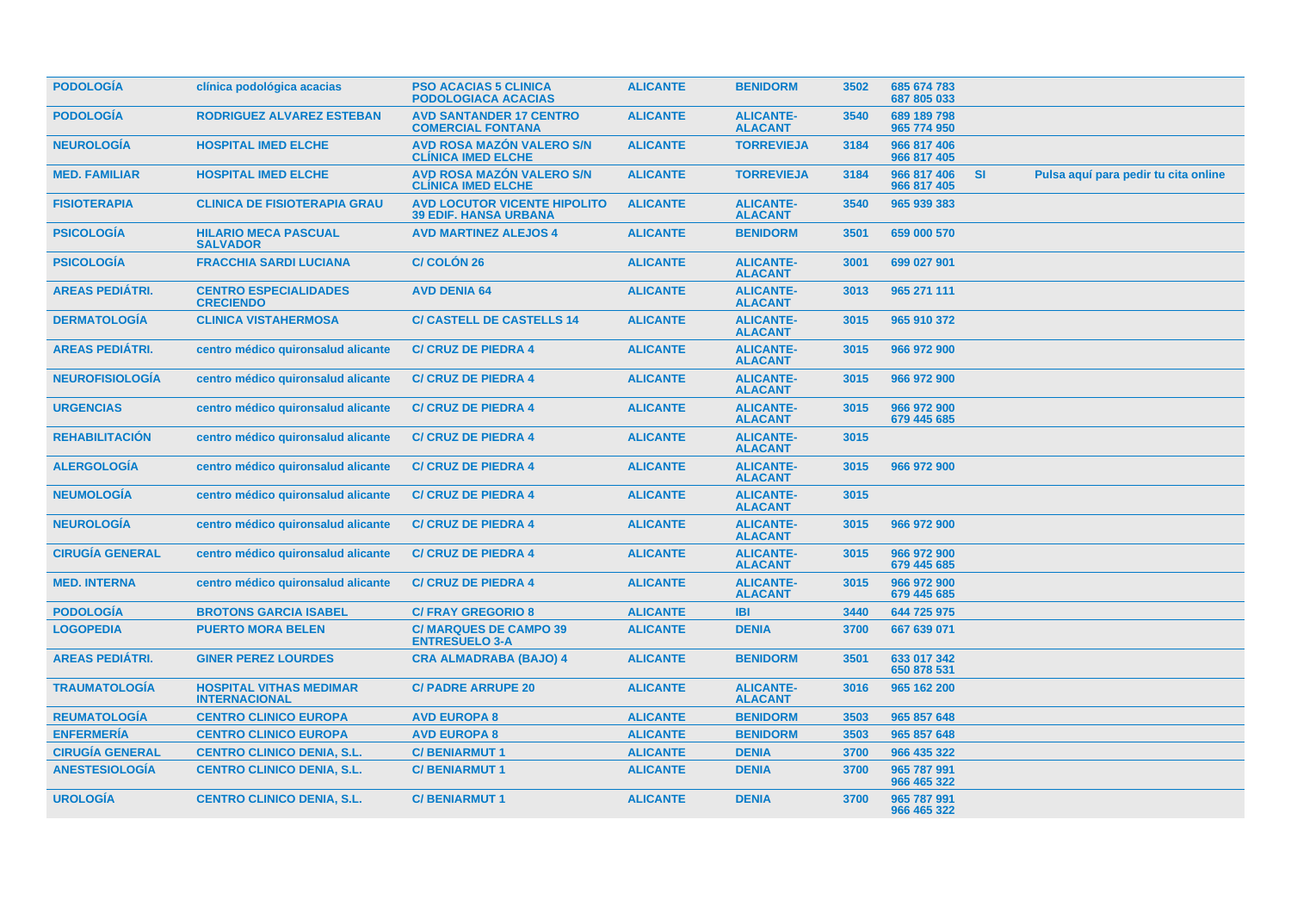| <b>PODOLOGIA</b>       | clínica podológica acacias                             | <b>PSO ACACIAS 5 CLINICA</b><br><b>PODOLOGIACA ACACIAS</b>          | <b>ALICANTE</b> | <b>BENIDORM</b>                    | 3502 | 685 674 783<br>687 805 033 |           |                                      |
|------------------------|--------------------------------------------------------|---------------------------------------------------------------------|-----------------|------------------------------------|------|----------------------------|-----------|--------------------------------------|
| <b>PODOLOGÍA</b>       | <b>RODRIGUEZ ALVAREZ ESTEBAN</b>                       | <b>AVD SANTANDER 17 CENTRO</b><br><b>COMERCIAL FONTANA</b>          | <b>ALICANTE</b> | <b>ALICANTE-</b><br><b>ALACANT</b> | 3540 | 689 189 798<br>965 774 950 |           |                                      |
| <b>NEUROLOGIA</b>      | <b>HOSPITAL IMED ELCHE</b>                             | AVD ROSA MAZÓN VALERO S/N<br><b>CLÍNICA IMED ELCHE</b>              | <b>ALICANTE</b> | <b>TORREVIEJA</b>                  | 3184 | 966 817 406<br>966 817 405 |           |                                      |
| <b>MED. FAMILIAR</b>   | <b>HOSPITAL IMED ELCHE</b>                             | AVD ROSA MAZÓN VALERO S/N<br><b>CLINICA IMED ELCHE</b>              | <b>ALICANTE</b> | <b>TORREVIEJA</b>                  | 3184 | 966 817 406<br>966 817 405 | <b>SI</b> | Pulsa aquí para pedir tu cita online |
| <b>FISIOTERAPIA</b>    | <b>CLINICA DE FISIOTERAPIA GRAU</b>                    | <b>AVD LOCUTOR VICENTE HIPOLITO</b><br><b>39 EDIF. HANSA URBANA</b> | <b>ALICANTE</b> | <b>ALICANTE-</b><br><b>ALACANT</b> | 3540 | 965 939 383                |           |                                      |
| <b>PSICOLOGÍA</b>      | <b>HILARIO MECA PASCUAL</b><br><b>SALVADOR</b>         | <b>AVD MARTINEZ ALEJOS 4</b>                                        | <b>ALICANTE</b> | <b>BENIDORM</b>                    | 3501 | 659 000 570                |           |                                      |
| <b>PSICOLOGIA</b>      | <b>FRACCHIA SARDI LUCIANA</b>                          | <b>C/COLON 26</b>                                                   | <b>ALICANTE</b> | <b>ALICANTE-</b><br><b>ALACANT</b> | 3001 | 699 027 901                |           |                                      |
| <b>AREAS PEDIÁTRI.</b> | <b>CENTRO ESPECIALIDADES</b><br><b>CRECIENDO</b>       | <b>AVD DENIA 64</b>                                                 | <b>ALICANTE</b> | <b>ALICANTE-</b><br><b>ALACANT</b> | 3013 | 965 271 111                |           |                                      |
| <b>DERMATOLOGÍA</b>    | <b>CLINICA VISTAHERMOSA</b>                            | <b>C/ CASTELL DE CASTELLS 14</b>                                    | <b>ALICANTE</b> | <b>ALICANTE-</b><br><b>ALACANT</b> | 3015 | 965 910 372                |           |                                      |
| <b>AREAS PEDIÁTRI.</b> | centro médico quironsalud alicante                     | <b>C/ CRUZ DE PIEDRA 4</b>                                          | <b>ALICANTE</b> | <b>ALICANTE-</b><br><b>ALACANT</b> | 3015 | 966 972 900                |           |                                      |
| <b>NEUROFISIOLOGIA</b> | centro médico quironsalud alicante                     | <b>C/ CRUZ DE PIEDRA 4</b>                                          | <b>ALICANTE</b> | <b>ALICANTE-</b><br><b>ALACANT</b> | 3015 | 966 972 900                |           |                                      |
| <b>URGENCIAS</b>       | centro médico quironsalud alicante                     | <b>C/ CRUZ DE PIEDRA 4</b>                                          | <b>ALICANTE</b> | <b>ALICANTE-</b><br><b>ALACANT</b> | 3015 | 966 972 900<br>679 445 685 |           |                                      |
| <b>REHABILITACIÓN</b>  | centro médico quironsalud alicante                     | <b>C/ CRUZ DE PIEDRA 4</b>                                          | <b>ALICANTE</b> | <b>ALICANTE-</b><br><b>ALACANT</b> | 3015 |                            |           |                                      |
| <b>ALERGOLOGÍA</b>     | centro médico quironsalud alicante                     | <b>C/ CRUZ DE PIEDRA 4</b>                                          | <b>ALICANTE</b> | <b>ALICANTE-</b><br><b>ALACANT</b> | 3015 | 966 972 900                |           |                                      |
| <b>NEUMOLOGÍA</b>      | centro médico quironsalud alicante                     | <b>C/ CRUZ DE PIEDRA 4</b>                                          | <b>ALICANTE</b> | <b>ALICANTE-</b><br><b>ALACANT</b> | 3015 |                            |           |                                      |
| <b>NEUROLOGIA</b>      | centro médico quironsalud alicante                     | <b>C/ CRUZ DE PIEDRA 4</b>                                          | <b>ALICANTE</b> | <b>ALICANTE-</b><br><b>ALACANT</b> | 3015 | 966 972 900                |           |                                      |
| <b>CIRUGÍA GENERAL</b> | centro médico quironsalud alicante                     | <b>C/ CRUZ DE PIEDRA 4</b>                                          | <b>ALICANTE</b> | <b>ALICANTE-</b><br><b>ALACANT</b> | 3015 | 966 972 900<br>679 445 685 |           |                                      |
| <b>MED. INTERNA</b>    | centro médico quironsalud alicante                     | <b>C/ CRUZ DE PIEDRA 4</b>                                          | <b>ALICANTE</b> | <b>ALICANTE-</b><br><b>ALACANT</b> | 3015 | 966 972 900<br>679 445 685 |           |                                      |
| <b>PODOLOGÍA</b>       | <b>BROTONS GARCIA ISABEL</b>                           | <b>C/FRAY GREGORIO 8</b>                                            | <b>ALICANTE</b> | <b>IBI</b>                         | 3440 | 644 725 975                |           |                                      |
| <b>LOGOPEDIA</b>       | <b>PUERTO MORA BELEN</b>                               | <b>C/ MARQUES DE CAMPO 39</b><br><b>ENTRESUELO 3-A</b>              | <b>ALICANTE</b> | <b>DENIA</b>                       | 3700 | 667 639 071                |           |                                      |
| <b>AREAS PEDIÁTRI.</b> | <b>GINER PEREZ LOURDES</b>                             | <b>CRA ALMADRABA (BAJO) 4</b>                                       | <b>ALICANTE</b> | <b>BENIDORM</b>                    | 3501 | 633 017 342<br>650 878 531 |           |                                      |
| <b>TRAUMATOLOGÍA</b>   | <b>HOSPITAL VITHAS MEDIMAR</b><br><b>INTERNACIONAL</b> | <b>C/ PADRE ARRUPE 20</b>                                           | <b>ALICANTE</b> | <b>ALICANTE-</b><br><b>ALACANT</b> | 3016 | 965 162 200                |           |                                      |
| <b>REUMATOLOGÍA</b>    | <b>CENTRO CLINICO EUROPA</b>                           | <b>AVD EUROPA 8</b>                                                 | <b>ALICANTE</b> | <b>BENIDORM</b>                    | 3503 | 965 857 648                |           |                                      |
| <b>ENFERMERÍA</b>      | <b>CENTRO CLINICO EUROPA</b>                           | <b>AVD EUROPA 8</b>                                                 | <b>ALICANTE</b> | <b>BENIDORM</b>                    | 3503 | 965 857 648                |           |                                      |
| <b>CIRUGÍA GENERAL</b> | <b>CENTRO CLINICO DENIA, S.L.</b>                      | <b>C/BENIARMUT1</b>                                                 | <b>ALICANTE</b> | <b>DENIA</b>                       | 3700 | 966 435 322                |           |                                      |
| <b>ANESTESIOLOGÍA</b>  | <b>CENTRO CLINICO DENIA, S.L.</b>                      | <b>C/BENIARMUT1</b>                                                 | <b>ALICANTE</b> | <b>DENIA</b>                       | 3700 | 965 787 991<br>966 465 322 |           |                                      |
| <b>UROLOGÍA</b>        | <b>CENTRO CLINICO DENIA, S.L.</b>                      | <b>C/BENIARMUT1</b>                                                 | <b>ALICANTE</b> | <b>DENIA</b>                       | 3700 | 965 787 991<br>966 465 322 |           |                                      |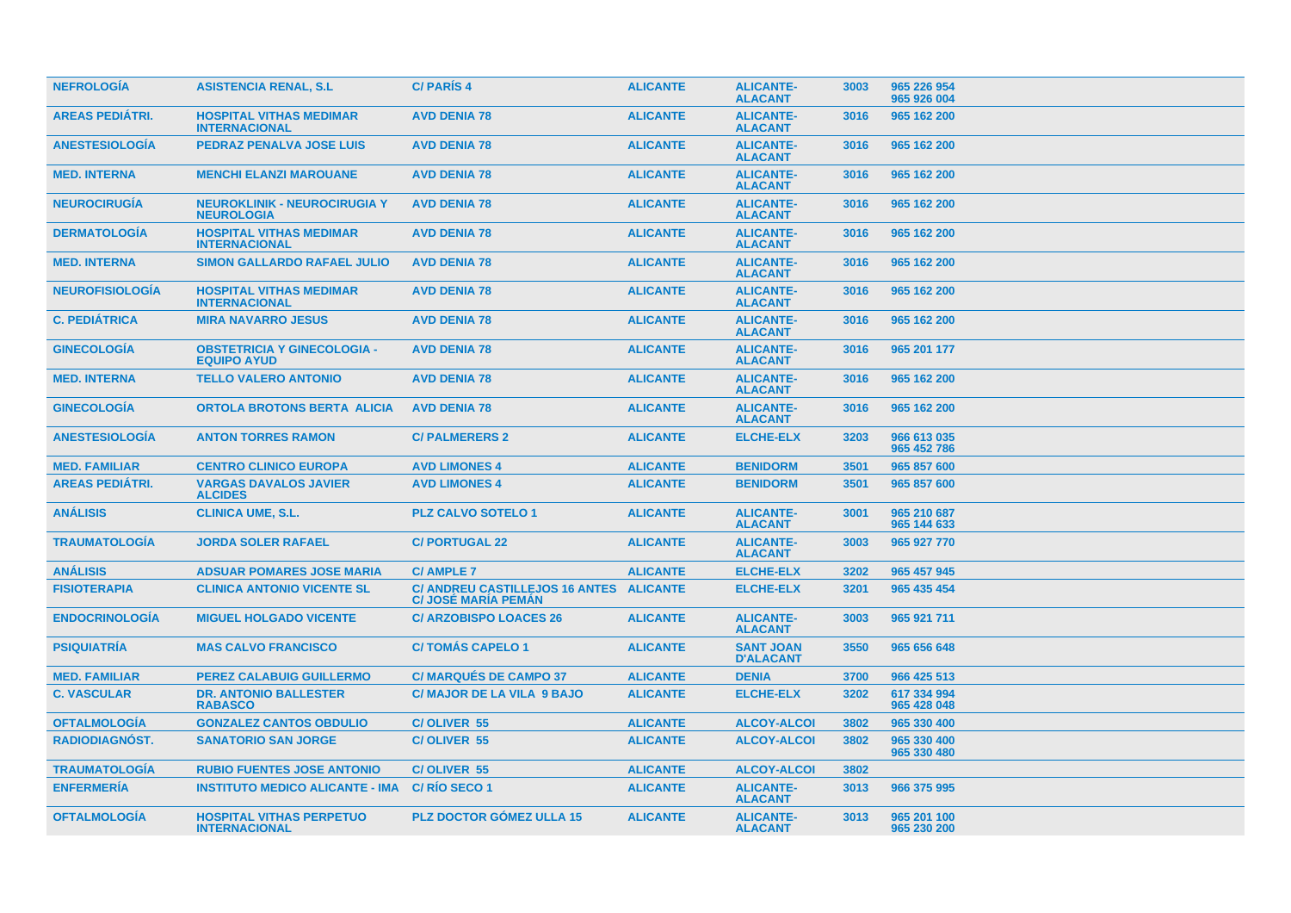| <b>NEFROLOGIA</b>      | <b>ASISTENCIA RENAL, S.L.</b>                            | <b>C/PARIS4</b>                                                       | <b>ALICANTE</b> | <b>ALICANTE-</b><br><b>ALACANT</b>   | 3003 | 965 226 954<br>965 926 004 |
|------------------------|----------------------------------------------------------|-----------------------------------------------------------------------|-----------------|--------------------------------------|------|----------------------------|
| <b>AREAS PEDIÁTRI.</b> | <b>HOSPITAL VITHAS MEDIMAR</b><br><b>INTERNACIONAL</b>   | <b>AVD DENIA 78</b>                                                   | <b>ALICANTE</b> | <b>ALICANTE-</b><br><b>ALACANT</b>   | 3016 | 965 162 200                |
| <b>ANESTESIOLOGIA</b>  | <b>PEDRAZ PENALVA JOSE LUIS</b>                          | <b>AVD DENIA 78</b>                                                   | <b>ALICANTE</b> | <b>ALICANTE-</b><br><b>ALACANT</b>   | 3016 | 965 162 200                |
| <b>MED. INTERNA</b>    | <b>MENCHI ELANZI MAROUANE</b>                            | <b>AVD DENIA 78</b>                                                   | <b>ALICANTE</b> | <b>ALICANTE-</b><br><b>ALACANT</b>   | 3016 | 965 162 200                |
| <b>NEUROCIRUGÍA</b>    | <b>NEUROKLINIK - NEUROCIRUGIA Y</b><br><b>NEUROLOGIA</b> | <b>AVD DENIA 78</b>                                                   | <b>ALICANTE</b> | <b>ALICANTE-</b><br><b>ALACANT</b>   | 3016 | 965 162 200                |
| <b>DERMATOLOGIA</b>    | <b>HOSPITAL VITHAS MEDIMAR</b><br><b>INTERNACIONAL</b>   | <b>AVD DENIA 78</b>                                                   | <b>ALICANTE</b> | <b>ALICANTE-</b><br><b>ALACANT</b>   | 3016 | 965 162 200                |
| <b>MED. INTERNA</b>    | <b>SIMON GALLARDO RAFAEL JULIO</b>                       | <b>AVD DENIA 78</b>                                                   | <b>ALICANTE</b> | <b>ALICANTE-</b><br><b>ALACANT</b>   | 3016 | 965 162 200                |
| <b>NEUROFISIOLOGIA</b> | <b>HOSPITAL VITHAS MEDIMAR</b><br><b>INTERNACIONAL</b>   | <b>AVD DENIA 78</b>                                                   | <b>ALICANTE</b> | <b>ALICANTE-</b><br><b>ALACANT</b>   | 3016 | 965 162 200                |
| <b>C. PEDIÁTRICA</b>   | <b>MIRA NAVARRO JESUS</b>                                | <b>AVD DENIA 78</b>                                                   | <b>ALICANTE</b> | <b>ALICANTE-</b><br><b>ALACANT</b>   | 3016 | 965 162 200                |
| <b>GINECOLOGIA</b>     | <b>OBSTETRICIA Y GINECOLOGIA -</b><br><b>EQUIPO AYUD</b> | <b>AVD DENIA 78</b>                                                   | <b>ALICANTE</b> | <b>ALICANTE-</b><br><b>ALACANT</b>   | 3016 | 965 201 177                |
| <b>MED. INTERNA</b>    | <b>TELLO VALERO ANTONIO</b>                              | <b>AVD DENIA 78</b>                                                   | <b>ALICANTE</b> | <b>ALICANTE-</b><br><b>ALACANT</b>   | 3016 | 965 162 200                |
| <b>GINECOLOGÍA</b>     | <b>ORTOLA BROTONS BERTA ALICIA</b>                       | <b>AVD DENIA 78</b>                                                   | <b>ALICANTE</b> | <b>ALICANTE-</b><br><b>ALACANT</b>   | 3016 | 965 162 200                |
| <b>ANESTESIOLOGÍA</b>  | <b>ANTON TORRES RAMON</b>                                | <b>C/ PALMERERS 2</b>                                                 | <b>ALICANTE</b> | <b>ELCHE-ELX</b>                     | 3203 | 966 613 035<br>965 452 786 |
| <b>MED. FAMILIAR</b>   | <b>CENTRO CLINICO EUROPA</b>                             | <b>AVD LIMONES 4</b>                                                  | <b>ALICANTE</b> | <b>BENIDORM</b>                      | 3501 | 965 857 600                |
| <b>AREAS PEDIÁTRI.</b> | <b>VARGAS DAVALOS JAVIER</b><br><b>ALCIDES</b>           | <b>AVD LIMONES 4</b>                                                  | <b>ALICANTE</b> | <b>BENIDORM</b>                      | 3501 | 965 857 600                |
| <b>ANÁLISIS</b>        | <b>CLINICA UME, S.L.</b>                                 | <b>PLZ CALVO SOTELO 1</b>                                             | <b>ALICANTE</b> | <b>ALICANTE-</b><br><b>ALACANT</b>   | 3001 | 965 210 687<br>965 144 633 |
| <b>TRAUMATOLOGÍA</b>   | <b>JORDA SOLER RAFAEL</b>                                | <b>C/PORTUGAL 22</b>                                                  | <b>ALICANTE</b> | <b>ALICANTE-</b><br><b>ALACANT</b>   | 3003 | 965 927 770                |
| <b>ANÁLISIS</b>        | <b>ADSUAR POMARES JOSE MARIA</b>                         | <b>C/AMPLE 7</b>                                                      | <b>ALICANTE</b> | <b>ELCHE-ELX</b>                     | 3202 | 965 457 945                |
| <b>FISIOTERAPIA</b>    | <b>CLINICA ANTONIO VICENTE SL</b>                        | C/ ANDREU CASTILLEJOS 16 ANTES ALICANTE<br><b>C/ JOSÉ MARÍA PEMAN</b> |                 | <b>ELCHE-ELX</b>                     | 3201 | 965 435 454                |
| <b>ENDOCRINOLOGÍA</b>  | <b>MIGUEL HOLGADO VICENTE</b>                            | <b>C/ ARZOBISPO LOACES 26</b>                                         | <b>ALICANTE</b> | <b>ALICANTE-</b><br><b>ALACANT</b>   | 3003 | 965 921 711                |
| <b>PSIQUIATRÍA</b>     | <b>MAS CALVO FRANCISCO</b>                               | <b>C/TOMAS CAPELO 1</b>                                               | <b>ALICANTE</b> | <b>SANT JOAN</b><br><b>D'ALACANT</b> | 3550 | 965 656 648                |
| <b>MED. FAMILIAR</b>   | <b>PEREZ CALABUIG GUILLERMO</b>                          | <b>C/ MARQUÉS DE CAMPO 37</b>                                         | <b>ALICANTE</b> | <b>DENIA</b>                         | 3700 | 966 425 513                |
| <b>C. VASCULAR</b>     | <b>DR. ANTONIO BALLESTER</b><br><b>RABASCO</b>           | <b>C/ MAJOR DE LA VILA 9 BAJO</b>                                     | <b>ALICANTE</b> | <b>ELCHE-ELX</b>                     | 3202 | 617 334 994<br>965 428 048 |
| <b>OFTALMOLOGÍA</b>    | <b>GONZALEZ CANTOS OBDULIO</b>                           | C/OLIVER 55                                                           | <b>ALICANTE</b> | <b>ALCOY-ALCOI</b>                   | 3802 | 965 330 400                |
| RADIODIAGNÓST.         | <b>SANATORIO SAN JORGE</b>                               | C/OLIVER 55                                                           | <b>ALICANTE</b> | <b>ALCOY-ALCOI</b>                   | 3802 | 965 330 400<br>965 330 480 |
| <b>TRAUMATOLOGIA</b>   | <b>RUBIO FUENTES JOSE ANTONIO</b>                        | C/OLIVER 55                                                           | <b>ALICANTE</b> | <b>ALCOY-ALCOI</b>                   | 3802 |                            |
| <b>ENFERMERÍA</b>      | <b>INSTITUTO MEDICO ALICANTE - IMA</b>                   | C/RIO SECO 1                                                          | <b>ALICANTE</b> | <b>ALICANTE-</b><br><b>ALACANT</b>   | 3013 | 966 375 995                |
| <b>OFTALMOLOGIA</b>    | <b>HOSPITAL VITHAS PERPETUO</b><br><b>INTERNACIONAL</b>  | <b>PLZ DOCTOR GOMEZ ULLA 15</b>                                       | <b>ALICANTE</b> | <b>ALICANTE-</b><br><b>ALACANT</b>   | 3013 | 965 201 100<br>965 230 200 |
|                        |                                                          |                                                                       |                 |                                      |      |                            |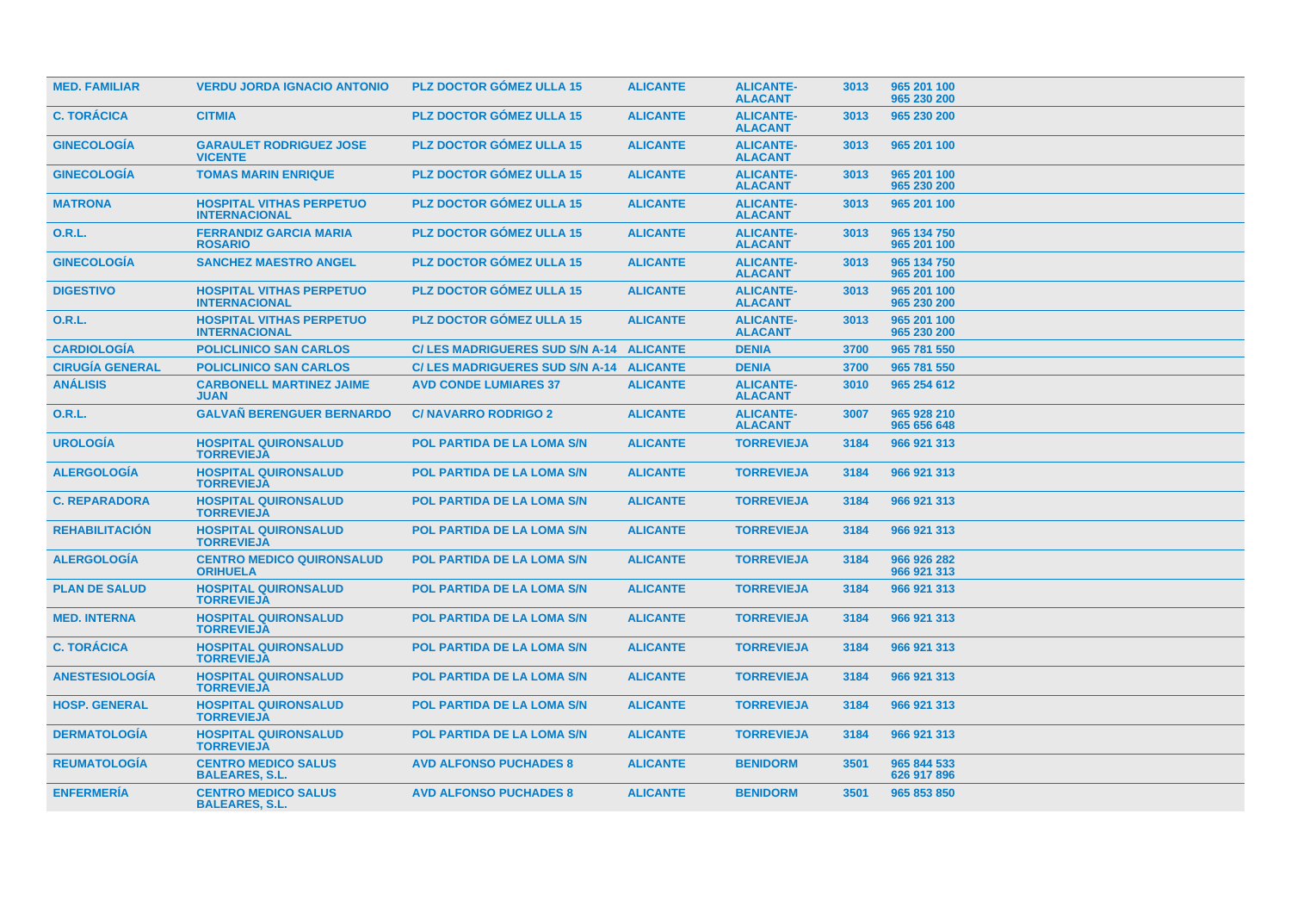| <b>MED. FAMILIAR</b>   | <b>VERDU JORDA IGNACIO ANTONIO</b>                      | <b>PLZ DOCTOR GOMEZ ULLA 15</b>          | <b>ALICANTE</b> | <b>ALICANTE-</b><br><b>ALACANT</b> | 3013 | 965 201 100<br>965 230 200 |
|------------------------|---------------------------------------------------------|------------------------------------------|-----------------|------------------------------------|------|----------------------------|
| <b>C. TORÁCICA</b>     | <b>CITMIA</b>                                           | <b>PLZ DOCTOR GÓMEZ ULLA 15</b>          | <b>ALICANTE</b> | <b>ALICANTE-</b><br><b>ALACANT</b> | 3013 | 965 230 200                |
| <b>GINECOLOGIA</b>     | <b>GARAULET RODRIGUEZ JOSE</b><br><b>VICENTE</b>        | <b>PLZ DOCTOR GOMEZ ULLA 15</b>          | <b>ALICANTE</b> | <b>ALICANTE-</b><br><b>ALACANT</b> | 3013 | 965 201 100                |
| <b>GINECOLOGIA</b>     | <b>TOMAS MARIN ENRIQUE</b>                              | <b>PLZ DOCTOR GÓMEZ ULLA 15</b>          | <b>ALICANTE</b> | <b>ALICANTE-</b><br><b>ALACANT</b> | 3013 | 965 201 100<br>965 230 200 |
| <b>MATRONA</b>         | <b>HOSPITAL VITHAS PERPETUO</b><br><b>INTERNACIONAL</b> | <b>PLZ DOCTOR GOMEZ ULLA 15</b>          | <b>ALICANTE</b> | <b>ALICANTE-</b><br><b>ALACANT</b> | 3013 | 965 201 100                |
| 0.R.L.                 | <b>FERRANDIZ GARCIA MARIA</b><br><b>ROSARIO</b>         | <b>PLZ DOCTOR GOMEZ ULLA 15</b>          | <b>ALICANTE</b> | <b>ALICANTE-</b><br><b>ALACANT</b> | 3013 | 965 134 750<br>965 201 100 |
| <b>GINECOLOGÍA</b>     | <b>SANCHEZ MAESTRO ANGEL</b>                            | <b>PLZ DOCTOR GOMEZ ULLA 15</b>          | <b>ALICANTE</b> | <b>ALICANTE-</b><br><b>ALACANT</b> | 3013 | 965 134 750<br>965 201 100 |
| <b>DIGESTIVO</b>       | <b>HOSPITAL VITHAS PERPETUO</b><br><b>INTERNACIONAL</b> | <b>PLZ DOCTOR GOMEZ ULLA 15</b>          | <b>ALICANTE</b> | <b>ALICANTE-</b><br><b>ALACANT</b> | 3013 | 965 201 100<br>965 230 200 |
| 0.R.L.                 | <b>HOSPITAL VITHAS PERPETUO</b><br><b>INTERNACIONAL</b> | <b>PLZ DOCTOR GÓMEZ ULLA 15</b>          | <b>ALICANTE</b> | <b>ALICANTE-</b><br><b>ALACANT</b> | 3013 | 965 201 100<br>965 230 200 |
| <b>CARDIOLOGIA</b>     | <b>POLICLINICO SAN CARLOS</b>                           | C/LES MADRIGUERES SUD S/N A-14 ALICANTE  |                 | <b>DENIA</b>                       | 3700 | 965 781 550                |
| <b>CIRUGÍA GENERAL</b> | <b>POLICLINICO SAN CARLOS</b>                           | C/ LES MADRIGUERES SUD S/N A-14 ALICANTE |                 | <b>DENIA</b>                       | 3700 | 965 781 550                |
| <b>ANÁLISIS</b>        | <b>CARBONELL MARTINEZ JAIME</b><br><b>JUAN</b>          | <b>AVD CONDE LUMIARES 37</b>             | <b>ALICANTE</b> | <b>ALICANTE-</b><br><b>ALACANT</b> | 3010 | 965 254 612                |
| <b>O.R.L.</b>          | <b>GALVAÑ BERENGUER BERNARDO</b>                        | <b>C/NAVARRO RODRIGO 2</b>               | <b>ALICANTE</b> | <b>ALICANTE-</b><br><b>ALACANT</b> | 3007 | 965 928 210<br>965 656 648 |
| <b>UROLOGIA</b>        | <b>HOSPITAL QUIRONSALUD</b><br><b>TORREVIEJA</b>        | <b>POL PARTIDA DE LA LOMA S/N</b>        | <b>ALICANTE</b> | <b>TORREVIEJA</b>                  | 3184 | 966 921 313                |
| <b>ALERGOLOGIA</b>     | <b>HOSPITAL QUIRONSALUD</b><br><b>TORREVIEJA</b>        | <b>POL PARTIDA DE LA LOMA S/N</b>        | <b>ALICANTE</b> | <b>TORREVIEJA</b>                  | 3184 | 966 921 313                |
| <b>C. REPARADORA</b>   | <b>HOSPITAL QUIRONSALUD</b><br><b>TORREVIEJA</b>        | <b>POL PARTIDA DE LA LOMA S/N</b>        | <b>ALICANTE</b> | <b>TORREVIEJA</b>                  | 3184 | 966 921 313                |
| <b>REHABILITACIÓN</b>  | <b>HOSPITAL QUIRONSALUD</b><br><b>TORREVIEJA</b>        | <b>POL PARTIDA DE LA LOMA S/N</b>        | <b>ALICANTE</b> | <b>TORREVIEJA</b>                  | 3184 | 966 921 313                |
| <b>ALERGOLOGÍA</b>     | <b>CENTRO MEDICO QUIRONSALUD</b><br><b>ORIHUELA</b>     | <b>POL PARTIDA DE LA LOMA S/N</b>        | <b>ALICANTE</b> | <b>TORREVIEJA</b>                  | 3184 | 966 926 282<br>966 921 313 |
| <b>PLAN DE SALUD</b>   | <b>HOSPITAL QUIRONSALUD</b><br><b>TORREVIEJA</b>        | <b>POL PARTIDA DE LA LOMA S/N</b>        | <b>ALICANTE</b> | <b>TORREVIEJA</b>                  | 3184 | 966 921 313                |
| <b>MED. INTERNA</b>    | <b>HOSPITAL QUIRONSALUD</b><br><b>TORREVIEJA</b>        | <b>POL PARTIDA DE LA LOMA S/N</b>        | <b>ALICANTE</b> | <b>TORREVIEJA</b>                  | 3184 | 966 921 313                |
| <b>C. TORÁCICA</b>     | <b>HOSPITAL QUIRONSALUD</b><br><b>TORREVIEJA</b>        | <b>POL PARTIDA DE LA LOMA S/N</b>        | <b>ALICANTE</b> | <b>TORREVIEJA</b>                  | 3184 | 966 921 313                |
| <b>ANESTESIOLOGIA</b>  | <b>HOSPITAL QUIRONSALUD</b><br><b>TORREVIEJA</b>        | <b>POL PARTIDA DE LA LOMA S/N</b>        | <b>ALICANTE</b> | <b>TORREVIEJA</b>                  | 3184 | 966 921 313                |
| <b>HOSP. GENERAL</b>   | <b>HOSPITAL QUIRONSALUD</b><br><b>TORREVIEJA</b>        | POL PARTIDA DE LA LOMA S/N               | <b>ALICANTE</b> | <b>TORREVIEJA</b>                  | 3184 | 966 921 313                |
| <b>DERMATOLOGIA</b>    | <b>HOSPITAL QUIRONSALUD</b><br><b>TORREVIEJA</b>        | <b>POL PARTIDA DE LA LOMA S/N</b>        | <b>ALICANTE</b> | <b>TORREVIEJA</b>                  | 3184 | 966 921 313                |
| <b>REUMATOLOGIA</b>    | <b>CENTRO MEDICO SALUS</b><br><b>BALEARES, S.L.</b>     | <b>AVD ALFONSO PUCHADES 8</b>            | <b>ALICANTE</b> | <b>BENIDORM</b>                    | 3501 | 965 844 533<br>626 917 896 |
| <b>ENFERMERÍA</b>      | <b>CENTRO MEDICO SALUS</b><br><b>BALEARES, S.L.</b>     | <b>AVD ALFONSO PUCHADES 8</b>            | <b>ALICANTE</b> | <b>BENIDORM</b>                    | 3501 | 965 853 850                |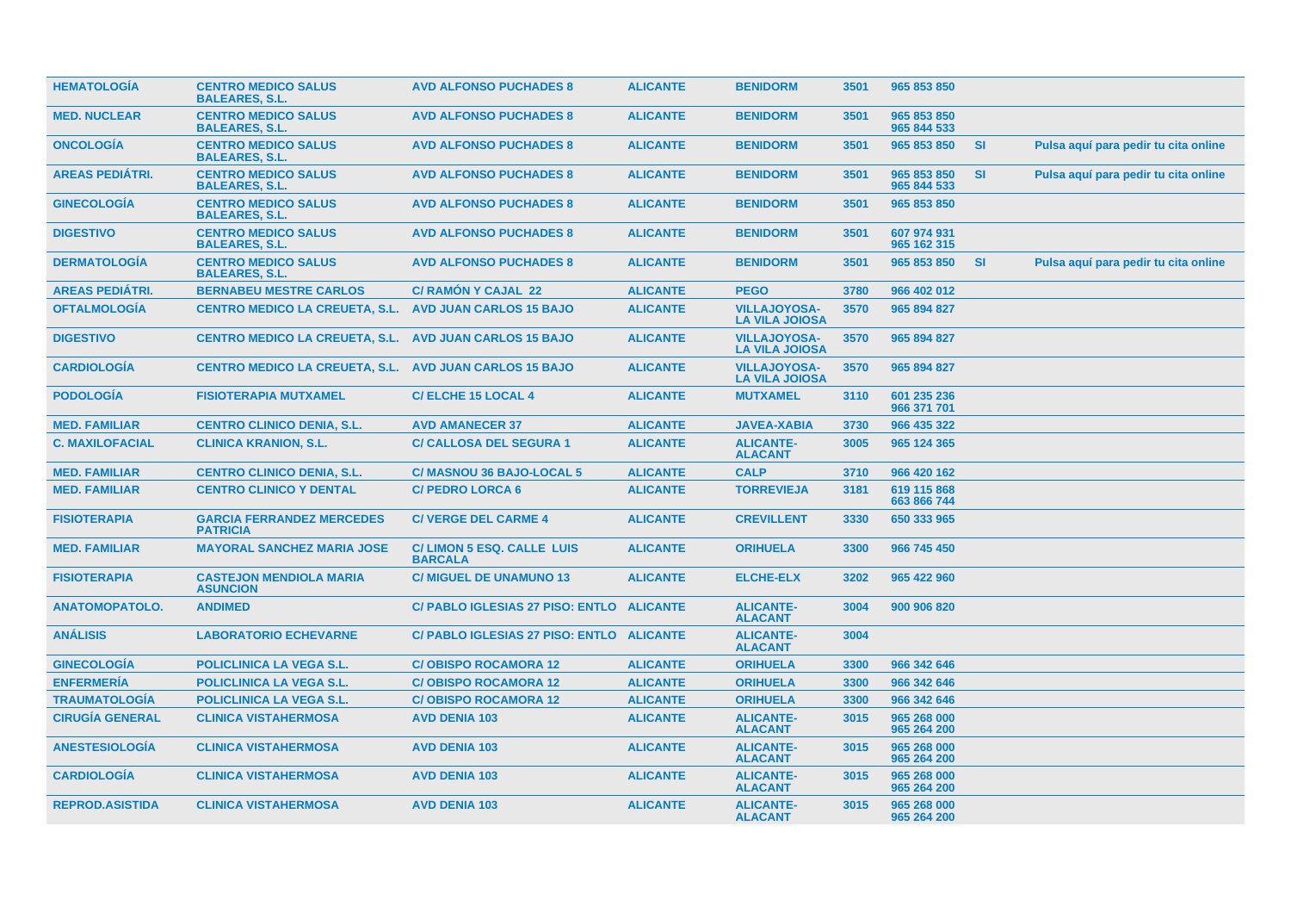| <b>HEMATOLOGIA</b>     | <b>CENTRO MEDICO SALUS</b><br><b>BALEARES, S.L.</b>           | <b>AVD ALFONSO PUCHADES 8</b>                      | <b>ALICANTE</b> | <b>BENIDORM</b>                              | 3501 | 965 853 850                |           |                                      |  |
|------------------------|---------------------------------------------------------------|----------------------------------------------------|-----------------|----------------------------------------------|------|----------------------------|-----------|--------------------------------------|--|
| <b>MED. NUCLEAR</b>    | <b>CENTRO MEDICO SALUS</b><br><b>BALEARES, S.L.</b>           | <b>AVD ALFONSO PUCHADES 8</b>                      | <b>ALICANTE</b> | <b>BENIDORM</b>                              | 3501 | 965 853 850<br>965 844 533 |           |                                      |  |
| <b>ONCOLOGIA</b>       | <b>CENTRO MEDICO SALUS</b><br><b>BALEARES, S.L.</b>           | <b>AVD ALFONSO PUCHADES 8</b>                      | <b>ALICANTE</b> | <b>BENIDORM</b>                              | 3501 | 965 853 850                | <b>SI</b> | Pulsa aquí para pedir tu cita online |  |
| <b>AREAS PEDIÁTRI.</b> | <b>CENTRO MEDICO SALUS</b><br><b>BALEARES, S.L.</b>           | <b>AVD ALFONSO PUCHADES 8</b>                      | <b>ALICANTE</b> | <b>BENIDORM</b>                              | 3501 | 965 853 850<br>965 844 533 | <b>SI</b> | Pulsa aquí para pedir tu cita online |  |
| <b>GINECOLOGIA</b>     | <b>CENTRO MEDICO SALUS</b><br><b>BALEARES, S.L.</b>           | <b>AVD ALFONSO PUCHADES 8</b>                      | <b>ALICANTE</b> | <b>BENIDORM</b>                              | 3501 | 965 853 850                |           |                                      |  |
| <b>DIGESTIVO</b>       | <b>CENTRO MEDICO SALUS</b><br><b>BALEARES, S.L.</b>           | <b>AVD ALFONSO PUCHADES 8</b>                      | <b>ALICANTE</b> | <b>BENIDORM</b>                              | 3501 | 607 974 931<br>965 162 315 |           |                                      |  |
| <b>DERMATOLOGÍA</b>    | <b>CENTRO MEDICO SALUS</b><br><b>BALEARES, S.L.</b>           | <b>AVD ALFONSO PUCHADES 8</b>                      | <b>ALICANTE</b> | <b>BENIDORM</b>                              | 3501 | 965 853 850                | <b>SI</b> | Pulsa aquí para pedir tu cita online |  |
| <b>AREAS PEDIÁTRI.</b> | <b>BERNABEU MESTRE CARLOS</b>                                 | <b>C/ RAMÓN Y CAJAL 22</b>                         | <b>ALICANTE</b> | <b>PEGO</b>                                  | 3780 | 966 402 012                |           |                                      |  |
| <b>OFTALMOLOGÍA</b>    | <b>CENTRO MEDICO LA CREUETA, S.L.</b>                         | <b>AVD JUAN CARLOS 15 BAJO</b>                     | <b>ALICANTE</b> | <b>VILLAJOYOSA-</b><br><b>LA VILA JOIOSA</b> | 3570 | 965 894 827                |           |                                      |  |
| <b>DIGESTIVO</b>       | <b>CENTRO MEDICO LA CREUETA, S.L. AVD JUAN CARLOS 15 BAJO</b> |                                                    | <b>ALICANTE</b> | <b>VILLAJOYOSA-</b><br><b>LA VILA JOIOSA</b> | 3570 | 965 894 827                |           |                                      |  |
| <b>CARDIOLOGIA</b>     | CENTRO MEDICO LA CREUETA, S.L. AVD JUAN CARLOS 15 BAJO        |                                                    | <b>ALICANTE</b> | <b>VILLAJOYOSA-</b><br><b>LA VILA JOIOSA</b> | 3570 | 965 894 827                |           |                                      |  |
| <b>PODOLOGÍA</b>       | <b>FISIOTERAPIA MUTXAMEL</b>                                  | <b>C/ELCHE 15 LOCAL 4</b>                          | <b>ALICANTE</b> | <b>MUTXAMEL</b>                              | 3110 | 601 235 236<br>966 371 701 |           |                                      |  |
| <b>MED. FAMILIAR</b>   | <b>CENTRO CLINICO DENIA, S.L.</b>                             | <b>AVD AMANECER 37</b>                             | <b>ALICANTE</b> | <b>JAVEA-XABIA</b>                           | 3730 | 966 435 322                |           |                                      |  |
| <b>C. MAXILOFACIAL</b> | <b>CLINICA KRANION, S.L.</b>                                  | <b>C/ CALLOSA DEL SEGURA 1</b>                     | <b>ALICANTE</b> | <b>ALICANTE-</b><br><b>ALACANT</b>           | 3005 | 965 124 365                |           |                                      |  |
| <b>MED. FAMILIAR</b>   | <b>CENTRO CLINICO DENIA, S.L.</b>                             | C/ MASNOU 36 BAJO-LOCAL 5                          | <b>ALICANTE</b> | <b>CALP</b>                                  | 3710 | 966 420 162                |           |                                      |  |
| <b>MED. FAMILIAR</b>   | <b>CENTRO CLINICO Y DENTAL</b>                                | <b>C/ PEDRO LORCA 6</b>                            | <b>ALICANTE</b> | <b>TORREVIEJA</b>                            | 3181 | 619 115 868<br>663 866 744 |           |                                      |  |
| <b>FISIOTERAPIA</b>    | <b>GARCIA FERRANDEZ MERCEDES</b><br><b>PATRICIA</b>           | <b>C/ VERGE DEL CARME 4</b>                        | <b>ALICANTE</b> | <b>CREVILLENT</b>                            | 3330 | 650 333 965                |           |                                      |  |
| <b>MED. FAMILIAR</b>   | <b>MAYORAL SANCHEZ MARIA JOSE</b>                             | <b>C/LIMON 5 ESQ. CALLE LUIS</b><br><b>BARCALA</b> | <b>ALICANTE</b> | <b>ORIHUELA</b>                              | 3300 | 966 745 450                |           |                                      |  |
| <b>FISIOTERAPIA</b>    | <b>CASTEJON MENDIOLA MARIA</b><br><b>ASUNCION</b>             | <b>C/ MIGUEL DE UNAMUNO 13</b>                     | <b>ALICANTE</b> | <b>ELCHE-ELX</b>                             | 3202 | 965 422 960                |           |                                      |  |
| <b>ANATOMOPATOLO.</b>  | <b>ANDIMED</b>                                                | <b>C/ PABLO IGLESIAS 27 PISO: ENTLO</b>            | <b>ALICANTE</b> | <b>ALICANTE-</b><br><b>ALACANT</b>           | 3004 | 900 906 820                |           |                                      |  |
| <b>ANÁLISIS</b>        | <b>LABORATORIO ECHEVARNE</b>                                  | C/ PABLO IGLESIAS 27 PISO: ENTLO ALICANTE          |                 | <b>ALICANTE-</b><br><b>ALACANT</b>           | 3004 |                            |           |                                      |  |
| <b>GINECOLOGÍA</b>     | <b>POLICLINICA LA VEGA S.L.</b>                               | <b>C/OBISPO ROCAMORA 12</b>                        | <b>ALICANTE</b> | <b>ORIHUELA</b>                              | 3300 | 966 342 646                |           |                                      |  |
| <b>ENFERMERÍA</b>      | <b>POLICLINICA LA VEGA S.L.</b>                               | <b>C/OBISPO ROCAMORA 12</b>                        | <b>ALICANTE</b> | <b>ORIHUELA</b>                              | 3300 | 966 342 646                |           |                                      |  |
| <b>TRAUMATOLOGÍA</b>   | POLICLINICA LA VEGA S.L.                                      | <b>C/OBISPO ROCAMORA 12</b>                        | <b>ALICANTE</b> | <b>ORIHUELA</b>                              | 3300 | 966 342 646                |           |                                      |  |
| <b>CIRUGÍA GENERAL</b> | <b>CLINICA VISTAHERMOSA</b>                                   | <b>AVD DENIA 103</b>                               | <b>ALICANTE</b> | <b>ALICANTE-</b><br><b>ALACANT</b>           | 3015 | 965 268 000<br>965 264 200 |           |                                      |  |
| <b>ANESTESIOLOGÍA</b>  | <b>CLINICA VISTAHERMOSA</b>                                   | <b>AVD DENIA 103</b>                               | <b>ALICANTE</b> | <b>ALICANTE-</b><br><b>ALACANT</b>           | 3015 | 965 268 000<br>965 264 200 |           |                                      |  |
| <b>CARDIOLOGÍA</b>     | <b>CLINICA VISTAHERMOSA</b>                                   | <b>AVD DENIA 103</b>                               | <b>ALICANTE</b> | <b>ALICANTE-</b><br><b>ALACANT</b>           | 3015 | 965 268 000<br>965 264 200 |           |                                      |  |
| <b>REPROD.ASISTIDA</b> | <b>CLINICA VISTAHERMOSA</b>                                   | <b>AVD DENIA 103</b>                               | <b>ALICANTE</b> | <b>ALICANTE-</b><br><b>ALACANT</b>           | 3015 | 965 268 000<br>965 264 200 |           |                                      |  |
|                        |                                                               |                                                    |                 |                                              |      |                            |           |                                      |  |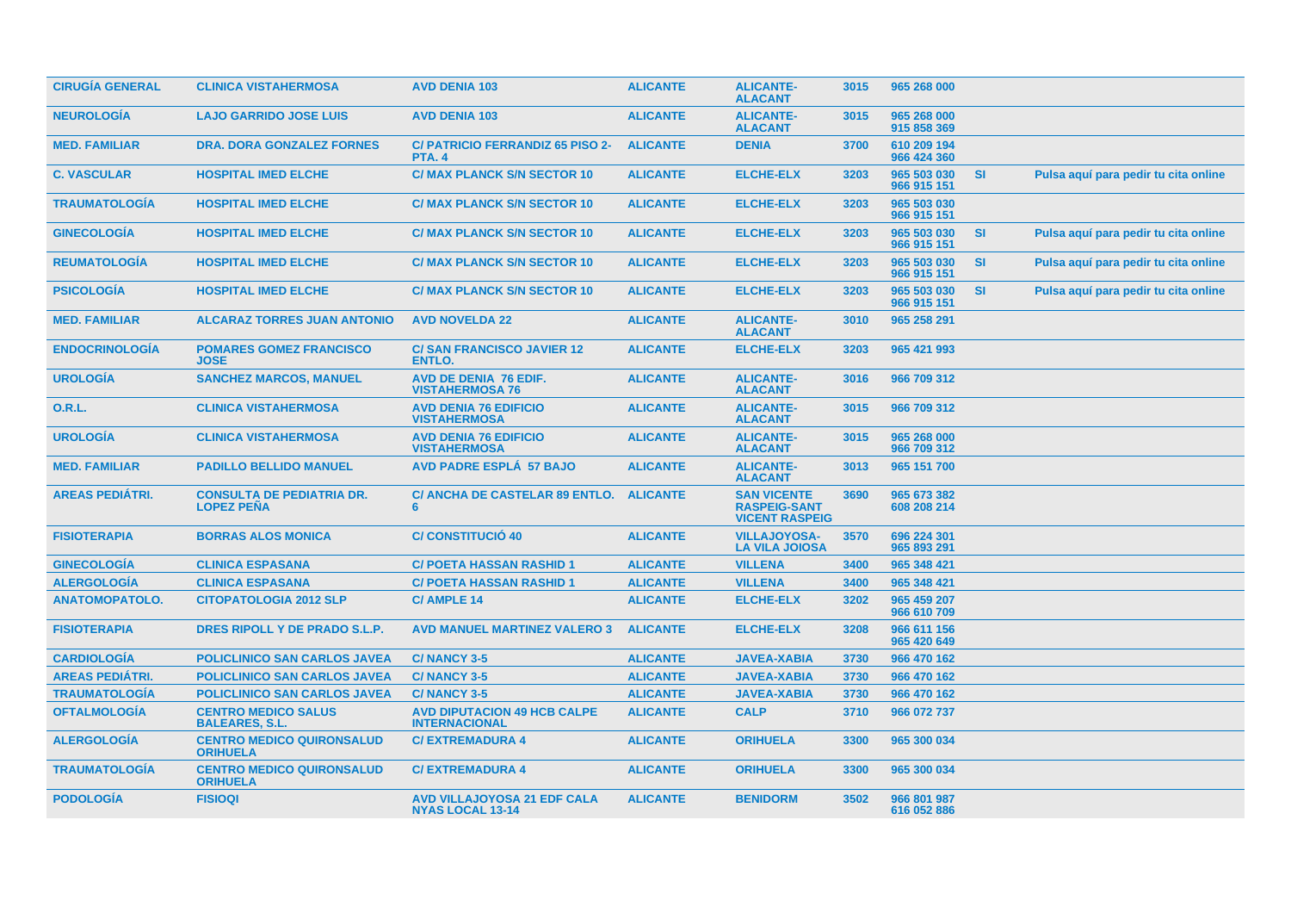| <b>CIRUGÍA GENERAL</b> | <b>CLINICA VISTAHERMOSA</b>                           | <b>AVD DENIA 103</b>                                          | <b>ALICANTE</b> | <b>ALICANTE-</b><br><b>ALACANT</b>                                 | 3015 | 965 268 000                |           |                                      |
|------------------------|-------------------------------------------------------|---------------------------------------------------------------|-----------------|--------------------------------------------------------------------|------|----------------------------|-----------|--------------------------------------|
| <b>NEUROLOGÍA</b>      | <b>LAJO GARRIDO JOSE LUIS</b>                         | <b>AVD DENIA 103</b>                                          | <b>ALICANTE</b> | <b>ALICANTE-</b><br><b>ALACANT</b>                                 | 3015 | 965 268 000<br>915 858 369 |           |                                      |
| <b>MED. FAMILIAR</b>   | <b>DRA. DORA GONZALEZ FORNES</b>                      | <b>C/ PATRICIO FERRANDIZ 65 PISO 2-</b><br><b>PTA. 4</b>      | <b>ALICANTE</b> | <b>DENIA</b>                                                       | 3700 | 610 209 194<br>966 424 360 |           |                                      |
| <b>C. VASCULAR</b>     | <b>HOSPITAL IMED ELCHE</b>                            | <b>C/ MAX PLANCK S/N SECTOR 10</b>                            | <b>ALICANTE</b> | <b>ELCHE-ELX</b>                                                   | 3203 | 965 503 030<br>966 915 151 | <b>SI</b> | Pulsa aquí para pedir tu cita online |
| <b>TRAUMATOLOGÍA</b>   | <b>HOSPITAL IMED ELCHE</b>                            | <b>C/ MAX PLANCK S/N SECTOR 10</b>                            | <b>ALICANTE</b> | <b>ELCHE-ELX</b>                                                   | 3203 | 965 503 030<br>966 915 151 |           |                                      |
| <b>GINECOLOGÍA</b>     | <b>HOSPITAL IMED ELCHE</b>                            | <b>C/ MAX PLANCK S/N SECTOR 10</b>                            | <b>ALICANTE</b> | <b>ELCHE-ELX</b>                                                   | 3203 | 965 503 030<br>966 915 151 | <b>SI</b> | Pulsa aquí para pedir tu cita online |
| <b>REUMATOLOGIA</b>    | <b>HOSPITAL IMED ELCHE</b>                            | <b>C/ MAX PLANCK S/N SECTOR 10</b>                            | <b>ALICANTE</b> | <b>ELCHE-ELX</b>                                                   | 3203 | 965 503 030<br>966 915 151 | <b>SI</b> | Pulsa aquí para pedir tu cita online |
| <b>PSICOLOGÍA</b>      | <b>HOSPITAL IMED ELCHE</b>                            | <b>C/ MAX PLANCK S/N SECTOR 10</b>                            | <b>ALICANTE</b> | <b>ELCHE-ELX</b>                                                   | 3203 | 965 503 030<br>966 915 151 | <b>SI</b> | Pulsa aquí para pedir tu cita online |
| <b>MED. FAMILIAR</b>   | <b>ALCARAZ TORRES JUAN ANTONIO</b>                    | <b>AVD NOVELDA 22</b>                                         | <b>ALICANTE</b> | <b>ALICANTE-</b><br><b>ALACANT</b>                                 | 3010 | 965 258 291                |           |                                      |
| <b>ENDOCRINOLOGÍA</b>  | <b>POMARES GOMEZ FRANCISCO</b><br><b>JOSE</b>         | <b>C/SAN FRANCISCO JAVIER 12</b><br><b>ENTLO.</b>             | <b>ALICANTE</b> | <b>ELCHE-ELX</b>                                                   | 3203 | 965 421 993                |           |                                      |
| <b>UROLOGÍA</b>        | <b>SANCHEZ MARCOS, MANUEL</b>                         | AVD DE DENIA 76 EDIF.<br><b>VISTAHERMOSA 76</b>               | <b>ALICANTE</b> | <b>ALICANTE-</b><br><b>ALACANT</b>                                 | 3016 | 966 709 312                |           |                                      |
| <b>O.R.L.</b>          | <b>CLINICA VISTAHERMOSA</b>                           | <b>AVD DENIA 76 EDIFICIO</b><br><b>VISTAHERMOSA</b>           | <b>ALICANTE</b> | <b>ALICANTE-</b><br><b>ALACANT</b>                                 | 3015 | 966 709 312                |           |                                      |
| <b>UROLOGÍA</b>        | <b>CLINICA VISTAHERMOSA</b>                           | <b>AVD DENIA 76 EDIFICIO</b><br><b>VISTAHERMOSA</b>           | <b>ALICANTE</b> | <b>ALICANTE-</b><br><b>ALACANT</b>                                 | 3015 | 965 268 000<br>966 709 312 |           |                                      |
| <b>MED. FAMILIAR</b>   | <b>PADILLO BELLIDO MANUEL</b>                         | <b>AVD PADRE ESPLÁ 57 BAJO</b>                                | <b>ALICANTE</b> | <b>ALICANTE-</b><br><b>ALACANT</b>                                 | 3013 | 965 151 700                |           |                                      |
| <b>AREAS PEDIÁTRI.</b> | <b>CONSULTA DE PEDIATRIA DR.</b><br><b>LOPEZ PEÑA</b> | C/ ANCHA DE CASTELAR 89 ENTLO.<br>6                           | <b>ALICANTE</b> | <b>SAN VICENTE</b><br><b>RASPEIG-SANT</b><br><b>VICENT RASPEIG</b> | 3690 | 965 673 382<br>608 208 214 |           |                                      |
| <b>FISIOTERAPIA</b>    | <b>BORRAS ALOS MONICA</b>                             | <b>C/CONSTITUCIÓ 40</b>                                       | <b>ALICANTE</b> | <b>VILLAJOYOSA-</b><br><b>LA VILA JOIOSA</b>                       | 3570 | 696 224 301<br>965 893 291 |           |                                      |
| <b>GINECOLOGÍA</b>     | <b>CLINICA ESPASANA</b>                               | <b>C/ POETA HASSAN RASHID 1</b>                               | <b>ALICANTE</b> | <b>VILLENA</b>                                                     | 3400 | 965 348 421                |           |                                      |
| <b>ALERGOLOGÍA</b>     | <b>CLINICA ESPASANA</b>                               | <b>C/ POETA HASSAN RASHID 1</b>                               | <b>ALICANTE</b> | <b>VILLENA</b>                                                     | 3400 | 965 348 421                |           |                                      |
| <b>ANATOMOPATOLO.</b>  | <b>CITOPATOLOGIA 2012 SLP</b>                         | <b>C/AMPLE 14</b>                                             | <b>ALICANTE</b> | <b>ELCHE-ELX</b>                                                   | 3202 | 965 459 207<br>966 610 709 |           |                                      |
| <b>FISIOTERAPIA</b>    | DRES RIPOLL Y DE PRADO S.L.P.                         | <b>AVD MANUEL MARTINEZ VALERO 3</b>                           | <b>ALICANTE</b> | <b>ELCHE-ELX</b>                                                   | 3208 | 966 611 156<br>965 420 649 |           |                                      |
| <b>CARDIOLOGÍA</b>     | <b>POLICLINICO SAN CARLOS JAVEA</b>                   | <b>C/NANCY 3-5</b>                                            | <b>ALICANTE</b> | <b>JAVEA-XABIA</b>                                                 | 3730 | 966 470 162                |           |                                      |
| <b>AREAS PEDIÁTRI.</b> | <b>POLICLINICO SAN CARLOS JAVEA</b>                   | <b>C/NANCY 3-5</b>                                            | <b>ALICANTE</b> | <b>JAVEA-XABIA</b>                                                 | 3730 | 966 470 162                |           |                                      |
| <b>TRAUMATOLOGÍA</b>   | <b>POLICLINICO SAN CARLOS JAVEA</b>                   | <b>C/NANCY 3-5</b>                                            | <b>ALICANTE</b> | <b>JAVEA-XABIA</b>                                                 | 3730 | 966 470 162                |           |                                      |
| <b>OFTALMOLOGÍA</b>    | <b>CENTRO MEDICO SALUS</b><br><b>BALEARES, S.L.</b>   | <b>AVD DIPUTACION 49 HCB CALPE</b><br><b>INTERNACIONAL</b>    | <b>ALICANTE</b> | <b>CALP</b>                                                        | 3710 | 966 072 737                |           |                                      |
| <b>ALERGOLOGÍA</b>     | <b>CENTRO MEDICO QUIRONSALUD</b><br><b>ORIHUELA</b>   | <b>C/EXTREMADURA 4</b>                                        | <b>ALICANTE</b> | <b>ORIHUELA</b>                                                    | 3300 | 965 300 034                |           |                                      |
| <b>TRAUMATOLOGIA</b>   | <b>CENTRO MEDICO QUIRONSALUD</b><br><b>ORIHUELA</b>   | <b>C/EXTREMADURA 4</b>                                        | <b>ALICANTE</b> | <b>ORIHUELA</b>                                                    | 3300 | 965 300 034                |           |                                      |
| <b>PODOLOGÍA</b>       | <b>FISIOQI</b>                                        | <b>AVD VILLAJOYOSA 21 EDF CALA</b><br><b>NYAS LOCAL 13-14</b> | <b>ALICANTE</b> | <b>BENIDORM</b>                                                    | 3502 | 966 801 987<br>616 052 886 |           |                                      |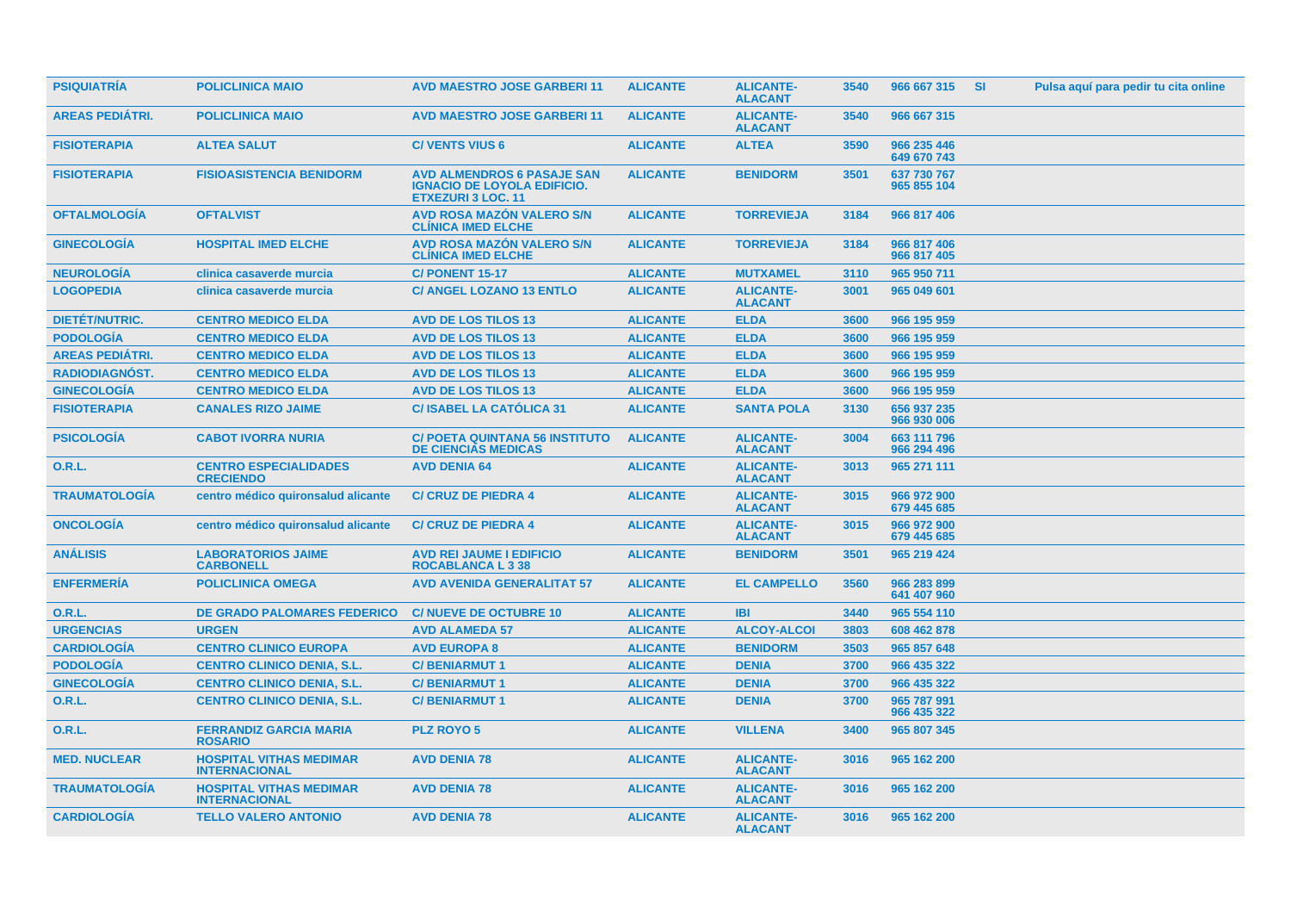| <b>PSIQUIATRÍA</b>     | <b>POLICLINICA MAIO</b>                                | <b>AVD MAESTRO JOSE GARBERI11</b>                                                                    | <b>ALICANTE</b> | <b>ALICANTE-</b><br><b>ALACANT</b> | 3540 | 966 667 315                | <b>SI</b> | Pulsa aquí para pedir tu cita online |
|------------------------|--------------------------------------------------------|------------------------------------------------------------------------------------------------------|-----------------|------------------------------------|------|----------------------------|-----------|--------------------------------------|
| <b>AREAS PEDIATRI.</b> | <b>POLICLINICA MAIO</b>                                | <b>AVD MAESTRO JOSE GARBERI 11</b>                                                                   | <b>ALICANTE</b> | <b>ALICANTE-</b><br><b>ALACANT</b> | 3540 | 966 667 315                |           |                                      |
| <b>FISIOTERAPIA</b>    | <b>ALTEA SALUT</b>                                     | <b>C/VENTS VIUS 6</b>                                                                                | <b>ALICANTE</b> | <b>ALTEA</b>                       | 3590 | 966 235 446<br>649 670 743 |           |                                      |
| <b>FISIOTERAPIA</b>    | <b>FISIOASISTENCIA BENIDORM</b>                        | <b>AVD ALMENDROS 6 PASAJE SAN</b><br><b>IGNACIO DE LOYOLA EDIFICIO.</b><br><b>ETXEZURI 3 LOC. 11</b> | <b>ALICANTE</b> | <b>BENIDORM</b>                    | 3501 | 637 730 767<br>965 855 104 |           |                                      |
| <b>OFTALMOLOGÍA</b>    | <b>OFTALVIST</b>                                       | <b>AVD ROSA MAZÓN VALERO S/N</b><br><b>CLINICA IMED ELCHE</b>                                        | <b>ALICANTE</b> | <b>TORREVIEJA</b>                  | 3184 | 966 817 406                |           |                                      |
| <b>GINECOLOGÍA</b>     | <b>HOSPITAL IMED ELCHE</b>                             | <b>AVD ROSA MAZÓN VALERO S/N</b><br><b>CLINICA IMED ELCHE</b>                                        | <b>ALICANTE</b> | <b>TORREVIEJA</b>                  | 3184 | 966 817 406<br>966 817 405 |           |                                      |
| <b>NEUROLOGÍA</b>      | clinica casaverde murcia                               | <b>C/ PONENT 15-17</b>                                                                               | <b>ALICANTE</b> | <b>MUTXAMEL</b>                    | 3110 | 965 950 711                |           |                                      |
| <b>LOGOPEDIA</b>       | clinica casaverde murcia                               | <b>C/ ANGEL LOZANO 13 ENTLO</b>                                                                      | <b>ALICANTE</b> | <b>ALICANTE-</b><br><b>ALACANT</b> | 3001 | 965 049 601                |           |                                      |
| <b>DIETÉT/NUTRIC.</b>  | <b>CENTRO MEDICO ELDA</b>                              | <b>AVD DE LOS TILOS 13</b>                                                                           | <b>ALICANTE</b> | <b>ELDA</b>                        | 3600 | 966 195 959                |           |                                      |
| <b>PODOLOGÍA</b>       | <b>CENTRO MEDICO ELDA</b>                              | <b>AVD DE LOS TILOS 13</b>                                                                           | <b>ALICANTE</b> | <b>ELDA</b>                        | 3600 | 966 195 959                |           |                                      |
| <b>AREAS PEDIÁTRI.</b> | <b>CENTRO MEDICO ELDA</b>                              | <b>AVD DE LOS TILOS 13</b>                                                                           | <b>ALICANTE</b> | <b>ELDA</b>                        | 3600 | 966 195 959                |           |                                      |
| RADIODIAGNÓST.         | <b>CENTRO MEDICO ELDA</b>                              | <b>AVD DE LOS TILOS 13</b>                                                                           | <b>ALICANTE</b> | <b>ELDA</b>                        | 3600 | 966 195 959                |           |                                      |
| <b>GINECOLOGÍA</b>     | <b>CENTRO MEDICO ELDA</b>                              | <b>AVD DE LOS TILOS 13</b>                                                                           | <b>ALICANTE</b> | <b>ELDA</b>                        | 3600 | 966 195 959                |           |                                      |
| <b>FISIOTERAPIA</b>    | <b>CANALES RIZO JAIME</b>                              | <b>C/ISABEL LA CATÓLICA 31</b>                                                                       | <b>ALICANTE</b> | <b>SANTA POLA</b>                  | 3130 | 656 937 235<br>966 930 006 |           |                                      |
| <b>PSICOLOGÍA</b>      | <b>CABOT IVORRA NURIA</b>                              | <b>C/ POETA QUINTANA 56 INSTITUTO</b><br><b>DE CIENCIAS MEDICAS</b>                                  | <b>ALICANTE</b> | <b>ALICANTE-</b><br><b>ALACANT</b> | 3004 | 663 111 796<br>966 294 496 |           |                                      |
| <b>O.R.L.</b>          | <b>CENTRO ESPECIALIDADES</b><br><b>CRECIENDO</b>       | <b>AVD DENIA 64</b>                                                                                  | <b>ALICANTE</b> | <b>ALICANTE-</b><br><b>ALACANT</b> | 3013 | 965 271 111                |           |                                      |
| <b>TRAUMATOLOGÍA</b>   | centro médico quironsalud alicante                     | <b>C/ CRUZ DE PIEDRA 4</b>                                                                           | <b>ALICANTE</b> | <b>ALICANTE-</b><br><b>ALACANT</b> | 3015 | 966 972 900<br>679 445 685 |           |                                      |
| <b>ONCOLOGIA</b>       | centro médico quironsalud alicante                     | <b>C/ CRUZ DE PIEDRA 4</b>                                                                           | <b>ALICANTE</b> | <b>ALICANTE-</b><br><b>ALACANT</b> | 3015 | 966 972 900<br>679 445 685 |           |                                      |
| <b>ANÁLISIS</b>        | <b>LABORATORIOS JAIME</b><br><b>CARBONELL</b>          | <b>AVD REI JAUME I EDIFICIO</b><br><b>ROCABLANCA L 3 38</b>                                          | <b>ALICANTE</b> | <b>BENIDORM</b>                    | 3501 | 965 219 424                |           |                                      |
| <b>ENFERMERÍA</b>      | <b>POLICLINICA OMEGA</b>                               | <b>AVD AVENIDA GENERALITAT 57</b>                                                                    | <b>ALICANTE</b> | <b>EL CAMPELLO</b>                 | 3560 | 966 283 899<br>641 407 960 |           |                                      |
| <b>O.R.L.</b>          | <b>DE GRADO PALOMARES FEDERICO</b>                     | <b>C/NUEVE DE OCTUBRE 10</b>                                                                         | <b>ALICANTE</b> | <b>IBI</b>                         | 3440 | 965 554 110                |           |                                      |
| <b>URGENCIAS</b>       | <b>URGEN</b>                                           | <b>AVD ALAMEDA 57</b>                                                                                | <b>ALICANTE</b> | <b>ALCOY-ALCOI</b>                 | 3803 | 608 462 878                |           |                                      |
| <b>CARDIOLOGÍA</b>     | <b>CENTRO CLINICO EUROPA</b>                           | <b>AVD EUROPA 8</b>                                                                                  | <b>ALICANTE</b> | <b>BENIDORM</b>                    | 3503 | 965 857 648                |           |                                      |
| <b>PODOLOGÍA</b>       | <b>CENTRO CLINICO DENIA, S.L.</b>                      | <b>C/BENIARMUT1</b>                                                                                  | <b>ALICANTE</b> | <b>DENIA</b>                       | 3700 | 966 435 322                |           |                                      |
| <b>GINECOLOGÍA</b>     | <b>CENTRO CLINICO DENIA, S.L.</b>                      | <b>C/BENIARMUT1</b>                                                                                  | <b>ALICANTE</b> | <b>DENIA</b>                       | 3700 | 966 435 322                |           |                                      |
| 0.R.L.                 | <b>CENTRO CLINICO DENIA, S.L.</b>                      | <b>C/BENIARMUT1</b>                                                                                  | <b>ALICANTE</b> | <b>DENIA</b>                       | 3700 | 965 787 991<br>966 435 322 |           |                                      |
| <b>O.R.L.</b>          | <b>FERRANDIZ GARCIA MARIA</b><br><b>ROSARIO</b>        | <b>PLZ ROYO 5</b>                                                                                    | <b>ALICANTE</b> | <b>VILLENA</b>                     | 3400 | 965 807 345                |           |                                      |
| <b>MED. NUCLEAR</b>    | <b>HOSPITAL VITHAS MEDIMAR</b><br><b>INTERNACIONAL</b> | <b>AVD DENIA 78</b>                                                                                  | <b>ALICANTE</b> | <b>ALICANTE-</b><br><b>ALACANT</b> | 3016 | 965 162 200                |           |                                      |
| <b>TRAUMATOLOGIA</b>   | <b>HOSPITAL VITHAS MEDIMAR</b><br><b>INTERNACIONAL</b> | <b>AVD DENIA 78</b>                                                                                  | <b>ALICANTE</b> | <b>ALICANTE-</b><br><b>ALACANT</b> | 3016 | 965 162 200                |           |                                      |
| <b>CARDIOLOGIA</b>     | <b>TELLO VALERO ANTONIO</b>                            | <b>AVD DENIA 78</b>                                                                                  | <b>ALICANTE</b> | <b>ALICANTE-</b><br><b>ALACANT</b> | 3016 | 965 162 200                |           |                                      |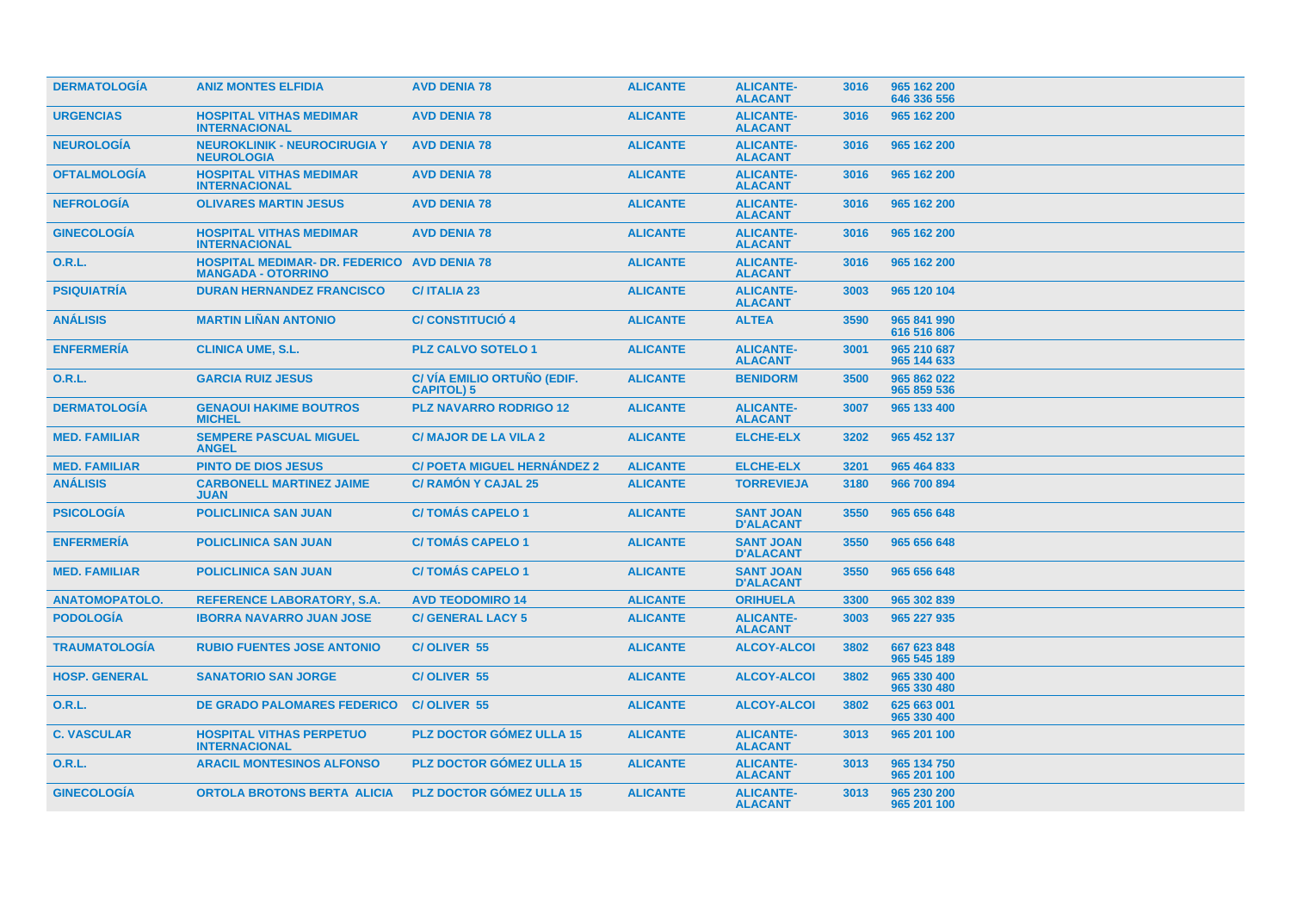| <b>DERMATOLOGÍA</b>   | <b>ANIZ MONTES ELFIDIA</b>                                         | <b>AVD DENIA 78</b>                             | <b>ALICANTE</b> | <b>ALICANTE-</b><br><b>ALACANT</b>   | 3016 | 965 162 200<br>646 336 556 |
|-----------------------|--------------------------------------------------------------------|-------------------------------------------------|-----------------|--------------------------------------|------|----------------------------|
| <b>URGENCIAS</b>      | <b>HOSPITAL VITHAS MEDIMAR</b><br><b>INTERNACIONAL</b>             | <b>AVD DENIA 78</b>                             | <b>ALICANTE</b> | <b>ALICANTE-</b><br><b>ALACANT</b>   | 3016 | 965 162 200                |
| <b>NEUROLOGÍA</b>     | <b>NEUROKLINIK - NEUROCIRUGIA Y</b><br><b>NEUROLOGIA</b>           | <b>AVD DENIA 78</b>                             | <b>ALICANTE</b> | <b>ALICANTE-</b><br><b>ALACANT</b>   | 3016 | 965 162 200                |
| <b>OFTALMOLOGÍA</b>   | <b>HOSPITAL VITHAS MEDIMAR</b><br><b>INTERNACIONAL</b>             | <b>AVD DENIA 78</b>                             | <b>ALICANTE</b> | <b>ALICANTE-</b><br><b>ALACANT</b>   | 3016 | 965 162 200                |
| <b>NEFROLOGÍA</b>     | <b>OLIVARES MARTIN JESUS</b>                                       | <b>AVD DENIA 78</b>                             | <b>ALICANTE</b> | <b>ALICANTE-</b><br><b>ALACANT</b>   | 3016 | 965 162 200                |
| <b>GINECOLOGÍA</b>    | <b>HOSPITAL VITHAS MEDIMAR</b><br><b>INTERNACIONAL</b>             | <b>AVD DENIA 78</b>                             | <b>ALICANTE</b> | <b>ALICANTE-</b><br><b>ALACANT</b>   | 3016 | 965 162 200                |
| <b>O.R.L.</b>         | <b>HOSPITAL MEDIMAR- DR. FEDERICO</b><br><b>MANGADA - OTORRINO</b> | <b>AVD DENIA 78</b>                             | <b>ALICANTE</b> | <b>ALICANTE-</b><br><b>ALACANT</b>   | 3016 | 965 162 200                |
| <b>PSIQUIATRÍA</b>    | <b>DURAN HERNANDEZ FRANCISCO</b>                                   | <b>C/ITALIA 23</b>                              | <b>ALICANTE</b> | <b>ALICANTE-</b><br><b>ALACANT</b>   | 3003 | 965 120 104                |
| <b>ANALISIS</b>       | <b>MARTIN LIÑAN ANTONIO</b>                                        | <b>C/CONSTITUCIÓ 4</b>                          | <b>ALICANTE</b> | <b>ALTEA</b>                         | 3590 | 965 841 990<br>616 516 806 |
| <b>ENFERMERIA</b>     | <b>CLINICA UME, S.L.</b>                                           | <b>PLZ CALVO SOTELO 1</b>                       | <b>ALICANTE</b> | <b>ALICANTE-</b><br><b>ALACANT</b>   | 3001 | 965 210 687<br>965 144 633 |
| <b>O.R.L.</b>         | <b>GARCIA RUIZ JESUS</b>                                           | C/VIA EMILIO ORTUÑO (EDIF.<br><b>CAPITOL) 5</b> | <b>ALICANTE</b> | <b>BENIDORM</b>                      | 3500 | 965 862 022<br>965 859 536 |
| <b>DERMATOLOGÍA</b>   | <b>GENAOUI HAKIME BOUTROS</b><br><b>MICHEL</b>                     | <b>PLZ NAVARRO RODRIGO 12</b>                   | <b>ALICANTE</b> | <b>ALICANTE-</b><br><b>ALACANT</b>   | 3007 | 965 133 400                |
| <b>MED. FAMILIAR</b>  | <b>SEMPERE PASCUAL MIGUEL</b><br><b>ANGEL</b>                      | <b>C/ MAJOR DE LA VILA 2</b>                    | <b>ALICANTE</b> | <b>ELCHE-ELX</b>                     | 3202 | 965 452 137                |
| <b>MED. FAMILIAR</b>  | <b>PINTO DE DIOS JESUS</b>                                         | <b>C/ POETA MIGUEL HERNÁNDEZ 2</b>              | <b>ALICANTE</b> | <b>ELCHE-ELX</b>                     | 3201 | 965 464 833                |
| <b>ANÁLISIS</b>       | <b>CARBONELL MARTINEZ JAIME</b><br><b>JUAN</b>                     | <b>C/ RAMÓN Y CAJAL 25</b>                      | <b>ALICANTE</b> | <b>TORREVIEJA</b>                    | 3180 | 966 700 894                |
| <b>PSICOLOGÍA</b>     | <b>POLICLINICA SAN JUAN</b>                                        | <b>C/TOMÁS CAPELO 1</b>                         | <b>ALICANTE</b> | <b>SANT JOAN</b><br><b>D'ALACANT</b> | 3550 | 965 656 648                |
| <b>ENFERMERÍA</b>     | <b>POLICLINICA SAN JUAN</b>                                        | <b>C/TOMÁS CAPELO 1</b>                         | <b>ALICANTE</b> | <b>SANT JOAN</b><br><b>D'ALACANT</b> | 3550 | 965 656 648                |
| <b>MED. FAMILIAR</b>  | <b>POLICLINICA SAN JUAN</b>                                        | <b>C/TOMÁS CAPELO 1</b>                         | <b>ALICANTE</b> | <b>SANT JOAN</b><br><b>D'ALACANT</b> | 3550 | 965 656 648                |
| <b>ANATOMOPATOLO.</b> | <b>REFERENCE LABORATORY, S.A.</b>                                  | <b>AVD TEODOMIRO 14</b>                         | <b>ALICANTE</b> | <b>ORIHUELA</b>                      | 3300 | 965 302 839                |
| <b>PODOLOGÍA</b>      | <b>IBORRA NAVARRO JUAN JOSE</b>                                    | <b>C/ GENERAL LACY 5</b>                        | <b>ALICANTE</b> | <b>ALICANTE-</b><br><b>ALACANT</b>   | 3003 | 965 227 935                |
| <b>TRAUMATOLOGÍA</b>  | <b>RUBIO FUENTES JOSE ANTONIO</b>                                  | C/OLIVER 55                                     | <b>ALICANTE</b> | <b>ALCOY-ALCOI</b>                   | 3802 | 667 623 848<br>965 545 189 |
| <b>HOSP. GENERAL</b>  | <b>SANATORIO SAN JORGE</b>                                         | C/OLIVER 55                                     | <b>ALICANTE</b> | <b>ALCOY-ALCOI</b>                   | 3802 | 965 330 400<br>965 330 480 |
| <b>O.R.L.</b>         | <b>DE GRADO PALOMARES FEDERICO</b>                                 | <b>C/OLIVER 55</b>                              | <b>ALICANTE</b> | <b>ALCOY-ALCOI</b>                   | 3802 | 625 663 001<br>965 330 400 |
| <b>C. VASCULAR</b>    | <b>HOSPITAL VITHAS PERPETUO</b><br><b>INTERNACIONAL</b>            | <b>PLZ DOCTOR GÓMEZ ULLA 15</b>                 | <b>ALICANTE</b> | <b>ALICANTE-</b><br><b>ALACANT</b>   | 3013 | 965 201 100                |
| <b>O.R.L.</b>         | <b>ARACIL MONTESINOS ALFONSO</b>                                   | <b>PLZ DOCTOR GOMEZ ULLA 15</b>                 | <b>ALICANTE</b> | <b>ALICANTE-</b><br><b>ALACANT</b>   | 3013 | 965 134 750<br>965 201 100 |
| <b>GINECOLOGIA</b>    | <b>ORTOLA BROTONS BERTA ALICIA</b>                                 | <b>PLZ DOCTOR GÓMEZ ULLA 15</b>                 | <b>ALICANTE</b> | <b>ALICANTE-</b><br><b>ALACANT</b>   | 3013 | 965 230 200<br>965 201 100 |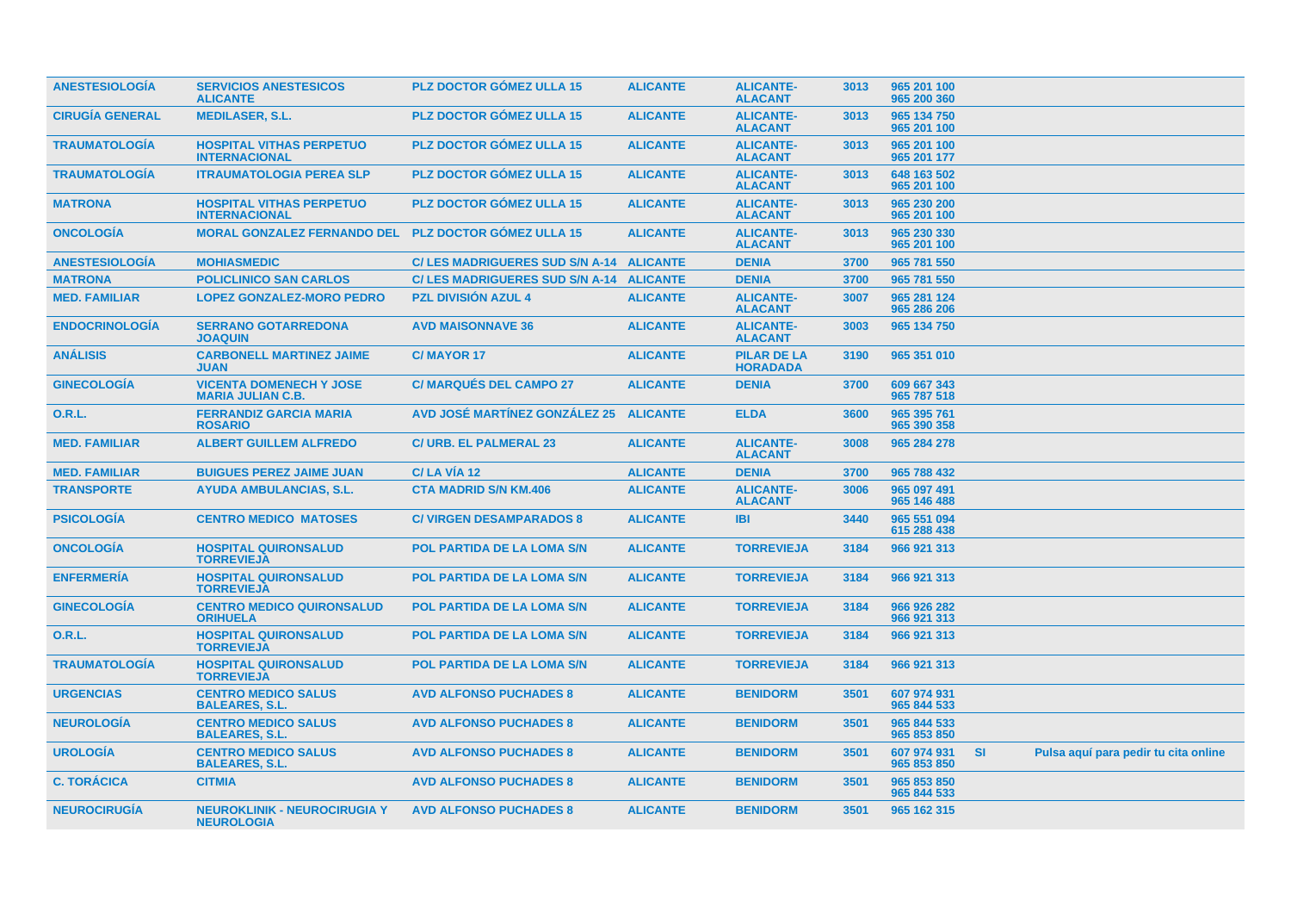| <b>ANESTESIOLOGIA</b>  | <b>SERVICIOS ANESTESICOS</b><br><b>ALICANTE</b>            | <b>PLZ DOCTOR GOMEZ ULLA 15</b>          | <b>ALICANTE</b> | <b>ALICANTE-</b><br><b>ALACANT</b>    | 3013 | 965 201 100<br>965 200 360 |           |                                      |  |
|------------------------|------------------------------------------------------------|------------------------------------------|-----------------|---------------------------------------|------|----------------------------|-----------|--------------------------------------|--|
| <b>CIRUGÍA GENERAL</b> | <b>MEDILASER, S.L.</b>                                     | <b>PLZ DOCTOR GÓMEZ ULLA 15</b>          | <b>ALICANTE</b> | <b>ALICANTE-</b><br><b>ALACANT</b>    | 3013 | 965 134 750<br>965 201 100 |           |                                      |  |
| <b>TRAUMATOLOGIA</b>   | <b>HOSPITAL VITHAS PERPETUO</b><br><b>INTERNACIONAL</b>    | <b>PLZ DOCTOR GOMEZ ULLA 15</b>          | <b>ALICANTE</b> | <b>ALICANTE-</b><br><b>ALACANT</b>    | 3013 | 965 201 100<br>965 201 177 |           |                                      |  |
| <b>TRAUMATOLOGÍA</b>   | <b>ITRAUMATOLOGIA PEREA SLP</b>                            | <b>PLZ DOCTOR GÓMEZ ULLA 15</b>          | <b>ALICANTE</b> | <b>ALICANTE-</b><br><b>ALACANT</b>    | 3013 | 648 163 502<br>965 201 100 |           |                                      |  |
| <b>MATRONA</b>         | <b>HOSPITAL VITHAS PERPETUO</b><br><b>INTERNACIONAL</b>    | <b>PLZ DOCTOR GÓMEZ ULLA 15</b>          | <b>ALICANTE</b> | <b>ALICANTE-</b><br><b>ALACANT</b>    | 3013 | 965 230 200<br>965 201 100 |           |                                      |  |
| <b>ONCOLOGIA</b>       | <b>MORAL GONZALEZ FERNANDO DEL</b>                         | <b>PLZ DOCTOR GÓMEZ ULLA 15</b>          | <b>ALICANTE</b> | <b>ALICANTE-</b><br><b>ALACANT</b>    | 3013 | 965 230 330<br>965 201 100 |           |                                      |  |
| <b>ANESTESIOLOGÍA</b>  | <b>MOHIASMEDIC</b>                                         | C/LES MADRIGUERES SUD S/N A-14 ALICANTE  |                 | <b>DENIA</b>                          | 3700 | 965 781 550                |           |                                      |  |
| <b>MATRONA</b>         | <b>POLICLINICO SAN CARLOS</b>                              | C/ LES MADRIGUERES SUD S/N A-14 ALICANTE |                 | <b>DENIA</b>                          | 3700 | 965 781 550                |           |                                      |  |
| <b>MED. FAMILIAR</b>   | <b>LOPEZ GONZALEZ-MORO PEDRO</b>                           | <b>PZL DIVISIÓN AZUL 4</b>               | <b>ALICANTE</b> | <b>ALICANTE-</b><br><b>ALACANT</b>    | 3007 | 965 281 124<br>965 286 206 |           |                                      |  |
| <b>ENDOCRINOLOGÍA</b>  | <b>SERRANO GOTARREDONA</b><br><b>JOAQUIN</b>               | <b>AVD MAISONNAVE 36</b>                 | <b>ALICANTE</b> | <b>ALICANTE-</b><br><b>ALACANT</b>    | 3003 | 965 134 750                |           |                                      |  |
| <b>ANÁLISIS</b>        | <b>CARBONELL MARTINEZ JAIME</b><br><b>JUAN</b>             | <b>C/MAYOR 17</b>                        | <b>ALICANTE</b> | <b>PILAR DE LA</b><br><b>HORADADA</b> | 3190 | 965 351 010                |           |                                      |  |
| <b>GINECOLOGÍA</b>     | <b>VICENTA DOMENECH Y JOSE</b><br><b>MARIA JULIAN C.B.</b> | <b>C/ MARQUÉS DEL CAMPO 27</b>           | <b>ALICANTE</b> | <b>DENIA</b>                          | 3700 | 609 667 343<br>965 787 518 |           |                                      |  |
| 0.R.L.                 | <b>FERRANDIZ GARCIA MARIA</b><br><b>ROSARIO</b>            | AVD JOSÉ MARTÍNEZ GONZÁLEZ 25            | <b>ALICANTE</b> | <b>ELDA</b>                           | 3600 | 965 395 761<br>965 390 358 |           |                                      |  |
| <b>MED. FAMILIAR</b>   | <b>ALBERT GUILLEM ALFREDO</b>                              | <b>C/ URB. EL PALMERAL 23</b>            | <b>ALICANTE</b> | <b>ALICANTE-</b><br><b>ALACANT</b>    | 3008 | 965 284 278                |           |                                      |  |
| <b>MED. FAMILIAR</b>   | <b>BUIGUES PEREZ JAIME JUAN</b>                            | C/LA VÍA 12                              | <b>ALICANTE</b> | <b>DENIA</b>                          | 3700 | 965 788 432                |           |                                      |  |
| <b>TRANSPORTE</b>      | <b>AYUDA AMBULANCIAS, S.L.</b>                             | <b>CTA MADRID S/N KM.406</b>             | <b>ALICANTE</b> | <b>ALICANTE-</b><br><b>ALACANT</b>    | 3006 | 965 097 491<br>965 146 488 |           |                                      |  |
| <b>PSICOLOGIA</b>      | <b>CENTRO MEDICO MATOSES</b>                               | <b>C/ VIRGEN DESAMPARADOS 8</b>          | <b>ALICANTE</b> | <b>IBI</b>                            | 3440 | 965 551 094<br>615 288 438 |           |                                      |  |
| <b>ONCOLOGIA</b>       | <b>HOSPITAL QUIRONSALUD</b><br><b>TORREVIEJA</b>           | <b>POL PARTIDA DE LA LOMA S/N</b>        | <b>ALICANTE</b> | <b>TORREVIEJA</b>                     | 3184 | 966 921 313                |           |                                      |  |
| <b>ENFERMERÍA</b>      | <b>HOSPITAL QUIRONSALUD</b><br><b>TORREVIEJA</b>           | <b>POL PARTIDA DE LA LOMA S/N</b>        | <b>ALICANTE</b> | <b>TORREVIEJA</b>                     | 3184 | 966 921 313                |           |                                      |  |
| <b>GINECOLOGIA</b>     | <b>CENTRO MEDICO QUIRONSALUD</b><br><b>ORIHUELA</b>        | POL PARTIDA DE LA LOMA S/N               | <b>ALICANTE</b> | <b>TORREVIEJA</b>                     | 3184 | 966 926 282<br>966 921 313 |           |                                      |  |
| <b>O.R.L.</b>          | <b>HOSPITAL QUIRONSALUD</b><br><b>TORREVIEJA</b>           | <b>POL PARTIDA DE LA LOMA S/N</b>        | <b>ALICANTE</b> | <b>TORREVIEJA</b>                     | 3184 | 966 921 313                |           |                                      |  |
| <b>TRAUMATOLOGÍA</b>   | <b>HOSPITAL QUIRONSALUD</b><br><b>TORREVIEJA</b>           | <b>POL PARTIDA DE LA LOMA S/N</b>        | <b>ALICANTE</b> | <b>TORREVIEJA</b>                     | 3184 | 966 921 313                |           |                                      |  |
| <b>URGENCIAS</b>       | <b>CENTRO MEDICO SALUS</b><br><b>BALEARES, S.L.</b>        | <b>AVD ALFONSO PUCHADES 8</b>            | <b>ALICANTE</b> | <b>BENIDORM</b>                       | 3501 | 607 974 931<br>965 844 533 |           |                                      |  |
| <b>NEUROLOGIA</b>      | <b>CENTRO MEDICO SALUS</b><br><b>BALEARES, S.L.</b>        | <b>AVD ALFONSO PUCHADES 8</b>            | <b>ALICANTE</b> | <b>BENIDORM</b>                       | 3501 | 965 844 533<br>965 853 850 |           |                                      |  |
| <b>UROLOGIA</b>        | <b>CENTRO MEDICO SALUS</b><br><b>BALEARES, S.L.</b>        | <b>AVD ALFONSO PUCHADES 8</b>            | <b>ALICANTE</b> | <b>BENIDORM</b>                       | 3501 | 607 974 931<br>965 853 850 | <b>SI</b> | Pulsa aquí para pedir tu cita online |  |
| <b>C. TORÁCICA</b>     | <b>CITMIA</b>                                              | <b>AVD ALFONSO PUCHADES 8</b>            | <b>ALICANTE</b> | <b>BENIDORM</b>                       | 3501 | 965 853 850<br>965 844 533 |           |                                      |  |
| <b>NEUROCIRUGIA</b>    | <b>NEUROKLINIK - NEUROCIRUGIA Y</b><br><b>NEUROLOGIA</b>   | <b>AVD ALFONSO PUCHADES 8</b>            | <b>ALICANTE</b> | <b>BENIDORM</b>                       | 3501 | 965 162 315                |           |                                      |  |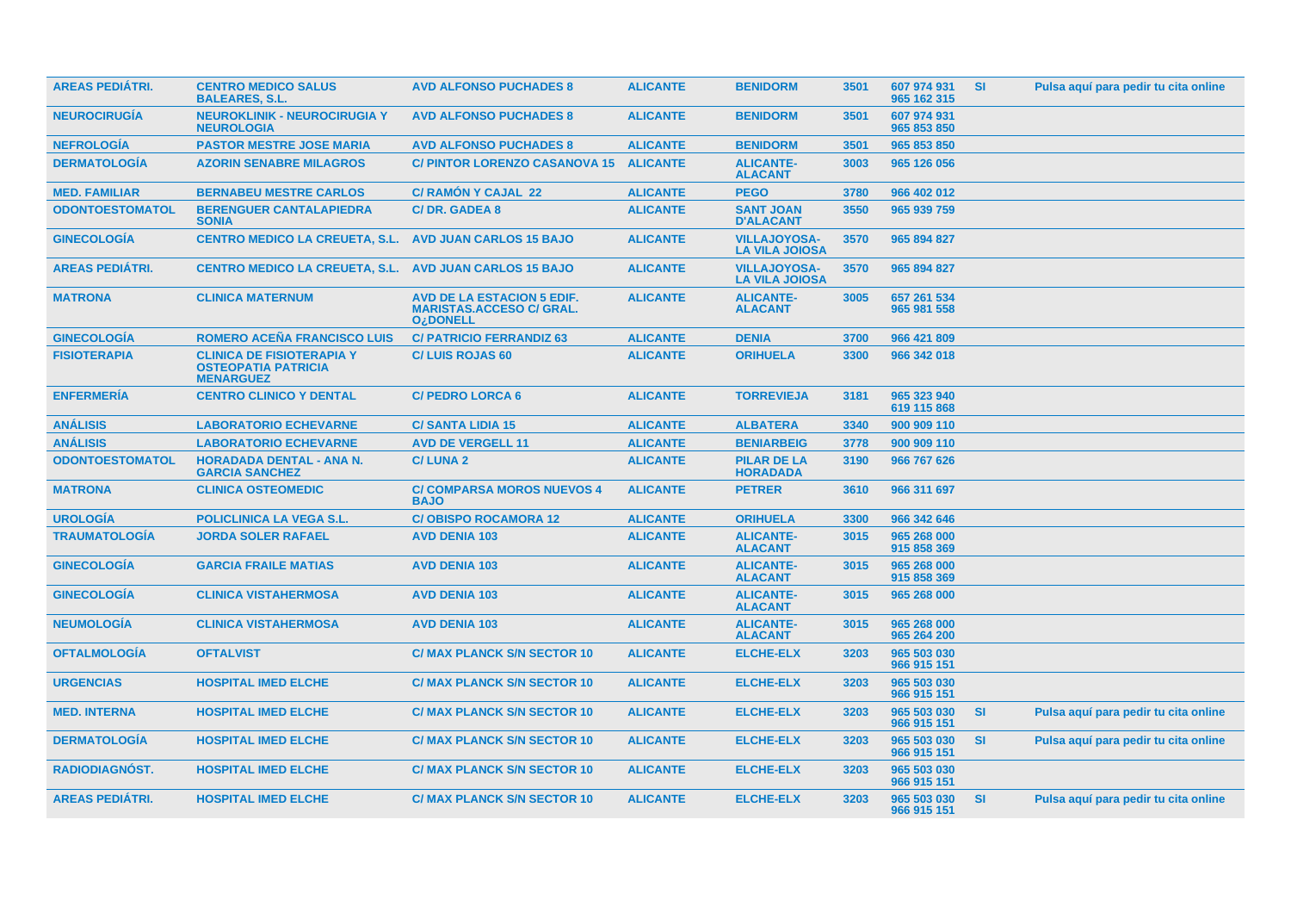| <b>AREAS PEDIÁTRI.</b> | <b>CENTRO MEDICO SALUS</b><br><b>BALEARES, S.L.</b>                                | <b>AVD ALFONSO PUCHADES 8</b>                                                                      | <b>ALICANTE</b> | <b>BENIDORM</b>                              | 3501 | 607 974 931<br>965 162 315 | <b>SI</b> | Pulsa aquí para pedir tu cita online |
|------------------------|------------------------------------------------------------------------------------|----------------------------------------------------------------------------------------------------|-----------------|----------------------------------------------|------|----------------------------|-----------|--------------------------------------|
| <b>NEUROCIRUGIA</b>    | <b>NEUROKLINIK - NEUROCIRUGIA Y</b><br><b>NEUROLOGIA</b>                           | <b>AVD ALFONSO PUCHADES 8</b>                                                                      | <b>ALICANTE</b> | <b>BENIDORM</b>                              | 3501 | 607 974 931<br>965 853 850 |           |                                      |
| <b>NEFROLOGIA</b>      | <b>PASTOR MESTRE JOSE MARIA</b>                                                    | <b>AVD ALFONSO PUCHADES 8</b>                                                                      | <b>ALICANTE</b> | <b>BENIDORM</b>                              | 3501 | 965 853 850                |           |                                      |
| <b>DERMATOLOGIA</b>    | <b>AZORIN SENABRE MILAGROS</b>                                                     | <b>C/ PINTOR LORENZO CASANOVA 15</b>                                                               | <b>ALICANTE</b> | <b>ALICANTE-</b><br><b>ALACANT</b>           | 3003 | 965 126 056                |           |                                      |
| <b>MED. FAMILIAR</b>   | <b>BERNABEU MESTRE CARLOS</b>                                                      | <b>C/ RAMON Y CAJAL 22</b>                                                                         | <b>ALICANTE</b> | <b>PEGO</b>                                  | 3780 | 966 402 012                |           |                                      |
| <b>ODONTOESTOMATOL</b> | <b>BERENGUER CANTALAPIEDRA</b><br><b>SONIA</b>                                     | <b>C/DR. GADEA 8</b>                                                                               | <b>ALICANTE</b> | <b>SANT JOAN</b><br><b>D'ALACANT</b>         | 3550 | 965 939 759                |           |                                      |
| <b>GINECOLOGÍA</b>     | <b>CENTRO MEDICO LA CREUETA, S.L.</b>                                              | <b>AVD JUAN CARLOS 15 BAJO</b>                                                                     | <b>ALICANTE</b> | <b>VILLAJOYOSA-</b><br><b>LA VILA JOIOSA</b> | 3570 | 965 894 827                |           |                                      |
| AREAS PEDIÁTRI.        | <b>CENTRO MEDICO LA CREUETA, S.L.</b>                                              | <b>AVD JUAN CARLOS 15 BAJO</b>                                                                     | <b>ALICANTE</b> | <b>VILLAJOYOSA-</b><br><b>LA VILA JOIOSA</b> | 3570 | 965 894 827                |           |                                      |
| <b>MATRONA</b>         | <b>CLINICA MATERNUM</b>                                                            | <b>AVD DE LA ESTACION 5 EDIF.</b><br><b>MARISTAS.ACCESO C/ GRAL.</b><br><b>O<sub>i</sub>DONELL</b> | <b>ALICANTE</b> | <b>ALICANTE-</b><br><b>ALACANT</b>           | 3005 | 657 261 534<br>965 981 558 |           |                                      |
| <b>GINECOLOGÍA</b>     | <b>ROMERO ACEÑA FRANCISCO LUIS</b>                                                 | <b>C/ PATRICIO FERRANDIZ 63</b>                                                                    | <b>ALICANTE</b> | <b>DENIA</b>                                 | 3700 | 966 421 809                |           |                                      |
| <b>FISIOTERAPIA</b>    | <b>CLINICA DE FISIOTERAPIA Y</b><br><b>OSTEOPATIA PATRICIA</b><br><b>MENARGUEZ</b> | <b>C/LUIS ROJAS 60</b>                                                                             | <b>ALICANTE</b> | <b>ORIHUELA</b>                              | 3300 | 966 342 018                |           |                                      |
| <b>ENFERMERÍA</b>      | <b>CENTRO CLINICO Y DENTAL</b>                                                     | <b>C/ PEDRO LORCA 6</b>                                                                            | <b>ALICANTE</b> | <b>TORREVIEJA</b>                            | 3181 | 965 323 940<br>619 115 868 |           |                                      |
| <b>ANÁLISIS</b>        | <b>LABORATORIO ECHEVARNE</b>                                                       | <b>C/SANTA LIDIA 15</b>                                                                            | <b>ALICANTE</b> | <b>ALBATERA</b>                              | 3340 | 900 909 110                |           |                                      |
| <b>ANÁLISIS</b>        | <b>LABORATORIO ECHEVARNE</b>                                                       | <b>AVD DE VERGELL 11</b>                                                                           | <b>ALICANTE</b> | <b>BENIARBEIG</b>                            | 3778 | 900 909 110                |           |                                      |
| <b>ODONTOESTOMATOL</b> | <b>HORADADA DENTAL - ANA N.</b><br><b>GARCIA SANCHEZ</b>                           | <b>C/LUNA2</b>                                                                                     | <b>ALICANTE</b> | <b>PILAR DE LA</b><br><b>HORADADA</b>        | 3190 | 966 767 626                |           |                                      |
| <b>MATRONA</b>         | <b>CLINICA OSTEOMEDIC</b>                                                          | <b>C/ COMPARSA MOROS NUEVOS 4</b><br><b>BAJO</b>                                                   | <b>ALICANTE</b> | <b>PETRER</b>                                | 3610 | 966 311 697                |           |                                      |
| <b>UROLOGÍA</b>        | <b>POLICLINICA LA VEGA S.L.</b>                                                    | <b>C/OBISPO ROCAMORA 12</b>                                                                        | <b>ALICANTE</b> | <b>ORIHUELA</b>                              | 3300 | 966 342 646                |           |                                      |
| <b>TRAUMATOLOGÍA</b>   | <b>JORDA SOLER RAFAEL</b>                                                          | <b>AVD DENIA 103</b>                                                                               | <b>ALICANTE</b> | <b>ALICANTE-</b><br><b>ALACANT</b>           | 3015 | 965 268 000<br>915 858 369 |           |                                      |
| <b>GINECOLOGÍA</b>     | <b>GARCIA FRAILE MATIAS</b>                                                        | <b>AVD DENIA 103</b>                                                                               | <b>ALICANTE</b> | <b>ALICANTE-</b><br><b>ALACANT</b>           | 3015 | 965 268 000<br>915 858 369 |           |                                      |
| <b>GINECOLOGIA</b>     | <b>CLINICA VISTAHERMOSA</b>                                                        | <b>AVD DENIA 103</b>                                                                               | <b>ALICANTE</b> | <b>ALICANTE-</b><br><b>ALACANT</b>           | 3015 | 965 268 000                |           |                                      |
| <b>NEUMOLOGIA</b>      | <b>CLINICA VISTAHERMOSA</b>                                                        | <b>AVD DENIA 103</b>                                                                               | <b>ALICANTE</b> | <b>ALICANTE-</b><br><b>ALACANT</b>           | 3015 | 965 268 000<br>965 264 200 |           |                                      |
| <b>OFTALMOLOGIA</b>    | <b>OFTALVIST</b>                                                                   | <b>C/ MAX PLANCK S/N SECTOR 10</b>                                                                 | <b>ALICANTE</b> | <b>ELCHE-ELX</b>                             | 3203 | 965 503 030<br>966 915 151 |           |                                      |
| <b>URGENCIAS</b>       | <b>HOSPITAL IMED ELCHE</b>                                                         | <b>C/ MAX PLANCK S/N SECTOR 10</b>                                                                 | <b>ALICANTE</b> | <b>ELCHE-ELX</b>                             | 3203 | 965 503 030<br>966 915 151 |           |                                      |
| <b>MED. INTERNA</b>    | <b>HOSPITAL IMED ELCHE</b>                                                         | <b>C/ MAX PLANCK S/N SECTOR 10</b>                                                                 | <b>ALICANTE</b> | <b>ELCHE-ELX</b>                             | 3203 | 965 503 030<br>966 915 151 | <b>SI</b> | Pulsa aquí para pedir tu cita online |
| <b>DERMATOLOGIA</b>    | <b>HOSPITAL IMED ELCHE</b>                                                         | <b>C/ MAX PLANCK S/N SECTOR 10</b>                                                                 | <b>ALICANTE</b> | <b>ELCHE-ELX</b>                             | 3203 | 965 503 030<br>966 915 151 | <b>SI</b> | Pulsa aquí para pedir tu cita online |
| RADIODIAGNÓST.         | <b>HOSPITAL IMED ELCHE</b>                                                         | <b>C/ MAX PLANCK S/N SECTOR 10</b>                                                                 | <b>ALICANTE</b> | <b>ELCHE-ELX</b>                             | 3203 | 965 503 030<br>966 915 151 |           |                                      |
| <b>AREAS PEDIATRI.</b> | <b>HOSPITAL IMED ELCHE</b>                                                         | <b>C/ MAX PLANCK S/N SECTOR 10</b>                                                                 | <b>ALICANTE</b> | <b>ELCHE-ELX</b>                             | 3203 | 965 503 030<br>966 915 151 | <b>SI</b> | Pulsa aquí para pedir tu cita online |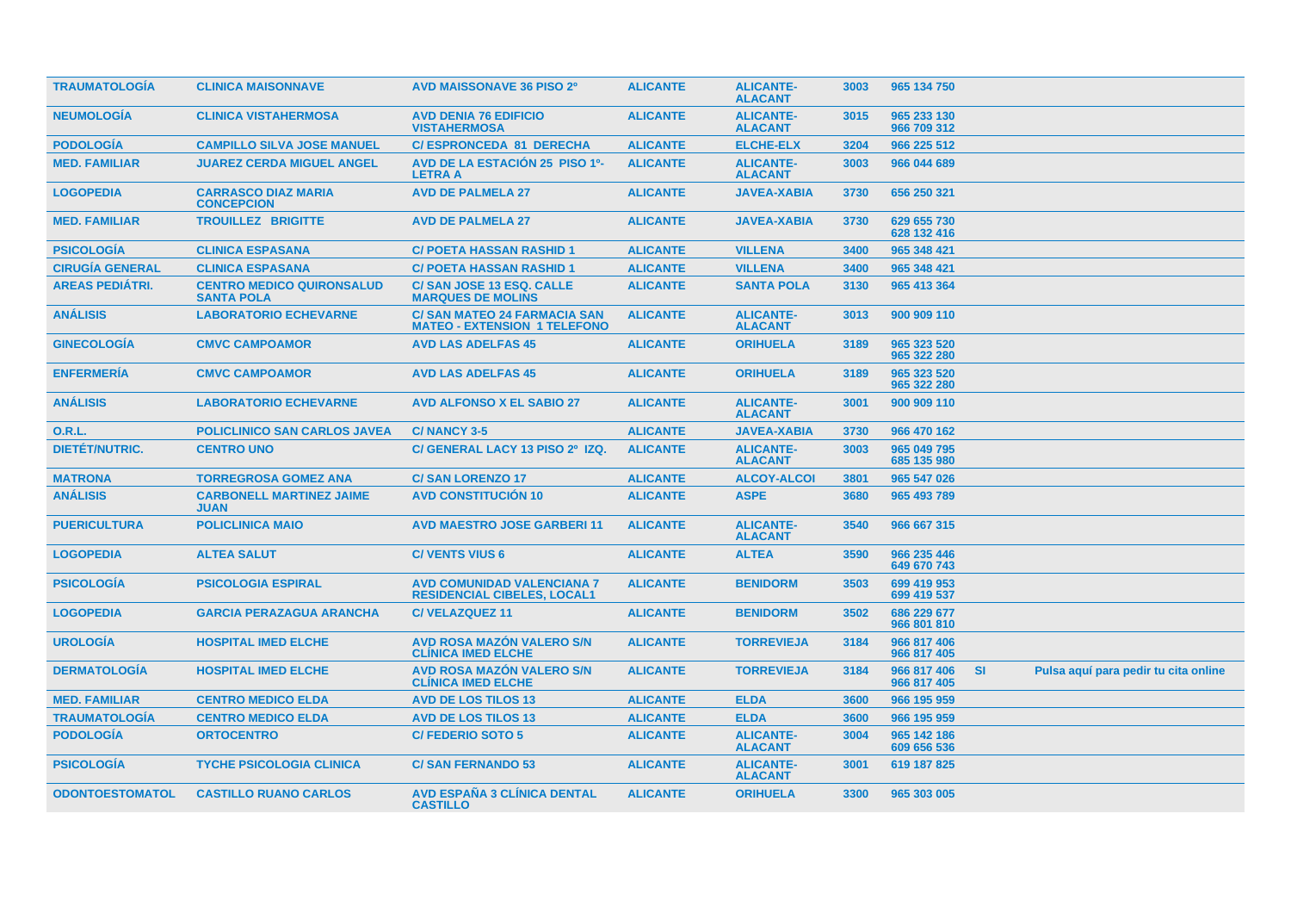| <b>TRAUMATOLOGIA</b>   | <b>CLINICA MAISONNAVE</b>                             | <b>AVD MAISSONAVE 36 PISO 2º</b>                                          | <b>ALICANTE</b> | <b>ALICANTE-</b><br><b>ALACANT</b> | 3003 | 965 134 750                |           |                                      |
|------------------------|-------------------------------------------------------|---------------------------------------------------------------------------|-----------------|------------------------------------|------|----------------------------|-----------|--------------------------------------|
| <b>NEUMOLOGIA</b>      | <b>CLINICA VISTAHERMOSA</b>                           | <b>AVD DENIA 76 EDIFICIO</b><br><b>VISTAHERMOSA</b>                       | <b>ALICANTE</b> | <b>ALICANTE-</b><br><b>ALACANT</b> | 3015 | 965 233 130<br>966 709 312 |           |                                      |
| <b>PODOLOGÍA</b>       | <b>CAMPILLO SILVA JOSE MANUEL</b>                     | <b>C/ESPRONCEDA 81 DERECHA</b>                                            | <b>ALICANTE</b> | <b>ELCHE-ELX</b>                   | 3204 | 966 225 512                |           |                                      |
| <b>MED. FAMILIAR</b>   | <b>JUAREZ CERDA MIGUEL ANGEL</b>                      | <b>AVD DE LA ESTACIÓN 25 PISO 1º-</b><br><b>LETRA A</b>                   | <b>ALICANTE</b> | <b>ALICANTE-</b><br><b>ALACANT</b> | 3003 | 966 044 689                |           |                                      |
| <b>LOGOPEDIA</b>       | <b>CARRASCO DIAZ MARIA</b><br><b>CONCEPCION</b>       | <b>AVD DE PALMELA 27</b>                                                  | <b>ALICANTE</b> | <b>JAVEA-XABIA</b>                 | 3730 | 656 250 321                |           |                                      |
| <b>MED. FAMILIAR</b>   | <b>TROUILLEZ BRIGITTE</b>                             | <b>AVD DE PALMELA 27</b>                                                  | <b>ALICANTE</b> | <b>JAVEA-XABIA</b>                 | 3730 | 629 655 730<br>628 132 416 |           |                                      |
| <b>PSICOLOGÍA</b>      | <b>CLINICA ESPASANA</b>                               | <b>C/ POETA HASSAN RASHID 1</b>                                           | <b>ALICANTE</b> | <b>VILLENA</b>                     | 3400 | 965 348 421                |           |                                      |
| <b>CIRUGÍA GENERAL</b> | <b>CLINICA ESPASANA</b>                               | <b>C/ POETA HASSAN RASHID 1</b>                                           | <b>ALICANTE</b> | <b>VILLENA</b>                     | 3400 | 965 348 421                |           |                                      |
| <b>AREAS PEDIÁTRI.</b> | <b>CENTRO MEDICO QUIRONSALUD</b><br><b>SANTA POLA</b> | C/ SAN JOSE 13 ESQ. CALLE<br><b>MARQUES DE MOLINS</b>                     | <b>ALICANTE</b> | <b>SANTA POLA</b>                  | 3130 | 965 413 364                |           |                                      |
| <b>ANÁLISIS</b>        | <b>LABORATORIO ECHEVARNE</b>                          | <b>C/SAN MATEO 24 FARMACIA SAN</b><br><b>MATEO - EXTENSION 1 TELEFONO</b> | <b>ALICANTE</b> | <b>ALICANTE-</b><br><b>ALACANT</b> | 3013 | 900 909 110                |           |                                      |
| <b>GINECOLOGÍA</b>     | <b>CMVC CAMPOAMOR</b>                                 | <b>AVD LAS ADELFAS 45</b>                                                 | <b>ALICANTE</b> | <b>ORIHUELA</b>                    | 3189 | 965 323 520<br>965 322 280 |           |                                      |
| <b>ENFERMERÍA</b>      | <b>CMVC CAMPOAMOR</b>                                 | <b>AVD LAS ADELFAS 45</b>                                                 | <b>ALICANTE</b> | <b>ORIHUELA</b>                    | 3189 | 965 323 520<br>965 322 280 |           |                                      |
| <b>ANÁLISIS</b>        | <b>LABORATORIO ECHEVARNE</b>                          | <b>AVD ALFONSO X EL SABIO 27</b>                                          | <b>ALICANTE</b> | <b>ALICANTE-</b><br><b>ALACANT</b> | 3001 | 900 909 110                |           |                                      |
| <b>O.R.L.</b>          | <b>POLICLINICO SAN CARLOS JAVEA</b>                   | C/NANCY 3-5                                                               | <b>ALICANTE</b> | <b>JAVEA-XABIA</b>                 | 3730 | 966 470 162                |           |                                      |
| <b>DIETÉT/NUTRIC.</b>  | <b>CENTRO UNO</b>                                     | C/ GENERAL LACY 13 PISO 2º IZQ.                                           | <b>ALICANTE</b> | <b>ALICANTE-</b><br><b>ALACANT</b> | 3003 | 965 049 795<br>685 135 980 |           |                                      |
| <b>MATRONA</b>         | <b>TORREGROSA GOMEZ ANA</b>                           | <b>C/SAN LORENZO 17</b>                                                   | <b>ALICANTE</b> | <b>ALCOY-ALCOI</b>                 | 3801 | 965 547 026                |           |                                      |
| <b>ANÁLISIS</b>        | <b>CARBONELL MARTINEZ JAIME</b><br><b>JUAN</b>        | <b>AVD CONSTITUCION 10</b>                                                | <b>ALICANTE</b> | <b>ASPE</b>                        | 3680 | 965 493 789                |           |                                      |
| <b>PUERICULTURA</b>    | <b>POLICLINICA MAIO</b>                               | <b>AVD MAESTRO JOSE GARBERI 11</b>                                        | <b>ALICANTE</b> | <b>ALICANTE-</b><br><b>ALACANT</b> | 3540 | 966 667 315                |           |                                      |
| <b>LOGOPEDIA</b>       | <b>ALTEA SALUT</b>                                    | <b>C/VENTS VIUS 6</b>                                                     | <b>ALICANTE</b> | <b>ALTEA</b>                       | 3590 | 966 235 446<br>649 670 743 |           |                                      |
| <b>PSICOLOGIA</b>      | <b>PSICOLOGIA ESPIRAL</b>                             | <b>AVD COMUNIDAD VALENCIANA 7</b><br><b>RESIDENCIAL CIBELES, LOCAL1</b>   | <b>ALICANTE</b> | <b>BENIDORM</b>                    | 3503 | 699 419 953<br>699 419 537 |           |                                      |
| <b>LOGOPEDIA</b>       | <b>GARCIA PERAZAGUA ARANCHA</b>                       | <b>C/VELAZQUEZ 11</b>                                                     | <b>ALICANTE</b> | <b>BENIDORM</b>                    | 3502 | 686 229 677<br>966 801 810 |           |                                      |
| <b>UROLOGÍA</b>        | <b>HOSPITAL IMED ELCHE</b>                            | <b>AVD ROSA MAZÓN VALERO S/N</b><br><b>CLINICA IMED ELCHE</b>             | <b>ALICANTE</b> | <b>TORREVIEJA</b>                  | 3184 | 966 817 406<br>966 817 405 |           |                                      |
| <b>DERMATOLOGIA</b>    | <b>HOSPITAL IMED ELCHE</b>                            | <b>AVD ROSA MAZÓN VALERO S/N</b><br><b>CLÍNICA IMED ELCHE</b>             | <b>ALICANTE</b> | <b>TORREVIEJA</b>                  | 3184 | 966 817 406<br>966 817 405 | <b>SI</b> | Pulsa aquí para pedir tu cita online |
| <b>MED. FAMILIAR</b>   | <b>CENTRO MEDICO ELDA</b>                             | <b>AVD DE LOS TILOS 13</b>                                                | <b>ALICANTE</b> | <b>ELDA</b>                        | 3600 | 966 195 959                |           |                                      |
| <b>TRAUMATOLOGÍA</b>   | <b>CENTRO MEDICO ELDA</b>                             | <b>AVD DE LOS TILOS 13</b>                                                | <b>ALICANTE</b> | <b>ELDA</b>                        | 3600 | 966 195 959                |           |                                      |
| <b>PODOLOGÍA</b>       | <b>ORTOCENTRO</b>                                     | <b>C/FEDERIO SOTO 5</b>                                                   | <b>ALICANTE</b> | <b>ALICANTE-</b><br><b>ALACANT</b> | 3004 | 965 142 186<br>609 656 536 |           |                                      |
| <b>PSICOLOGÍA</b>      | <b>TYCHE PSICOLOGIA CLINICA</b>                       | <b>C/SAN FERNANDO 53</b>                                                  | <b>ALICANTE</b> | <b>ALICANTE-</b><br><b>ALACANT</b> | 3001 | 619 187 825                |           |                                      |
| <b>ODONTOESTOMATOL</b> | <b>CASTILLO RUANO CARLOS</b>                          | <b>AVD ESPAÑA 3 CLÍNICA DENTAL</b><br><b>CASTILLO</b>                     | <b>ALICANTE</b> | <b>ORIHUELA</b>                    | 3300 | 965 303 005                |           |                                      |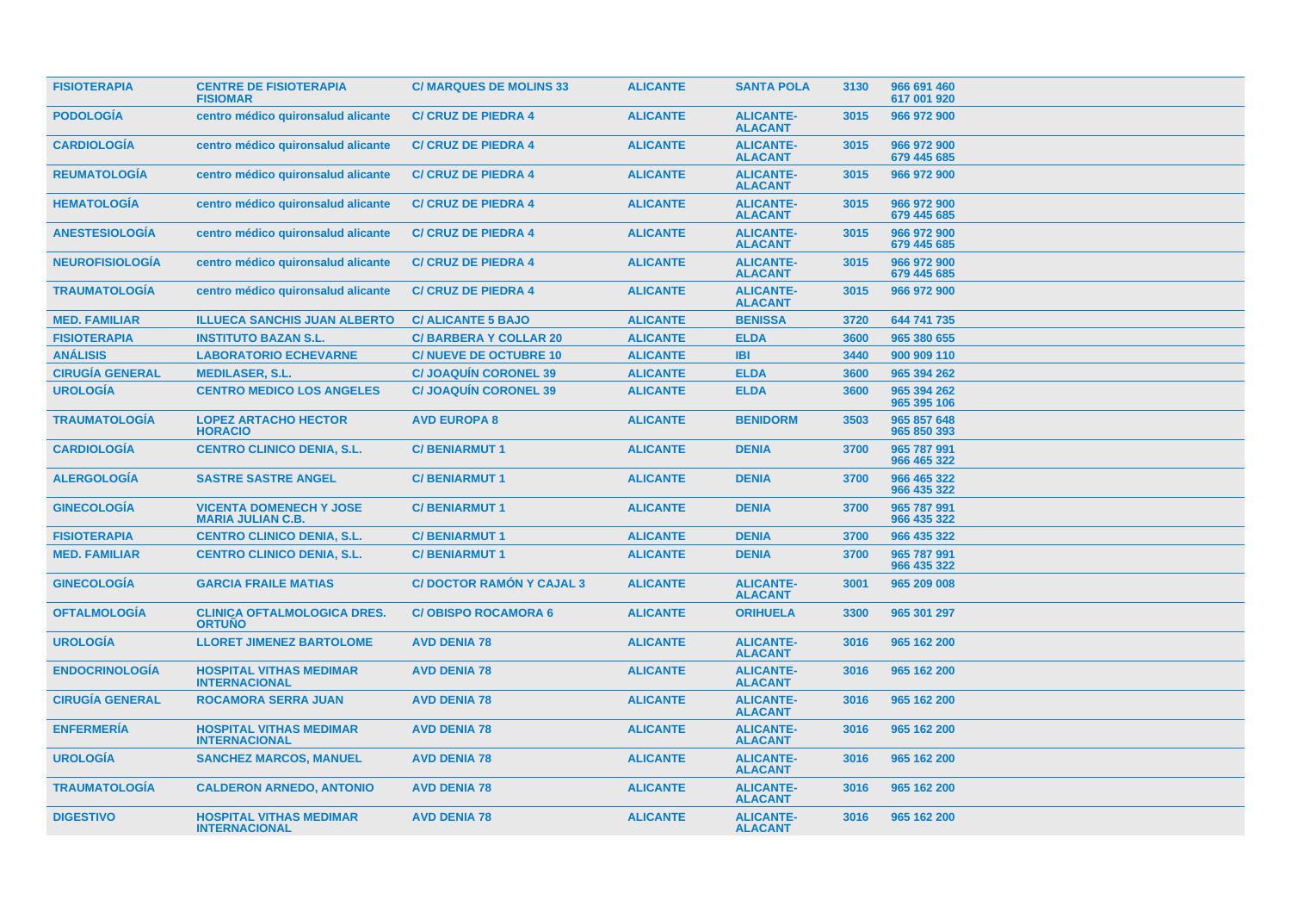| <b>FISIOTERAPIA</b>    | <b>CENTRE DE FISIOTERAPIA</b><br><b>FISIOMAR</b>           | <b>C/ MARQUES DE MOLINS 33</b>  | <b>ALICANTE</b> | <b>SANTA POLA</b>                  | 3130 | 966 691 460<br>617 001 920 |  |
|------------------------|------------------------------------------------------------|---------------------------------|-----------------|------------------------------------|------|----------------------------|--|
| <b>PODOLOGÍA</b>       | centro médico quironsalud alicante                         | <b>C/ CRUZ DE PIEDRA 4</b>      | <b>ALICANTE</b> | <b>ALICANTE-</b><br><b>ALACANT</b> | 3015 | 966 972 900                |  |
| <b>CARDIOLOGÍA</b>     | centro médico quironsalud alicante                         | <b>C/ CRUZ DE PIEDRA 4</b>      | <b>ALICANTE</b> | <b>ALICANTE-</b><br><b>ALACANT</b> | 3015 | 966 972 900<br>679 445 685 |  |
| <b>REUMATOLOGÍA</b>    | centro médico quironsalud alicante                         | <b>C/ CRUZ DE PIEDRA 4</b>      | <b>ALICANTE</b> | <b>ALICANTE-</b><br><b>ALACANT</b> | 3015 | 966 972 900                |  |
| <b>HEMATOLOGÍA</b>     | centro médico quironsalud alicante                         | <b>C/ CRUZ DE PIEDRA 4</b>      | <b>ALICANTE</b> | <b>ALICANTE-</b><br><b>ALACANT</b> | 3015 | 966 972 900<br>679 445 685 |  |
| <b>ANESTESIOLOGÍA</b>  | centro médico quironsalud alicante                         | <b>C/ CRUZ DE PIEDRA 4</b>      | <b>ALICANTE</b> | <b>ALICANTE-</b><br><b>ALACANT</b> | 3015 | 966 972 900<br>679 445 685 |  |
| <b>NEUROFISIOLOGÍA</b> | centro médico quironsalud alicante                         | <b>C/ CRUZ DE PIEDRA 4</b>      | <b>ALICANTE</b> | <b>ALICANTE-</b><br><b>ALACANT</b> | 3015 | 966 972 900<br>679 445 685 |  |
| <b>TRAUMATOLOGIA</b>   | centro médico quironsalud alicante                         | <b>C/ CRUZ DE PIEDRA 4</b>      | <b>ALICANTE</b> | <b>ALICANTE-</b><br><b>ALACANT</b> | 3015 | 966 972 900                |  |
| <b>MED. FAMILIAR</b>   | <b>ILLUECA SANCHIS JUAN ALBERTO</b>                        | <b>C/ ALICANTE 5 BAJO</b>       | <b>ALICANTE</b> | <b>BENISSA</b>                     | 3720 | 644 741 735                |  |
| <b>FISIOTERAPIA</b>    | <b>INSTITUTO BAZAN S.L.</b>                                | <b>C/BARBERA Y COLLAR 20</b>    | <b>ALICANTE</b> | <b>ELDA</b>                        | 3600 | 965 380 655                |  |
| <b>ANÁLISIS</b>        | <b>LABORATORIO ECHEVARNE</b>                               | <b>C/NUEVE DE OCTUBRE 10</b>    | <b>ALICANTE</b> | <b>IBI</b>                         | 3440 | 900 909 110                |  |
| <b>CIRUGÍA GENERAL</b> | <b>MEDILASER, S.L.</b>                                     | <b>C/ JOAQUIN CORONEL 39</b>    | <b>ALICANTE</b> | <b>ELDA</b>                        | 3600 | 965 394 262                |  |
| <b>UROLOGÍA</b>        | <b>CENTRO MEDICO LOS ANGELES</b>                           | <b>C/ JOAQUIN CORONEL 39</b>    | <b>ALICANTE</b> | <b>ELDA</b>                        | 3600 | 965 394 262<br>965 395 106 |  |
| <b>TRAUMATOLOGÍA</b>   | <b>LOPEZ ARTACHO HECTOR</b><br><b>HORACIO</b>              | <b>AVD EUROPA 8</b>             | <b>ALICANTE</b> | <b>BENIDORM</b>                    | 3503 | 965 857 648<br>965 850 393 |  |
| <b>CARDIOLOGÍA</b>     | <b>CENTRO CLINICO DENIA, S.L.</b>                          | <b>C/BENIARMUT1</b>             | <b>ALICANTE</b> | <b>DENIA</b>                       | 3700 | 965 787 991<br>966 465 322 |  |
| <b>ALERGOLOGÍA</b>     | <b>SASTRE SASTRE ANGEL</b>                                 | <b>C/BENIARMUT1</b>             | <b>ALICANTE</b> | <b>DENIA</b>                       | 3700 | 966 465 322<br>966 435 322 |  |
| <b>GINECOLOGÍA</b>     | <b>VICENTA DOMENECH Y JOSE</b><br><b>MARIA JULIAN C.B.</b> | <b>C/BENIARMUT1</b>             | <b>ALICANTE</b> | <b>DENIA</b>                       | 3700 | 965 787 991<br>966 435 322 |  |
| <b>FISIOTERAPIA</b>    | <b>CENTRO CLINICO DENIA, S.L.</b>                          | <b>C/BENIARMUT1</b>             | <b>ALICANTE</b> | <b>DENIA</b>                       | 3700 | 966 435 322                |  |
| <b>MED. FAMILIAR</b>   | <b>CENTRO CLINICO DENIA, S.L.</b>                          | <b>C/BENIARMUT1</b>             | <b>ALICANTE</b> | <b>DENIA</b>                       | 3700 | 965 787 991<br>966 435 322 |  |
| <b>GINECOLOGÍA</b>     | <b>GARCIA FRAILE MATIAS</b>                                | <b>C/DOCTOR RAMÓN Y CAJAL 3</b> | <b>ALICANTE</b> | <b>ALICANTE-</b><br><b>ALACANT</b> | 3001 | 965 209 008                |  |
| <b>OFTALMOLOGÍA</b>    | <b>CLINICA OFTALMOLOGICA DRES.</b><br><b>ORTUÑO</b>        | <b>C/OBISPO ROCAMORA 6</b>      | <b>ALICANTE</b> | <b>ORIHUELA</b>                    | 3300 | 965 301 297                |  |
| <b>UROLOGÍA</b>        | <b>LLORET JIMENEZ BARTOLOME</b>                            | <b>AVD DENIA 78</b>             | <b>ALICANTE</b> | <b>ALICANTE-</b><br><b>ALACANT</b> | 3016 | 965 162 200                |  |
| <b>ENDOCRINOLOGÍA</b>  | <b>HOSPITAL VITHAS MEDIMAR</b><br><b>INTERNACIONAL</b>     | <b>AVD DENIA 78</b>             | <b>ALICANTE</b> | <b>ALICANTE-</b><br><b>ALACANT</b> | 3016 | 965 162 200                |  |
| <b>CIRUGÍA GENERAL</b> | <b>ROCAMORA SERRA JUAN</b>                                 | <b>AVD DENIA 78</b>             | <b>ALICANTE</b> | <b>ALICANTE-</b><br><b>ALACANT</b> | 3016 | 965 162 200                |  |
| <b>ENFERMERÍA</b>      | <b>HOSPITAL VITHAS MEDIMAR</b><br><b>INTERNACIONAL</b>     | <b>AVD DENIA 78</b>             | <b>ALICANTE</b> | <b>ALICANTE-</b><br><b>ALACANT</b> | 3016 | 965 162 200                |  |
| <b>UROLOGÍA</b>        | <b>SANCHEZ MARCOS, MANUEL</b>                              | <b>AVD DENIA 78</b>             | <b>ALICANTE</b> | <b>ALICANTE-</b><br><b>ALACANT</b> | 3016 | 965 162 200                |  |
| <b>TRAUMATOLOGÍA</b>   | <b>CALDERON ARNEDO, ANTONIO</b>                            | <b>AVD DENIA 78</b>             | <b>ALICANTE</b> | <b>ALICANTE-</b><br><b>ALACANT</b> | 3016 | 965 162 200                |  |
| <b>DIGESTIVO</b>       | <b>HOSPITAL VITHAS MEDIMAR</b><br><b>INTERNACIONAL</b>     | <b>AVD DENIA 78</b>             | <b>ALICANTE</b> | <b>ALICANTE-</b><br><b>ALACANT</b> | 3016 | 965 162 200                |  |
|                        |                                                            |                                 |                 |                                    |      |                            |  |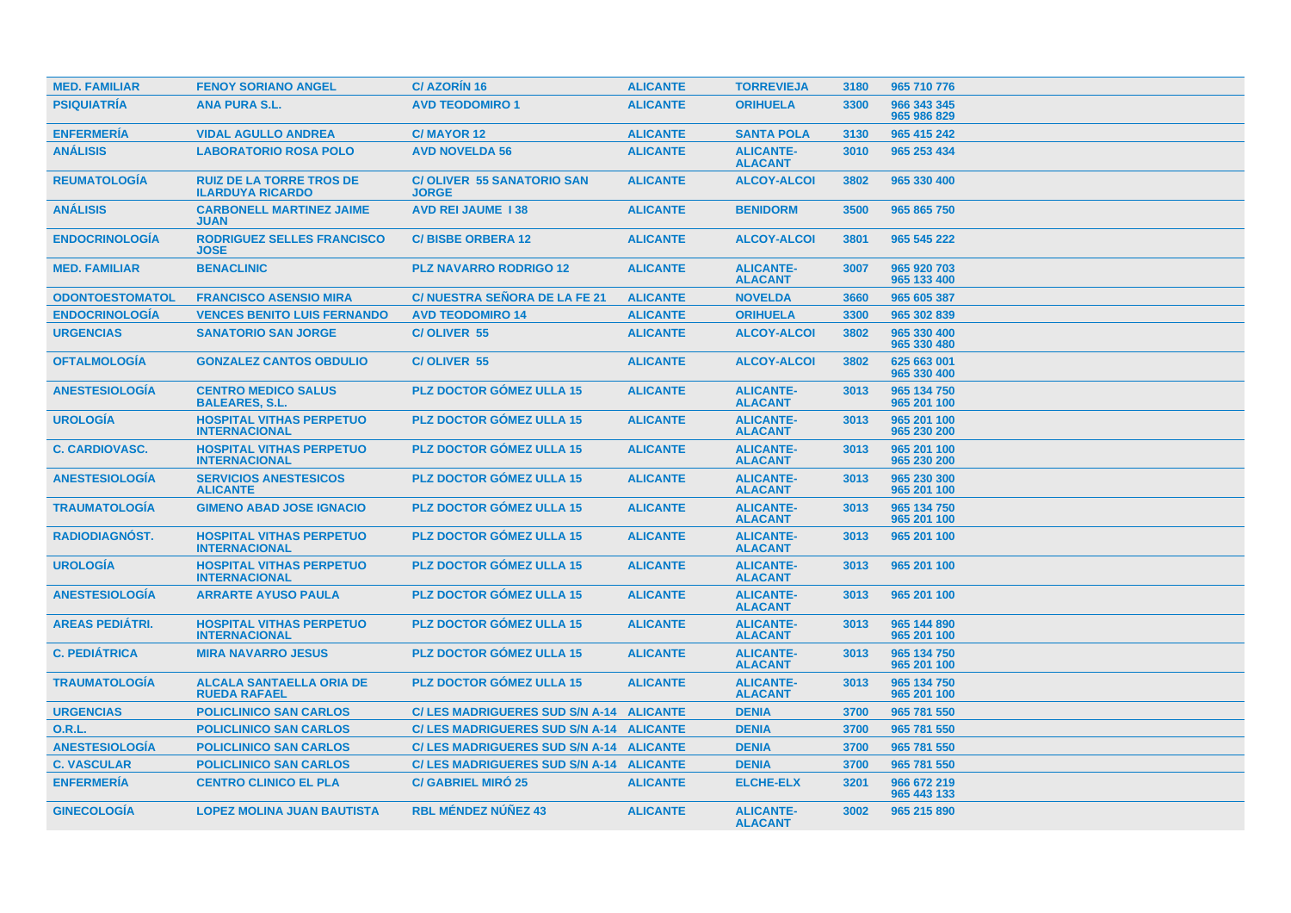| <b>MED. FAMILIAR</b>   | <b>FENOY SORIANO ANGEL</b>                                 | <b>C/AZORIN16</b>                                | <b>ALICANTE</b> | <b>TORREVIEJA</b>                  | 3180 | 965 710 776                |
|------------------------|------------------------------------------------------------|--------------------------------------------------|-----------------|------------------------------------|------|----------------------------|
| <b>PSIQUIATRÍA</b>     | <b>ANA PURA S.L.</b>                                       | <b>AVD TEODOMIRO 1</b>                           | <b>ALICANTE</b> | <b>ORIHUELA</b>                    | 3300 | 966 343 345<br>965 986 829 |
| <b>ENFERMERÍA</b>      | <b>VIDAL AGULLO ANDREA</b>                                 | <b>C/MAYOR 12</b>                                | <b>ALICANTE</b> | <b>SANTA POLA</b>                  | 3130 | 965 415 242                |
| <b>ANÁLISIS</b>        | <b>LABORATORIO ROSA POLO</b>                               | <b>AVD NOVELDA 56</b>                            | <b>ALICANTE</b> | <b>ALICANTE-</b><br><b>ALACANT</b> | 3010 | 965 253 434                |
| <b>REUMATOLOGÍA</b>    | <b>RUIZ DE LA TORRE TROS DE</b><br><b>ILARDUYA RICARDO</b> | <b>C/OLIVER 55 SANATORIO SAN</b><br><b>JORGE</b> | <b>ALICANTE</b> | <b>ALCOY-ALCOI</b>                 | 3802 | 965 330 400                |
| <b>ANÁLISIS</b>        | <b>CARBONELL MARTINEZ JAIME</b><br><b>JUAN</b>             | <b>AVD REI JAUME 138</b>                         | <b>ALICANTE</b> | <b>BENIDORM</b>                    | 3500 | 965 865 750                |
| <b>ENDOCRINOLOGÍA</b>  | <b>RODRIGUEZ SELLES FRANCISCO</b><br><b>JOSE</b>           | <b>C/BISBE ORBERA 12</b>                         | <b>ALICANTE</b> | <b>ALCOY-ALCOI</b>                 | 3801 | 965 545 222                |
| <b>MED. FAMILIAR</b>   | <b>BENACLINIC</b>                                          | <b>PLZ NAVARRO RODRIGO 12</b>                    | <b>ALICANTE</b> | <b>ALICANTE-</b><br><b>ALACANT</b> | 3007 | 965 920 703<br>965 133 400 |
| <b>ODONTOESTOMATOL</b> | <b>FRANCISCO ASENSIO MIRA</b>                              | <b>C/NUESTRA SEÑORA DE LA FE 21</b>              | <b>ALICANTE</b> | <b>NOVELDA</b>                     | 3660 | 965 605 387                |
| <b>ENDOCRINOLOGIA</b>  | <b>VENCES BENITO LUIS FERNANDO</b>                         | <b>AVD TEODOMIRO 14</b>                          | <b>ALICANTE</b> | <b>ORIHUELA</b>                    | 3300 | 965 302 839                |
| <b>URGENCIAS</b>       | <b>SANATORIO SAN JORGE</b>                                 | C/OLIVER 55                                      | <b>ALICANTE</b> | <b>ALCOY-ALCOI</b>                 | 3802 | 965 330 400<br>965 330 480 |
| <b>OFTALMOLOGÍA</b>    | <b>GONZALEZ CANTOS OBDULIO</b>                             | <b>C/OLIVER 55</b>                               | <b>ALICANTE</b> | <b>ALCOY-ALCOI</b>                 | 3802 | 625 663 001<br>965 330 400 |
| <b>ANESTESIOLOGIA</b>  | <b>CENTRO MEDICO SALUS</b><br><b>BALEARES, S.L.</b>        | <b>PLZ DOCTOR GOMEZ ULLA 15</b>                  | <b>ALICANTE</b> | <b>ALICANTE-</b><br><b>ALACANT</b> | 3013 | 965 134 750<br>965 201 100 |
| <b>UROLOGÍA</b>        | <b>HOSPITAL VITHAS PERPETUO</b><br><b>INTERNACIONAL</b>    | <b>PLZ DOCTOR GÓMEZ ULLA 15</b>                  | <b>ALICANTE</b> | <b>ALICANTE-</b><br><b>ALACANT</b> | 3013 | 965 201 100<br>965 230 200 |
| <b>C. CARDIOVASC.</b>  | <b>HOSPITAL VITHAS PERPETUO</b><br><b>INTERNACIONAL</b>    | <b>PLZ DOCTOR GÓMEZ ULLA 15</b>                  | <b>ALICANTE</b> | <b>ALICANTE-</b><br><b>ALACANT</b> | 3013 | 965 201 100<br>965 230 200 |
| <b>ANESTESIOLOGIA</b>  | <b>SERVICIOS ANESTESICOS</b><br><b>ALICANTE</b>            | <b>PLZ DOCTOR GÓMEZ ULLA 15</b>                  | <b>ALICANTE</b> | <b>ALICANTE-</b><br><b>ALACANT</b> | 3013 | 965 230 300<br>965 201 100 |
| <b>TRAUMATOLOGÍA</b>   | <b>GIMENO ABAD JOSE IGNACIO</b>                            | <b>PLZ DOCTOR GÓMEZ ULLA 15</b>                  | <b>ALICANTE</b> | <b>ALICANTE-</b><br><b>ALACANT</b> | 3013 | 965 134 750<br>965 201 100 |
| RADIODIAGNÓST.         | <b>HOSPITAL VITHAS PERPETUO</b><br><b>INTERNACIONAL</b>    | <b>PLZ DOCTOR GÓMEZ ULLA 15</b>                  | <b>ALICANTE</b> | <b>ALICANTE-</b><br><b>ALACANT</b> | 3013 | 965 201 100                |
| <b>UROLOGÍA</b>        | <b>HOSPITAL VITHAS PERPETUO</b><br><b>INTERNACIONAL</b>    | <b>PLZ DOCTOR GÓMEZ ULLA 15</b>                  | <b>ALICANTE</b> | <b>ALICANTE-</b><br><b>ALACANT</b> | 3013 | 965 201 100                |
| <b>ANESTESIOLOGÍA</b>  | <b>ARRARTE AYUSO PAULA</b>                                 | <b>PLZ DOCTOR GÓMEZ ULLA 15</b>                  | <b>ALICANTE</b> | <b>ALICANTE-</b><br><b>ALACANT</b> | 3013 | 965 201 100                |
| <b>AREAS PEDIÁTRI.</b> | <b>HOSPITAL VITHAS PERPETUO</b><br><b>INTERNACIONAL</b>    | <b>PLZ DOCTOR GOMEZ ULLA 15</b>                  | <b>ALICANTE</b> | <b>ALICANTE-</b><br><b>ALACANT</b> | 3013 | 965 144 890<br>965 201 100 |
| <b>C. PEDIÁTRICA</b>   | <b>MIRA NAVARRO JESUS</b>                                  | <b>PLZ DOCTOR GOMEZ ULLA 15</b>                  | <b>ALICANTE</b> | <b>ALICANTE-</b><br><b>ALACANT</b> | 3013 | 965 134 750<br>965 201 100 |
| <b>TRAUMATOLOGÍA</b>   | <b>ALCALA SANTAELLA ORIA DE</b><br><b>RUEDA RAFAEL</b>     | <b>PLZ DOCTOR GÓMEZ ULLA 15</b>                  | <b>ALICANTE</b> | <b>ALICANTE-</b><br><b>ALACANT</b> | 3013 | 965 134 750<br>965 201 100 |
| <b>URGENCIAS</b>       | <b>POLICLINICO SAN CARLOS</b>                              | C/ LES MADRIGUERES SUD S/N A-14 ALICANTE         |                 | <b>DENIA</b>                       | 3700 | 965 781 550                |
| <b>O.R.L.</b>          | <b>POLICLINICO SAN CARLOS</b>                              | C/ LES MADRIGUERES SUD S/N A-14 ALICANTE         |                 | <b>DENIA</b>                       | 3700 | 965 781 550                |
| <b>ANESTESIOLOGÍA</b>  | <b>POLICLINICO SAN CARLOS</b>                              | C/ LES MADRIGUERES SUD S/N A-14 ALICANTE         |                 | <b>DENIA</b>                       | 3700 | 965 781 550                |
| <b>C. VASCULAR</b>     | <b>POLICLINICO SAN CARLOS</b>                              | C/ LES MADRIGUERES SUD S/N A-14 ALICANTE         |                 | <b>DENIA</b>                       | 3700 | 965 781 550                |
| <b>ENFERMERÍA</b>      | <b>CENTRO CLINICO EL PLA</b>                               | <b>C/ GABRIEL MIRÓ 25</b>                        | <b>ALICANTE</b> | <b>ELCHE-ELX</b>                   | 3201 | 966 672 219<br>965 443 133 |
| <b>GINECOLOGIA</b>     | <b>LOPEZ MOLINA JUAN BAUTISTA</b>                          | <b>RBL MÉNDEZ NÚÑEZ 43</b>                       | <b>ALICANTE</b> | <b>ALICANTE-</b><br><b>ALACANT</b> | 3002 | 965 215 890                |
|                        |                                                            |                                                  |                 |                                    |      |                            |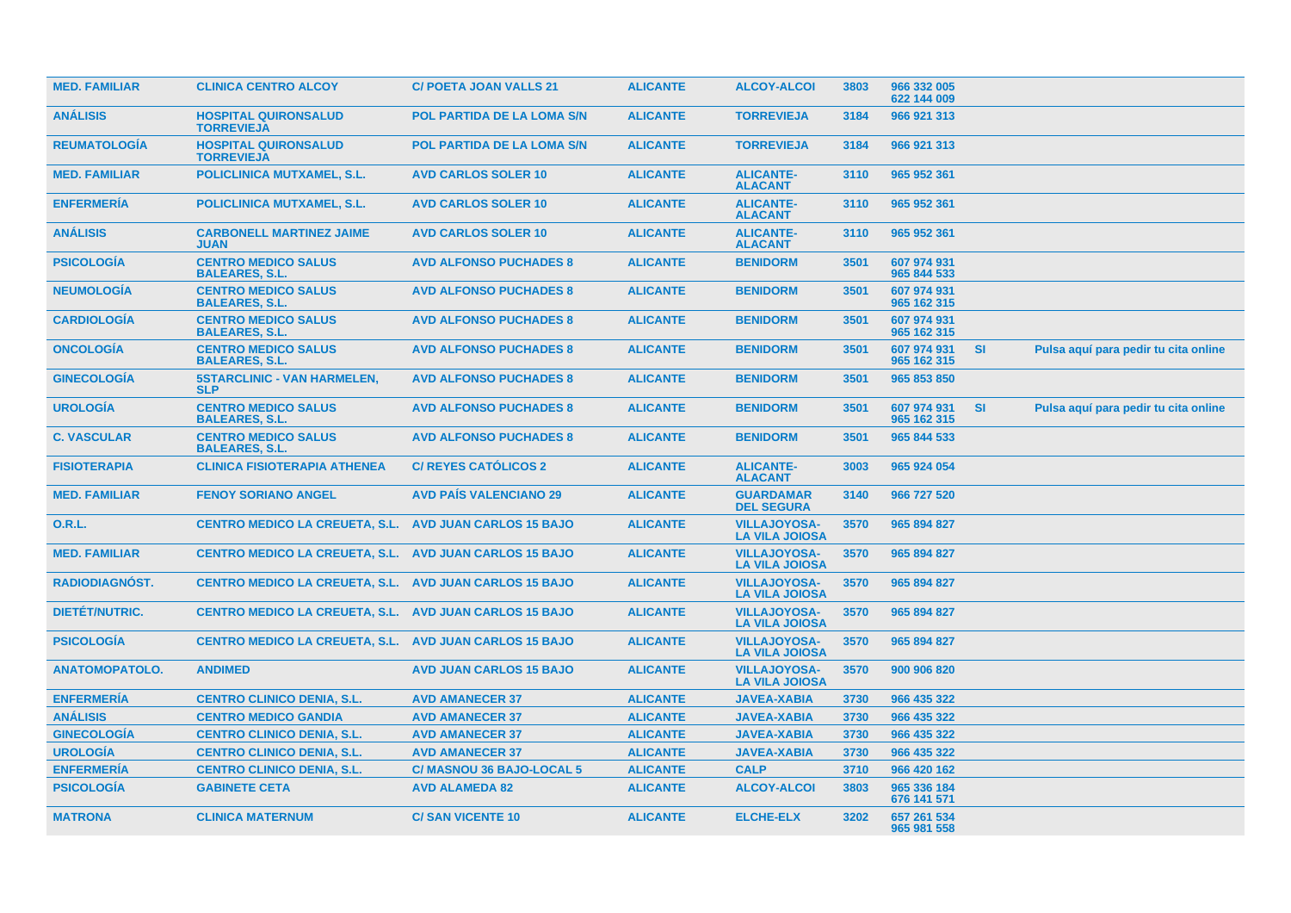| <b>MED. FAMILIAR</b>  | <b>CLINICA CENTRO ALCOY</b>                                   | <b>C/ POETA JOAN VALLS 21</b>     | <b>ALICANTE</b> | <b>ALCOY-ALCOI</b>                           | 3803 | 966 332 005<br>622 144 009 |           |                                      |
|-----------------------|---------------------------------------------------------------|-----------------------------------|-----------------|----------------------------------------------|------|----------------------------|-----------|--------------------------------------|
| <b>ANÁLISIS</b>       | <b>HOSPITAL QUIRONSALUD</b><br><b>TORREVIEJA</b>              | POL PARTIDA DE LA LOMA S/N        | <b>ALICANTE</b> | <b>TORREVIEJA</b>                            | 3184 | 966 921 313                |           |                                      |
| <b>REUMATOLOGIA</b>   | <b>HOSPITAL QUIRONSALUD</b><br><b>TORREVIEJA</b>              | <b>POL PARTIDA DE LA LOMA S/N</b> | <b>ALICANTE</b> | <b>TORREVIEJA</b>                            | 3184 | 966 921 313                |           |                                      |
| <b>MED. FAMILIAR</b>  | POLICLINICA MUTXAMEL, S.L.                                    | <b>AVD CARLOS SOLER 10</b>        | <b>ALICANTE</b> | <b>ALICANTE-</b><br><b>ALACANT</b>           | 3110 | 965 952 361                |           |                                      |
| <b>ENFERMERIA</b>     | <b>POLICLINICA MUTXAMEL, S.L.</b>                             | <b>AVD CARLOS SOLER 10</b>        | <b>ALICANTE</b> | <b>ALICANTE-</b><br><b>ALACANT</b>           | 3110 | 965 952 361                |           |                                      |
| <b>ANÁLISIS</b>       | <b>CARBONELL MARTINEZ JAIME</b><br><b>JUAN</b>                | <b>AVD CARLOS SOLER 10</b>        | <b>ALICANTE</b> | <b>ALICANTE-</b><br><b>ALACANT</b>           | 3110 | 965 952 361                |           |                                      |
| <b>PSICOLOGÍA</b>     | <b>CENTRO MEDICO SALUS</b><br><b>BALEARES, S.L.</b>           | <b>AVD ALFONSO PUCHADES 8</b>     | <b>ALICANTE</b> | <b>BENIDORM</b>                              | 3501 | 607 974 931<br>965 844 533 |           |                                      |
| <b>NEUMOLOGIA</b>     | <b>CENTRO MEDICO SALUS</b><br><b>BALEARES, S.L.</b>           | <b>AVD ALFONSO PUCHADES 8</b>     | <b>ALICANTE</b> | <b>BENIDORM</b>                              | 3501 | 607 974 931<br>965 162 315 |           |                                      |
| <b>CARDIOLOGÍA</b>    | <b>CENTRO MEDICO SALUS</b><br><b>BALEARES, S.L.</b>           | <b>AVD ALFONSO PUCHADES 8</b>     | <b>ALICANTE</b> | <b>BENIDORM</b>                              | 3501 | 607 974 931<br>965 162 315 |           |                                      |
| <b>ONCOLOGIA</b>      | <b>CENTRO MEDICO SALUS</b><br><b>BALEARES, S.L.</b>           | <b>AVD ALFONSO PUCHADES 8</b>     | <b>ALICANTE</b> | <b>BENIDORM</b>                              | 3501 | 607 974 931<br>965 162 315 | <b>SI</b> | Pulsa aquí para pedir tu cita online |
| <b>GINECOLOGÍA</b>    | <b>5STARCLINIC - VAN HARMELEN,</b><br><b>SLP</b>              | <b>AVD ALFONSO PUCHADES 8</b>     | <b>ALICANTE</b> | <b>BENIDORM</b>                              | 3501 | 965 853 850                |           |                                      |
| <b>UROLOGÍA</b>       | <b>CENTRO MEDICO SALUS</b><br><b>BALEARES, S.L.</b>           | <b>AVD ALFONSO PUCHADES 8</b>     | <b>ALICANTE</b> | <b>BENIDORM</b>                              | 3501 | 607 974 931<br>965 162 315 | <b>SI</b> | Pulsa aquí para pedir tu cita online |
| <b>C. VASCULAR</b>    | <b>CENTRO MEDICO SALUS</b><br><b>BALEARES, S.L.</b>           | <b>AVD ALFONSO PUCHADES 8</b>     | <b>ALICANTE</b> | <b>BENIDORM</b>                              | 3501 | 965 844 533                |           |                                      |
| <b>FISIOTERAPIA</b>   | <b>CLINICA FISIOTERAPIA ATHENEA</b>                           | <b>C/ REYES CATOLICOS 2</b>       | <b>ALICANTE</b> | <b>ALICANTE-</b><br><b>ALACANT</b>           | 3003 | 965 924 054                |           |                                      |
| <b>MED. FAMILIAR</b>  | <b>FENOY SORIANO ANGEL</b>                                    | <b>AVD PAÍS VALENCIANO 29</b>     | <b>ALICANTE</b> | <b>GUARDAMAR</b><br><b>DEL SEGURA</b>        | 3140 | 966 727 520                |           |                                      |
| <b>O.R.L.</b>         | <b>CENTRO MEDICO LA CREUETA, S.L.</b>                         | <b>AVD JUAN CARLOS 15 BAJO</b>    | <b>ALICANTE</b> | <b>VILLAJOYOSA-</b><br><b>LA VILA JOIOSA</b> | 3570 | 965 894 827                |           |                                      |
| <b>MED. FAMILIAR</b>  | CENTRO MEDICO LA CREUETA, S.L. AVD JUAN CARLOS 15 BAJO        |                                   | <b>ALICANTE</b> | <b>VILLAJOYOSA-</b><br><b>LA VILA JOIOSA</b> | 3570 | 965 894 827                |           |                                      |
| <b>RADIODIAGNOST.</b> | CENTRO MEDICO LA CREUETA, S.L. AVD JUAN CARLOS 15 BAJO        |                                   | <b>ALICANTE</b> | <b>VILLAJOYOSA-</b><br><b>LA VILA JOIOSA</b> | 3570 | 965 894 827                |           |                                      |
| DIETÉT/NUTRIC.        | CENTRO MEDICO LA CREUETA, S.L. AVD JUAN CARLOS 15 BAJO        |                                   | <b>ALICANTE</b> | <b>VILLAJOYOSA-</b><br><b>LA VILA JOIOSA</b> | 3570 | 965 894 827                |           |                                      |
| <b>PSICOLOGÍA</b>     | <b>CENTRO MEDICO LA CREUETA, S.L. AVD JUAN CARLOS 15 BAJO</b> |                                   | <b>ALICANTE</b> | <b>VILLAJOYOSA-</b><br><b>LA VILA JOIOSA</b> | 3570 | 965 894 827                |           |                                      |
| <b>ANATOMOPATOLO.</b> | <b>ANDIMED</b>                                                | <b>AVD JUAN CARLOS 15 BAJO</b>    | <b>ALICANTE</b> | <b>VILLAJOYOSA-</b><br><b>LA VILA JOIOSA</b> | 3570 | 900 906 820                |           |                                      |
| <b>ENFERMERÍA</b>     | <b>CENTRO CLINICO DENIA, S.L.</b>                             | <b>AVD AMANECER 37</b>            | <b>ALICANTE</b> | <b>JAVEA-XABIA</b>                           | 3730 | 966 435 322                |           |                                      |
| <b>ANÁLISIS</b>       | <b>CENTRO MEDICO GANDIA</b>                                   | <b>AVD AMANECER 37</b>            | <b>ALICANTE</b> | <b>JAVEA-XABIA</b>                           | 3730 | 966 435 322                |           |                                      |
| <b>GINECOLOGÍA</b>    | <b>CENTRO CLINICO DENIA, S.L.</b>                             | <b>AVD AMANECER 37</b>            | <b>ALICANTE</b> | <b>JAVEA-XABIA</b>                           | 3730 | 966 435 322                |           |                                      |
| <b>UROLOGÍA</b>       | <b>CENTRO CLINICO DENIA, S.L.</b>                             | <b>AVD AMANECER 37</b>            | <b>ALICANTE</b> | <b>JAVEA-XABIA</b>                           | 3730 | 966 435 322                |           |                                      |
| <b>ENFERMERÍA</b>     | <b>CENTRO CLINICO DENIA, S.L.</b>                             | C/ MASNOU 36 BAJO-LOCAL 5         | <b>ALICANTE</b> | <b>CALP</b>                                  | 3710 | 966 420 162                |           |                                      |
| <b>PSICOLOGÍA</b>     | <b>GABINETE CETA</b>                                          | <b>AVD ALAMEDA 82</b>             | <b>ALICANTE</b> | <b>ALCOY-ALCOI</b>                           | 3803 | 965 336 184<br>676 141 571 |           |                                      |
| <b>MATRONA</b>        | <b>CLINICA MATERNUM</b>                                       | <b>C/SAN VICENTE 10</b>           | <b>ALICANTE</b> | <b>ELCHE-ELX</b>                             | 3202 | 657 261 534<br>965 981 558 |           |                                      |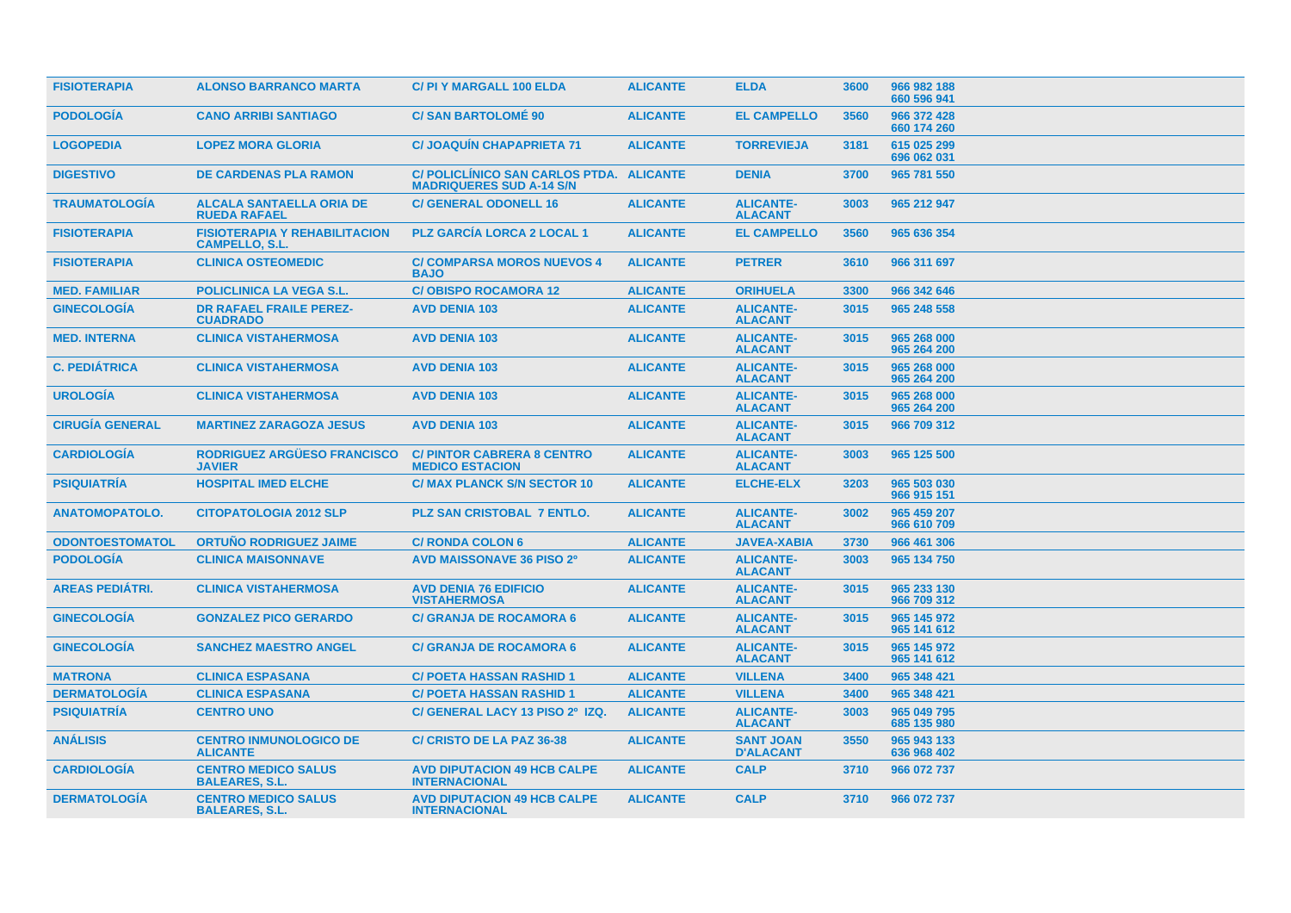| <b>FISIOTERAPIA</b>    | <b>ALONSO BARRANCO MARTA</b>                                  | C/ PI Y MARGALL 100 ELDA                                                    | <b>ALICANTE</b> | <b>ELDA</b>                          | 3600 | 966 982 188<br>660 596 941 |
|------------------------|---------------------------------------------------------------|-----------------------------------------------------------------------------|-----------------|--------------------------------------|------|----------------------------|
| <b>PODOLOGÍA</b>       | <b>CANO ARRIBI SANTIAGO</b>                                   | <b>C/SAN BARTOLOMÉ 90</b>                                                   | <b>ALICANTE</b> | <b>EL CAMPELLO</b>                   | 3560 | 966 372 428<br>660 174 260 |
| <b>LOGOPEDIA</b>       | <b>LOPEZ MORA GLORIA</b>                                      | <b>C/JOAQUIN CHAPAPRIETA 71</b>                                             | <b>ALICANTE</b> | <b>TORREVIEJA</b>                    | 3181 | 615 025 299<br>696 062 031 |
| <b>DIGESTIVO</b>       | <b>DE CARDENAS PLA RAMON</b>                                  | C/ POLICLINICO SAN CARLOS PTDA. ALICANTE<br><b>MADRIQUERES SUD A-14 S/N</b> |                 | <b>DENIA</b>                         | 3700 | 965 781 550                |
| <b>TRAUMATOLOGÍA</b>   | <b>ALCALA SANTAELLA ORIA DE</b><br><b>RUEDA RAFAEL</b>        | <b>C/ GENERAL ODONELL 16</b>                                                | <b>ALICANTE</b> | <b>ALICANTE-</b><br><b>ALACANT</b>   | 3003 | 965 212 947                |
| <b>FISIOTERAPIA</b>    | <b>FISIOTERAPIA Y REHABILITACION</b><br><b>CAMPELLO, S.L.</b> | <b>PLZ GARCÍA LORCA 2 LOCAL 1</b>                                           | <b>ALICANTE</b> | <b>EL CAMPELLO</b>                   | 3560 | 965 636 354                |
| <b>FISIOTERAPIA</b>    | <b>CLINICA OSTEOMEDIC</b>                                     | <b>C/ COMPARSA MOROS NUEVOS 4</b><br><b>BAJO</b>                            | <b>ALICANTE</b> | <b>PETRER</b>                        | 3610 | 966 311 697                |
| <b>MED. FAMILIAR</b>   | <b>POLICLINICA LA VEGA S.L.</b>                               | <b>C/OBISPO ROCAMORA 12</b>                                                 | <b>ALICANTE</b> | <b>ORIHUELA</b>                      | 3300 | 966 342 646                |
| <b>GINECOLOGÍA</b>     | <b>DR RAFAEL FRAILE PEREZ-</b><br><b>CUADRADO</b>             | <b>AVD DENIA 103</b>                                                        | <b>ALICANTE</b> | <b>ALICANTE-</b><br><b>ALACANT</b>   | 3015 | 965 248 558                |
| <b>MED. INTERNA</b>    | <b>CLINICA VISTAHERMOSA</b>                                   | <b>AVD DENIA 103</b>                                                        | <b>ALICANTE</b> | <b>ALICANTE-</b><br><b>ALACANT</b>   | 3015 | 965 268 000<br>965 264 200 |
| <b>C. PEDIÁTRICA</b>   | <b>CLINICA VISTAHERMOSA</b>                                   | <b>AVD DENIA 103</b>                                                        | <b>ALICANTE</b> | <b>ALICANTE-</b><br><b>ALACANT</b>   | 3015 | 965 268 000<br>965 264 200 |
| <b>UROLOGIA</b>        | <b>CLINICA VISTAHERMOSA</b>                                   | <b>AVD DENIA 103</b>                                                        | <b>ALICANTE</b> | <b>ALICANTE-</b><br><b>ALACANT</b>   | 3015 | 965 268 000<br>965 264 200 |
| <b>CIRUGÍA GENERAL</b> | <b>MARTINEZ ZARAGOZA JESUS</b>                                | <b>AVD DENIA 103</b>                                                        | <b>ALICANTE</b> | <b>ALICANTE-</b><br><b>ALACANT</b>   | 3015 | 966 709 312                |
| <b>CARDIOLOGIA</b>     | RODRIGUEZ ARGÜESO FRANCISCO<br><b>JAVIER</b>                  | <b>C/PINTOR CABRERA 8 CENTRO</b><br><b>MEDICO ESTACION</b>                  | <b>ALICANTE</b> | <b>ALICANTE-</b><br><b>ALACANT</b>   | 3003 | 965 125 500                |
| <b>PSIQUIATRIA</b>     | <b>HOSPITAL IMED ELCHE</b>                                    | <b>C/ MAX PLANCK S/N SECTOR 10</b>                                          | <b>ALICANTE</b> | <b>ELCHE-ELX</b>                     | 3203 | 965 503 030<br>966 915 151 |
| <b>ANATOMOPATOLO.</b>  | <b>CITOPATOLOGIA 2012 SLP</b>                                 | <b>PLZ SAN CRISTOBAL 7 ENTLO.</b>                                           | <b>ALICANTE</b> | <b>ALICANTE-</b><br><b>ALACANT</b>   | 3002 | 965 459 207<br>966 610 709 |
| <b>ODONTOESTOMATOL</b> | <b>ORTUÑO RODRIGUEZ JAIME</b>                                 | <b>C/ RONDA COLON 6</b>                                                     | <b>ALICANTE</b> | <b>JAVEA-XABIA</b>                   | 3730 | 966 461 306                |
| <b>PODOLOGÍA</b>       | <b>CLINICA MAISONNAVE</b>                                     | <b>AVD MAISSONAVE 36 PISO 2º</b>                                            | <b>ALICANTE</b> | <b>ALICANTE-</b><br><b>ALACANT</b>   | 3003 | 965 134 750                |
| <b>AREAS PEDIÁTRI.</b> | <b>CLINICA VISTAHERMOSA</b>                                   | <b>AVD DENIA 76 EDIFICIO</b><br><b>VISTAHERMOSA</b>                         | <b>ALICANTE</b> | <b>ALICANTE-</b><br><b>ALACANT</b>   | 3015 | 965 233 130<br>966 709 312 |
| <b>GINECOLOGIA</b>     | <b>GONZALEZ PICO GERARDO</b>                                  | <b>C/ GRANJA DE ROCAMORA 6</b>                                              | <b>ALICANTE</b> | <b>ALICANTE-</b><br><b>ALACANT</b>   | 3015 | 965 145 972<br>965 141 612 |
| <b>GINECOLOGÍA</b>     | <b>SANCHEZ MAESTRO ANGEL</b>                                  | <b>C/ GRANJA DE ROCAMORA 6</b>                                              | <b>ALICANTE</b> | <b>ALICANTE-</b><br><b>ALACANT</b>   | 3015 | 965 145 972<br>965 141 612 |
| <b>MATRONA</b>         | <b>CLINICA ESPASANA</b>                                       | <b>C/ POETA HASSAN RASHID 1</b>                                             | <b>ALICANTE</b> | <b>VILLENA</b>                       | 3400 | 965 348 421                |
| <b>DERMATOLOGÍA</b>    | <b>CLINICA ESPASANA</b>                                       | <b>C/ POETA HASSAN RASHID 1</b>                                             | <b>ALICANTE</b> | <b>VILLENA</b>                       | 3400 | 965 348 421                |
| <b>PSIQUIATRÍA</b>     | <b>CENTRO UNO</b>                                             | C/ GENERAL LACY 13 PISO 2º IZQ.                                             | <b>ALICANTE</b> | <b>ALICANTE-</b><br><b>ALACANT</b>   | 3003 | 965 049 795<br>685 135 980 |
| <b>ANÁLISIS</b>        | <b>CENTRO INMUNOLOGICO DE</b><br><b>ALICANTE</b>              | <b>C/ CRISTO DE LA PAZ 36-38</b>                                            | <b>ALICANTE</b> | <b>SANT JOAN</b><br><b>D'ALACANT</b> | 3550 | 965 943 133<br>636 968 402 |
| <b>CARDIOLOGIA</b>     | <b>CENTRO MEDICO SALUS</b><br><b>BALEARES, S.L.</b>           | <b>AVD DIPUTACION 49 HCB CALPE</b><br><b>INTERNACIONAL</b>                  | <b>ALICANTE</b> | <b>CALP</b>                          | 3710 | 966 072 737                |
| <b>DERMATOLOGÍA</b>    | <b>CENTRO MEDICO SALUS</b><br><b>BALEARES, S.L.</b>           | <b>AVD DIPUTACION 49 HCB CALPE</b><br><b>INTERNACIONAL</b>                  | <b>ALICANTE</b> | <b>CALP</b>                          | 3710 | 966 072 737                |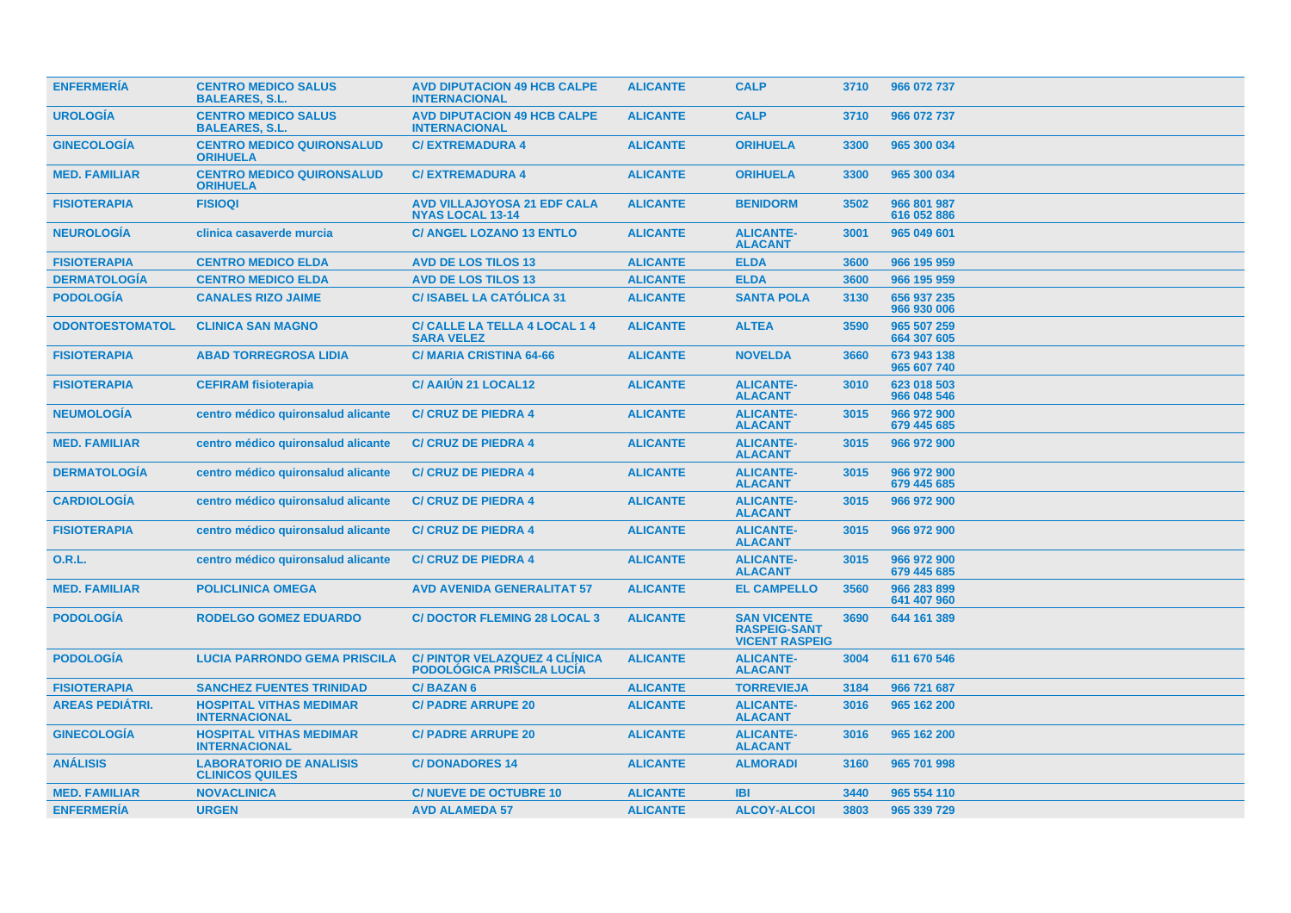| <b>ENFERMERÍA</b>      | <b>CENTRO MEDICO SALUS</b><br><b>BALEARES, S.L.</b>      | <b>AVD DIPUTACION 49 HCB CALPE</b><br><b>INTERNACIONAL</b>               | <b>ALICANTE</b> | <b>CALP</b>                                                        | 3710 | 966 072 737                |
|------------------------|----------------------------------------------------------|--------------------------------------------------------------------------|-----------------|--------------------------------------------------------------------|------|----------------------------|
| <b>UROLOGIA</b>        | <b>CENTRO MEDICO SALUS</b><br><b>BALEARES, S.L.</b>      | <b>AVD DIPUTACION 49 HCB CALPE</b><br><b>INTERNACIONAL</b>               | <b>ALICANTE</b> | <b>CALP</b>                                                        | 3710 | 966 072 737                |
| <b>GINECOLOGIA</b>     | <b>CENTRO MEDICO QUIRONSALUD</b><br><b>ORIHUELA</b>      | <b>C/EXTREMADURA 4</b>                                                   | <b>ALICANTE</b> | <b>ORIHUELA</b>                                                    | 3300 | 965 300 034                |
| <b>MED. FAMILIAR</b>   | <b>CENTRO MEDICO QUIRONSALUD</b><br><b>ORIHUELA</b>      | <b>C/EXTREMADURA 4</b>                                                   | <b>ALICANTE</b> | <b>ORIHUELA</b>                                                    | 3300 | 965 300 034                |
| <b>FISIOTERAPIA</b>    | <b>FISIOQI</b>                                           | <b>AVD VILLAJOYOSA 21 EDF CALA</b><br><b>NYAS LOCAL 13-14</b>            | <b>ALICANTE</b> | <b>BENIDORM</b>                                                    | 3502 | 966 801 987<br>616 052 886 |
| <b>NEUROLOGÍA</b>      | clinica casaverde murcia                                 | <b>C/ ANGEL LOZANO 13 ENTLO</b>                                          | <b>ALICANTE</b> | <b>ALICANTE-</b><br><b>ALACANT</b>                                 | 3001 | 965 049 601                |
| <b>FISIOTERAPIA</b>    | <b>CENTRO MEDICO ELDA</b>                                | <b>AVD DE LOS TILOS 13</b>                                               | <b>ALICANTE</b> | <b>ELDA</b>                                                        | 3600 | 966 195 959                |
| <b>DERMATOLOGÍA</b>    | <b>CENTRO MEDICO ELDA</b>                                | <b>AVD DE LOS TILOS 13</b>                                               | <b>ALICANTE</b> | <b>ELDA</b>                                                        | 3600 | 966 195 959                |
| <b>PODOLOGÍA</b>       | <b>CANALES RIZO JAIME</b>                                | <b>C/ISABEL LA CATÓLICA 31</b>                                           | <b>ALICANTE</b> | <b>SANTA POLA</b>                                                  | 3130 | 656 937 235<br>966 930 006 |
| <b>ODONTOESTOMATOL</b> | <b>CLINICA SAN MAGNO</b>                                 | C/ CALLE LA TELLA 4 LOCAL 14<br><b>SARA VELEZ</b>                        | <b>ALICANTE</b> | <b>ALTEA</b>                                                       | 3590 | 965 507 259<br>664 307 605 |
| <b>FISIOTERAPIA</b>    | <b>ABAD TORREGROSA LIDIA</b>                             | <b>C/ MARIA CRISTINA 64-66</b>                                           | <b>ALICANTE</b> | <b>NOVELDA</b>                                                     | 3660 | 673 943 138<br>965 607 740 |
| <b>FISIOTERAPIA</b>    | <b>CEFIRAM fisioterapia</b>                              | <b>C/ AAIUN 21 LOCAL12</b>                                               | <b>ALICANTE</b> | <b>ALICANTE-</b><br><b>ALACANT</b>                                 | 3010 | 623 018 503<br>966 048 546 |
| <b>NEUMOLOGÍA</b>      | centro médico quironsalud alicante                       | <b>C/ CRUZ DE PIEDRA 4</b>                                               | <b>ALICANTE</b> | <b>ALICANTE-</b><br><b>ALACANT</b>                                 | 3015 | 966 972 900<br>679 445 685 |
| <b>MED. FAMILIAR</b>   | centro médico quironsalud alicante                       | <b>C/ CRUZ DE PIEDRA 4</b>                                               | <b>ALICANTE</b> | <b>ALICANTE-</b><br><b>ALACANT</b>                                 | 3015 | 966 972 900                |
| <b>DERMATOLOGÍA</b>    | centro médico quironsalud alicante                       | <b>C/ CRUZ DE PIEDRA 4</b>                                               | <b>ALICANTE</b> | <b>ALICANTE-</b><br><b>ALACANT</b>                                 | 3015 | 966 972 900<br>679 445 685 |
| <b>CARDIOLOGÍA</b>     | centro médico quironsalud alicante                       | <b>C/ CRUZ DE PIEDRA 4</b>                                               | <b>ALICANTE</b> | <b>ALICANTE-</b><br><b>ALACANT</b>                                 | 3015 | 966 972 900                |
| <b>FISIOTERAPIA</b>    | centro médico quironsalud alicante                       | <b>C/ CRUZ DE PIEDRA 4</b>                                               | <b>ALICANTE</b> | <b>ALICANTE-</b><br><b>ALACANT</b>                                 | 3015 | 966 972 900                |
| <b>O.R.L.</b>          | centro médico quironsalud alicante                       | <b>C/ CRUZ DE PIEDRA 4</b>                                               | <b>ALICANTE</b> | <b>ALICANTE-</b><br><b>ALACANT</b>                                 | 3015 | 966 972 900<br>679 445 685 |
| <b>MED. FAMILIAR</b>   | <b>POLICLINICA OMEGA</b>                                 | <b>AVD AVENIDA GENERALITAT 57</b>                                        | <b>ALICANTE</b> | <b>EL CAMPELLO</b>                                                 | 3560 | 966 283 899<br>641 407 960 |
| <b>PODOLOGÍA</b>       | <b>RODELGO GOMEZ EDUARDO</b>                             | <b>C/DOCTOR FLEMING 28 LOCAL 3</b>                                       | <b>ALICANTE</b> | <b>SAN VICENTE</b><br><b>RASPEIG-SANT</b><br><b>VICENT RASPEIG</b> | 3690 | 644 161 389                |
| <b>PODOLOGÍA</b>       | <b>LUCIA PARRONDO GEMA PRISCILA</b>                      | <b>C/ PINTOR VELAZQUEZ 4 CLINICA</b><br><b>PODOLÓGICA PRISCILA LUCÍA</b> | <b>ALICANTE</b> | <b>ALICANTE-</b><br><b>ALACANT</b>                                 | 3004 | 611 670 546                |
| <b>FISIOTERAPIA</b>    | <b>SANCHEZ FUENTES TRINIDAD</b>                          | <b>C/BAZAN6</b>                                                          | <b>ALICANTE</b> | <b>TORREVIEJA</b>                                                  | 3184 | 966 721 687                |
| <b>AREAS PEDIATRI.</b> | <b>HOSPITAL VITHAS MEDIMAR</b><br><b>INTERNACIONAL</b>   | <b>C/ PADRE ARRUPE 20</b>                                                | <b>ALICANTE</b> | <b>ALICANTE-</b><br><b>ALACANT</b>                                 | 3016 | 965 162 200                |
| <b>GINECOLOGIA</b>     | <b>HOSPITAL VITHAS MEDIMAR</b><br><b>INTERNACIONAL</b>   | <b>C/PADRE ARRUPE 20</b>                                                 | <b>ALICANTE</b> | <b>ALICANTE-</b><br><b>ALACANT</b>                                 | 3016 | 965 162 200                |
| <b>ANÁLISIS</b>        | <b>LABORATORIO DE ANALISIS</b><br><b>CLINICOS QUILES</b> | <b>C/DONADORES 14</b>                                                    | <b>ALICANTE</b> | <b>ALMORADI</b>                                                    | 3160 | 965 701 998                |
| <b>MED. FAMILIAR</b>   | <b>NOVACLINICA</b>                                       | <b>C/NUEVE DE OCTUBRE 10</b>                                             | <b>ALICANTE</b> | <b>IBI</b>                                                         | 3440 | 965 554 110                |
| <b>ENFERMERÍA</b>      | <b>URGEN</b>                                             | <b>AVD ALAMEDA 57</b>                                                    | <b>ALICANTE</b> | <b>ALCOY-ALCOI</b>                                                 | 3803 | 965 339 729                |
|                        |                                                          |                                                                          |                 |                                                                    |      |                            |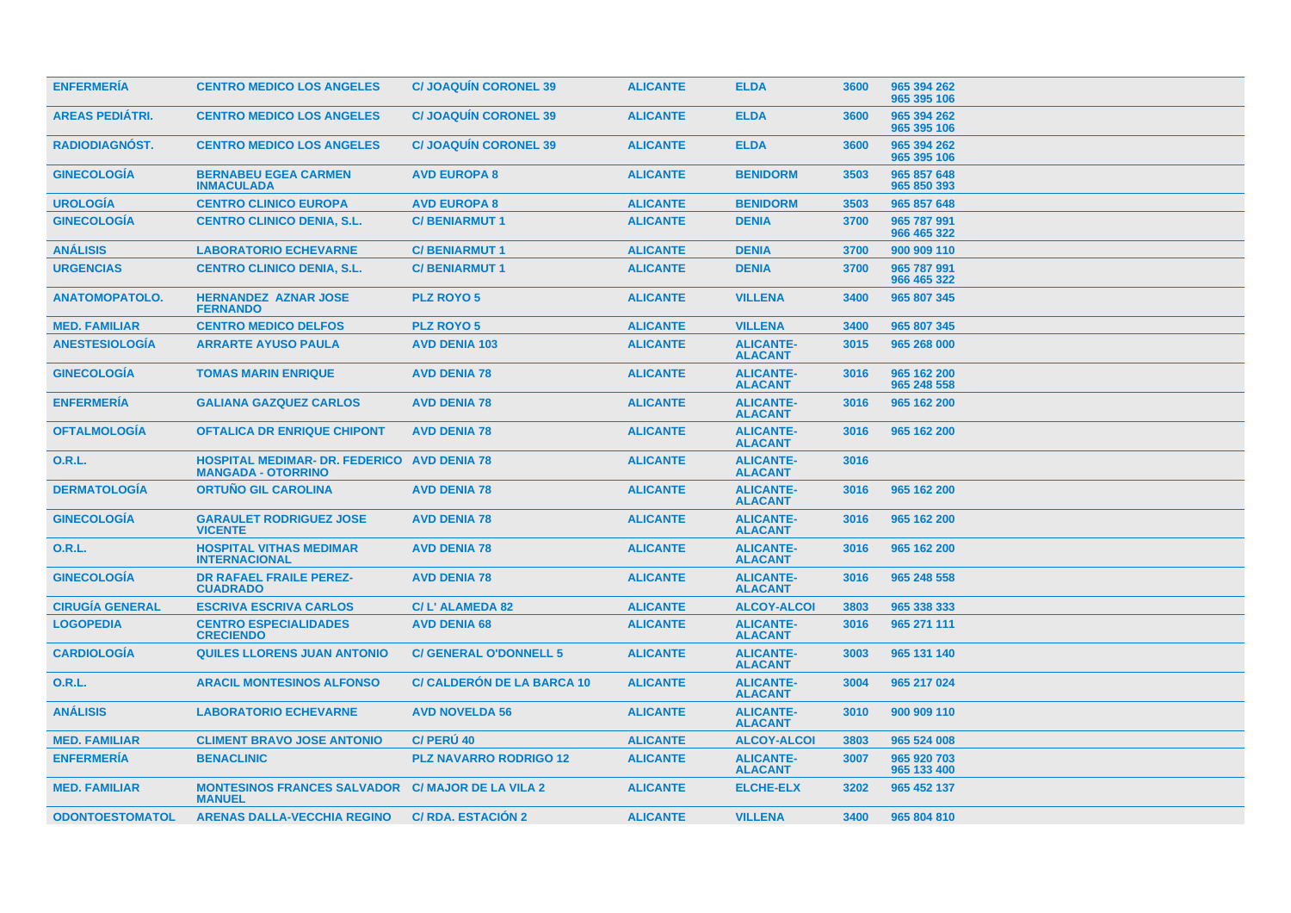| <b>ENFERMERIA</b>      | <b>CENTRO MEDICO LOS ANGELES</b>                                                | <b>C/ JOAQUIN CORONEL 39</b>      | <b>ALICANTE</b> | <b>ELDA</b>                        | 3600 | 965 394 262<br>965 395 106 |
|------------------------|---------------------------------------------------------------------------------|-----------------------------------|-----------------|------------------------------------|------|----------------------------|
| <b>AREAS PEDIATRI.</b> | <b>CENTRO MEDICO LOS ANGELES</b>                                                | <b>C/ JOAQUIN CORONEL 39</b>      | <b>ALICANTE</b> | <b>ELDA</b>                        | 3600 | 965 394 262<br>965 395 106 |
| <b>RADIODIAGNOST.</b>  | <b>CENTRO MEDICO LOS ANGELES</b>                                                | <b>C/ JOAQUIN CORONEL 39</b>      | <b>ALICANTE</b> | <b>ELDA</b>                        | 3600 | 965 394 262<br>965 395 106 |
| <b>GINECOLOGÍA</b>     | <b>BERNABEU EGEA CARMEN</b><br><b>INMACULADA</b>                                | <b>AVD EUROPA 8</b>               | <b>ALICANTE</b> | <b>BENIDORM</b>                    | 3503 | 965 857 648<br>965 850 393 |
| <b>UROLOGÍA</b>        | <b>CENTRO CLINICO EUROPA</b>                                                    | <b>AVD EUROPA 8</b>               | <b>ALICANTE</b> | <b>BENIDORM</b>                    | 3503 | 965 857 648                |
| <b>GINECOLOGÍA</b>     | <b>CENTRO CLINICO DENIA, S.L.</b>                                               | <b>C/BENIARMUT1</b>               | <b>ALICANTE</b> | <b>DENIA</b>                       | 3700 | 965 787 991<br>966 465 322 |
| <b>ANÁLISIS</b>        | <b>LABORATORIO ECHEVARNE</b>                                                    | <b>C/BENIARMUT1</b>               | <b>ALICANTE</b> | <b>DENIA</b>                       | 3700 | 900 909 110                |
| <b>URGENCIAS</b>       | <b>CENTRO CLINICO DENIA, S.L.</b>                                               | <b>C/BENIARMUT1</b>               | <b>ALICANTE</b> | <b>DENIA</b>                       | 3700 | 965 787 991<br>966 465 322 |
| <b>ANATOMOPATOLO.</b>  | <b>HERNANDEZ AZNAR JOSE</b><br><b>FERNANDO</b>                                  | <b>PLZ ROYO 5</b>                 | <b>ALICANTE</b> | <b>VILLENA</b>                     | 3400 | 965 807 345                |
| <b>MED. FAMILIAR</b>   | <b>CENTRO MEDICO DELFOS</b>                                                     | <b>PLZ ROYO 5</b>                 | <b>ALICANTE</b> | <b>VILLENA</b>                     | 3400 | 965 807 345                |
| <b>ANESTESIOLOGÍA</b>  | <b>ARRARTE AYUSO PAULA</b>                                                      | <b>AVD DENIA 103</b>              | <b>ALICANTE</b> | <b>ALICANTE-</b><br><b>ALACANT</b> | 3015 | 965 268 000                |
| <b>GINECOLOGÍA</b>     | <b>TOMAS MARIN ENRIQUE</b>                                                      | <b>AVD DENIA 78</b>               | <b>ALICANTE</b> | <b>ALICANTE-</b><br><b>ALACANT</b> | 3016 | 965 162 200<br>965 248 558 |
| <b>ENFERMERÍA</b>      | <b>GALIANA GAZQUEZ CARLOS</b>                                                   | <b>AVD DENIA 78</b>               | <b>ALICANTE</b> | <b>ALICANTE-</b><br><b>ALACANT</b> | 3016 | 965 162 200                |
| <b>OFTALMOLOGÍA</b>    | <b>OFTALICA DR ENRIQUE CHIPONT</b>                                              | <b>AVD DENIA 78</b>               | <b>ALICANTE</b> | <b>ALICANTE-</b><br><b>ALACANT</b> | 3016 | 965 162 200                |
| <b>O.R.L.</b>          | <b>HOSPITAL MEDIMAR- DR. FEDERICO AVD DENIA 78</b><br><b>MANGADA - OTORRINO</b> |                                   | <b>ALICANTE</b> | <b>ALICANTE-</b><br><b>ALACANT</b> | 3016 |                            |
| <b>DERMATOLOGIA</b>    | <b>ORTUNO GIL CAROLINA</b>                                                      | <b>AVD DENIA 78</b>               | <b>ALICANTE</b> | <b>ALICANTE-</b><br><b>ALACANT</b> | 3016 | 965 162 200                |
| <b>GINECOLOGIA</b>     | <b>GARAULET RODRIGUEZ JOSE</b><br><b>VICENTE</b>                                | <b>AVD DENIA 78</b>               | <b>ALICANTE</b> | <b>ALICANTE-</b><br><b>ALACANT</b> | 3016 | 965 162 200                |
| 0.R.L.                 | <b>HOSPITAL VITHAS MEDIMAR</b><br><b>INTERNACIONAL</b>                          | <b>AVD DENIA 78</b>               | <b>ALICANTE</b> | <b>ALICANTE-</b><br><b>ALACANT</b> | 3016 | 965 162 200                |
| <b>GINECOLOGÍA</b>     | <b>DR RAFAEL FRAILE PEREZ-</b><br><b>CUADRADO</b>                               | <b>AVD DENIA 78</b>               | <b>ALICANTE</b> | <b>ALICANTE-</b><br><b>ALACANT</b> | 3016 | 965 248 558                |
| <b>CIRUGÍA GENERAL</b> | <b>ESCRIVA ESCRIVA CARLOS</b>                                                   | C/ L' ALAMEDA 82                  | <b>ALICANTE</b> | <b>ALCOY-ALCOI</b>                 | 3803 | 965 338 333                |
| <b>LOGOPEDIA</b>       | <b>CENTRO ESPECIALIDADES</b><br><b>CRECIENDO</b>                                | <b>AVD DENIA 68</b>               | <b>ALICANTE</b> | <b>ALICANTE-</b><br><b>ALACANT</b> | 3016 | 965 271 111                |
| <b>CARDIOLOGÍA</b>     | <b>QUILES LLORENS JUAN ANTONIO</b>                                              | <b>C/GENERAL O'DONNELL 5</b>      | <b>ALICANTE</b> | <b>ALICANTE-</b><br><b>ALACANT</b> | 3003 | 965 131 140                |
| <b>O.R.L.</b>          | <b>ARACIL MONTESINOS ALFONSO</b>                                                | <b>C/ CALDERON DE LA BARCA 10</b> | <b>ALICANTE</b> | <b>ALICANTE-</b><br><b>ALACANT</b> | 3004 | 965 217 024                |
| <b>ANÁLISIS</b>        | <b>LABORATORIO ECHEVARNE</b>                                                    | <b>AVD NOVELDA 56</b>             | <b>ALICANTE</b> | <b>ALICANTE-</b><br><b>ALACANT</b> | 3010 | 900 909 110                |
| <b>MED. FAMILIAR</b>   | <b>CLIMENT BRAVO JOSE ANTONIO</b>                                               | C/ PERU 40                        | <b>ALICANTE</b> | <b>ALCOY-ALCOI</b>                 | 3803 | 965 524 008                |
| <b>ENFERMERÍA</b>      | <b>BENACLINIC</b>                                                               | <b>PLZ NAVARRO RODRIGO 12</b>     | <b>ALICANTE</b> | <b>ALICANTE-</b><br><b>ALACANT</b> | 3007 | 965 920 703<br>965 133 400 |
| <b>MED. FAMILIAR</b>   | <b>MONTESINOS FRANCES SALVADOR</b><br><b>MANUEL</b>                             | <b>C/ MAJOR DE LA VILA 2</b>      | <b>ALICANTE</b> | <b>ELCHE-ELX</b>                   | 3202 | 965 452 137                |
| <b>ODONTOESTOMATOL</b> | <b>ARENAS DALLA-VECCHIA REGINO</b>                                              | <b>C/ RDA, ESTACIÓN 2</b>         | <b>ALICANTE</b> | <b>VILLENA</b>                     | 3400 | 965 804 810                |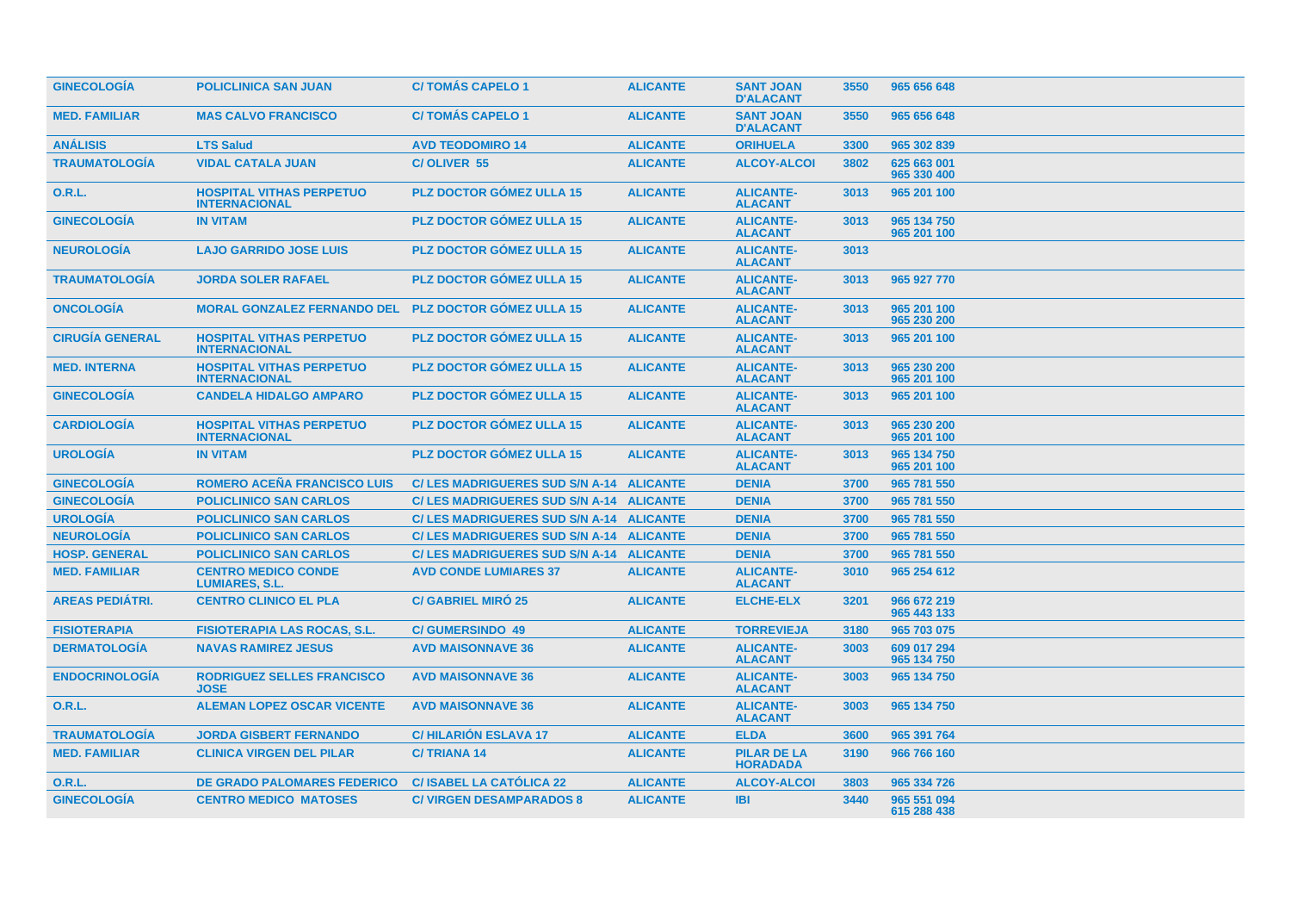| <b>GINECOLOGIA</b>     | <b>POLICLINICA SAN JUAN</b>                             | <b>C/TOMAS CAPELO 1</b>                  | <b>ALICANTE</b> | <b>SANT JOAN</b><br><b>D'ALACANT</b>  | 3550 | 965 656 648                |
|------------------------|---------------------------------------------------------|------------------------------------------|-----------------|---------------------------------------|------|----------------------------|
| <b>MED. FAMILIAR</b>   | <b>MAS CALVO FRANCISCO</b>                              | <b>C/TOMÁS CAPELO 1</b>                  | <b>ALICANTE</b> | <b>SANT JOAN</b><br><b>D'ALACANT</b>  | 3550 | 965 656 648                |
| <b>ANÁLISIS</b>        | <b>LTS Salud</b>                                        | <b>AVD TEODOMIRO 14</b>                  | <b>ALICANTE</b> | <b>ORIHUELA</b>                       | 3300 | 965 302 839                |
| <b>TRAUMATOLOGÍA</b>   | <b>VIDAL CATALA JUAN</b>                                | C/OLIVER 55                              | <b>ALICANTE</b> | <b>ALCOY-ALCOI</b>                    | 3802 | 625 663 001<br>965 330 400 |
| 0.R.L.                 | <b>HOSPITAL VITHAS PERPETUO</b><br><b>INTERNACIONAL</b> | <b>PLZ DOCTOR GOMEZ ULLA 15</b>          | <b>ALICANTE</b> | <b>ALICANTE-</b><br><b>ALACANT</b>    | 3013 | 965 201 100                |
| <b>GINECOLOGÍA</b>     | <b>IN VITAM</b>                                         | <b>PLZ DOCTOR GÓMEZ ULLA 15</b>          | <b>ALICANTE</b> | <b>ALICANTE-</b><br><b>ALACANT</b>    | 3013 | 965 134 750<br>965 201 100 |
| <b>NEUROLOGÍA</b>      | <b>LAJO GARRIDO JOSE LUIS</b>                           | <b>PLZ DOCTOR GOMEZ ULLA 15</b>          | <b>ALICANTE</b> | <b>ALICANTE-</b><br><b>ALACANT</b>    | 3013 |                            |
| <b>TRAUMATOLOGÍA</b>   | <b>JORDA SOLER RAFAEL</b>                               | <b>PLZ DOCTOR GÓMEZ ULLA 15</b>          | <b>ALICANTE</b> | <b>ALICANTE-</b><br><b>ALACANT</b>    | 3013 | 965 927 770                |
| <b>ONCOLOGIA</b>       | <b>MORAL GONZALEZ FERNANDO DEL</b>                      | <b>PLZ DOCTOR GÓMEZ ULLA 15</b>          | <b>ALICANTE</b> | <b>ALICANTE-</b><br><b>ALACANT</b>    | 3013 | 965 201 100<br>965 230 200 |
| <b>CIRUGÍA GENERAL</b> | <b>HOSPITAL VITHAS PERPETUO</b><br><b>INTERNACIONAL</b> | <b>PLZ DOCTOR GÓMEZ ULLA 15</b>          | <b>ALICANTE</b> | <b>ALICANTE-</b><br><b>ALACANT</b>    | 3013 | 965 201 100                |
| <b>MED. INTERNA</b>    | <b>HOSPITAL VITHAS PERPETUO</b><br><b>INTERNACIONAL</b> | <b>PLZ DOCTOR GÓMEZ ULLA 15</b>          | <b>ALICANTE</b> | <b>ALICANTE-</b><br><b>ALACANT</b>    | 3013 | 965 230 200<br>965 201 100 |
| <b>GINECOLOGÍA</b>     | <b>CANDELA HIDALGO AMPARO</b>                           | <b>PLZ DOCTOR GÓMEZ ULLA 15</b>          | <b>ALICANTE</b> | <b>ALICANTE-</b><br><b>ALACANT</b>    | 3013 | 965 201 100                |
| <b>CARDIOLOGIA</b>     | <b>HOSPITAL VITHAS PERPETUO</b><br><b>INTERNACIONAL</b> | <b>PLZ DOCTOR GÓMEZ ULLA 15</b>          | <b>ALICANTE</b> | <b>ALICANTE-</b><br><b>ALACANT</b>    | 3013 | 965 230 200<br>965 201 100 |
| <b>UROLOGÍA</b>        | <b>IN VITAM</b>                                         | <b>PLZ DOCTOR GÓMEZ ULLA 15</b>          | <b>ALICANTE</b> | <b>ALICANTE-</b><br><b>ALACANT</b>    | 3013 | 965 134 750<br>965 201 100 |
| <b>GINECOLOGIA</b>     | <b>ROMERO ACEÑA FRANCISCO LUIS</b>                      | C/ LES MADRIGUERES SUD S/N A-14 ALICANTE |                 | <b>DENIA</b>                          | 3700 | 965 781 550                |
| <b>GINECOLOGÍA</b>     | <b>POLICLINICO SAN CARLOS</b>                           | C/LES MADRIGUERES SUD S/N A-14 ALICANTE  |                 | <b>DENIA</b>                          | 3700 | 965 781 550                |
| <b>UROLOGÍA</b>        | <b>POLICLINICO SAN CARLOS</b>                           | C/ LES MADRIGUERES SUD S/N A-14 ALICANTE |                 | <b>DENIA</b>                          | 3700 | 965 781 550                |
| <b>NEUROLOGÍA</b>      | <b>POLICLINICO SAN CARLOS</b>                           | C/ LES MADRIGUERES SUD S/N A-14 ALICANTE |                 | <b>DENIA</b>                          | 3700 | 965 781 550                |
| <b>HOSP. GENERAL</b>   | <b>POLICLINICO SAN CARLOS</b>                           | C/ LES MADRIGUERES SUD S/N A-14 ALICANTE |                 | <b>DENIA</b>                          | 3700 | 965 781 550                |
| <b>MED. FAMILIAR</b>   | <b>CENTRO MEDICO CONDE</b><br><b>LUMIARES, S.L.</b>     | <b>AVD CONDE LUMIARES 37</b>             | <b>ALICANTE</b> | <b>ALICANTE-</b><br><b>ALACANT</b>    | 3010 | 965 254 612                |
| <b>AREAS PEDIÁTRI.</b> | <b>CENTRO CLINICO EL PLA</b>                            | <b>C/ GABRIEL MIRO 25</b>                | <b>ALICANTE</b> | <b>ELCHE-ELX</b>                      | 3201 | 966 672 219<br>965 443 133 |
| <b>FISIOTERAPIA</b>    | <b>FISIOTERAPIA LAS ROCAS, S.L.</b>                     | <b>C/GUMERSINDO 49</b>                   | <b>ALICANTE</b> | <b>TORREVIEJA</b>                     | 3180 | 965 703 075                |
| <b>DERMATOLOGÍA</b>    | <b>NAVAS RAMIREZ JESUS</b>                              | <b>AVD MAISONNAVE 36</b>                 | <b>ALICANTE</b> | <b>ALICANTE-</b><br><b>ALACANT</b>    | 3003 | 609 017 294<br>965 134 750 |
| <b>ENDOCRINOLOGIA</b>  | <b>RODRIGUEZ SELLES FRANCISCO</b><br><b>JOSE</b>        | <b>AVD MAISONNAVE 36</b>                 | <b>ALICANTE</b> | <b>ALICANTE-</b><br><b>ALACANT</b>    | 3003 | 965 134 750                |
| <b>O.R.L.</b>          | <b>ALEMAN LOPEZ OSCAR VICENTE</b>                       | <b>AVD MAISONNAVE 36</b>                 | <b>ALICANTE</b> | <b>ALICANTE-</b><br><b>ALACANT</b>    | 3003 | 965 134 750                |
| <b>TRAUMATOLOGÍA</b>   | <b>JORDA GISBERT FERNANDO</b>                           | <b>C/HILARION ESLAVA 17</b>              | <b>ALICANTE</b> | <b>ELDA</b>                           | 3600 | 965 391 764                |
| <b>MED. FAMILIAR</b>   | <b>CLINICA VIRGEN DEL PILAR</b>                         | <b>C/TRIANA 14</b>                       | <b>ALICANTE</b> | <b>PILAR DE LA</b><br><b>HORADADA</b> | 3190 | 966 766 160                |
| 0.R.L.                 | <b>DE GRADO PALOMARES FEDERICO</b>                      | <b>C/ISABEL LA CATÓLICA 22</b>           | <b>ALICANTE</b> | <b>ALCOY-ALCOI</b>                    | 3803 | 965 334 726                |
| <b>GINECOLOGÍA</b>     | <b>CENTRO MEDICO MATOSES</b>                            | <b>C/ VIRGEN DESAMPARADOS 8</b>          | <b>ALICANTE</b> | <b>IBI</b>                            | 3440 | 965 551 094<br>615 288 438 |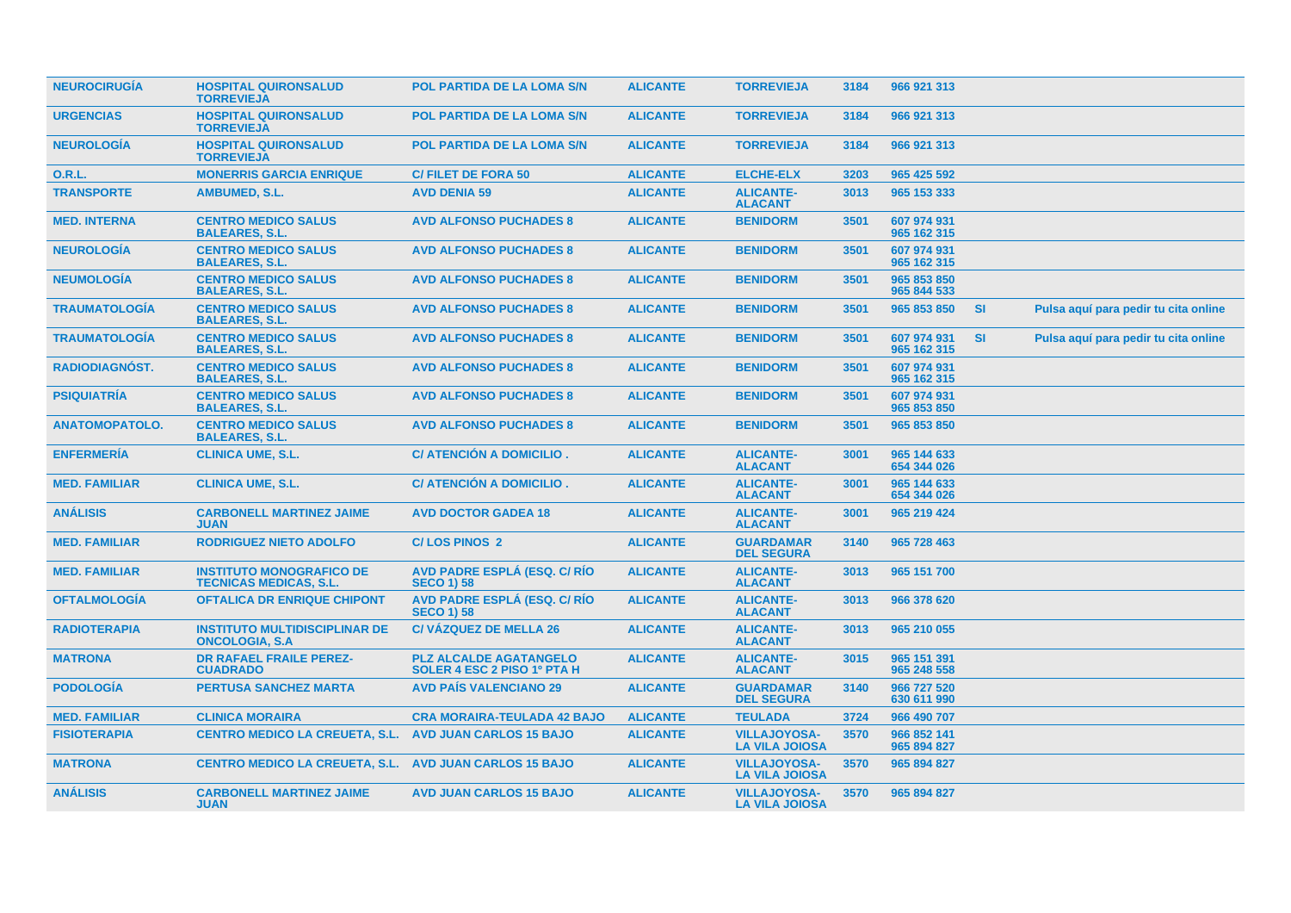| <b>NEUROCIRUGÍA</b>   | <b>HOSPITAL QUIRONSALUD</b><br><b>TORREVIEJA</b>                 | <b>POL PARTIDA DE LA LOMA S/N</b>                            | <b>ALICANTE</b> | <b>TORREVIEJA</b>                            | 3184 | 966 921 313                |           |                                      |  |
|-----------------------|------------------------------------------------------------------|--------------------------------------------------------------|-----------------|----------------------------------------------|------|----------------------------|-----------|--------------------------------------|--|
| <b>URGENCIAS</b>      | <b>HOSPITAL QUIRONSALUD</b><br><b>TORREVIEJA</b>                 | <b>POL PARTIDA DE LA LOMA S/N</b>                            | <b>ALICANTE</b> | <b>TORREVIEJA</b>                            | 3184 | 966 921 313                |           |                                      |  |
| <b>NEUROLOGIA</b>     | <b>HOSPITAL QUIRONSALUD</b><br><b>TORREVIEJA</b>                 | POL PARTIDA DE LA LOMA S/N                                   | <b>ALICANTE</b> | <b>TORREVIEJA</b>                            | 3184 | 966 921 313                |           |                                      |  |
| <b>O.R.L.</b>         | <b>MONERRIS GARCIA ENRIQUE</b>                                   | <b>C/FILET DE FORA 50</b>                                    | <b>ALICANTE</b> | <b>ELCHE-ELX</b>                             | 3203 | 965 425 592                |           |                                      |  |
| <b>TRANSPORTE</b>     | AMBUMED, S.L.                                                    | <b>AVD DENIA 59</b>                                          | <b>ALICANTE</b> | <b>ALICANTE-</b><br><b>ALACANT</b>           | 3013 | 965 153 333                |           |                                      |  |
| <b>MED. INTERNA</b>   | <b>CENTRO MEDICO SALUS</b><br><b>BALEARES, S.L.</b>              | <b>AVD ALFONSO PUCHADES 8</b>                                | <b>ALICANTE</b> | <b>BENIDORM</b>                              | 3501 | 607 974 931<br>965 162 315 |           |                                      |  |
| <b>NEUROLOGÍA</b>     | <b>CENTRO MEDICO SALUS</b><br><b>BALEARES, S.L.</b>              | <b>AVD ALFONSO PUCHADES 8</b>                                | <b>ALICANTE</b> | <b>BENIDORM</b>                              | 3501 | 607 974 931<br>965 162 315 |           |                                      |  |
| <b>NEUMOLOGIA</b>     | <b>CENTRO MEDICO SALUS</b><br><b>BALEARES, S.L.</b>              | <b>AVD ALFONSO PUCHADES 8</b>                                | <b>ALICANTE</b> | <b>BENIDORM</b>                              | 3501 | 965 853 850<br>965 844 533 |           |                                      |  |
| <b>TRAUMATOLOGÍA</b>  | <b>CENTRO MEDICO SALUS</b><br><b>BALEARES, S.L.</b>              | <b>AVD ALFONSO PUCHADES 8</b>                                | <b>ALICANTE</b> | <b>BENIDORM</b>                              | 3501 | 965 853 850                | <b>SI</b> | Pulsa aquí para pedir tu cita online |  |
| <b>TRAUMATOLOGÍA</b>  | <b>CENTRO MEDICO SALUS</b><br><b>BALEARES, S.L.</b>              | <b>AVD ALFONSO PUCHADES 8</b>                                | <b>ALICANTE</b> | <b>BENIDORM</b>                              | 3501 | 607 974 931<br>965 162 315 | <b>SI</b> | Pulsa aquí para pedir tu cita online |  |
| RADIODIAGNÓST.        | <b>CENTRO MEDICO SALUS</b><br><b>BALEARES, S.L.</b>              | <b>AVD ALFONSO PUCHADES 8</b>                                | <b>ALICANTE</b> | <b>BENIDORM</b>                              | 3501 | 607 974 931<br>965 162 315 |           |                                      |  |
| <b>PSIQUIATRÍA</b>    | <b>CENTRO MEDICO SALUS</b><br><b>BALEARES, S.L.</b>              | <b>AVD ALFONSO PUCHADES 8</b>                                | <b>ALICANTE</b> | <b>BENIDORM</b>                              | 3501 | 607 974 931<br>965 853 850 |           |                                      |  |
| <b>ANATOMOPATOLO.</b> | <b>CENTRO MEDICO SALUS</b><br><b>BALEARES, S.L.</b>              | <b>AVD ALFONSO PUCHADES 8</b>                                | <b>ALICANTE</b> | <b>BENIDORM</b>                              | 3501 | 965 853 850                |           |                                      |  |
| <b>ENFERMERÍA</b>     | <b>CLINICA UME, S.L.</b>                                         | C/ ATENCIÓN A DOMICILIO.                                     | <b>ALICANTE</b> | <b>ALICANTE-</b><br><b>ALACANT</b>           | 3001 | 965 144 633<br>654 344 026 |           |                                      |  |
| <b>MED. FAMILIAR</b>  | <b>CLINICA UME, S.L.</b>                                         | C/ ATENCIÓN A DOMICILIO.                                     | <b>ALICANTE</b> | <b>ALICANTE-</b><br><b>ALACANT</b>           | 3001 | 965 144 633<br>654 344 026 |           |                                      |  |
| <b>ANALISIS</b>       | <b>CARBONELL MARTINEZ JAIME</b><br><b>JUAN</b>                   | <b>AVD DOCTOR GADEA 18</b>                                   | <b>ALICANTE</b> | <b>ALICANTE-</b><br><b>ALACANT</b>           | 3001 | 965 219 424                |           |                                      |  |
| <b>MED. FAMILIAR</b>  | <b>RODRIGUEZ NIETO ADOLFO</b>                                    | <b>C/LOS PINOS 2</b>                                         | <b>ALICANTE</b> | <b>GUARDAMAR</b><br><b>DEL SEGURA</b>        | 3140 | 965 728 463                |           |                                      |  |
| <b>MED. FAMILIAR</b>  | <b>INSTITUTO MONOGRAFICO DE</b><br><b>TECNICAS MEDICAS, S.L.</b> | <b>AVD PADRE ESPLÁ (ESQ. C/ RÍO</b><br><b>SECO 1) 58</b>     | <b>ALICANTE</b> | <b>ALICANTE-</b><br><b>ALACANT</b>           | 3013 | 965 151 700                |           |                                      |  |
| <b>OFTALMOLOGÍA</b>   | <b>OFTALICA DR ENRIQUE CHIPONT</b>                               | AVD PADRE ESPLÁ (ESQ. C/ RÍO<br><b>SECO 1) 58</b>            | <b>ALICANTE</b> | <b>ALICANTE-</b><br><b>ALACANT</b>           | 3013 | 966 378 620                |           |                                      |  |
| <b>RADIOTERAPIA</b>   | <b>INSTITUTO MULTIDISCIPLINAR DE</b><br><b>ONCOLOGIA, S.A</b>    | <b>C/VÁZQUEZ DE MELLA 26</b>                                 | <b>ALICANTE</b> | <b>ALICANTE-</b><br><b>ALACANT</b>           | 3013 | 965 210 055                |           |                                      |  |
| <b>MATRONA</b>        | <b>DR RAFAEL FRAILE PEREZ-</b><br><b>CUADRADO</b>                | <b>PLZ ALCALDE AGATANGELO</b><br>SOLER 4 ESC 2 PISO 1º PTA H | <b>ALICANTE</b> | <b>ALICANTE-</b><br><b>ALACANT</b>           | 3015 | 965 151 391<br>965 248 558 |           |                                      |  |
| <b>PODOLOGÍA</b>      | <b>PERTUSA SANCHEZ MARTA</b>                                     | <b>AVD PAIS VALENCIANO 29</b>                                | <b>ALICANTE</b> | <b>GUARDAMAR</b><br><b>DEL SEGURA</b>        | 3140 | 966 727 520<br>630 611 990 |           |                                      |  |
| <b>MED. FAMILIAR</b>  | <b>CLINICA MORAIRA</b>                                           | <b>CRA MORAIRA-TEULADA 42 BAJO</b>                           | <b>ALICANTE</b> | <b>TEULADA</b>                               | 3724 | 966 490 707                |           |                                      |  |
| <b>FISIOTERAPIA</b>   | <b>CENTRO MEDICO LA CREUETA, S.L.</b>                            | <b>AVD JUAN CARLOS 15 BAJO</b>                               | <b>ALICANTE</b> | <b>VILLAJOYOSA-</b><br><b>LA VILA JOIOSA</b> | 3570 | 966 852 141<br>965 894 827 |           |                                      |  |
| <b>MATRONA</b>        | CENTRO MEDICO LA CREUETA, S.L. AVD JUAN CARLOS 15 BAJO           |                                                              | <b>ALICANTE</b> | <b>VILLAJOYOSA-</b><br><b>LA VILA JOIOSA</b> | 3570 | 965 894 827                |           |                                      |  |
| <b>ANÁLISIS</b>       | <b>CARBONELL MARTINEZ JAIME</b><br><b>JUAN</b>                   | <b>AVD JUAN CARLOS 15 BAJO</b>                               | <b>ALICANTE</b> | <b>VILLAJOYOSA-</b><br><b>LA VILA JOIOSA</b> | 3570 | 965 894 827                |           |                                      |  |
|                       |                                                                  |                                                              |                 |                                              |      |                            |           |                                      |  |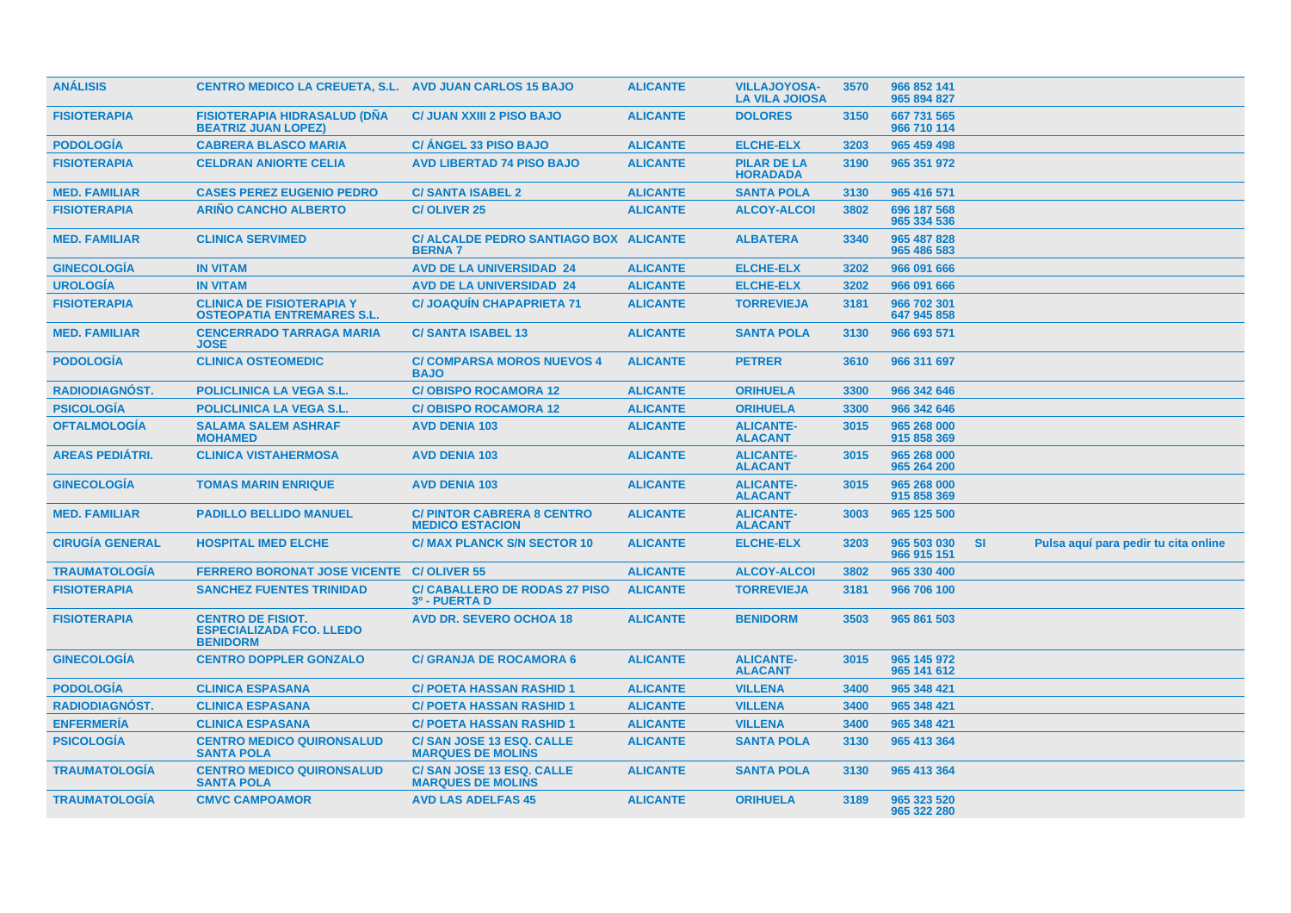| <b>ANÁLISIS</b>        | <b>CENTRO MEDICO LA CREUETA, S.L. AVD JUAN CARLOS 15 BAJO</b>                  |                                                             | <b>ALICANTE</b> | <b>VILLAJOYOSA-</b><br><b>LA VILA JOIOSA</b> | 3570 | 966 852 141<br>965 894 827 |           |                                      |  |
|------------------------|--------------------------------------------------------------------------------|-------------------------------------------------------------|-----------------|----------------------------------------------|------|----------------------------|-----------|--------------------------------------|--|
| <b>FISIOTERAPIA</b>    | <b>FISIOTERAPIA HIDRASALUD (DÑA</b><br><b>BEATRIZ JUAN LOPEZ)</b>              | <b>C/ JUAN XXIII 2 PISO BAJO</b>                            | <b>ALICANTE</b> | <b>DOLORES</b>                               | 3150 | 667 731 565<br>966 710 114 |           |                                      |  |
| <b>PODOLOGIA</b>       | <b>CABRERA BLASCO MARIA</b>                                                    | <b>C/ ANGEL 33 PISO BAJO</b>                                | <b>ALICANTE</b> | <b>ELCHE-ELX</b>                             | 3203 | 965 459 498                |           |                                      |  |
| <b>FISIOTERAPIA</b>    | <b>CELDRAN ANIORTE CELIA</b>                                                   | <b>AVD LIBERTAD 74 PISO BAJO</b>                            | <b>ALICANTE</b> | <b>PILAR DE LA</b><br><b>HORADADA</b>        | 3190 | 965 351 972                |           |                                      |  |
| <b>MED. FAMILIAR</b>   | <b>CASES PEREZ EUGENIO PEDRO</b>                                               | <b>C/SANTA ISABEL 2</b>                                     | <b>ALICANTE</b> | <b>SANTA POLA</b>                            | 3130 | 965 416 571                |           |                                      |  |
| <b>FISIOTERAPIA</b>    | <b>ARIÑO CANCHO ALBERTO</b>                                                    | <b>C/OLIVER 25</b>                                          | <b>ALICANTE</b> | <b>ALCOY-ALCOI</b>                           | 3802 | 696 187 568<br>965 334 536 |           |                                      |  |
| <b>MED. FAMILIAR</b>   | <b>CLINICA SERVIMED</b>                                                        | C/ ALCALDE PEDRO SANTIAGO BOX ALICANTE<br><b>BERNA7</b>     |                 | <b>ALBATERA</b>                              | 3340 | 965 487 828<br>965 486 583 |           |                                      |  |
| <b>GINECOLOGÍA</b>     | <b>IN VITAM</b>                                                                | <b>AVD DE LA UNIVERSIDAD 24</b>                             | <b>ALICANTE</b> | <b>ELCHE-ELX</b>                             | 3202 | 966 091 666                |           |                                      |  |
| <b>UROLOGÍA</b>        | <b>IN VITAM</b>                                                                | <b>AVD DE LA UNIVERSIDAD 24</b>                             | <b>ALICANTE</b> | <b>ELCHE-ELX</b>                             | 3202 | 966 091 666                |           |                                      |  |
| <b>FISIOTERAPIA</b>    | <b>CLINICA DE FISIOTERAPIA Y</b><br><b>OSTEOPATIA ENTREMARES S.L.</b>          | <b>C/JOAQUIN CHAPAPRIETA 71</b>                             | <b>ALICANTE</b> | <b>TORREVIEJA</b>                            | 3181 | 966 702 301<br>647 945 858 |           |                                      |  |
| <b>MED. FAMILIAR</b>   | <b>CENCERRADO TARRAGA MARIA</b><br><b>JOSE</b>                                 | <b>C/SANTA ISABEL 13</b>                                    | <b>ALICANTE</b> | <b>SANTA POLA</b>                            | 3130 | 966 693 571                |           |                                      |  |
| <b>PODOLOGIA</b>       | <b>CLINICA OSTEOMEDIC</b>                                                      | <b>C/ COMPARSA MOROS NUEVOS 4</b><br><b>BAJO</b>            | <b>ALICANTE</b> | <b>PETRER</b>                                | 3610 | 966 311 697                |           |                                      |  |
| RADIODIAGNÓST.         | <b>POLICLINICA LA VEGA S.L.</b>                                                | <b>C/OBISPO ROCAMORA 12</b>                                 | <b>ALICANTE</b> | <b>ORIHUELA</b>                              | 3300 | 966 342 646                |           |                                      |  |
| <b>PSICOLOGÍA</b>      | POLICLINICA LA VEGA S.L.                                                       | <b>C/OBISPO ROCAMORA 12</b>                                 | <b>ALICANTE</b> | <b>ORIHUELA</b>                              | 3300 | 966 342 646                |           |                                      |  |
| <b>OFTALMOLOGÍA</b>    | <b>SALAMA SALEM ASHRAF</b><br><b>MOHAMED</b>                                   | <b>AVD DENIA 103</b>                                        | <b>ALICANTE</b> | <b>ALICANTE-</b><br><b>ALACANT</b>           | 3015 | 965 268 000<br>915 858 369 |           |                                      |  |
| <b>AREAS PEDIÁTRI.</b> | <b>CLINICA VISTAHERMOSA</b>                                                    | <b>AVD DENIA 103</b>                                        | <b>ALICANTE</b> | <b>ALICANTE-</b><br><b>ALACANT</b>           | 3015 | 965 268 000<br>965 264 200 |           |                                      |  |
| <b>GINECOLOGÍA</b>     | <b>TOMAS MARIN ENRIQUE</b>                                                     | <b>AVD DENIA 103</b>                                        | <b>ALICANTE</b> | <b>ALICANTE-</b><br><b>ALACANT</b>           | 3015 | 965 268 000<br>915 858 369 |           |                                      |  |
| <b>MED. FAMILIAR</b>   | <b>PADILLO BELLIDO MANUEL</b>                                                  | <b>C/ PINTOR CABRERA 8 CENTRO</b><br><b>MEDICO ESTACION</b> | <b>ALICANTE</b> | <b>ALICANTE-</b><br><b>ALACANT</b>           | 3003 | 965 125 500                |           |                                      |  |
| <b>CIRUGÍA GENERAL</b> | <b>HOSPITAL IMED ELCHE</b>                                                     | <b>C/ MAX PLANCK S/N SECTOR 10</b>                          | <b>ALICANTE</b> | <b>ELCHE-ELX</b>                             | 3203 | 965 503 030<br>966 915 151 | <b>SI</b> | Pulsa aquí para pedir tu cita online |  |
| <b>TRAUMATOLOGIA</b>   | <b>FERRERO BORONAT JOSE VICENTE</b>                                            | <b>C/OLIVER 55</b>                                          | <b>ALICANTE</b> | <b>ALCOY-ALCOI</b>                           | 3802 | 965 330 400                |           |                                      |  |
| <b>FISIOTERAPIA</b>    | <b>SANCHEZ FUENTES TRINIDAD</b>                                                | <b>C/ CABALLERO DE RODAS 27 PISO</b><br>3º - PUERTA D       | <b>ALICANTE</b> | <b>TORREVIEJA</b>                            | 3181 | 966 706 100                |           |                                      |  |
| <b>FISIOTERAPIA</b>    | <b>CENTRO DE FISIOT.</b><br><b>ESPECIALIZADA FCO. LLEDO</b><br><b>BENIDORM</b> | <b>AVD DR. SEVERO OCHOA 18</b>                              | <b>ALICANTE</b> | <b>BENIDORM</b>                              | 3503 | 965 861 503                |           |                                      |  |
| <b>GINECOLOGÍA</b>     | <b>CENTRO DOPPLER GONZALO</b>                                                  | <b>C/ GRANJA DE ROCAMORA 6</b>                              | <b>ALICANTE</b> | <b>ALICANTE-</b><br><b>ALACANT</b>           | 3015 | 965 145 972<br>965 141 612 |           |                                      |  |
| <b>PODOLOGÍA</b>       | <b>CLINICA ESPASANA</b>                                                        | <b>C/ POETA HASSAN RASHID 1</b>                             | <b>ALICANTE</b> | <b>VILLENA</b>                               | 3400 | 965 348 421                |           |                                      |  |
| <b>RADIODIAGNÓST.</b>  | <b>CLINICA ESPASANA</b>                                                        | <b>C/ POETA HASSAN RASHID 1</b>                             | <b>ALICANTE</b> | <b>VILLENA</b>                               | 3400 | 965 348 421                |           |                                      |  |
| <b>ENFERMERÍA</b>      | <b>CLINICA ESPASANA</b>                                                        | <b>C/ POETA HASSAN RASHID 1</b>                             | <b>ALICANTE</b> | <b>VILLENA</b>                               | 3400 | 965 348 421                |           |                                      |  |
| <b>PSICOLOGÍA</b>      | <b>CENTRO MEDICO QUIRONSALUD</b><br><b>SANTA POLA</b>                          | C/ SAN JOSE 13 ESQ. CALLE<br><b>MARQUES DE MOLINS</b>       | <b>ALICANTE</b> | <b>SANTA POLA</b>                            | 3130 | 965 413 364                |           |                                      |  |
| <b>TRAUMATOLOGIA</b>   | <b>CENTRO MEDICO QUIRONSALUD</b><br><b>SANTA POLA</b>                          | C/ SAN JOSE 13 ESQ. CALLE<br><b>MARQUES DE MOLINS</b>       | <b>ALICANTE</b> | <b>SANTA POLA</b>                            | 3130 | 965 413 364                |           |                                      |  |
| <b>TRAUMATOLOGIA</b>   | <b>CMVC CAMPOAMOR</b>                                                          | <b>AVD LAS ADELFAS 45</b>                                   | <b>ALICANTE</b> | <b>ORIHUELA</b>                              | 3189 | 965 323 520<br>965 322 280 |           |                                      |  |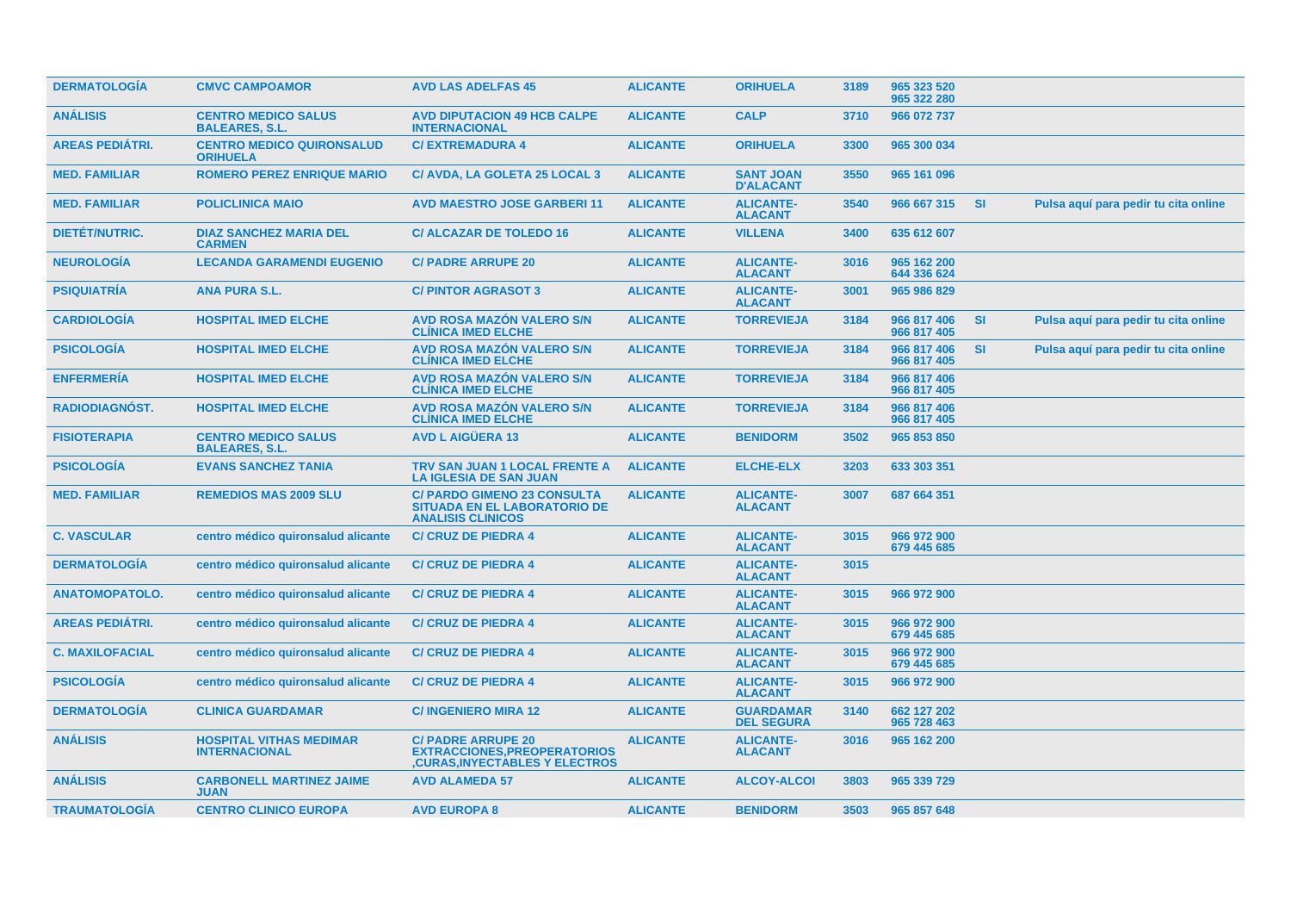| <b>DERMATOLOGIA</b>    | <b>CMVC CAMPOAMOR</b>                                  | <b>AVD LAS ADELFAS 45</b>                                                                                 | <b>ALICANTE</b> | <b>ORIHUELA</b>                       | 3189 | 965 323 520<br>965 322 280 |           |                                      |
|------------------------|--------------------------------------------------------|-----------------------------------------------------------------------------------------------------------|-----------------|---------------------------------------|------|----------------------------|-----------|--------------------------------------|
| <b>ANÁLISIS</b>        | <b>CENTRO MEDICO SALUS</b><br><b>BALEARES, S.L.</b>    | <b>AVD DIPUTACION 49 HCB CALPE</b><br><b>INTERNACIONAL</b>                                                | <b>ALICANTE</b> | <b>CALP</b>                           | 3710 | 966 072 737                |           |                                      |
| <b>AREAS PEDIÁTRI.</b> | <b>CENTRO MEDICO QUIRONSALUD</b><br><b>ORIHUELA</b>    | <b>C/EXTREMADURA 4</b>                                                                                    | <b>ALICANTE</b> | <b>ORIHUELA</b>                       | 3300 | 965 300 034                |           |                                      |
| <b>MED. FAMILIAR</b>   | <b>ROMERO PEREZ ENRIQUE MARIO</b>                      | C/ AVDA, LA GOLETA 25 LOCAL 3                                                                             | <b>ALICANTE</b> | <b>SANT JOAN</b><br><b>D'ALACANT</b>  | 3550 | 965 161 096                |           |                                      |
| <b>MED. FAMILIAR</b>   | <b>POLICLINICA MAIO</b>                                | <b>AVD MAESTRO JOSE GARBERI 11</b>                                                                        | <b>ALICANTE</b> | <b>ALICANTE-</b><br><b>ALACANT</b>    | 3540 | 966 667 315                | <b>SI</b> | Pulsa aquí para pedir tu cita online |
| DIETÉT/NUTRIC.         | <b>DIAZ SANCHEZ MARIA DEL</b><br><b>CARMEN</b>         | <b>C/ ALCAZAR DE TOLEDO 16</b>                                                                            | <b>ALICANTE</b> | <b>VILLENA</b>                        | 3400 | 635 612 607                |           |                                      |
| <b>NEUROLOGÍA</b>      | <b>LECANDA GARAMENDI EUGENIO</b>                       | <b>C/ PADRE ARRUPE 20</b>                                                                                 | <b>ALICANTE</b> | <b>ALICANTE-</b><br><b>ALACANT</b>    | 3016 | 965 162 200<br>644 336 624 |           |                                      |
| <b>PSIQUIATRÍA</b>     | <b>ANA PURA S.L.</b>                                   | <b>C/PINTOR AGRASOT 3</b>                                                                                 | <b>ALICANTE</b> | <b>ALICANTE-</b><br><b>ALACANT</b>    | 3001 | 965 986 829                |           |                                      |
| <b>CARDIOLOGÍA</b>     | <b>HOSPITAL IMED ELCHE</b>                             | <b>AVD ROSA MAZÓN VALERO S/N</b><br><b>CLINICA IMED ELCHE</b>                                             | <b>ALICANTE</b> | <b>TORREVIEJA</b>                     | 3184 | 966 817 406<br>966 817 405 | <b>SI</b> | Pulsa aquí para pedir tu cita online |
| <b>PSICOLOGÍA</b>      | <b>HOSPITAL IMED ELCHE</b>                             | AVD ROSA MAZÓN VALERO S/N<br><b>CLINICA IMED ELCHE</b>                                                    | <b>ALICANTE</b> | <b>TORREVIEJA</b>                     | 3184 | 966 817 406<br>966 817 405 | <b>SI</b> | Pulsa aquí para pedir tu cita online |
| <b>ENFERMERÍA</b>      | <b>HOSPITAL IMED ELCHE</b>                             | <b>AVD ROSA MAZÓN VALERO S/N</b><br><b>CLINICA IMED ELCHE</b>                                             | <b>ALICANTE</b> | <b>TORREVIEJA</b>                     | 3184 | 966 817 406<br>966 817 405 |           |                                      |
| <b>RADIODIAGNOST.</b>  | <b>HOSPITAL IMED ELCHE</b>                             | <b>AVD ROSA MAZÓN VALERO S/N</b><br><b>CLÍNICA IMED ELCHE</b>                                             | <b>ALICANTE</b> | <b>TORREVIEJA</b>                     | 3184 | 966 817 406<br>966 817 405 |           |                                      |
| <b>FISIOTERAPIA</b>    | <b>CENTRO MEDICO SALUS</b><br><b>BALEARES, S.L.</b>    | <b>AVD L AIGÜERA 13</b>                                                                                   | <b>ALICANTE</b> | <b>BENIDORM</b>                       | 3502 | 965 853 850                |           |                                      |
| <b>PSICOLOGIA</b>      | <b>EVANS SANCHEZ TANIA</b>                             | TRV SAN JUAN 1 LOCAL FRENTE A<br><b>LA IGLESIA DE SAN JUAN</b>                                            | <b>ALICANTE</b> | <b>ELCHE-ELX</b>                      | 3203 | 633 303 351                |           |                                      |
| <b>MED. FAMILIAR</b>   | <b>REMEDIOS MAS 2009 SLU</b>                           | <b>C/ PARDO GIMENO 23 CONSULTA</b><br><b>SITUADA EN EL LABORATORIO DE</b><br><b>ANALISIS CLINICOS</b>     | <b>ALICANTE</b> | <b>ALICANTE-</b><br><b>ALACANT</b>    | 3007 | 687 664 351                |           |                                      |
| <b>C. VASCULAR</b>     | centro médico quironsalud alicante                     | <b>C/ CRUZ DE PIEDRA 4</b>                                                                                | <b>ALICANTE</b> | <b>ALICANTE-</b><br><b>ALACANT</b>    | 3015 | 966 972 900<br>679 445 685 |           |                                      |
| <b>DERMATOLOGÍA</b>    | centro médico quironsalud alicante                     | <b>C/ CRUZ DE PIEDRA 4</b>                                                                                | <b>ALICANTE</b> | <b>ALICANTE-</b><br><b>ALACANT</b>    | 3015 |                            |           |                                      |
| <b>ANATOMOPATOLO.</b>  | centro médico quironsalud alicante                     | <b>C/ CRUZ DE PIEDRA 4</b>                                                                                | <b>ALICANTE</b> | <b>ALICANTE-</b><br><b>ALACANT</b>    | 3015 | 966 972 900                |           |                                      |
| <b>AREAS PEDIÁTRI.</b> | centro médico quironsalud alicante                     | <b>C/ CRUZ DE PIEDRA 4</b>                                                                                | <b>ALICANTE</b> | <b>ALICANTE-</b><br><b>ALACANT</b>    | 3015 | 966 972 900<br>679 445 685 |           |                                      |
| <b>C. MAXILOFACIAL</b> | centro médico quironsalud alicante                     | <b>C/ CRUZ DE PIEDRA 4</b>                                                                                | <b>ALICANTE</b> | <b>ALICANTE-</b><br><b>ALACANT</b>    | 3015 | 966 972 900<br>679 445 685 |           |                                      |
| <b>PSICOLOGIA</b>      | centro médico quironsalud alicante                     | <b>C/ CRUZ DE PIEDRA 4</b>                                                                                | <b>ALICANTE</b> | <b>ALICANTE-</b><br><b>ALACANT</b>    | 3015 | 966 972 900                |           |                                      |
| <b>DERMATOLOGÍA</b>    | <b>CLINICA GUARDAMAR</b>                               | <b>C/INGENIERO MIRA 12</b>                                                                                | <b>ALICANTE</b> | <b>GUARDAMAR</b><br><b>DEL SEGURA</b> | 3140 | 662 127 202<br>965 728 463 |           |                                      |
| <b>ANÁLISIS</b>        | <b>HOSPITAL VITHAS MEDIMAR</b><br><b>INTERNACIONAL</b> | <b>C/ PADRE ARRUPE 20</b><br><b>EXTRACCIONES, PREOPERATORIOS</b><br><b>CURAS, INYECTABLES Y ELECTROS,</b> | <b>ALICANTE</b> | <b>ALICANTE-</b><br><b>ALACANT</b>    | 3016 | 965 162 200                |           |                                      |
| <b>ANÁLISIS</b>        | <b>CARBONELL MARTINEZ JAIME</b><br><b>JUAN</b>         | <b>AVD ALAMEDA 57</b>                                                                                     | <b>ALICANTE</b> | <b>ALCOY-ALCOI</b>                    | 3803 | 965 339 729                |           |                                      |
| <b>TRAUMATOLOGÍA</b>   | <b>CENTRO CLINICO EUROPA</b>                           | <b>AVD EUROPA 8</b>                                                                                       | <b>ALICANTE</b> | <b>BENIDORM</b>                       | 3503 | 965 857 648                |           |                                      |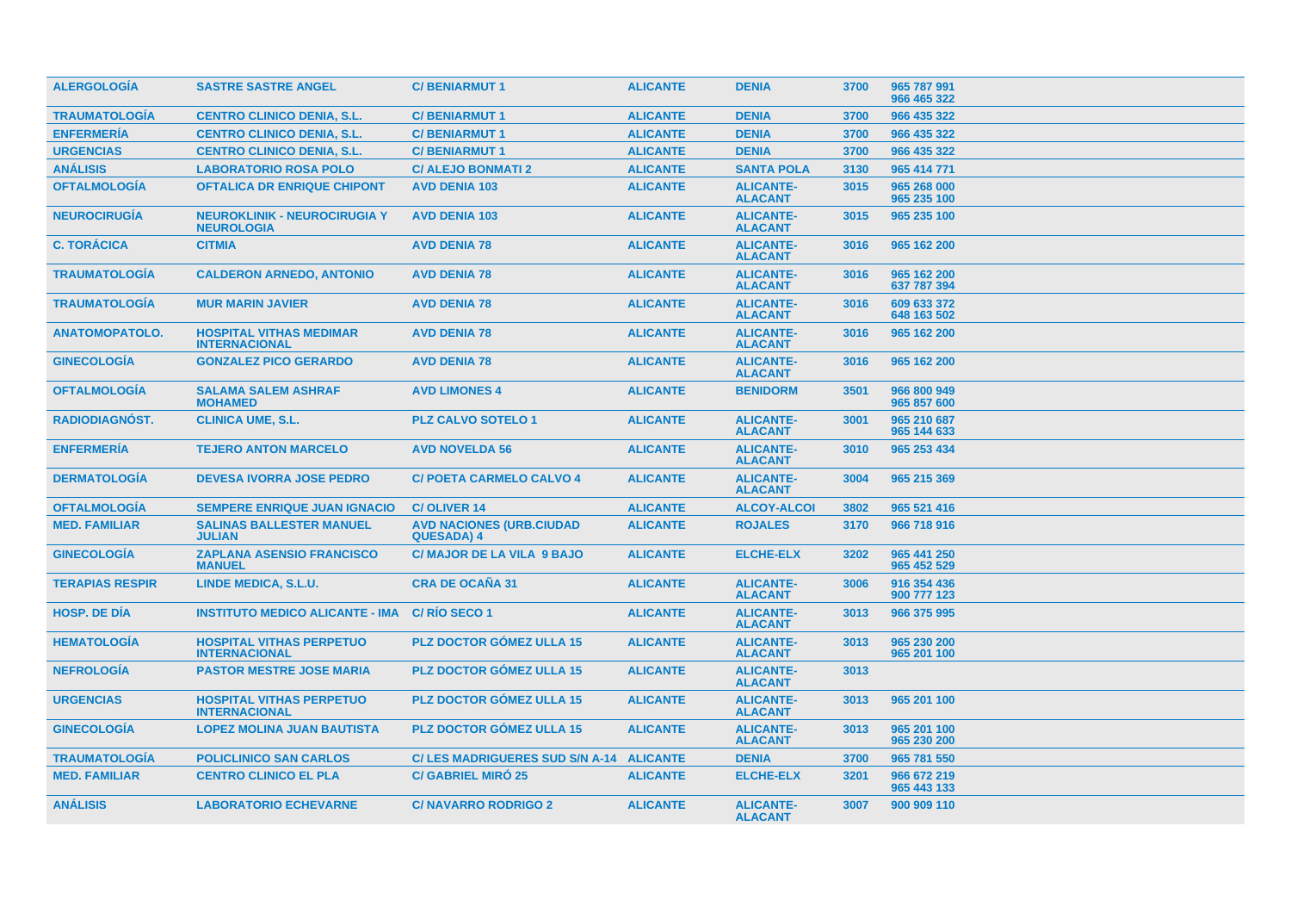| <b>ALERGOLOGIA</b>     | <b>SASTRE SASTRE ANGEL</b>                               | <b>C/BENIARMUT1</b>                                  | <b>ALICANTE</b> | <b>DENIA</b>                       | 3700 | 965 787 991<br>966 465 322 |
|------------------------|----------------------------------------------------------|------------------------------------------------------|-----------------|------------------------------------|------|----------------------------|
| <b>TRAUMATOLOGÍA</b>   | <b>CENTRO CLINICO DENIA, S.L.</b>                        | <b>C/BENIARMUT1</b>                                  | <b>ALICANTE</b> | <b>DENIA</b>                       | 3700 | 966 435 322                |
| <b>ENFERMERÍA</b>      | <b>CENTRO CLINICO DENIA, S.L.</b>                        | <b>C/BENIARMUT1</b>                                  | <b>ALICANTE</b> | <b>DENIA</b>                       | 3700 | 966 435 322                |
| <b>URGENCIAS</b>       | <b>CENTRO CLINICO DENIA, S.L.</b>                        | <b>C/BENIARMUT1</b>                                  | <b>ALICANTE</b> | <b>DENIA</b>                       | 3700 | 966 435 322                |
| <b>ANÁLISIS</b>        | <b>LABORATORIO ROSA POLO</b>                             | <b>C/ ALEJO BONMATI 2</b>                            | <b>ALICANTE</b> | <b>SANTA POLA</b>                  | 3130 | 965 414 771                |
| <b>OFTALMOLOGÍA</b>    | <b>OFTALICA DR ENRIQUE CHIPONT</b>                       | <b>AVD DENIA 103</b>                                 | <b>ALICANTE</b> | <b>ALICANTE-</b><br><b>ALACANT</b> | 3015 | 965 268 000<br>965 235 100 |
| <b>NEUROCIRUGÍA</b>    | <b>NEUROKLINIK - NEUROCIRUGIA Y</b><br><b>NEUROLOGIA</b> | <b>AVD DENIA 103</b>                                 | <b>ALICANTE</b> | <b>ALICANTE-</b><br><b>ALACANT</b> | 3015 | 965 235 100                |
| <b>C. TORÁCICA</b>     | <b>CITMIA</b>                                            | <b>AVD DENIA 78</b>                                  | <b>ALICANTE</b> | <b>ALICANTE-</b><br><b>ALACANT</b> | 3016 | 965 162 200                |
| <b>TRAUMATOLOGÍA</b>   | <b>CALDERON ARNEDO, ANTONIO</b>                          | <b>AVD DENIA 78</b>                                  | <b>ALICANTE</b> | <b>ALICANTE-</b><br><b>ALACANT</b> | 3016 | 965 162 200<br>637 787 394 |
| <b>TRAUMATOLOGIA</b>   | <b>MUR MARIN JAVIER</b>                                  | <b>AVD DENIA 78</b>                                  | <b>ALICANTE</b> | <b>ALICANTE-</b><br><b>ALACANT</b> | 3016 | 609 633 372<br>648 163 502 |
| <b>ANATOMOPATOLO.</b>  | <b>HOSPITAL VITHAS MEDIMAR</b><br><b>INTERNACIONAL</b>   | <b>AVD DENIA 78</b>                                  | <b>ALICANTE</b> | <b>ALICANTE-</b><br><b>ALACANT</b> | 3016 | 965 162 200                |
| <b>GINECOLOGÍA</b>     | <b>GONZALEZ PICO GERARDO</b>                             | <b>AVD DENIA 78</b>                                  | <b>ALICANTE</b> | <b>ALICANTE-</b><br><b>ALACANT</b> | 3016 | 965 162 200                |
| <b>OFTALMOLOGIA</b>    | <b>SALAMA SALEM ASHRAF</b><br><b>MOHAMED</b>             | <b>AVD LIMONES 4</b>                                 | <b>ALICANTE</b> | <b>BENIDORM</b>                    | 3501 | 966 800 949<br>965 857 600 |
| <b>RADIODIAGNÓST.</b>  | <b>CLINICA UME, S.L.</b>                                 | <b>PLZ CALVO SOTELO 1</b>                            | <b>ALICANTE</b> | <b>ALICANTE-</b><br><b>ALACANT</b> | 3001 | 965 210 687<br>965 144 633 |
| <b>ENFERMERÍA</b>      | <b>TEJERO ANTON MARCELO</b>                              | <b>AVD NOVELDA 56</b>                                | <b>ALICANTE</b> | <b>ALICANTE-</b><br><b>ALACANT</b> | 3010 | 965 253 434                |
| <b>DERMATOLOGÍA</b>    | <b>DEVESA IVORRA JOSE PEDRO</b>                          | <b>C/ POETA CARMELO CALVO 4</b>                      | <b>ALICANTE</b> | <b>ALICANTE-</b><br><b>ALACANT</b> | 3004 | 965 215 369                |
| <b>OFTALMOLOGIA</b>    | <b>SEMPERE ENRIQUE JUAN IGNACIO</b>                      | <b>C/OLIVER 14</b>                                   | <b>ALICANTE</b> | <b>ALCOY-ALCOI</b>                 | 3802 | 965 521 416                |
| <b>MED. FAMILIAR</b>   | <b>SALINAS BALLESTER MANUEL</b><br><b>JULIAN</b>         | <b>AVD NACIONES (URB.CIUDAD</b><br><b>QUESADA) 4</b> | <b>ALICANTE</b> | <b>ROJALES</b>                     | 3170 | 966 718 916                |
| <b>GINECOLOGIA</b>     | <b>ZAPLANA ASENSIO FRANCISCO</b><br><b>MANUEL</b>        | <b>C/ MAJOR DE LA VILA 9 BAJO</b>                    | <b>ALICANTE</b> | <b>ELCHE-ELX</b>                   | 3202 | 965 441 250<br>965 452 529 |
| <b>TERAPIAS RESPIR</b> | LINDE MEDICA, S.L.U.                                     | <b>CRA DE OCAÑA 31</b>                               | <b>ALICANTE</b> | <b>ALICANTE-</b><br><b>ALACANT</b> | 3006 | 916 354 436<br>900 777 123 |
| <b>HOSP. DE DÍA</b>    | <b>INSTITUTO MEDICO ALICANTE - IMA</b>                   | C/RIO SECO 1                                         | <b>ALICANTE</b> | <b>ALICANTE-</b><br><b>ALACANT</b> | 3013 | 966 375 995                |
| <b>HEMATOLOGÍA</b>     | <b>HOSPITAL VITHAS PERPETUO</b><br><b>INTERNACIONAL</b>  | PLZ DOCTOR GÓMEZ ULLA 15                             | <b>ALICANTE</b> | <b>ALICANTE-</b><br><b>ALACANT</b> | 3013 | 965 230 200<br>965 201 100 |
| <b>NEFROLOGÍA</b>      | <b>PASTOR MESTRE JOSE MARIA</b>                          | <b>PLZ DOCTOR GOMEZ ULLA 15</b>                      | <b>ALICANTE</b> | <b>ALICANTE-</b><br><b>ALACANT</b> | 3013 |                            |
| <b>URGENCIAS</b>       | <b>HOSPITAL VITHAS PERPETUO</b><br><b>INTERNACIONAL</b>  | <b>PLZ DOCTOR GÓMEZ ULLA 15</b>                      | <b>ALICANTE</b> | <b>ALICANTE-</b><br><b>ALACANT</b> | 3013 | 965 201 100                |
| <b>GINECOLOGÍA</b>     | <b>LOPEZ MOLINA JUAN BAUTISTA</b>                        | <b>PLZ DOCTOR GÓMEZ ULLA 15</b>                      | <b>ALICANTE</b> | <b>ALICANTE-</b><br><b>ALACANT</b> | 3013 | 965 201 100<br>965 230 200 |
| <b>TRAUMATOLOGIA</b>   | <b>POLICLINICO SAN CARLOS</b>                            | C/LES MADRIGUERES SUD S/N A-14 ALICANTE              |                 | <b>DENIA</b>                       | 3700 | 965 781 550                |
| <b>MED. FAMILIAR</b>   | <b>CENTRO CLINICO EL PLA</b>                             | <b>C/ GABRIEL MIRO 25</b>                            | <b>ALICANTE</b> | <b>ELCHE-ELX</b>                   | 3201 | 966 672 219<br>965 443 133 |
| <b>ANÁLISIS</b>        | <b>LABORATORIO ECHEVARNE</b>                             | <b>C/ NAVARRO RODRIGO 2</b>                          | <b>ALICANTE</b> | <b>ALICANTE-</b><br><b>ALACANT</b> | 3007 | 900 909 110                |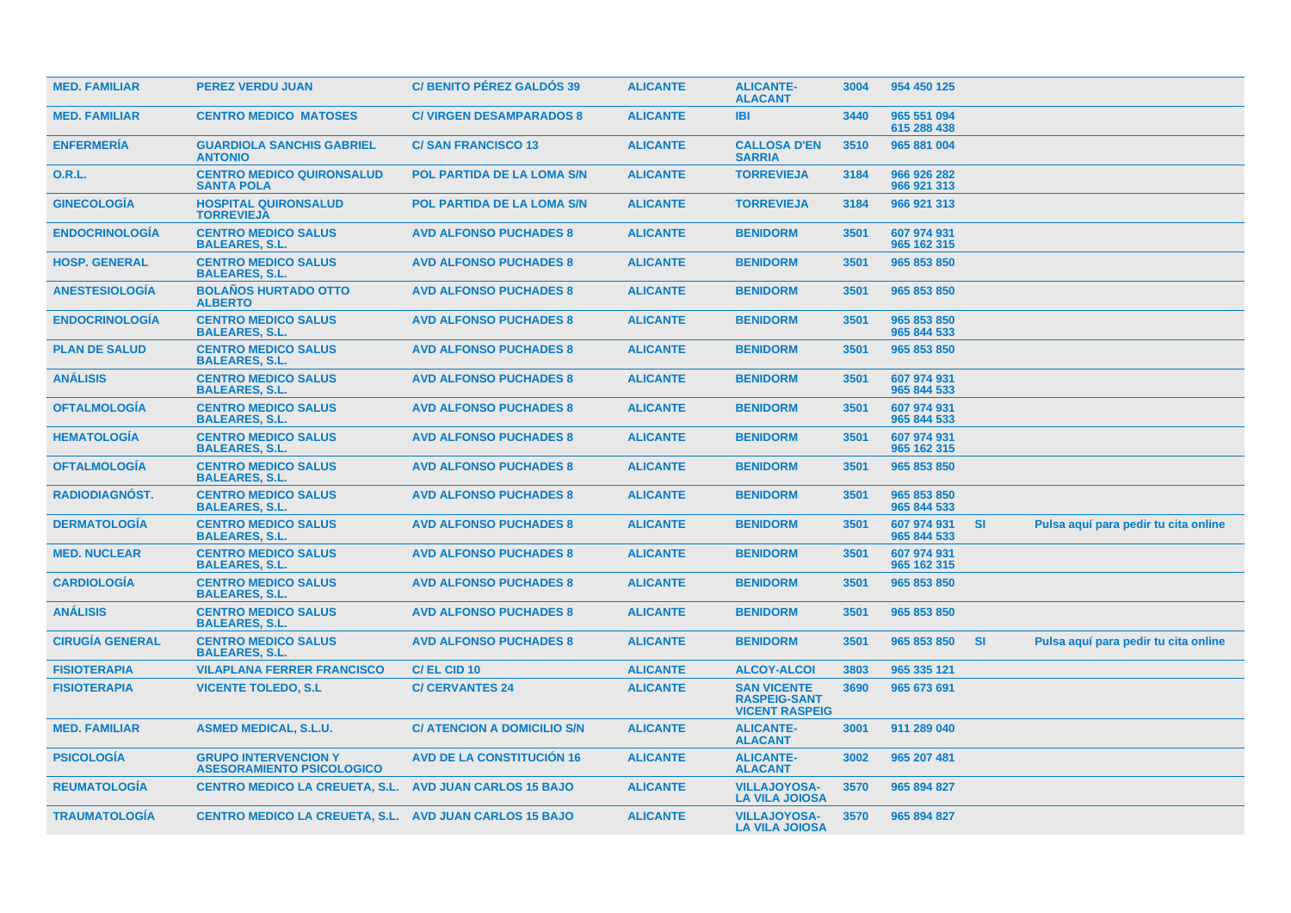| <b>MED. FAMILIAR</b>   | <b>PEREZ VERDU JUAN</b>                                         | <b>C/BENITO PÉREZ GALDÓS 39</b>    | <b>ALICANTE</b> | <b>ALICANTE-</b><br><b>ALACANT</b>                                 | 3004 | 954 450 125                |           |                                      |  |
|------------------------|-----------------------------------------------------------------|------------------------------------|-----------------|--------------------------------------------------------------------|------|----------------------------|-----------|--------------------------------------|--|
| <b>MED. FAMILIAR</b>   | <b>CENTRO MEDICO MATOSES</b>                                    | <b>C/ VIRGEN DESAMPARADOS 8</b>    | <b>ALICANTE</b> | <b>IBI</b>                                                         | 3440 | 965 551 094<br>615 288 438 |           |                                      |  |
| <b>ENFERMERIA</b>      | <b>GUARDIOLA SANCHIS GABRIEL</b><br><b>ANTONIO</b>              | <b>C/SAN FRANCISCO 13</b>          | <b>ALICANTE</b> | <b>CALLOSA D'EN</b><br><b>SARRIA</b>                               | 3510 | 965 881 004                |           |                                      |  |
| <b>O.R.L.</b>          | <b>CENTRO MEDICO QUIRONSALUD</b><br><b>SANTA POLA</b>           | POL PARTIDA DE LA LOMA S/N         | <b>ALICANTE</b> | <b>TORREVIEJA</b>                                                  | 3184 | 966 926 282<br>966 921 313 |           |                                      |  |
| <b>GINECOLOGÍA</b>     | <b>HOSPITAL QUIRONSALUD</b><br><b>TORREVIEJA</b>                | <b>POL PARTIDA DE LA LOMA S/N</b>  | <b>ALICANTE</b> | <b>TORREVIEJA</b>                                                  | 3184 | 966 921 313                |           |                                      |  |
| <b>ENDOCRINOLOGIA</b>  | <b>CENTRO MEDICO SALUS</b><br><b>BALEARES, S.L.</b>             | <b>AVD ALFONSO PUCHADES 8</b>      | <b>ALICANTE</b> | <b>BENIDORM</b>                                                    | 3501 | 607 974 931<br>965 162 315 |           |                                      |  |
| <b>HOSP. GENERAL</b>   | <b>CENTRO MEDICO SALUS</b><br><b>BALEARES, S.L.</b>             | <b>AVD ALFONSO PUCHADES 8</b>      | <b>ALICANTE</b> | <b>BENIDORM</b>                                                    | 3501 | 965 853 850                |           |                                      |  |
| <b>ANESTESIOLOGIA</b>  | <b>BOLAÑOS HURTADO OTTO</b><br><b>ALBERTO</b>                   | <b>AVD ALFONSO PUCHADES 8</b>      | <b>ALICANTE</b> | <b>BENIDORM</b>                                                    | 3501 | 965 853 850                |           |                                      |  |
| <b>ENDOCRINOLOGIA</b>  | <b>CENTRO MEDICO SALUS</b><br><b>BALEARES, S.L.</b>             | <b>AVD ALFONSO PUCHADES 8</b>      | <b>ALICANTE</b> | <b>BENIDORM</b>                                                    | 3501 | 965 853 850<br>965 844 533 |           |                                      |  |
| <b>PLAN DE SALUD</b>   | <b>CENTRO MEDICO SALUS</b><br><b>BALEARES, S.L.</b>             | <b>AVD ALFONSO PUCHADES 8</b>      | <b>ALICANTE</b> | <b>BENIDORM</b>                                                    | 3501 | 965 853 850                |           |                                      |  |
| <b>ANÁLISIS</b>        | <b>CENTRO MEDICO SALUS</b><br><b>BALEARES, S.L.</b>             | <b>AVD ALFONSO PUCHADES 8</b>      | <b>ALICANTE</b> | <b>BENIDORM</b>                                                    | 3501 | 607 974 931<br>965 844 533 |           |                                      |  |
| <b>OFTALMOLOGIA</b>    | <b>CENTRO MEDICO SALUS</b><br><b>BALEARES, S.L.</b>             | <b>AVD ALFONSO PUCHADES 8</b>      | <b>ALICANTE</b> | <b>BENIDORM</b>                                                    | 3501 | 607 974 931<br>965 844 533 |           |                                      |  |
| <b>HEMATOLOGIA</b>     | <b>CENTRO MEDICO SALUS</b><br><b>BALEARES, S.L.</b>             | <b>AVD ALFONSO PUCHADES 8</b>      | <b>ALICANTE</b> | <b>BENIDORM</b>                                                    | 3501 | 607 974 931<br>965 162 315 |           |                                      |  |
| <b>OFTALMOLOGIA</b>    | <b>CENTRO MEDICO SALUS</b><br><b>BALEARES, S.L.</b>             | <b>AVD ALFONSO PUCHADES 8</b>      | <b>ALICANTE</b> | <b>BENIDORM</b>                                                    | 3501 | 965 853 850                |           |                                      |  |
| <b>RADIODIAGNÓST.</b>  | <b>CENTRO MEDICO SALUS</b><br><b>BALEARES, S.L.</b>             | <b>AVD ALFONSO PUCHADES 8</b>      | <b>ALICANTE</b> | <b>BENIDORM</b>                                                    | 3501 | 965 853 850<br>965 844 533 |           |                                      |  |
| <b>DERMATOLOGIA</b>    | <b>CENTRO MEDICO SALUS</b><br><b>BALEARES, S.L.</b>             | <b>AVD ALFONSO PUCHADES 8</b>      | <b>ALICANTE</b> | <b>BENIDORM</b>                                                    | 3501 | 607 974 931<br>965 844 533 | <b>SI</b> | Pulsa aquí para pedir tu cita online |  |
| <b>MED. NUCLEAR</b>    | <b>CENTRO MEDICO SALUS</b><br><b>BALEARES, S.L.</b>             | <b>AVD ALFONSO PUCHADES 8</b>      | <b>ALICANTE</b> | <b>BENIDORM</b>                                                    | 3501 | 607 974 931<br>965 162 315 |           |                                      |  |
| <b>CARDIOLOGIA</b>     | <b>CENTRO MEDICO SALUS</b><br><b>BALEARES, S.L.</b>             | <b>AVD ALFONSO PUCHADES 8</b>      | <b>ALICANTE</b> | <b>BENIDORM</b>                                                    | 3501 | 965 853 850                |           |                                      |  |
| <b>ANÁLISIS</b>        | <b>CENTRO MEDICO SALUS</b><br><b>BALEARES, S.L.</b>             | <b>AVD ALFONSO PUCHADES 8</b>      | <b>ALICANTE</b> | <b>BENIDORM</b>                                                    | 3501 | 965 853 850                |           |                                      |  |
| <b>CIRUGÍA GENERAL</b> | <b>CENTRO MEDICO SALUS</b><br><b>BALEARES, S.L.</b>             | <b>AVD ALFONSO PUCHADES 8</b>      | <b>ALICANTE</b> | <b>BENIDORM</b>                                                    | 3501 | 965 853 850                | <b>SI</b> | Pulsa aquí para pedir tu cita online |  |
| <b>FISIOTERAPIA</b>    | <b>VILAPLANA FERRER FRANCISCO</b>                               | C/EL CID 10                        | <b>ALICANTE</b> | <b>ALCOY-ALCOI</b>                                                 | 3803 | 965 335 121                |           |                                      |  |
| <b>FISIOTERAPIA</b>    | <b>VICENTE TOLEDO, S.L.</b>                                     | <b>C/ CERVANTES 24</b>             | <b>ALICANTE</b> | <b>SAN VICENTE</b><br><b>RASPEIG-SANT</b><br><b>VICENT RASPEIG</b> | 3690 | 965 673 691                |           |                                      |  |
| <b>MED. FAMILIAR</b>   | <b>ASMED MEDICAL, S.L.U.</b>                                    | <b>C/ ATENCION A DOMICILIO S/N</b> | <b>ALICANTE</b> | <b>ALICANTE-</b><br><b>ALACANT</b>                                 | 3001 | 911 289 040                |           |                                      |  |
| <b>PSICOLOGIA</b>      | <b>GRUPO INTERVENCION Y</b><br><b>ASESORAMIENTO PSICOLOGICO</b> | <b>AVD DE LA CONSTITUCION 16</b>   | <b>ALICANTE</b> | <b>ALICANTE-</b><br><b>ALACANT</b>                                 | 3002 | 965 207 481                |           |                                      |  |
| <b>REUMATOLOGIA</b>    | <b>CENTRO MEDICO LA CREUETA, S.L.</b>                           | <b>AVD JUAN CARLOS 15 BAJO</b>     | <b>ALICANTE</b> | <b>VILLAJOYOSA-</b><br><b>LA VILA JOIOSA</b>                       | 3570 | 965 894 827                |           |                                      |  |
| <b>TRAUMATOLOGIA</b>   | <b>CENTRO MEDICO LA CREUETA, S.L. AVD JUAN CARLOS 15 BAJO</b>   |                                    | <b>ALICANTE</b> | <b>VILLAJOYOSA-</b><br><b>LA VILA JOIOSA</b>                       | 3570 | 965 894 827                |           |                                      |  |
|                        |                                                                 |                                    |                 |                                                                    |      |                            |           |                                      |  |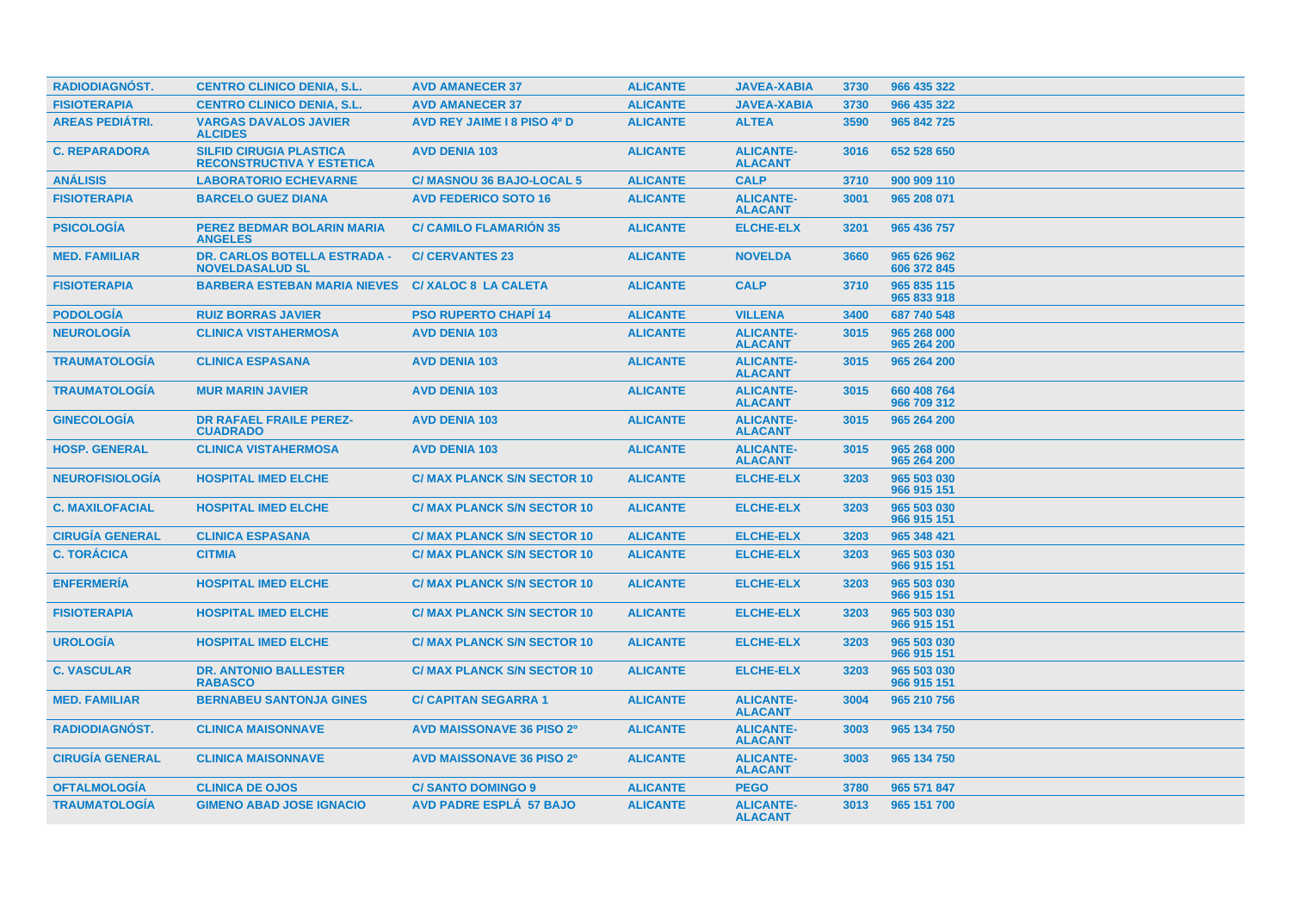| <b>RADIODIAGNOST.</b>  | <b>CENTRO CLINICO DENIA, S.L.</b>                                  | <b>AVD AMANECER 37</b>             | <b>ALICANTE</b> | <b>JAVEA-XABIA</b>                 | 3730 | 966 435 322                |
|------------------------|--------------------------------------------------------------------|------------------------------------|-----------------|------------------------------------|------|----------------------------|
| <b>FISIOTERAPIA</b>    | <b>CENTRO CLINICO DENIA, S.L.</b>                                  | <b>AVD AMANECER 37</b>             | <b>ALICANTE</b> | <b>JAVEA-XABIA</b>                 | 3730 | 966 435 322                |
| <b>AREAS PEDIÁTRI.</b> | <b>VARGAS DAVALOS JAVIER</b><br><b>ALCIDES</b>                     | <b>AVD REY JAIME I 8 PISO 4º D</b> | <b>ALICANTE</b> | <b>ALTEA</b>                       | 3590 | 965 842 725                |
| <b>C. REPARADORA</b>   | <b>SILFID CIRUGIA PLASTICA</b><br><b>RECONSTRUCTIVA Y ESTETICA</b> | <b>AVD DENIA 103</b>               | <b>ALICANTE</b> | <b>ALICANTE-</b><br><b>ALACANT</b> | 3016 | 652 528 650                |
| <b>ANÁLISIS</b>        | <b>LABORATORIO ECHEVARNE</b>                                       | <b>C/ MASNOU 36 BAJO-LOCAL 5</b>   | <b>ALICANTE</b> | <b>CALP</b>                        | 3710 | 900 909 110                |
| <b>FISIOTERAPIA</b>    | <b>BARCELO GUEZ DIANA</b>                                          | <b>AVD FEDERICO SOTO 16</b>        | <b>ALICANTE</b> | <b>ALICANTE-</b><br><b>ALACANT</b> | 3001 | 965 208 071                |
| <b>PSICOLOGIA</b>      | <b>PEREZ BEDMAR BOLARIN MARIA</b><br><b>ANGELES</b>                | <b>C/ CAMILO FLAMARIÓN 35</b>      | <b>ALICANTE</b> | <b>ELCHE-ELX</b>                   | 3201 | 965 436 757                |
| <b>MED. FAMILIAR</b>   | <b>DR. CARLOS BOTELLA ESTRADA -</b><br><b>NOVELDASALUD SL</b>      | <b>C/ CERVANTES 23</b>             | <b>ALICANTE</b> | <b>NOVELDA</b>                     | 3660 | 965 626 962<br>606 372 845 |
| <b>FISIOTERAPIA</b>    | <b>BARBERA ESTEBAN MARIA NIEVES</b>                                | <b>C/XALOC 8 LA CALETA</b>         | <b>ALICANTE</b> | <b>CALP</b>                        | 3710 | 965 835 115<br>965 833 918 |
| <b>PODOLOGIA</b>       | <b>RUIZ BORRAS JAVIER</b>                                          | <b>PSO RUPERTO CHAPI 14</b>        | <b>ALICANTE</b> | <b>VILLENA</b>                     | 3400 | 687 740 548                |
| <b>NEUROLOGÍA</b>      | <b>CLINICA VISTAHERMOSA</b>                                        | <b>AVD DENIA 103</b>               | <b>ALICANTE</b> | <b>ALICANTE-</b><br><b>ALACANT</b> | 3015 | 965 268 000<br>965 264 200 |
| <b>TRAUMATOLOGÍA</b>   | <b>CLINICA ESPASANA</b>                                            | <b>AVD DENIA 103</b>               | <b>ALICANTE</b> | <b>ALICANTE-</b><br><b>ALACANT</b> | 3015 | 965 264 200                |
| <b>TRAUMATOLOGIA</b>   | <b>MUR MARIN JAVIER</b>                                            | <b>AVD DENIA 103</b>               | <b>ALICANTE</b> | <b>ALICANTE-</b><br><b>ALACANT</b> | 3015 | 660 408 764<br>966 709 312 |
| <b>GINECOLOGIA</b>     | <b>DR RAFAEL FRAILE PEREZ-</b><br><b>CUADRADO</b>                  | <b>AVD DENIA 103</b>               | <b>ALICANTE</b> | <b>ALICANTE-</b><br><b>ALACANT</b> | 3015 | 965 264 200                |
| <b>HOSP. GENERAL</b>   | <b>CLINICA VISTAHERMOSA</b>                                        | <b>AVD DENIA 103</b>               | <b>ALICANTE</b> | <b>ALICANTE-</b><br><b>ALACANT</b> | 3015 | 965 268 000<br>965 264 200 |
| <b>NEUROFISIOLOGÍA</b> | <b>HOSPITAL IMED ELCHE</b>                                         | <b>C/ MAX PLANCK S/N SECTOR 10</b> | <b>ALICANTE</b> | <b>ELCHE-ELX</b>                   | 3203 | 965 503 030<br>966 915 151 |
| <b>C. MAXILOFACIAL</b> | <b>HOSPITAL IMED ELCHE</b>                                         | <b>C/ MAX PLANCK S/N SECTOR 10</b> | <b>ALICANTE</b> | <b>ELCHE-ELX</b>                   | 3203 | 965 503 030<br>966 915 151 |
| <b>CIRUGIA GENERAL</b> | <b>CLINICA ESPASANA</b>                                            | <b>C/ MAX PLANCK S/N SECTOR 10</b> | <b>ALICANTE</b> | <b>ELCHE-ELX</b>                   | 3203 | 965 348 421                |
| <b>C. TORÁCICA</b>     | <b>CITMIA</b>                                                      | <b>C/ MAX PLANCK S/N SECTOR 10</b> | <b>ALICANTE</b> | <b>ELCHE-ELX</b>                   | 3203 | 965 503 030<br>966 915 151 |
| <b>ENFERMERIA</b>      | <b>HOSPITAL IMED ELCHE</b>                                         | <b>C/ MAX PLANCK S/N SECTOR 10</b> | <b>ALICANTE</b> | <b>ELCHE-ELX</b>                   | 3203 | 965 503 030<br>966 915 151 |
| <b>FISIOTERAPIA</b>    | <b>HOSPITAL IMED ELCHE</b>                                         | <b>C/ MAX PLANCK S/N SECTOR 10</b> | <b>ALICANTE</b> | <b>ELCHE-ELX</b>                   | 3203 | 965 503 030<br>966 915 151 |
| <b>UROLOGÍA</b>        | <b>HOSPITAL IMED ELCHE</b>                                         | <b>C/ MAX PLANCK S/N SECTOR 10</b> | <b>ALICANTE</b> | <b>ELCHE-ELX</b>                   | 3203 | 965 503 030<br>966 915 151 |
| <b>C. VASCULAR</b>     | <b>DR. ANTONIO BALLESTER</b><br><b>RABASCO</b>                     | <b>C/ MAX PLANCK S/N SECTOR 10</b> | <b>ALICANTE</b> | <b>ELCHE-ELX</b>                   | 3203 | 965 503 030<br>966 915 151 |
| <b>MED. FAMILIAR</b>   | <b>BERNABEU SANTONJA GINES</b>                                     | <b>C/ CAPITAN SEGARRA 1</b>        | <b>ALICANTE</b> | <b>ALICANTE-</b><br><b>ALACANT</b> | 3004 | 965 210 756                |
| <b>RADIODIAGNOST.</b>  | <b>CLINICA MAISONNAVE</b>                                          | <b>AVD MAISSONAVE 36 PISO 2º</b>   | <b>ALICANTE</b> | <b>ALICANTE-</b><br><b>ALACANT</b> | 3003 | 965 134 750                |
| <b>CIRUGÍA GENERAL</b> | <b>CLINICA MAISONNAVE</b>                                          | <b>AVD MAISSONAVE 36 PISO 2º</b>   | <b>ALICANTE</b> | <b>ALICANTE-</b><br><b>ALACANT</b> | 3003 | 965 134 750                |
| <b>OFTALMOLOGIA</b>    | <b>CLINICA DE OJOS</b>                                             | <b>C/SANTO DOMINGO 9</b>           | <b>ALICANTE</b> | <b>PEGO</b>                        | 3780 | 965 571 847                |
| <b>TRAUMATOLOGIA</b>   | <b>GIMENO ABAD JOSE IGNACIO</b>                                    | <b>AVD PADRE ESPLA 57 BAJO</b>     | <b>ALICANTE</b> | <b>ALICANTE-</b><br><b>ALACANT</b> | 3013 | 965 151 700                |
|                        |                                                                    |                                    |                 |                                    |      |                            |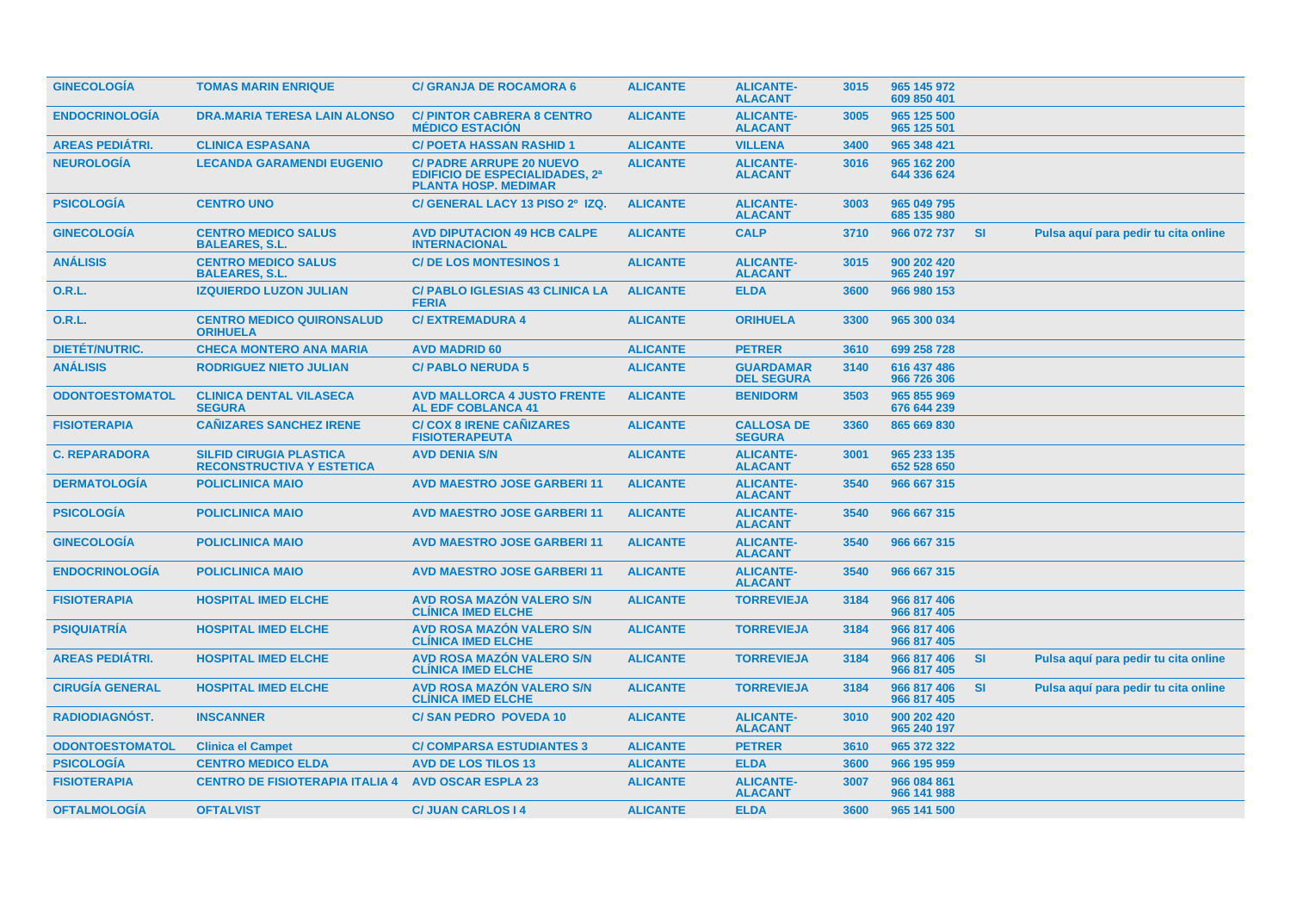| <b>GINECOLOGIA</b>     | <b>TOMAS MARIN ENRIQUE</b>                                         | <b>C/ GRANJA DE ROCAMORA 6</b>                                                                          | <b>ALICANTE</b> | <b>ALICANTE-</b><br><b>ALACANT</b>    | 3015 | 965 145 972<br>609 850 401 |           |                                      |
|------------------------|--------------------------------------------------------------------|---------------------------------------------------------------------------------------------------------|-----------------|---------------------------------------|------|----------------------------|-----------|--------------------------------------|
| <b>ENDOCRINOLOGIA</b>  | <b>DRA.MARIA TERESA LAIN ALONSO</b>                                | <b>C/ PINTOR CABRERA 8 CENTRO</b><br><b>MÉDICO ESTACIÓN</b>                                             | <b>ALICANTE</b> | <b>ALICANTE-</b><br><b>ALACANT</b>    | 3005 | 965 125 500<br>965 125 501 |           |                                      |
| <b>AREAS PEDIATRI.</b> | <b>CLINICA ESPASANA</b>                                            | <b>C/ POETA HASSAN RASHID 1</b>                                                                         | <b>ALICANTE</b> | <b>VILLENA</b>                        | 3400 | 965 348 421                |           |                                      |
| <b>NEUROLOGÍA</b>      | <b>LECANDA GARAMENDI EUGENIO</b>                                   | <b>C/ PADRE ARRUPE 20 NUEVO</b><br><b>EDIFICIO DE ESPECIALIDADES, 2ª</b><br><b>PLANTA HOSP. MEDIMAR</b> | <b>ALICANTE</b> | <b>ALICANTE-</b><br><b>ALACANT</b>    | 3016 | 965 162 200<br>644 336 624 |           |                                      |
| <b>PSICOLOGIA</b>      | <b>CENTRO UNO</b>                                                  | C/ GENERAL LACY 13 PISO 2º IZQ.                                                                         | <b>ALICANTE</b> | <b>ALICANTE-</b><br><b>ALACANT</b>    | 3003 | 965 049 795<br>685 135 980 |           |                                      |
| <b>GINECOLOGIA</b>     | <b>CENTRO MEDICO SALUS</b><br><b>BALEARES, S.L.</b>                | <b>AVD DIPUTACION 49 HCB CALPE</b><br><b>INTERNACIONAL</b>                                              | <b>ALICANTE</b> | <b>CALP</b>                           | 3710 | 966 072 737                | <b>SI</b> | Pulsa aquí para pedir tu cita online |
| <b>ANÁLISIS</b>        | <b>CENTRO MEDICO SALUS</b><br><b>BALEARES, S.L.</b>                | <b>C/DE LOS MONTESINOS 1</b>                                                                            | <b>ALICANTE</b> | <b>ALICANTE-</b><br><b>ALACANT</b>    | 3015 | 900 202 420<br>965 240 197 |           |                                      |
| 0.R.L.                 | <b>IZQUIERDO LUZON JULIAN</b>                                      | <b>C/ PABLO IGLESIAS 43 CLINICA LA</b><br><b>FERIA</b>                                                  | <b>ALICANTE</b> | <b>ELDA</b>                           | 3600 | 966 980 153                |           |                                      |
| 0.R.L.                 | <b>CENTRO MEDICO QUIRONSALUD</b><br><b>ORIHUELA</b>                | <b>C/EXTREMADURA 4</b>                                                                                  | <b>ALICANTE</b> | <b>ORIHUELA</b>                       | 3300 | 965 300 034                |           |                                      |
| <b>DIETÉT/NUTRIC.</b>  | <b>CHECA MONTERO ANA MARIA</b>                                     | <b>AVD MADRID 60</b>                                                                                    | <b>ALICANTE</b> | <b>PETRER</b>                         | 3610 | 699 258 728                |           |                                      |
| <b>ANÁLISIS</b>        | <b>RODRIGUEZ NIETO JULIAN</b>                                      | <b>C/ PABLO NERUDA 5</b>                                                                                | <b>ALICANTE</b> | <b>GUARDAMAR</b><br><b>DEL SEGURA</b> | 3140 | 616 437 486<br>966 726 306 |           |                                      |
| <b>ODONTOESTOMATOL</b> | <b>CLINICA DENTAL VILASECA</b><br><b>SEGURA</b>                    | <b>AVD MALLORCA 4 JUSTO FRENTE</b><br><b>AL EDF COBLANCA 41</b>                                         | <b>ALICANTE</b> | <b>BENIDORM</b>                       | 3503 | 965 855 969<br>676 644 239 |           |                                      |
| <b>FISIOTERAPIA</b>    | <b>CAÑIZARES SANCHEZ IRENE</b>                                     | <b>C/ COX 8 IRENE CANIZARES</b><br><b>FISIOTERAPEUTA</b>                                                | <b>ALICANTE</b> | <b>CALLOSA DE</b><br><b>SEGURA</b>    | 3360 | 865 669 830                |           |                                      |
| <b>C. REPARADORA</b>   | <b>SILFID CIRUGIA PLASTICA</b><br><b>RECONSTRUCTIVA Y ESTETICA</b> | <b>AVD DENIA S/N</b>                                                                                    | <b>ALICANTE</b> | <b>ALICANTE-</b><br><b>ALACANT</b>    | 3001 | 965 233 135<br>652 528 650 |           |                                      |
| <b>DERMATOLOGIA</b>    | <b>POLICLINICA MAIO</b>                                            | <b>AVD MAESTRO JOSE GARBERI 11</b>                                                                      | <b>ALICANTE</b> | <b>ALICANTE-</b><br><b>ALACANT</b>    | 3540 | 966 667 315                |           |                                      |
| <b>PSICOLOGÍA</b>      | <b>POLICLINICA MAIO</b>                                            | <b>AVD MAESTRO JOSE GARBERI 11</b>                                                                      | <b>ALICANTE</b> | <b>ALICANTE-</b><br><b>ALACANT</b>    | 3540 | 966 667 315                |           |                                      |
| <b>GINECOLOGÍA</b>     | <b>POLICLINICA MAIO</b>                                            | <b>AVD MAESTRO JOSE GARBERI11</b>                                                                       | <b>ALICANTE</b> | <b>ALICANTE-</b><br><b>ALACANT</b>    | 3540 | 966 667 315                |           |                                      |
| <b>ENDOCRINOLOGÍA</b>  | <b>POLICLINICA MAIO</b>                                            | <b>AVD MAESTRO JOSE GARBERI11</b>                                                                       | <b>ALICANTE</b> | <b>ALICANTE-</b><br><b>ALACANT</b>    | 3540 | 966 667 315                |           |                                      |
| <b>FISIOTERAPIA</b>    | <b>HOSPITAL IMED ELCHE</b>                                         | <b>AVD ROSA MAZÓN VALERO S/N</b><br><b>CLINICA IMED ELCHE</b>                                           | <b>ALICANTE</b> | <b>TORREVIEJA</b>                     | 3184 | 966 817 406<br>966 817 405 |           |                                      |
| <b>PSIQUIATRÍA</b>     | <b>HOSPITAL IMED ELCHE</b>                                         | <b>AVD ROSA MAZÓN VALERO S/N</b><br><b>CLINICA IMED ELCHE</b>                                           | <b>ALICANTE</b> | <b>TORREVIEJA</b>                     | 3184 | 966 817 406<br>966 817 405 |           |                                      |
| <b>AREAS PEDIATRI.</b> | <b>HOSPITAL IMED ELCHE</b>                                         | <b>AVD ROSA MAZÓN VALERO S/N</b><br><b>CLINICA IMED ELCHE</b>                                           | <b>ALICANTE</b> | <b>TORREVIEJA</b>                     | 3184 | 966 817 406<br>966 817 405 | <b>SI</b> | Pulsa aquí para pedir tu cita online |
| <b>CIRUGÍA GENERAL</b> | <b>HOSPITAL IMED ELCHE</b>                                         | <b>AVD ROSA MAZÓN VALERO S/N</b><br><b>CLINICA IMED ELCHE</b>                                           | <b>ALICANTE</b> | <b>TORREVIEJA</b>                     | 3184 | 966 817 406<br>966 817 405 | <b>SI</b> | Pulsa aquí para pedir tu cita online |
| RADIODIAGNÓST.         | <b>INSCANNER</b>                                                   | <b>C/SAN PEDRO POVEDA 10</b>                                                                            | <b>ALICANTE</b> | <b>ALICANTE-</b><br><b>ALACANT</b>    | 3010 | 900 202 420<br>965 240 197 |           |                                      |
| <b>ODONTOESTOMATOL</b> | <b>Clinica el Campet</b>                                           | <b>C/ COMPARSA ESTUDIANTES 3</b>                                                                        | <b>ALICANTE</b> | <b>PETRER</b>                         | 3610 | 965 372 322                |           |                                      |
| <b>PSICOLOGIA</b>      | <b>CENTRO MEDICO ELDA</b>                                          | <b>AVD DE LOS TILOS 13</b>                                                                              | <b>ALICANTE</b> | <b>ELDA</b>                           | 3600 | 966 195 959                |           |                                      |
| <b>FISIOTERAPIA</b>    | <b>CENTRO DE FISIOTERAPIA ITALIA 4</b>                             | <b>AVD OSCAR ESPLA 23</b>                                                                               | <b>ALICANTE</b> | <b>ALICANTE-</b><br><b>ALACANT</b>    | 3007 | 966 084 861<br>966 141 988 |           |                                      |
| <b>OFTALMOLOGÍA</b>    | <b>OFTALVIST</b>                                                   | <b>C/JUAN CARLOS 14</b>                                                                                 | <b>ALICANTE</b> | <b>ELDA</b>                           | 3600 | 965 141 500                |           |                                      |
|                        |                                                                    |                                                                                                         |                 |                                       |      |                            |           |                                      |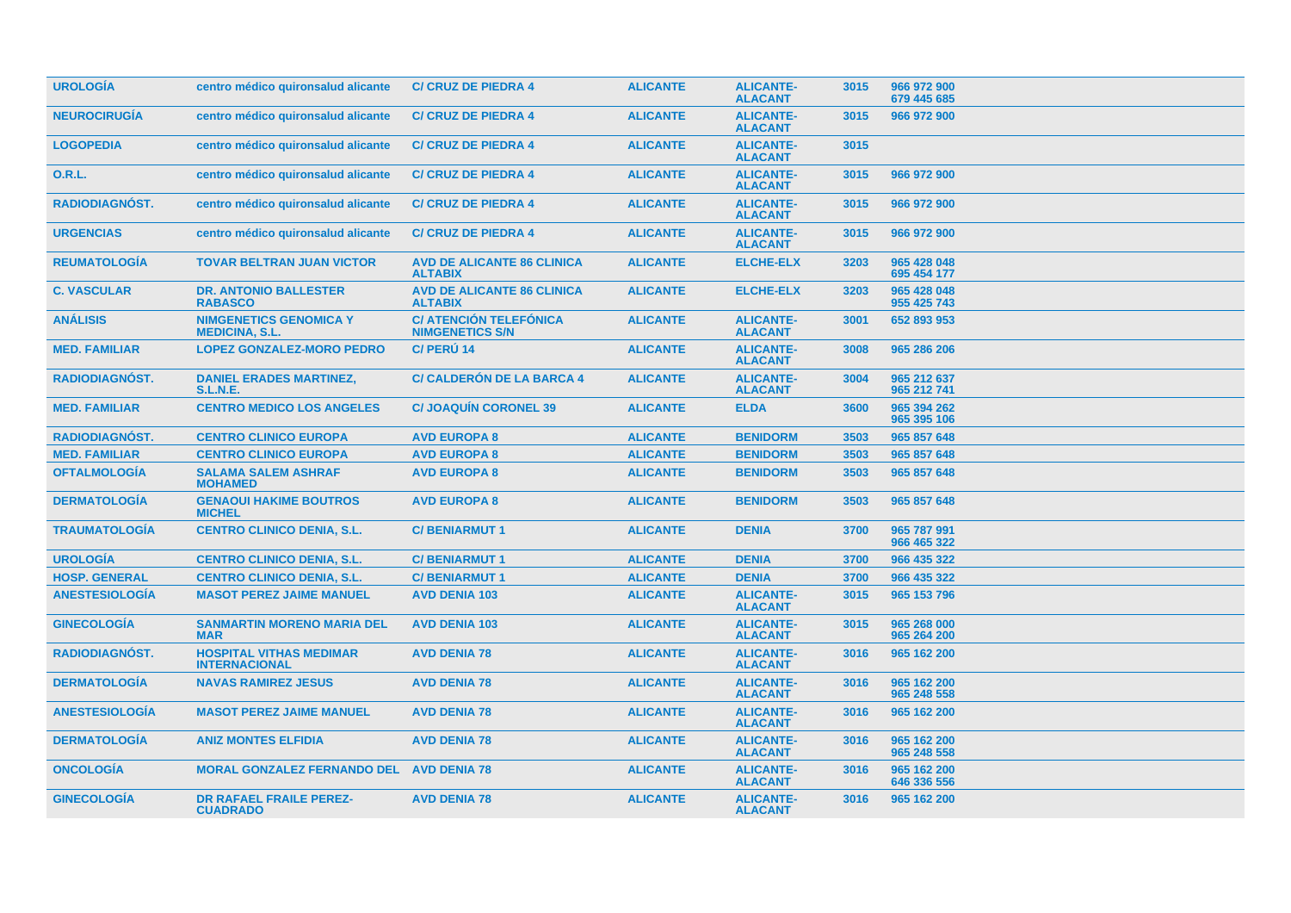| <b>UROLOGÍA</b>       | centro médico quironsalud alicante                     | <b>C/ CRUZ DE PIEDRA 4</b>                              | <b>ALICANTE</b> | <b>ALICANTE-</b><br><b>ALACANT</b> | 3015 | 966 972 900<br>679 445 685 |  |
|-----------------------|--------------------------------------------------------|---------------------------------------------------------|-----------------|------------------------------------|------|----------------------------|--|
| <b>NEUROCIRUGÍA</b>   | centro médico quironsalud alicante                     | <b>C/ CRUZ DE PIEDRA 4</b>                              | <b>ALICANTE</b> | <b>ALICANTE-</b><br><b>ALACANT</b> | 3015 | 966 972 900                |  |
| <b>LOGOPEDIA</b>      | centro médico quironsalud alicante                     | <b>C/ CRUZ DE PIEDRA 4</b>                              | <b>ALICANTE</b> | <b>ALICANTE-</b><br><b>ALACANT</b> | 3015 |                            |  |
| 0.R.L.                | centro médico quironsalud alicante                     | <b>C/ CRUZ DE PIEDRA 4</b>                              | <b>ALICANTE</b> | <b>ALICANTE-</b><br><b>ALACANT</b> | 3015 | 966 972 900                |  |
| RADIODIAGNÓST.        | centro médico quironsalud alicante                     | <b>C/ CRUZ DE PIEDRA 4</b>                              | <b>ALICANTE</b> | <b>ALICANTE-</b><br><b>ALACANT</b> | 3015 | 966 972 900                |  |
| <b>URGENCIAS</b>      | centro médico quironsalud alicante                     | <b>C/ CRUZ DE PIEDRA 4</b>                              | <b>ALICANTE</b> | <b>ALICANTE-</b><br><b>ALACANT</b> | 3015 | 966 972 900                |  |
| <b>REUMATOLOGÍA</b>   | <b>TOVAR BELTRAN JUAN VICTOR</b>                       | <b>AVD DE ALICANTE 86 CLINICA</b><br><b>ALTABIX</b>     | <b>ALICANTE</b> | <b>ELCHE-ELX</b>                   | 3203 | 965 428 048<br>695 454 177 |  |
| <b>C. VASCULAR</b>    | <b>DR. ANTONIO BALLESTER</b><br><b>RABASCO</b>         | <b>AVD DE ALICANTE 86 CLINICA</b><br><b>ALTABIX</b>     | <b>ALICANTE</b> | <b>ELCHE-ELX</b>                   | 3203 | 965 428 048<br>955 425 743 |  |
| <b>ANÁLISIS</b>       | <b>NIMGENETICS GENOMICA Y</b><br><b>MEDICINA, S.L.</b> | <b>C/ ATENCIÓN TELEFÓNICA</b><br><b>NIMGENETICS S/N</b> | <b>ALICANTE</b> | <b>ALICANTE-</b><br><b>ALACANT</b> | 3001 | 652 893 953                |  |
| <b>MED. FAMILIAR</b>  | <b>LOPEZ GONZALEZ-MORO PEDRO</b>                       | C/ PERÚ 14                                              | <b>ALICANTE</b> | <b>ALICANTE-</b><br><b>ALACANT</b> | 3008 | 965 286 206                |  |
| <b>RADIODIAGNÓST.</b> | <b>DANIEL ERADES MARTINEZ.</b><br><b>S.L.N.E.</b>      | <b>C/ CALDERÓN DE LA BARCA 4</b>                        | <b>ALICANTE</b> | <b>ALICANTE-</b><br><b>ALACANT</b> | 3004 | 965 212 637<br>965 212 741 |  |
| <b>MED. FAMILIAR</b>  | <b>CENTRO MEDICO LOS ANGELES</b>                       | <b>C/JOAQUÍN CORONEL 39</b>                             | <b>ALICANTE</b> | <b>ELDA</b>                        | 3600 | 965 394 262<br>965 395 106 |  |
| <b>RADIODIAGNÓST.</b> | <b>CENTRO CLINICO EUROPA</b>                           | <b>AVD EUROPA 8</b>                                     | <b>ALICANTE</b> | <b>BENIDORM</b>                    | 3503 | 965 857 648                |  |
| <b>MED. FAMILIAR</b>  | <b>CENTRO CLINICO EUROPA</b>                           | <b>AVD EUROPA 8</b>                                     | <b>ALICANTE</b> | <b>BENIDORM</b>                    | 3503 | 965 857 648                |  |
| <b>OFTALMOLOGÍA</b>   | <b>SALAMA SALEM ASHRAF</b><br><b>MOHAMED</b>           | <b>AVD EUROPA 8</b>                                     | <b>ALICANTE</b> | <b>BENIDORM</b>                    | 3503 | 965 857 648                |  |
| <b>DERMATOLOGÍA</b>   | <b>GENAOUI HAKIME BOUTROS</b><br><b>MICHEL</b>         | <b>AVD EUROPA 8</b>                                     | <b>ALICANTE</b> | <b>BENIDORM</b>                    | 3503 | 965 857 648                |  |
| <b>TRAUMATOLOGÍA</b>  | <b>CENTRO CLINICO DENIA, S.L.</b>                      | <b>C/BENIARMUT1</b>                                     | <b>ALICANTE</b> | <b>DENIA</b>                       | 3700 | 965 787 991<br>966 465 322 |  |
| <b>UROLOGÍA</b>       | <b>CENTRO CLINICO DENIA, S.L.</b>                      | <b>C/BENIARMUT1</b>                                     | <b>ALICANTE</b> | <b>DENIA</b>                       | 3700 | 966 435 322                |  |
| <b>HOSP. GENERAL</b>  | <b>CENTRO CLINICO DENIA, S.L.</b>                      | <b>C/BENIARMUT1</b>                                     | <b>ALICANTE</b> | <b>DENIA</b>                       | 3700 | 966 435 322                |  |
| <b>ANESTESIOLOGÍA</b> | <b>MASOT PEREZ JAIME MANUEL</b>                        | <b>AVD DENIA 103</b>                                    | <b>ALICANTE</b> | <b>ALICANTE-</b><br><b>ALACANT</b> | 3015 | 965 153 796                |  |
| <b>GINECOLOGÍA</b>    | <b>SANMARTIN MORENO MARIA DEL</b><br><b>MAR</b>        | <b>AVD DENIA 103</b>                                    | <b>ALICANTE</b> | <b>ALICANTE-</b><br><b>ALACANT</b> | 3015 | 965 268 000<br>965 264 200 |  |
| <b>RADIODIAGNOST.</b> | <b>HOSPITAL VITHAS MEDIMAR</b><br><b>INTERNACIONAL</b> | <b>AVD DENIA 78</b>                                     | <b>ALICANTE</b> | <b>ALICANTE-</b><br><b>ALACANT</b> | 3016 | 965 162 200                |  |
| <b>DERMATOLOGÍA</b>   | <b>NAVAS RAMIREZ JESUS</b>                             | <b>AVD DENIA 78</b>                                     | <b>ALICANTE</b> | <b>ALICANTE-</b><br><b>ALACANT</b> | 3016 | 965 162 200<br>965 248 558 |  |
| <b>ANESTESIOLOGÍA</b> | <b>MASOT PEREZ JAIME MANUEL</b>                        | <b>AVD DENIA 78</b>                                     | <b>ALICANTE</b> | <b>ALICANTE-</b><br><b>ALACANT</b> | 3016 | 965 162 200                |  |
| <b>DERMATOLOGÍA</b>   | <b>ANIZ MONTES ELFIDIA</b>                             | <b>AVD DENIA 78</b>                                     | <b>ALICANTE</b> | <b>ALICANTE-</b><br><b>ALACANT</b> | 3016 | 965 162 200<br>965 248 558 |  |
| <b>ONCOLOGÍA</b>      | <b>MORAL GONZALEZ FERNANDO DEL</b>                     | <b>AVD DENIA 78</b>                                     | <b>ALICANTE</b> | <b>ALICANTE-</b><br><b>ALACANT</b> | 3016 | 965 162 200<br>646 336 556 |  |
| <b>GINECOLOGIA</b>    | <b>DR RAFAEL FRAILE PEREZ-</b><br><b>CUADRADO</b>      | <b>AVD DENIA 78</b>                                     | <b>ALICANTE</b> | <b>ALICANTE-</b><br><b>ALACANT</b> | 3016 | 965 162 200                |  |
|                       |                                                        |                                                         |                 |                                    |      |                            |  |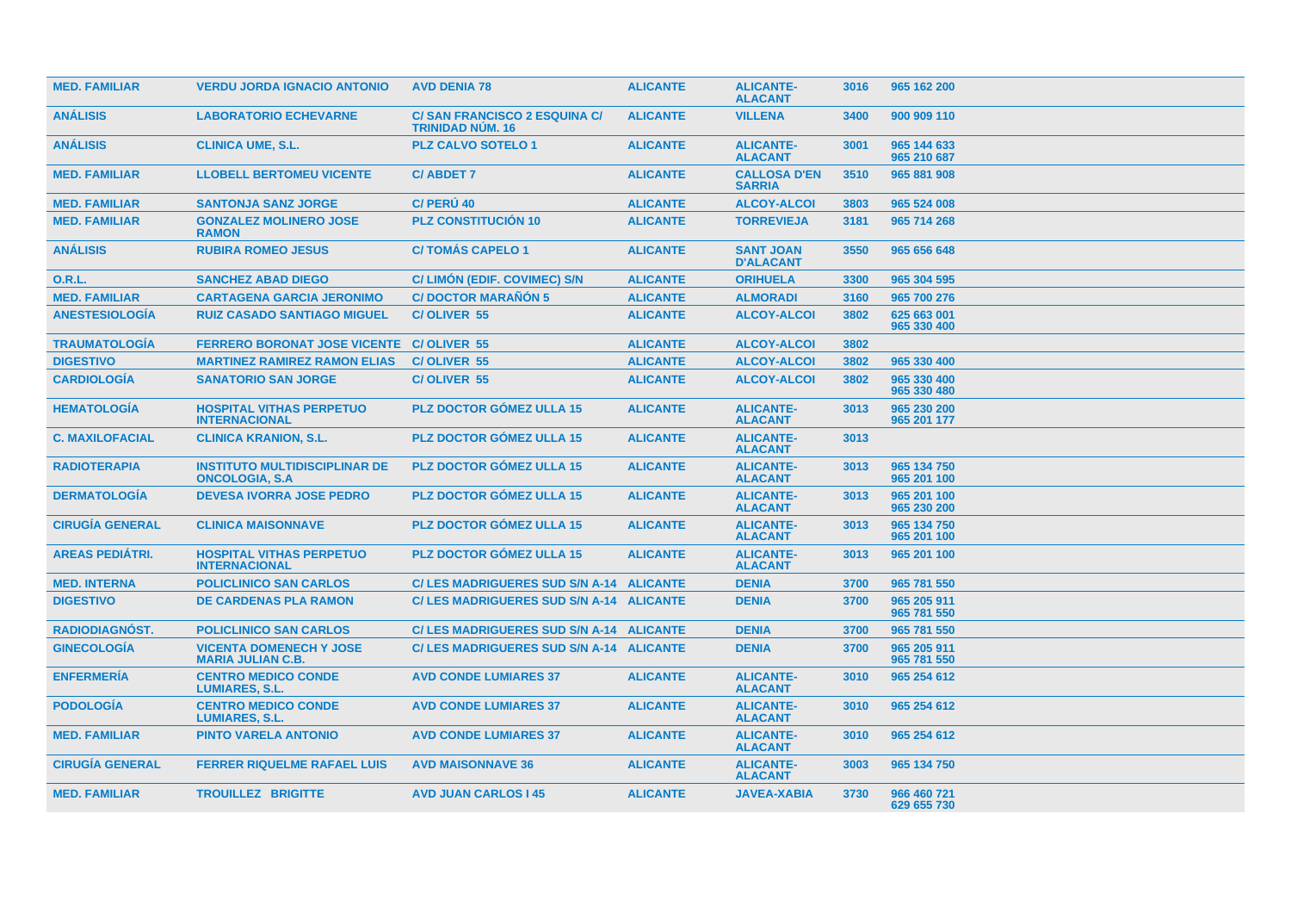| <b>MED. FAMILIAR</b>   | <b>VERDU JORDA IGNACIO ANTONIO</b>                             | <b>AVD DENIA 78</b>                                            | <b>ALICANTE</b> | <b>ALICANTE-</b><br><b>ALACANT</b>   | 3016 | 965 162 200                |
|------------------------|----------------------------------------------------------------|----------------------------------------------------------------|-----------------|--------------------------------------|------|----------------------------|
| <b>ANÁLISIS</b>        | <b>LABORATORIO ECHEVARNE</b>                                   | <b>C/SAN FRANCISCO 2 ESQUINA C/</b><br><b>TRINIDAD NUM. 16</b> | <b>ALICANTE</b> | <b>VILLENA</b>                       | 3400 | 900 909 110                |
| <b>ANÁLISIS</b>        | <b>CLINICA UME, S.L.</b>                                       | <b>PLZ CALVO SOTELO 1</b>                                      | <b>ALICANTE</b> | <b>ALICANTE-</b><br><b>ALACANT</b>   | 3001 | 965 144 633<br>965 210 687 |
| <b>MED. FAMILIAR</b>   | <b>LLOBELL BERTOMEU VICENTE</b>                                | <b>C/ABDET 7</b>                                               | <b>ALICANTE</b> | <b>CALLOSA D'EN</b><br><b>SARRIA</b> | 3510 | 965 881 908                |
| <b>MED. FAMILIAR</b>   | <b>SANTONJA SANZ JORGE</b>                                     | C/ PERU 40                                                     | <b>ALICANTE</b> | <b>ALCOY-ALCOI</b>                   | 3803 | 965 524 008                |
| <b>MED. FAMILIAR</b>   | <b>GONZALEZ MOLINERO JOSE</b><br><b>RAMON</b>                  | <b>PLZ CONSTITUCIÓN 10</b>                                     | <b>ALICANTE</b> | <b>TORREVIEJA</b>                    | 3181 | 965 714 268                |
| <b>ANÁLISIS</b>        | <b>RUBIRA ROMEO JESUS</b>                                      | <b>C/TOMÁS CAPELO 1</b>                                        | <b>ALICANTE</b> | <b>SANT JOAN</b><br><b>D'ALACANT</b> | 3550 | 965 656 648                |
| 0.R.L.                 | <b>SANCHEZ ABAD DIEGO</b>                                      | C/LIMON (EDIF. COVIMEC) S/N                                    | <b>ALICANTE</b> | <b>ORIHUELA</b>                      | 3300 | 965 304 595                |
| <b>MED. FAMILIAR</b>   | <b>CARTAGENA GARCIA JERONIMO</b>                               | <b>C/DOCTOR MARAÑÓN 5</b>                                      | <b>ALICANTE</b> | <b>ALMORADI</b>                      | 3160 | 965 700 276                |
| <b>ANESTESIOLOGÍA</b>  | <b>RUIZ CASADO SANTIAGO MIGUEL</b>                             | C/OLIVER 55                                                    | <b>ALICANTE</b> | <b>ALCOY-ALCOI</b>                   | 3802 | 625 663 001<br>965 330 400 |
| <b>TRAUMATOLOGÍA</b>   | <b>FERRERO BORONAT JOSE VICENTE C/OLIVER 55</b>                |                                                                | <b>ALICANTE</b> | <b>ALCOY-ALCOI</b>                   | 3802 |                            |
| <b>DIGESTIVO</b>       | <b>MARTINEZ RAMIREZ RAMON ELIAS</b>                            | C/OLIVER 55                                                    | <b>ALICANTE</b> | <b>ALCOY-ALCOI</b>                   | 3802 | 965 330 400                |
| <b>CARDIOLOGÍA</b>     | <b>SANATORIO SAN JORGE</b>                                     | <b>C/OLIVER 55</b>                                             | <b>ALICANTE</b> | <b>ALCOY-ALCOI</b>                   | 3802 | 965 330 400<br>965 330 480 |
| <b>HEMATOLOGÍA</b>     | <b>HOSPITAL VITHAS PERPETUO</b><br><b>INTERNACIONAL</b>        | <b>PLZ DOCTOR GÓMEZ ULLA 15</b>                                | <b>ALICANTE</b> | <b>ALICANTE-</b><br><b>ALACANT</b>   | 3013 | 965 230 200<br>965 201 177 |
| <b>C. MAXILOFACIAL</b> | <b>CLINICA KRANION, S.L.</b>                                   | <b>PLZ DOCTOR GÓMEZ ULLA 15</b>                                | <b>ALICANTE</b> | <b>ALICANTE-</b><br><b>ALACANT</b>   | 3013 |                            |
| <b>RADIOTERAPIA</b>    | <b>INSTITUTO MULTIDISCIPLINAR DE</b><br><b>ONCOLOGIA, S.A.</b> | <b>PLZ DOCTOR GÓMEZ ULLA 15</b>                                | <b>ALICANTE</b> | <b>ALICANTE-</b><br><b>ALACANT</b>   | 3013 | 965 134 750<br>965 201 100 |
| <b>DERMATOLOGIA</b>    | <b>DEVESA IVORRA JOSE PEDRO</b>                                | <b>PLZ DOCTOR GOMEZ ULLA 15</b>                                | <b>ALICANTE</b> | <b>ALICANTE-</b><br><b>ALACANT</b>   | 3013 | 965 201 100<br>965 230 200 |
| <b>CIRUGÍA GENERAL</b> | <b>CLINICA MAISONNAVE</b>                                      | <b>PLZ DOCTOR GÓMEZ ULLA 15</b>                                | <b>ALICANTE</b> | <b>ALICANTE-</b><br><b>ALACANT</b>   | 3013 | 965 134 750<br>965 201 100 |
| <b>AREAS PEDIÁTRI.</b> | <b>HOSPITAL VITHAS PERPETUO</b><br><b>INTERNACIONAL</b>        | PLZ DOCTOR GÓMEZ ULLA 15                                       | <b>ALICANTE</b> | <b>ALICANTE-</b><br><b>ALACANT</b>   | 3013 | 965 201 100                |
| <b>MED. INTERNA</b>    | <b>POLICLINICO SAN CARLOS</b>                                  | C/LES MADRIGUERES SUD S/N A-14 ALICANTE                        |                 | <b>DENIA</b>                         | 3700 | 965 781 550                |
| <b>DIGESTIVO</b>       | <b>DE CARDENAS PLA RAMON</b>                                   | C/LES MADRIGUERES SUD S/N A-14 ALICANTE                        |                 | <b>DENIA</b>                         | 3700 | 965 205 911<br>965 781 550 |
| <b>RADIODIAGNÓST.</b>  | <b>POLICLINICO SAN CARLOS</b>                                  | C/ LES MADRIGUERES SUD S/N A-14 ALICANTE                       |                 | <b>DENIA</b>                         | 3700 | 965 781 550                |
| <b>GINECOLOGÍA</b>     | <b>VICENTA DOMENECH Y JOSE</b><br><b>MARIA JULIAN C.B.</b>     | C/ LES MADRIGUERES SUD S/N A-14 ALICANTE                       |                 | <b>DENIA</b>                         | 3700 | 965 205 911<br>965 781 550 |
| <b>ENFERMERÍA</b>      | <b>CENTRO MEDICO CONDE</b><br><b>LUMIARES, S.L.</b>            | <b>AVD CONDE LUMIARES 37</b>                                   | <b>ALICANTE</b> | <b>ALICANTE-</b><br><b>ALACANT</b>   | 3010 | 965 254 612                |
| <b>PODOLOGÍA</b>       | <b>CENTRO MEDICO CONDE</b><br><b>LUMIARES, S.L.</b>            | <b>AVD CONDE LUMIARES 37</b>                                   | <b>ALICANTE</b> | <b>ALICANTE-</b><br><b>ALACANT</b>   | 3010 | 965 254 612                |
| <b>MED. FAMILIAR</b>   | <b>PINTO VARELA ANTONIO</b>                                    | <b>AVD CONDE LUMIARES 37</b>                                   | <b>ALICANTE</b> | <b>ALICANTE-</b><br><b>ALACANT</b>   | 3010 | 965 254 612                |
| <b>CIRUGIA GENERAL</b> | <b>FERRER RIQUELME RAFAEL LUIS</b>                             | <b>AVD MAISONNAVE 36</b>                                       | <b>ALICANTE</b> | <b>ALICANTE-</b><br><b>ALACANT</b>   | 3003 | 965 134 750                |
| <b>MED. FAMILIAR</b>   | <b>TROUILLEZ BRIGITTE</b>                                      | <b>AVD JUAN CARLOS I 45</b>                                    | <b>ALICANTE</b> | <b>JAVEA-XABIA</b>                   | 3730 | 966 460 721<br>629 655 730 |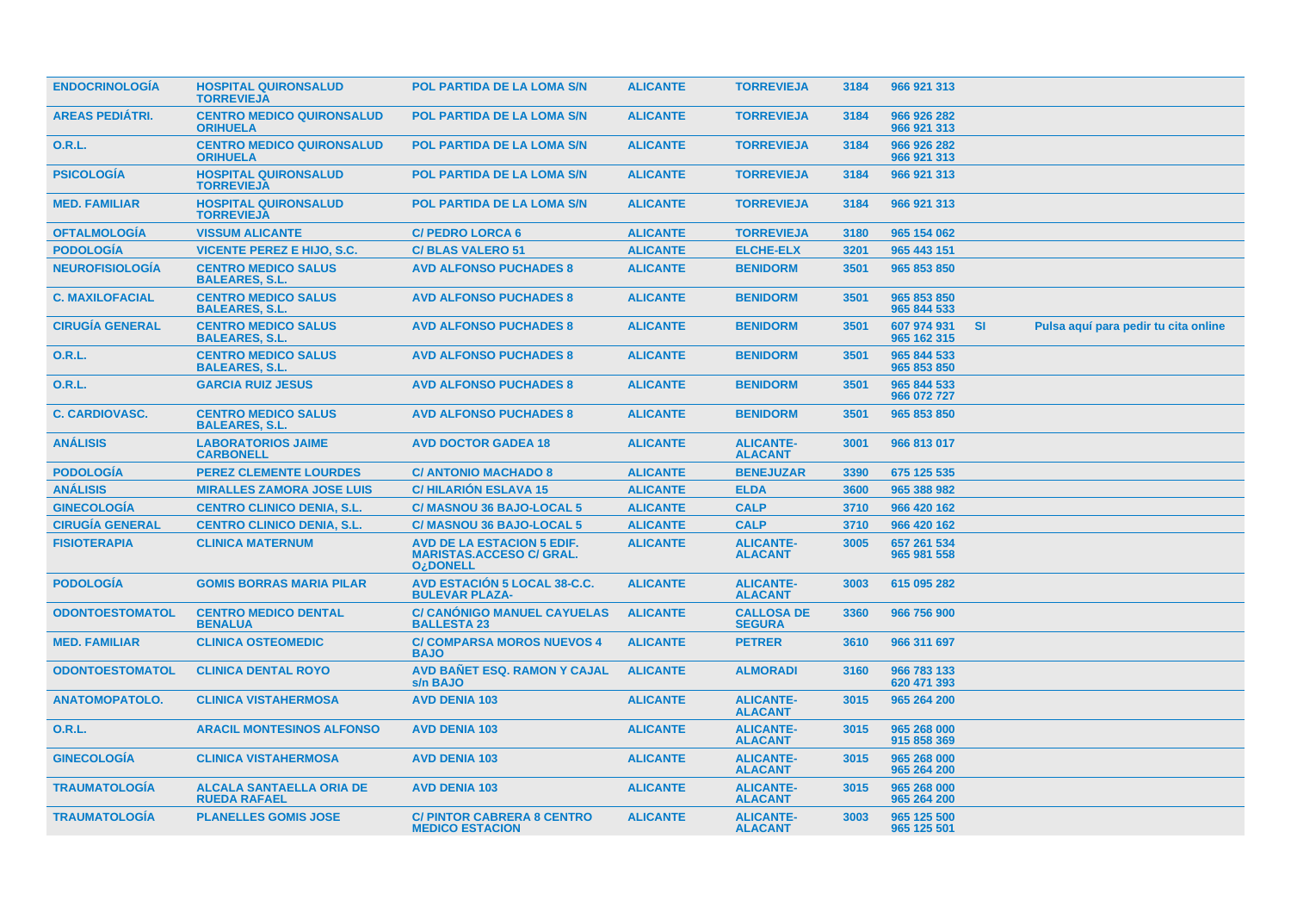| <b>ENDOCRINOLOGIA</b>  | <b>HOSPITAL QUIRONSALUD</b><br><b>TORREVIEJA</b>       | <b>POL PARTIDA DE LA LOMA S/N</b>                                                                  | <b>ALICANTE</b> | <b>TORREVIEJA</b>                  | 3184 | 966 921 313                |           |                                      |  |
|------------------------|--------------------------------------------------------|----------------------------------------------------------------------------------------------------|-----------------|------------------------------------|------|----------------------------|-----------|--------------------------------------|--|
| <b>AREAS PEDIÁTRI.</b> | <b>CENTRO MEDICO QUIRONSALUD</b><br><b>ORIHUELA</b>    | <b>POL PARTIDA DE LA LOMA S/N</b>                                                                  | <b>ALICANTE</b> | <b>TORREVIEJA</b>                  | 3184 | 966 926 282<br>966 921 313 |           |                                      |  |
| O.R.L.                 | <b>CENTRO MEDICO QUIRONSALUD</b><br><b>ORIHUELA</b>    | <b>POL PARTIDA DE LA LOMA S/N</b>                                                                  | <b>ALICANTE</b> | <b>TORREVIEJA</b>                  | 3184 | 966 926 282<br>966 921 313 |           |                                      |  |
| <b>PSICOLOGÍA</b>      | <b>HOSPITAL QUIRONSALUD</b><br><b>TORREVIEJA</b>       | <b>POL PARTIDA DE LA LOMA S/N</b>                                                                  | <b>ALICANTE</b> | <b>TORREVIEJA</b>                  | 3184 | 966 921 313                |           |                                      |  |
| <b>MED. FAMILIAR</b>   | <b>HOSPITAL QUIRONSALUD</b><br><b>TORREVIEJA</b>       | <b>POL PARTIDA DE LA LOMA S/N</b>                                                                  | <b>ALICANTE</b> | <b>TORREVIEJA</b>                  | 3184 | 966 921 313                |           |                                      |  |
| <b>OFTALMOLOGIA</b>    | <b>VISSUM ALICANTE</b>                                 | <b>C/ PEDRO LORCA 6</b>                                                                            | <b>ALICANTE</b> | <b>TORREVIEJA</b>                  | 3180 | 965 154 062                |           |                                      |  |
| <b>PODOLOGIA</b>       | <b>VICENTE PEREZ E HIJO, S.C.</b>                      | <b>C/BLAS VALERO 51</b>                                                                            | <b>ALICANTE</b> | <b>ELCHE-ELX</b>                   | 3201 | 965 443 151                |           |                                      |  |
| <b>NEUROFISIOLOGIA</b> | <b>CENTRO MEDICO SALUS</b><br><b>BALEARES, S.L.</b>    | <b>AVD ALFONSO PUCHADES 8</b>                                                                      | <b>ALICANTE</b> | <b>BENIDORM</b>                    | 3501 | 965 853 850                |           |                                      |  |
| <b>C. MAXILOFACIAL</b> | <b>CENTRO MEDICO SALUS</b><br><b>BALEARES, S.L.</b>    | <b>AVD ALFONSO PUCHADES 8</b>                                                                      | <b>ALICANTE</b> | <b>BENIDORM</b>                    | 3501 | 965 853 850<br>965 844 533 |           |                                      |  |
| <b>CIRUGIA GENERAL</b> | <b>CENTRO MEDICO SALUS</b><br><b>BALEARES, S.L.</b>    | <b>AVD ALFONSO PUCHADES 8</b>                                                                      | <b>ALICANTE</b> | <b>BENIDORM</b>                    | 3501 | 607 974 931<br>965 162 315 | <b>SI</b> | Pulsa aquí para pedir tu cita online |  |
| <b>O.R.L.</b>          | <b>CENTRO MEDICO SALUS</b><br><b>BALEARES, S.L.</b>    | <b>AVD ALFONSO PUCHADES 8</b>                                                                      | <b>ALICANTE</b> | <b>BENIDORM</b>                    | 3501 | 965 844 533<br>965 853 850 |           |                                      |  |
| O.R.L.                 | <b>GARCIA RUIZ JESUS</b>                               | <b>AVD ALFONSO PUCHADES 8</b>                                                                      | <b>ALICANTE</b> | <b>BENIDORM</b>                    | 3501 | 965 844 533<br>966 072 727 |           |                                      |  |
| <b>C. CARDIOVASC.</b>  | <b>CENTRO MEDICO SALUS</b><br><b>BALEARES, S.L.</b>    | <b>AVD ALFONSO PUCHADES 8</b>                                                                      | <b>ALICANTE</b> | <b>BENIDORM</b>                    | 3501 | 965 853 850                |           |                                      |  |
| <b>ANÁLISIS</b>        | <b>LABORATORIOS JAIME</b><br><b>CARBONELL</b>          | <b>AVD DOCTOR GADEA 18</b>                                                                         | <b>ALICANTE</b> | <b>ALICANTE-</b><br><b>ALACANT</b> | 3001 | 966 813 017                |           |                                      |  |
| <b>PODOLOGÍA</b>       | <b>PEREZ CLEMENTE LOURDES</b>                          | <b>C/ ANTONIO MACHADO 8</b>                                                                        | <b>ALICANTE</b> | <b>BENEJUZAR</b>                   | 3390 | 675 125 535                |           |                                      |  |
| <b>ANÁLISIS</b>        | <b>MIRALLES ZAMORA JOSE LUIS</b>                       | <b>C/HILARION ESLAVA 15</b>                                                                        | <b>ALICANTE</b> | <b>ELDA</b>                        | 3600 | 965 388 982                |           |                                      |  |
| <b>GINECOLOGÍA</b>     | <b>CENTRO CLINICO DENIA, S.L.</b>                      | <b>C/ MASNOU 36 BAJO-LOCAL 5</b>                                                                   | <b>ALICANTE</b> | <b>CALP</b>                        | 3710 | 966 420 162                |           |                                      |  |
| <b>CIRUGÍA GENERAL</b> | <b>CENTRO CLINICO DENIA, S.L.</b>                      | <b>C/ MASNOU 36 BAJO-LOCAL 5</b>                                                                   | <b>ALICANTE</b> | <b>CALP</b>                        | 3710 | 966 420 162                |           |                                      |  |
| <b>FISIOTERAPIA</b>    | <b>CLINICA MATERNUM</b>                                | <b>AVD DE LA ESTACION 5 EDIF.</b><br><b>MARISTAS.ACCESO C/ GRAL.</b><br><b>O<sub>i</sub>DONELL</b> | <b>ALICANTE</b> | <b>ALICANTE-</b><br><b>ALACANT</b> | 3005 | 657 261 534<br>965 981 558 |           |                                      |  |
| <b>PODOLOGÍA</b>       | <b>GOMIS BORRAS MARIA PILAR</b>                        | <b>AVD ESTACIÓN 5 LOCAL 38-C.C.</b><br><b>BULEVAR PLAZA-</b>                                       | <b>ALICANTE</b> | <b>ALICANTE-</b><br><b>ALACANT</b> | 3003 | 615 095 282                |           |                                      |  |
| <b>ODONTOESTOMATOL</b> | <b>CENTRO MEDICO DENTAL</b><br><b>BENALUA</b>          | <b>C/ CANÓNIGO MANUEL CAYUELAS</b><br><b>BALLESTA 23</b>                                           | <b>ALICANTE</b> | <b>CALLOSA DE</b><br><b>SEGURA</b> | 3360 | 966 756 900                |           |                                      |  |
| <b>MED. FAMILIAR</b>   | <b>CLINICA OSTEOMEDIC</b>                              | <b>C/ COMPARSA MOROS NUEVOS 4</b><br><b>BAJO</b>                                                   | <b>ALICANTE</b> | <b>PETRER</b>                      | 3610 | 966 311 697                |           |                                      |  |
| <b>ODONTOESTOMATOL</b> | <b>CLINICA DENTAL ROYO</b>                             | <b>AVD BANET ESQ. RAMON Y CAJAL</b><br>s/n BAJO                                                    | <b>ALICANTE</b> | <b>ALMORADI</b>                    | 3160 | 966 783 133<br>620 471 393 |           |                                      |  |
| <b>ANATOMOPATOLO.</b>  | <b>CLINICA VISTAHERMOSA</b>                            | <b>AVD DENIA 103</b>                                                                               | <b>ALICANTE</b> | <b>ALICANTE-</b><br><b>ALACANT</b> | 3015 | 965 264 200                |           |                                      |  |
| <b>O.R.L.</b>          | <b>ARACIL MONTESINOS ALFONSO</b>                       | <b>AVD DENIA 103</b>                                                                               | <b>ALICANTE</b> | <b>ALICANTE-</b><br><b>ALACANT</b> | 3015 | 965 268 000<br>915 858 369 |           |                                      |  |
| <b>GINECOLOGÍA</b>     | <b>CLINICA VISTAHERMOSA</b>                            | <b>AVD DENIA 103</b>                                                                               | <b>ALICANTE</b> | <b>ALICANTE-</b><br><b>ALACANT</b> | 3015 | 965 268 000<br>965 264 200 |           |                                      |  |
| <b>TRAUMATOLOGIA</b>   | <b>ALCALA SANTAELLA ORIA DE</b><br><b>RUEDA RAFAEL</b> | <b>AVD DENIA 103</b>                                                                               | <b>ALICANTE</b> | <b>ALICANTE-</b><br><b>ALACANT</b> | 3015 | 965 268 000<br>965 264 200 |           |                                      |  |
| <b>TRAUMATOLOGIA</b>   | <b>PLANELLES GOMIS JOSE</b>                            | <b>C/ PINTOR CABRERA 8 CENTRO</b><br><b>MEDICO ESTACION</b>                                        | <b>ALICANTE</b> | <b>ALICANTE-</b><br><b>ALACANT</b> | 3003 | 965 125 500<br>965 125 501 |           |                                      |  |
|                        |                                                        |                                                                                                    |                 |                                    |      |                            |           |                                      |  |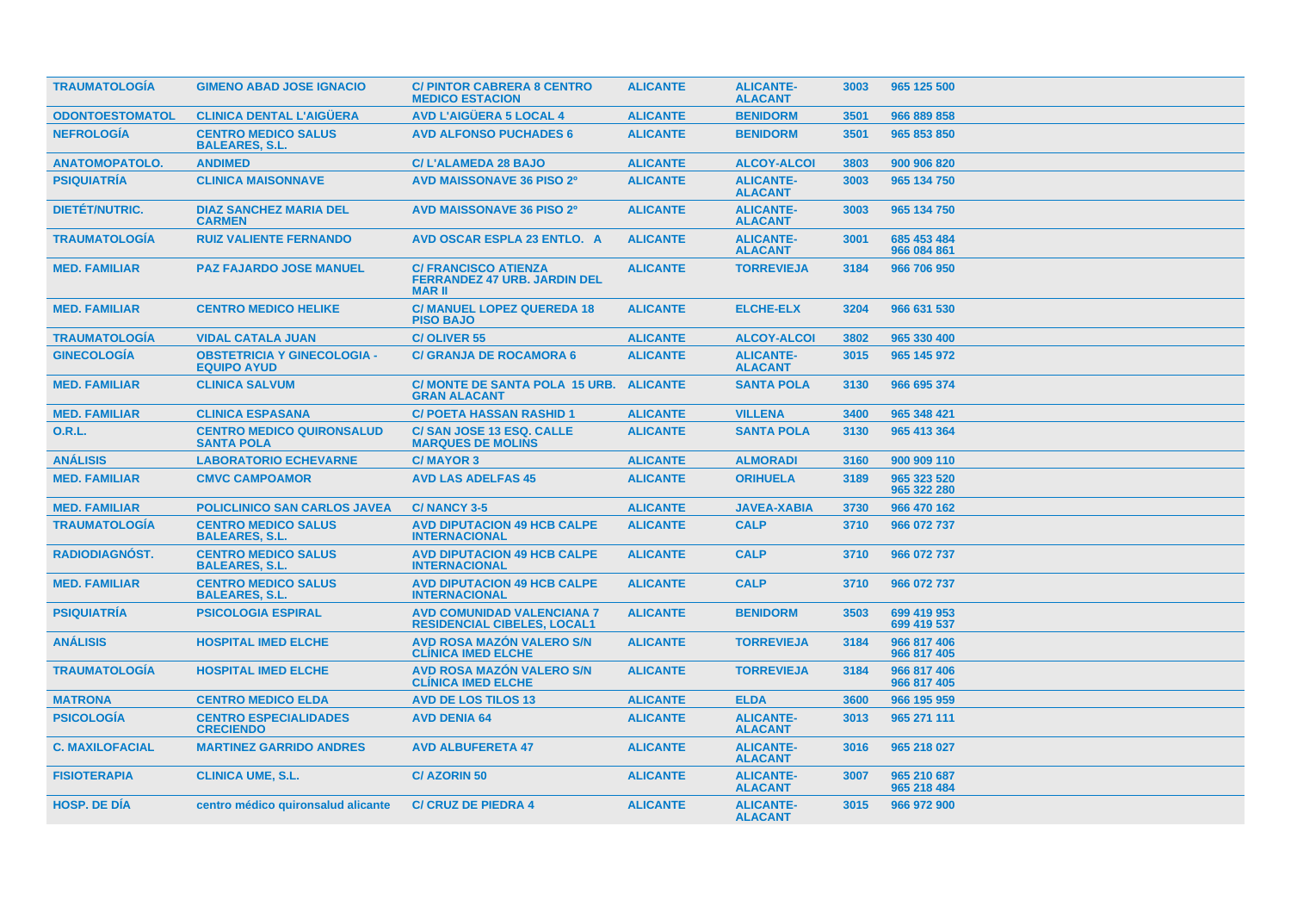| <b>TRAUMATOLOGIA</b>   | <b>GIMENO ABAD JOSE IGNACIO</b>                          | <b>C/PINTOR CABRERA 8 CENTRO</b><br><b>MEDICO ESTACION</b>                         | <b>ALICANTE</b> | <b>ALICANTE-</b><br><b>ALACANT</b> | 3003 | 965 125 500                |
|------------------------|----------------------------------------------------------|------------------------------------------------------------------------------------|-----------------|------------------------------------|------|----------------------------|
| <b>ODONTOESTOMATOL</b> | <b>CLINICA DENTAL L'AIGÜERA</b>                          | <b>AVD L'AIGÜERA 5 LOCAL 4</b>                                                     | <b>ALICANTE</b> | <b>BENIDORM</b>                    | 3501 | 966 889 858                |
| <b>NEFROLOGÍA</b>      | <b>CENTRO MEDICO SALUS</b><br><b>BALEARES, S.L.</b>      | <b>AVD ALFONSO PUCHADES 6</b>                                                      | <b>ALICANTE</b> | <b>BENIDORM</b>                    | 3501 | 965 853 850                |
| <b>ANATOMOPATOLO.</b>  | <b>ANDIMED</b>                                           | <b>C/L'ALAMEDA 28 BAJO</b>                                                         | <b>ALICANTE</b> | <b>ALCOY-ALCOI</b>                 | 3803 | 900 906 820                |
| <b>PSIQUIATRÍA</b>     | <b>CLINICA MAISONNAVE</b>                                | <b>AVD MAISSONAVE 36 PISO 2º</b>                                                   | <b>ALICANTE</b> | <b>ALICANTE-</b><br><b>ALACANT</b> | 3003 | 965 134 750                |
| DIETÉT/NUTRIC.         | <b>DIAZ SANCHEZ MARIA DEL</b><br><b>CARMEN</b>           | <b>AVD MAISSONAVE 36 PISO 2º</b>                                                   | <b>ALICANTE</b> | <b>ALICANTE-</b><br><b>ALACANT</b> | 3003 | 965 134 750                |
| <b>TRAUMATOLOGÍA</b>   | <b>RUIZ VALIENTE FERNANDO</b>                            | AVD OSCAR ESPLA 23 ENTLO. A                                                        | <b>ALICANTE</b> | <b>ALICANTE-</b><br><b>ALACANT</b> | 3001 | 685 453 484<br>966 084 861 |
| <b>MED. FAMILIAR</b>   | <b>PAZ FAJARDO JOSE MANUEL</b>                           | <b>C/ FRANCISCO ATIENZA</b><br><b>FERRANDEZ 47 URB. JARDIN DEL</b><br><b>MARII</b> | <b>ALICANTE</b> | <b>TORREVIEJA</b>                  | 3184 | 966 706 950                |
| <b>MED. FAMILIAR</b>   | <b>CENTRO MEDICO HELIKE</b>                              | <b>C/ MANUEL LOPEZ QUEREDA 18</b><br><b>PISO BAJO</b>                              | <b>ALICANTE</b> | <b>ELCHE-ELX</b>                   | 3204 | 966 631 530                |
| <b>TRAUMATOLOGÍA</b>   | <b>VIDAL CATALA JUAN</b>                                 | <b>C/OLIVER 55</b>                                                                 | <b>ALICANTE</b> | <b>ALCOY-ALCOI</b>                 | 3802 | 965 330 400                |
| <b>GINECOLOGÍA</b>     | <b>OBSTETRICIA Y GINECOLOGIA -</b><br><b>EQUIPO AYUD</b> | <b>C/ GRANJA DE ROCAMORA 6</b>                                                     | <b>ALICANTE</b> | <b>ALICANTE-</b><br><b>ALACANT</b> | 3015 | 965 145 972                |
| <b>MED. FAMILIAR</b>   | <b>CLINICA SALVUM</b>                                    | C/ MONTE DE SANTA POLA 15 URB. ALICANTE<br><b>GRAN ALACANT</b>                     |                 | <b>SANTA POLA</b>                  | 3130 | 966 695 374                |
| <b>MED. FAMILIAR</b>   | <b>CLINICA ESPASANA</b>                                  | <b>C/ POETA HASSAN RASHID 1</b>                                                    | <b>ALICANTE</b> | <b>VILLENA</b>                     | 3400 | 965 348 421                |
| <b>O.R.L.</b>          | <b>CENTRO MEDICO QUIRONSALUD</b><br><b>SANTA POLA</b>    | <b>C/SAN JOSE 13 ESQ. CALLE</b><br><b>MARQUES DE MOLINS</b>                        | <b>ALICANTE</b> | <b>SANTA POLA</b>                  | 3130 | 965 413 364                |
| <b>ANÁLISIS</b>        | <b>LABORATORIO ECHEVARNE</b>                             | <b>C/MAYOR 3</b>                                                                   | <b>ALICANTE</b> | <b>ALMORADI</b>                    | 3160 | 900 909 110                |
| <b>MED. FAMILIAR</b>   | <b>CMVC CAMPOAMOR</b>                                    | <b>AVD LAS ADELFAS 45</b>                                                          | <b>ALICANTE</b> | <b>ORIHUELA</b>                    | 3189 | 965 323 520<br>965 322 280 |
| <b>MED. FAMILIAR</b>   | <b>POLICLINICO SAN CARLOS JAVEA</b>                      | <b>C/NANCY 3-5</b>                                                                 | <b>ALICANTE</b> | <b>JAVEA-XABIA</b>                 | 3730 | 966 470 162                |
| <b>TRAUMATOLOGÍA</b>   | <b>CENTRO MEDICO SALUS</b><br><b>BALEARES, S.L.</b>      | <b>AVD DIPUTACION 49 HCB CALPE</b><br><b>INTERNACIONAL</b>                         | <b>ALICANTE</b> | <b>CALP</b>                        | 3710 | 966 072 737                |
| RADIODIAGNÓST.         | <b>CENTRO MEDICO SALUS</b><br><b>BALEARES, S.L.</b>      | <b>AVD DIPUTACION 49 HCB CALPE</b><br><b>INTERNACIONAL</b>                         | <b>ALICANTE</b> | <b>CALP</b>                        | 3710 | 966 072 737                |
| <b>MED. FAMILIAR</b>   | <b>CENTRO MEDICO SALUS</b><br><b>BALEARES, S.L.</b>      | <b>AVD DIPUTACION 49 HCB CALPE</b><br><b>INTERNACIONAL</b>                         | <b>ALICANTE</b> | <b>CALP</b>                        | 3710 | 966 072 737                |
| <b>PSIQUIATRÍA</b>     | <b>PSICOLOGIA ESPIRAL</b>                                | <b>AVD COMUNIDAD VALENCIANA 7</b><br><b>RESIDENCIAL CIBELES, LOCAL1</b>            | <b>ALICANTE</b> | <b>BENIDORM</b>                    | 3503 | 699 419 953<br>699 419 537 |
| <b>ANÁLISIS</b>        | <b>HOSPITAL IMED ELCHE</b>                               | AVD ROSA MAZÓN VALERO S/N<br><b>CLINICA IMED ELCHE</b>                             | <b>ALICANTE</b> | <b>TORREVIEJA</b>                  | 3184 | 966 817 406<br>966 817 405 |
| <b>TRAUMATOLOGÍA</b>   | <b>HOSPITAL IMED ELCHE</b>                               | <b>AVD ROSA MAZÓN VALERO S/N</b><br><b>CLÍNICA IMED ELCHE</b>                      | <b>ALICANTE</b> | <b>TORREVIEJA</b>                  | 3184 | 966 817 406<br>966 817 405 |
| <b>MATRONA</b>         | <b>CENTRO MEDICO ELDA</b>                                | <b>AVD DE LOS TILOS 13</b>                                                         | <b>ALICANTE</b> | <b>ELDA</b>                        | 3600 | 966 195 959                |
| <b>PSICOLOGIA</b>      | <b>CENTRO ESPECIALIDADES</b><br><b>CRECIENDO</b>         | <b>AVD DENIA 64</b>                                                                | <b>ALICANTE</b> | <b>ALICANTE-</b><br><b>ALACANT</b> | 3013 | 965 271 111                |
| <b>C. MAXILOFACIAL</b> | <b>MARTINEZ GARRIDO ANDRES</b>                           | <b>AVD ALBUFERETA 47</b>                                                           | <b>ALICANTE</b> | <b>ALICANTE-</b><br><b>ALACANT</b> | 3016 | 965 218 027                |
| <b>FISIOTERAPIA</b>    | <b>CLINICA UME, S.L.</b>                                 | <b>C/AZORIN 50</b>                                                                 | <b>ALICANTE</b> | <b>ALICANTE-</b><br><b>ALACANT</b> | 3007 | 965 210 687<br>965 218 484 |
| <b>HOSP, DE DIA</b>    | centro médico quironsalud alicante                       | <b>C/ CRUZ DE PIEDRA 4</b>                                                         | <b>ALICANTE</b> | <b>ALICANTE-</b><br><b>ALACANT</b> | 3015 | 966 972 900                |
|                        |                                                          |                                                                                    |                 |                                    |      |                            |